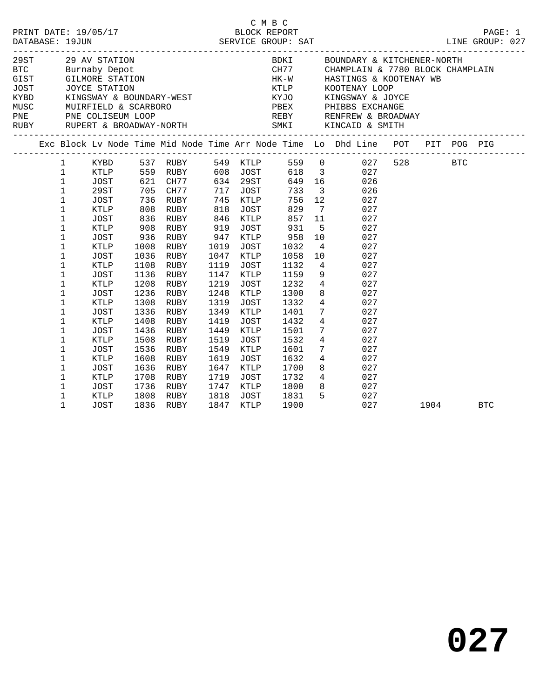|  |                                                                                                                                                                                                             |                                                                                                                     |                                      |                                                                                                                    |                                                                      |                                                                                                           | C M B C                                                                             |                                                                         |                                                                                                                                                                                                                                                                                                                                                                        |  |          | PAGE: 1<br>LINE GROUP: 027 |
|--|-------------------------------------------------------------------------------------------------------------------------------------------------------------------------------------------------------------|---------------------------------------------------------------------------------------------------------------------|--------------------------------------|--------------------------------------------------------------------------------------------------------------------|----------------------------------------------------------------------|-----------------------------------------------------------------------------------------------------------|-------------------------------------------------------------------------------------|-------------------------------------------------------------------------|------------------------------------------------------------------------------------------------------------------------------------------------------------------------------------------------------------------------------------------------------------------------------------------------------------------------------------------------------------------------|--|----------|----------------------------|
|  |                                                                                                                                                                                                             | 29ST 29 AV STATION                                                                                                  |                                      |                                                                                                                    |                                                                      |                                                                                                           |                                                                                     |                                                                         | BDKI BOUNDARY & KITCHENER-NORTH<br>CH77 CHAMPLAIN & 7780 BLOCK CHAMPLAIN<br>HK-W HASTINGS & KOOTENAY WB<br>KTLP         KOOTENAY LOOP                                                                                                                                                                                                                                  |  |          |                            |
|  |                                                                                                                                                                                                             |                                                                                                                     |                                      |                                                                                                                    |                                                                      |                                                                                                           |                                                                                     |                                                                         | Exc Block Lv Node Time Mid Node Time Arr Node Time Lo Dhd Line POT PIT POG PIG                                                                                                                                                                                                                                                                                         |  |          |                            |
|  | $\mathbf 1$<br>$\mathbf{1}$<br>$\mathbf{1}$<br>$\mathbf 1$<br>1<br>$\mathbf 1$<br>$\mathbf 1$<br>$\mathbf 1$<br>$\mathbf 1$<br>$\mathbf 1$<br>1<br>$\mathbf 1$<br>$\mathbf 1$<br>$\mathbf 1$<br>$\mathbf 1$ | JOST<br>29ST<br>JOST<br>KTLP<br>JOST<br>KTLP<br>JOST<br>KTLP<br>JOST<br>KTLP<br>JOST<br><b>KTLP</b><br>JOST<br>KTLP | 1108<br>1136<br>1308                 | 836 RUBY<br>908 RUBY<br>936 RUBY<br>1008 RUBY<br>1036 RUBY<br>RUBY<br>RUBY<br>1208 RUBY<br>1236 RUBY<br>RUBY       | 1019<br>1119<br>1147<br>1219<br>1248<br>1319                         | 818 JOST<br>846 KTLP<br>919 JOST<br>947 KTLP<br>JOST<br>1047 KTLP<br>JOST<br>KTLP<br>JOST<br>KTLP<br>JOST | 857<br>931<br>958<br>1032<br>1058<br>1132<br>1159<br>1232<br>1300<br>1332           | 11<br>$5^{\circ}$<br>10<br>10                                           | 1 KYBD 537 RUBY 549 KTLP 559 0 027 528 BTC<br>KTLP 559 RUBY 608 JOST 618 3 027<br>621 CH77 634 29ST 649 16 026<br>705 CH77 717 JOST 733 3 026<br>736 RUBY 745 KTLP 756 12 027<br>808 RUBY 818 JOST 829 7 027<br>027<br>027<br>027<br>$4\overline{ }$<br>027<br>027<br>$4\overline{ }$<br>027<br>9<br>027<br>$\frac{1}{4}$<br>027<br>8<br>027<br>$4\overline{ }$<br>027 |  |          |                            |
|  | $\mathbf 1$<br>$\mathbf 1$<br>$\mathbf 1$<br>1<br>$\mathbf 1$<br>$\mathbf 1$<br>$\mathbf 1$<br>$\mathbf 1$<br>1<br>$\mathbf 1$                                                                              | JOST<br>KTLP<br>JOST<br>KTLP<br>JOST<br><b>KTLP</b><br>JOST<br>KTLP<br>JOST<br>KTLP                                 | 1336<br>1508<br>1536<br>1708<br>1736 | RUBY<br>1408 RUBY<br>1436 RUBY<br>RUBY<br>RUBY<br>1608 RUBY<br>1636 RUBY<br>RUBY<br>RUBY<br>1808 RUBY<br>1836 RIBY | 1349<br>1419<br>1449<br>1519<br>1549<br>1619<br>1647<br>1719<br>1747 | KTLP<br>JOST<br>KTLP<br>JOST<br>KTLP<br>JOST<br>KTLP<br>JOST<br>KTLP<br>1818 JOST<br>1847 KTLP<br>JOST    | 1401<br>1432<br>1501<br>1532<br>$\frac{1601}{1632}$<br>1700<br>1732<br>1800<br>1831 | $7\overline{ }$<br>$4\overline{ }$<br>$7\overline{ }$<br>$\overline{4}$ | 027<br>027<br>027<br>027<br>027<br>$\frac{7}{4}$<br>027<br>8<br>027<br>$4\overline{ }$<br>027<br>8 027<br>5 <sub>5</sub><br>027                                                                                                                                                                                                                                        |  |          |                            |
|  | $\mathbf 1$                                                                                                                                                                                                 | JOST                                                                                                                |                                      | 1836 RUBY                                                                                                          |                                                                      |                                                                                                           | 1900                                                                                |                                                                         | 027                                                                                                                                                                                                                                                                                                                                                                    |  | 1904 BTC |                            |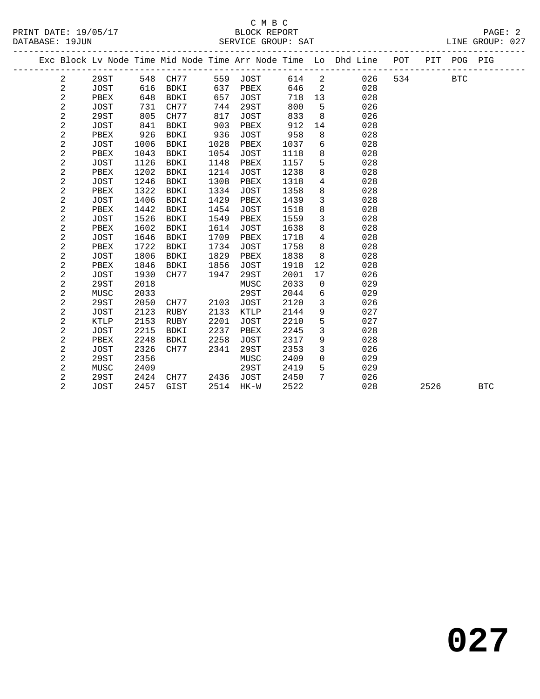|  |                |             |      |             |      |             |      |                | Exc Block Lv Node Time Mid Node Time Arr Node Time Lo Dhd Line POT |     |      | PIT POG PIG |            |  |
|--|----------------|-------------|------|-------------|------|-------------|------|----------------|--------------------------------------------------------------------|-----|------|-------------|------------|--|
|  | $\overline{a}$ | 29ST        | 548  | CH77        |      | 559 JOST    | 614  | $\overline{2}$ | 026                                                                | 534 |      | <b>BTC</b>  |            |  |
|  | 2              | JOST        | 616  | BDKI        | 637  | PBEX        | 646  | 2              | 028                                                                |     |      |             |            |  |
|  | 2              | PBEX        | 648  | BDKI        | 657  | <b>JOST</b> | 718  | 13             | 028                                                                |     |      |             |            |  |
|  | $\overline{a}$ | <b>JOST</b> | 731  | CH77        | 744  | 29ST        | 800  | 5              | 026                                                                |     |      |             |            |  |
|  | $\sqrt{2}$     | 29ST        | 805  | CH77        | 817  | <b>JOST</b> | 833  | 8              | 026                                                                |     |      |             |            |  |
|  | $\sqrt{2}$     | <b>JOST</b> | 841  | BDKI        | 903  | PBEX        | 912  | 14             | 028                                                                |     |      |             |            |  |
|  | $\overline{a}$ | PBEX        | 926  | <b>BDKI</b> | 936  | <b>JOST</b> | 958  | 8              | 028                                                                |     |      |             |            |  |
|  | $\sqrt{2}$     | <b>JOST</b> | 1006 | BDKI        | 1028 | PBEX        | 1037 | 6              | 028                                                                |     |      |             |            |  |
|  | $\overline{a}$ | PBEX        | 1043 | <b>BDKI</b> | 1054 | <b>JOST</b> | 1118 | 8              | 028                                                                |     |      |             |            |  |
|  | $\sqrt{2}$     | <b>JOST</b> | 1126 | <b>BDKI</b> | 1148 | PBEX        | 1157 | 5              | 028                                                                |     |      |             |            |  |
|  | $\sqrt{2}$     | PBEX        | 1202 | <b>BDKI</b> | 1214 | <b>JOST</b> | 1238 | 8              | 028                                                                |     |      |             |            |  |
|  | $\sqrt{2}$     | <b>JOST</b> | 1246 | <b>BDKI</b> | 1308 | PBEX        | 1318 | $\overline{4}$ | 028                                                                |     |      |             |            |  |
|  | $\overline{a}$ | PBEX        | 1322 | <b>BDKI</b> | 1334 | <b>JOST</b> | 1358 | 8              | 028                                                                |     |      |             |            |  |
|  | $\sqrt{2}$     | <b>JOST</b> | 1406 | <b>BDKI</b> | 1429 | PBEX        | 1439 | $\mathbf{3}$   | 028                                                                |     |      |             |            |  |
|  | $\sqrt{2}$     | PBEX        | 1442 | <b>BDKI</b> | 1454 | <b>JOST</b> | 1518 | 8              | 028                                                                |     |      |             |            |  |
|  | $\sqrt{2}$     | JOST        | 1526 | <b>BDKI</b> | 1549 | PBEX        | 1559 | $\overline{3}$ | 028                                                                |     |      |             |            |  |
|  | $\sqrt{2}$     | PBEX        | 1602 | <b>BDKI</b> | 1614 | JOST        | 1638 | 8              | 028                                                                |     |      |             |            |  |
|  | $\sqrt{2}$     | JOST        | 1646 | <b>BDKI</b> | 1709 | PBEX        | 1718 | 4              | 028                                                                |     |      |             |            |  |
|  | $\sqrt{2}$     | PBEX        | 1722 | <b>BDKI</b> | 1734 | <b>JOST</b> | 1758 | 8              | 028                                                                |     |      |             |            |  |
|  | $\overline{a}$ | JOST        | 1806 | BDKI        | 1829 | PBEX        | 1838 | 8              | 028                                                                |     |      |             |            |  |
|  | $\mathbf{2}$   | PBEX        | 1846 | BDKI        | 1856 | <b>JOST</b> | 1918 | 12             | 028                                                                |     |      |             |            |  |
|  | $\mathbf{2}$   | <b>JOST</b> | 1930 | CH77        | 1947 | 29ST        | 2001 | 17             | 026                                                                |     |      |             |            |  |
|  | 2              | 29ST        | 2018 |             |      | MUSC        | 2033 | $\mathbf{0}$   | 029                                                                |     |      |             |            |  |
|  | $\mathbf 2$    | MUSC        | 2033 |             |      | 29ST        | 2044 | 6              | 029                                                                |     |      |             |            |  |
|  | 2              | 29ST        | 2050 | CH77        | 2103 | <b>JOST</b> | 2120 | 3              | 026                                                                |     |      |             |            |  |
|  | $\mathbf{2}$   | JOST        | 2123 | RUBY        | 2133 | KTLP        | 2144 | 9              | 027                                                                |     |      |             |            |  |
|  | 2              | <b>KTLP</b> | 2153 | RUBY        | 2201 | <b>JOST</b> | 2210 | 5              | 027                                                                |     |      |             |            |  |
|  | $\mathbf{2}$   | <b>JOST</b> | 2215 | BDKI        | 2237 | PBEX        | 2245 | 3              | 028                                                                |     |      |             |            |  |
|  | $\mathbf{2}$   | PBEX        | 2248 | BDKI        | 2258 | <b>JOST</b> | 2317 | 9              | 028                                                                |     |      |             |            |  |
|  | 2              | <b>JOST</b> | 2326 | CH77        | 2341 | 29ST        | 2353 | 3              | 026                                                                |     |      |             |            |  |
|  | $\sqrt{2}$     | 29ST        | 2356 |             |      | MUSC        | 2409 | $\mathbf 0$    | 029                                                                |     |      |             |            |  |
|  | $\sqrt{2}$     | MUSC        | 2409 |             |      | 29ST        | 2419 | 5              | 029                                                                |     |      |             |            |  |
|  | 2              | 29ST        | 2424 | CH77        | 2436 | JOST        | 2450 | 7              | 026                                                                |     |      |             |            |  |
|  | $\overline{2}$ | <b>JOST</b> | 2457 | GIST        | 2514 | HK-W        | 2522 |                | 028                                                                |     | 2526 |             | <b>BTC</b> |  |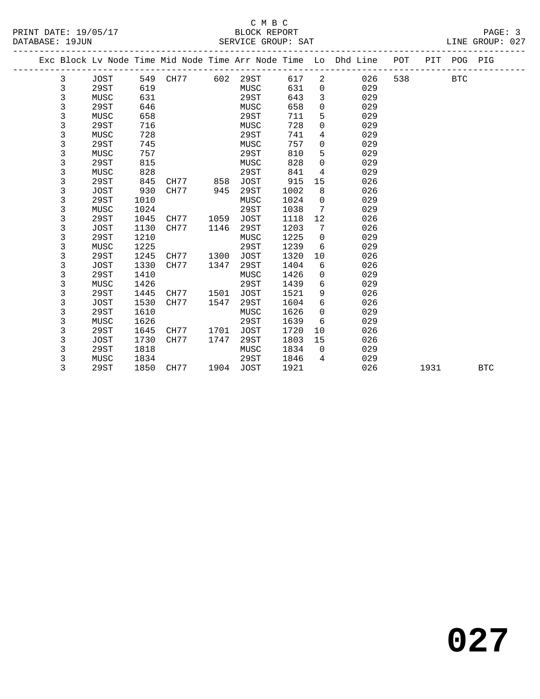#### C M B C<br>BLOCK REPORT SERVICE GROUP: SAT

|  |   |             |      |      |      |             |      |                | Exc Block Lv Node Time Mid Node Time Arr Node Time Lo Dhd Line | POT | PIT  | POG PIG    |            |
|--|---|-------------|------|------|------|-------------|------|----------------|----------------------------------------------------------------|-----|------|------------|------------|
|  | 3 | JOST        | 549  | CH77 | 602  | 29ST        | 617  | $\overline{2}$ | 026                                                            | 538 |      | <b>BTC</b> |            |
|  | 3 | 29ST        | 619  |      |      | MUSC        | 631  | 0              | 029                                                            |     |      |            |            |
|  | 3 | MUSC        | 631  |      |      | 29ST        | 643  | 3              | 029                                                            |     |      |            |            |
|  | 3 | 29ST        | 646  |      |      | MUSC        | 658  | 0              | 029                                                            |     |      |            |            |
|  | 3 | MUSC        | 658  |      |      | 29ST        | 711  | 5              | 029                                                            |     |      |            |            |
|  | 3 | 29ST        | 716  |      |      | MUSC        | 728  | 0              | 029                                                            |     |      |            |            |
|  | 3 | MUSC        | 728  |      |      | 29ST        | 741  | 4              | 029                                                            |     |      |            |            |
|  | 3 | 29ST        | 745  |      |      | MUSC        | 757  | 0              | 029                                                            |     |      |            |            |
|  | 3 | MUSC        | 757  |      |      | 29ST        | 810  | 5              | 029                                                            |     |      |            |            |
|  | 3 | 29ST        | 815  |      |      | MUSC        | 828  | $\Omega$       | 029                                                            |     |      |            |            |
|  | 3 | MUSC        | 828  |      |      | 29ST        | 841  | 4              | 029                                                            |     |      |            |            |
|  | 3 | 29ST        | 845  | CH77 | 858  | JOST        | 915  | 15             | 026                                                            |     |      |            |            |
|  | 3 | <b>JOST</b> | 930  | CH77 | 945  | 29ST        | 1002 | 8              | 026                                                            |     |      |            |            |
|  | 3 | 29ST        | 1010 |      |      | MUSC        | 1024 | 0              | 029                                                            |     |      |            |            |
|  | 3 | MUSC        | 1024 |      |      | 29ST        | 1038 | 7              | 029                                                            |     |      |            |            |
|  | 3 | 29ST        | 1045 | CH77 | 1059 | <b>JOST</b> | 1118 | 12             | 026                                                            |     |      |            |            |
|  | 3 | <b>JOST</b> | 1130 | CH77 | 1146 | 29ST        | 1203 | 7              | 026                                                            |     |      |            |            |
|  | 3 | 29ST        | 1210 |      |      | MUSC        | 1225 | $\mathbf 0$    | 029                                                            |     |      |            |            |
|  | 3 | MUSC        | 1225 |      |      | 29ST        | 1239 | 6              | 029                                                            |     |      |            |            |
|  | 3 | 29ST        | 1245 | CH77 | 1300 | JOST        | 1320 | 10             | 026                                                            |     |      |            |            |
|  | 3 | <b>JOST</b> | 1330 | CH77 | 1347 | 29ST        | 1404 | 6              | 026                                                            |     |      |            |            |
|  | 3 | 29ST        | 1410 |      |      | MUSC        | 1426 | 0              | 029                                                            |     |      |            |            |
|  | 3 | MUSC        | 1426 |      |      | 29ST        | 1439 | 6              | 029                                                            |     |      |            |            |
|  | 3 | 29ST        | 1445 | CH77 | 1501 | <b>JOST</b> | 1521 | 9              | 026                                                            |     |      |            |            |
|  | 3 | JOST        | 1530 | CH77 | 1547 | 29ST        | 1604 | 6              | 026                                                            |     |      |            |            |
|  | 3 | 29ST        | 1610 |      |      | MUSC        | 1626 | $\mathbf 0$    | 029                                                            |     |      |            |            |
|  | 3 | MUSC        | 1626 |      |      | 29ST        | 1639 | 6              | 029                                                            |     |      |            |            |
|  | 3 | 29ST        | 1645 | CH77 | 1701 | <b>JOST</b> | 1720 | 10             | 026                                                            |     |      |            |            |
|  | 3 | JOST        | 1730 | CH77 | 1747 | 29ST        | 1803 | 15             | 026                                                            |     |      |            |            |
|  | 3 | 29ST        | 1818 |      |      | MUSC        | 1834 | $\Omega$       | 029                                                            |     |      |            |            |
|  | 3 | MUSC        | 1834 |      |      | 29ST        | 1846 | 4              | 029                                                            |     |      |            |            |
|  | 3 | 29ST        | 1850 | CH77 | 1904 | <b>JOST</b> | 1921 |                | 026                                                            |     | 1931 |            | <b>BTC</b> |

**027**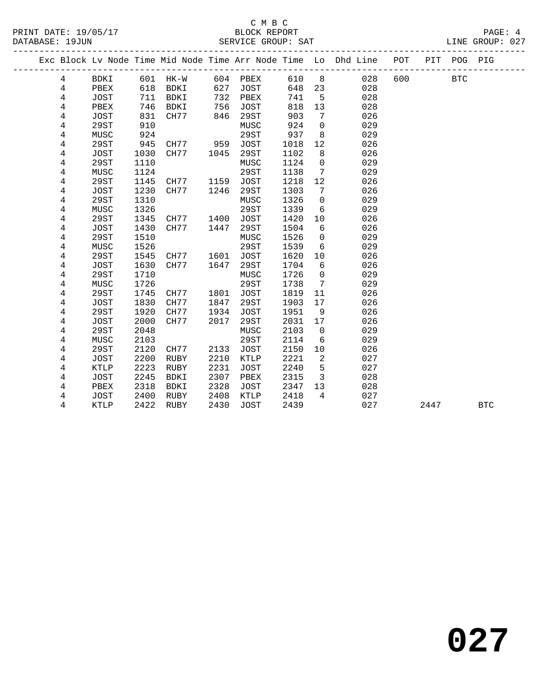#### C M B C<br>BLOCK REPORT PRINT DATE: 19/05/17 BLOCK REPORT PAGE: 4 SERVICE GROUP: SAT

|  |                |                     |              | ______________________ |      |                     |              |                | Exc Block Lv Node Time Mid Node Time Arr Node Time Lo Dhd Line | POT | PIT  | POG PIG    |            |
|--|----------------|---------------------|--------------|------------------------|------|---------------------|--------------|----------------|----------------------------------------------------------------|-----|------|------------|------------|
|  | 4              | BDKI                |              | 601 HK-W               |      | 604 PBEX            | 610          | 8 <sup>8</sup> | 028                                                            | 600 |      | <b>BTC</b> |            |
|  | 4              | PBEX                | 618          | BDKI                   | 627  | JOST                | 648          | 23             | 028                                                            |     |      |            |            |
|  | 4              | JOST                | 711          | BDKI                   | 732  | PBEX                | 741          | 5              | 028                                                            |     |      |            |            |
|  | 4              | PBEX                | 746          | BDKI                   | 756  | <b>JOST</b>         | 818          | 13             | 028                                                            |     |      |            |            |
|  | 4              | JOST                | 831          | CH77                   | 846  | 29ST                | 903          | 7              | 026                                                            |     |      |            |            |
|  | 4              | 29ST                | 910          |                        |      | MUSC                | 924          | $\mathbf 0$    | 029                                                            |     |      |            |            |
|  | 4              | MUSC                | 924          |                        |      | 29ST                | 937          | 8              | 029                                                            |     |      |            |            |
|  | 4              | 29ST                | 945          | CH77 959               |      | JOST                | 1018         | 12             | 026                                                            |     |      |            |            |
|  | 4              | JOST                | 1030         | CH77                   | 1045 | 29ST                | 1102         | 8              | 026                                                            |     |      |            |            |
|  | 4              | 29ST                | 1110         |                        |      | MUSC                | 1124         | $\mathbf 0$    | 029                                                            |     |      |            |            |
|  | 4              | MUSC                | 1124         |                        |      | 29ST                | 1138         | 7              | 029                                                            |     |      |            |            |
|  | 4              | 29ST                | 1145         | CH77                   | 1159 | JOST                | 1218         | 12             | 026                                                            |     |      |            |            |
|  | 4              | JOST                | 1230         | CH77                   | 1246 | 29ST                | 1303         | 7              | 026                                                            |     |      |            |            |
|  | 4              | 29ST                | 1310         |                        |      | MUSC                | 1326         | $\mathbf{0}$   | 029                                                            |     |      |            |            |
|  | 4              | MUSC                | 1326         |                        |      | 29ST                | 1339         | 6              | 029                                                            |     |      |            |            |
|  | 4              | 29ST                | 1345         | CH77                   | 1400 | <b>JOST</b>         | 1420         | 10             | 026                                                            |     |      |            |            |
|  | $\overline{4}$ | JOST                | 1430         | CH77                   | 1447 | 29ST                | 1504         | 6              | 026                                                            |     |      |            |            |
|  | 4              | <b>29ST</b>         | 1510         |                        |      | MUSC                | 1526         | $\mathsf{O}$   | 029                                                            |     |      |            |            |
|  | 4              | MUSC                | 1526         |                        |      | 29ST                | 1539         | 6              | 029                                                            |     |      |            |            |
|  | 4              | 29ST                | 1545         | CH77                   | 1601 | JOST                | 1620         | 10             | 026                                                            |     |      |            |            |
|  | 4              | JOST                | 1630         | CH77                   | 1647 | 29ST                | 1704         | 6              | 026                                                            |     |      |            |            |
|  | 4              | 29ST                | 1710         |                        |      | MUSC                | 1726         | $\mathbf 0$    | 029                                                            |     |      |            |            |
|  | 4              | MUSC                | 1726         |                        |      | 29ST                | 1738         | 7              | 029                                                            |     |      |            |            |
|  | 4              | 29ST                | 1745         | CH77                   | 1801 | <b>JOST</b>         | 1819         | 11             | 026                                                            |     |      |            |            |
|  | 4              | JOST                | 1830         | CH77                   | 1847 | 29ST                | 1903         | 17             | 026                                                            |     |      |            |            |
|  | 4              | 29ST                | 1920         | CH77                   | 1934 | JOST                | 1951         | 9              | 026                                                            |     |      |            |            |
|  | 4              | JOST                | 2000         | CH77                   | 2017 | 29ST                | 2031         | 17             | 026                                                            |     |      |            |            |
|  | 4              | 29ST                | 2048         |                        |      | MUSC                | 2103         | $\mathbf 0$    | 029                                                            |     |      |            |            |
|  | 4<br>4         | MUSC<br>29ST        | 2103<br>2120 | CH77                   | 2133 | 29ST<br><b>JOST</b> | 2114<br>2150 | 6<br>10        | 029<br>026                                                     |     |      |            |            |
|  | 4              |                     | 2200         | RUBY                   | 2210 | KTLP                | 2221         | 2              | 027                                                            |     |      |            |            |
|  | 4              | JOST<br><b>KTLP</b> | 2223         | RUBY                   | 2231 | <b>JOST</b>         | 2240         | 5              | 027                                                            |     |      |            |            |
|  | 4              | <b>JOST</b>         | 2245         | BDKI                   | 2307 | PBEX                | 2315         | $\overline{3}$ | 028                                                            |     |      |            |            |
|  | 4              | PBEX                | 2318         | BDKI                   | 2328 | JOST                | 2347         | 13             | 028                                                            |     |      |            |            |
|  | 4              | JOST                | 2400         | RUBY                   | 2408 | KTLP                | 2418         | $\overline{4}$ | 027                                                            |     |      |            |            |
|  | 4              | KTLP                | 2422         | RUBY                   | 2430 | <b>JOST</b>         | 2439         |                | 027                                                            |     | 2447 |            | <b>BTC</b> |
|  |                |                     |              |                        |      |                     |              |                |                                                                |     |      |            |            |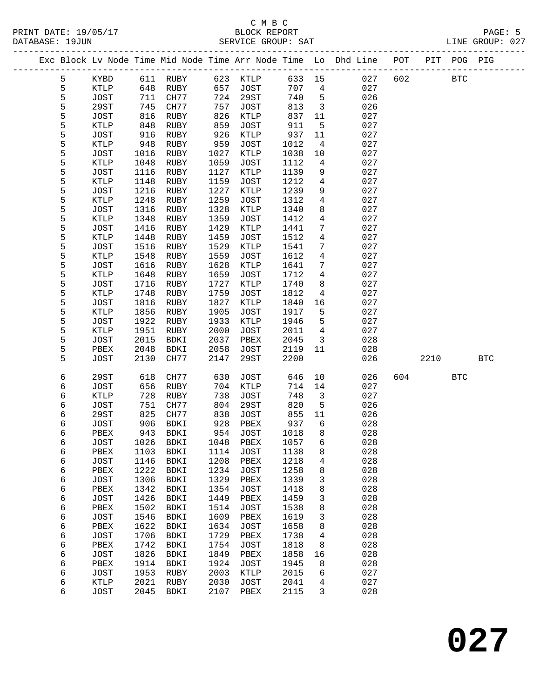|  |        |                     |              |                            |              |                     |              |                     | Exc Block Lv Node Time Mid Node Time Arr Node Time Lo Dhd Line POT |     |      | PIT POG PIG |            |  |
|--|--------|---------------------|--------------|----------------------------|--------------|---------------------|--------------|---------------------|--------------------------------------------------------------------|-----|------|-------------|------------|--|
|  | 5      | KYBD                |              | 611 RUBY                   | 623          | KTLP                | 633 15       |                     | 027                                                                | 602 |      | <b>BTC</b>  |            |  |
|  | 5      | <b>KTLP</b>         | 648          | RUBY                       | 657          | JOST                | 707          | $4\overline{ }$     | 027                                                                |     |      |             |            |  |
|  | 5      | <b>JOST</b>         | 711          | CH77                       | 724          | 29ST                | 740          | 5                   | 026                                                                |     |      |             |            |  |
|  | 5      | <b>29ST</b>         | 745          | CH77                       | 757          | <b>JOST</b>         | 813          | $\overline{3}$      | 026                                                                |     |      |             |            |  |
|  | 5      | JOST                | 816          | RUBY                       | 826          | KTLP                | 837          | 11                  | 027                                                                |     |      |             |            |  |
|  | 5      | KTLP                | 848          | RUBY                       | 859          | <b>JOST</b>         | 911          | 5                   | 027                                                                |     |      |             |            |  |
|  | 5      | <b>JOST</b>         | 916          | RUBY                       | 926          | KTLP                | 937          | 11                  | 027                                                                |     |      |             |            |  |
|  | 5      | KTLP                | 948          | RUBY                       | 959          | <b>JOST</b>         | 1012         | 4                   | 027                                                                |     |      |             |            |  |
|  | 5      | JOST                | 1016         | RUBY                       | 1027         | KTLP                | 1038         | $10\,$              | 027                                                                |     |      |             |            |  |
|  | 5      | KTLP                | 1048         | RUBY                       | 1059         | <b>JOST</b>         | 1112         | 4                   | 027                                                                |     |      |             |            |  |
|  | 5      | JOST                | 1116         | RUBY                       | 1127         | KTLP                | 1139         | 9                   | 027                                                                |     |      |             |            |  |
|  | 5      | KTLP                | 1148         | RUBY                       | 1159         | <b>JOST</b>         | 1212         | 4                   | 027                                                                |     |      |             |            |  |
|  | 5      | JOST                | 1216         | RUBY                       | 1227         | KTLP                | 1239         | 9                   | 027                                                                |     |      |             |            |  |
|  | 5      | KTLP                | 1248         | RUBY                       | 1259         | <b>JOST</b>         | 1312         | 4                   | 027                                                                |     |      |             |            |  |
|  | 5      | <b>JOST</b>         | 1316         | RUBY                       | 1328         | KTLP                | 1340         | 8                   | 027                                                                |     |      |             |            |  |
|  | 5<br>5 | KTLP                | 1348         | RUBY                       | 1359<br>1429 | <b>JOST</b>         | 1412         | $\overline{4}$<br>7 | 027<br>027                                                         |     |      |             |            |  |
|  | 5      | <b>JOST</b><br>KTLP | 1416<br>1448 | RUBY<br>RUBY               | 1459         | KTLP<br><b>JOST</b> | 1441<br>1512 | 4                   | 027                                                                |     |      |             |            |  |
|  | 5      | <b>JOST</b>         | 1516         | RUBY                       | 1529         | KTLP                | 1541         | 7                   | 027                                                                |     |      |             |            |  |
|  | 5      | KTLP                | 1548         | RUBY                       | 1559         | <b>JOST</b>         | 1612         | $\overline{4}$      | 027                                                                |     |      |             |            |  |
|  | 5      | <b>JOST</b>         | 1616         | RUBY                       | 1628         | KTLP                | 1641         | 7                   | 027                                                                |     |      |             |            |  |
|  | 5      | KTLP                | 1648         | RUBY                       | 1659         | <b>JOST</b>         | 1712         | 4                   | 027                                                                |     |      |             |            |  |
|  | 5      | <b>JOST</b>         | 1716         | RUBY                       | 1727         | KTLP                | 1740         | 8                   | 027                                                                |     |      |             |            |  |
|  | 5      | KTLP                | 1748         | RUBY                       | 1759         | <b>JOST</b>         | 1812         | 4                   | 027                                                                |     |      |             |            |  |
|  | 5      | <b>JOST</b>         | 1816         | RUBY                       | 1827         | KTLP                | 1840         | 16                  | 027                                                                |     |      |             |            |  |
|  | 5      | KTLP                | 1856         | RUBY                       | 1905         | <b>JOST</b>         | 1917         | 5                   | 027                                                                |     |      |             |            |  |
|  | 5      | <b>JOST</b>         | 1922         | RUBY                       | 1933         | KTLP                | 1946         | 5                   | 027                                                                |     |      |             |            |  |
|  | 5      | <b>KTLP</b>         | 1951         | RUBY                       | 2000         | <b>JOST</b>         | 2011         | $\overline{4}$      | 027                                                                |     |      |             |            |  |
|  | 5      | <b>JOST</b>         | 2015         | BDKI                       | 2037         | PBEX                | 2045         | $\mathbf{3}$        | 028                                                                |     |      |             |            |  |
|  | 5      | PBEX                | 2048         | BDKI                       | 2058         | JOST                | 2119         | 11                  | 028                                                                |     |      |             |            |  |
|  | 5      | <b>JOST</b>         | 2130         | CH77                       | 2147         | 29ST                | 2200         |                     | 026                                                                |     | 2210 |             | <b>BTC</b> |  |
|  | 6      | 29ST                | 618          | CH77                       | 630          | JOST                | 646          | 10                  | 026                                                                | 604 |      | <b>BTC</b>  |            |  |
|  | 6      | <b>JOST</b>         | 656          | RUBY                       | 704          | KTLP                | 714          | 14                  | 027                                                                |     |      |             |            |  |
|  | 6      | KTLP                | 728          | RUBY                       | 738          | <b>JOST</b>         | 748          | 3                   | 027                                                                |     |      |             |            |  |
|  | 6      | <b>JOST</b>         | 751          | CH77                       | 804          | 29ST                | 820          | 5                   | 026                                                                |     |      |             |            |  |
|  | 6      | 29ST                | 825          | CH77                       | 838          | JOST                | 855          | 11                  | 026                                                                |     |      |             |            |  |
|  | 6      | JOST                | 906          | BDKI                       | 928          | PBEX                | 937          | 6                   | 028                                                                |     |      |             |            |  |
|  | 6      | PBEX                | 943          | BDKI                       | 954          | JOST                | 1018         | 8                   | 028                                                                |     |      |             |            |  |
|  | 6      | JOST                |              | 1026 BDKI                  |              | 1048 PBEX           | 1057 6       |                     | 028                                                                |     |      |             |            |  |
|  | 6      | PBEX                | 1103         | BDKI                       | 1114         | <b>JOST</b>         | 1138         | 8                   | 028                                                                |     |      |             |            |  |
|  | 6      | <b>JOST</b>         | 1146         | BDKI                       | 1208         | PBEX                | 1218         | 4                   | 028                                                                |     |      |             |            |  |
|  | 6      | PBEX                | 1222         | BDKI                       | 1234         | <b>JOST</b>         | 1258         | 8                   | 028                                                                |     |      |             |            |  |
|  | 6      | <b>JOST</b>         | 1306         | BDKI                       | 1329         | PBEX                | 1339         | 3                   | 028                                                                |     |      |             |            |  |
|  | 6      | PBEX                | 1342         | BDKI                       | 1354         | <b>JOST</b>         | 1418         | 8                   | 028                                                                |     |      |             |            |  |
|  | 6      | <b>JOST</b>         | 1426         | <b>BDKI</b>                | 1449         | PBEX                | 1459         | 3                   | 028                                                                |     |      |             |            |  |
|  | 6      | PBEX                | 1502         | <b>BDKI</b>                | 1514         | <b>JOST</b>         | 1538         | 8                   | 028                                                                |     |      |             |            |  |
|  | 6      | <b>JOST</b>         | 1546         | <b>BDKI</b>                | 1609         | PBEX                | 1619         | 3                   | 028                                                                |     |      |             |            |  |
|  | 6      | PBEX                | 1622<br>1706 | BDKI                       | 1634<br>1729 | <b>JOST</b>         | 1658         | 8                   | 028<br>028                                                         |     |      |             |            |  |
|  | 6<br>6 | <b>JOST</b><br>PBEX | 1742         | <b>BDKI</b><br><b>BDKI</b> | 1754         | PBEX<br><b>JOST</b> | 1738<br>1818 | 4<br>8              | 028                                                                |     |      |             |            |  |
|  | 6      | <b>JOST</b>         | 1826         | <b>BDKI</b>                | 1849         | PBEX                | 1858         | 16                  | 028                                                                |     |      |             |            |  |
|  | 6      | PBEX                | 1914         | BDKI                       | 1924         | <b>JOST</b>         | 1945         | 8                   | 028                                                                |     |      |             |            |  |
|  | 6      | <b>JOST</b>         | 1953         | RUBY                       | 2003         | KTLP                | 2015         | 6                   | 027                                                                |     |      |             |            |  |
|  | 6      | KTLP                | 2021         | RUBY                       | 2030         | <b>JOST</b>         | 2041         | 4                   | 027                                                                |     |      |             |            |  |
|  | 6      | <b>JOST</b>         | 2045         | <b>BDKI</b>                | 2107         | PBEX                | 2115         | 3                   | 028                                                                |     |      |             |            |  |
|  |        |                     |              |                            |              |                     |              |                     |                                                                    |     |      |             |            |  |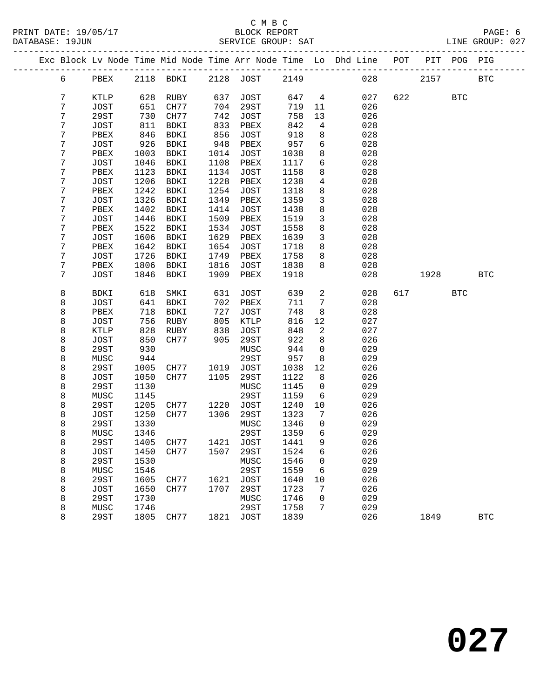|  |   |             |      | Exc Block Lv Node Time Mid Node Time Arr Node Time Lo Dhd Line POT |      |             |      |                 |     |     |      | PIT POG PIG |            |
|--|---|-------------|------|--------------------------------------------------------------------|------|-------------|------|-----------------|-----|-----|------|-------------|------------|
|  | 6 | PBEX        |      | 2118 BDKI 2128 JOST 2149                                           |      |             |      |                 | 028 |     | 2157 |             | <b>BTC</b> |
|  | 7 | KTLP        | 628  | RUBY                                                               | 637  | JOST        | 647  | $\overline{4}$  | 027 | 622 |      | <b>BTC</b>  |            |
|  | 7 | JOST        | 651  | CH77                                                               | 704  | 29ST        | 719  | 11              | 026 |     |      |             |            |
|  | 7 | 29ST        | 730  | CH77                                                               | 742  | JOST        | 758  | 13              | 026 |     |      |             |            |
|  | 7 | JOST        | 811  | BDKI                                                               | 833  | PBEX        | 842  | $\overline{4}$  | 028 |     |      |             |            |
|  | 7 | PBEX        | 846  | BDKI                                                               | 856  | JOST        | 918  | 8               | 028 |     |      |             |            |
|  | 7 | JOST        | 926  | BDKI                                                               | 948  | PBEX        | 957  | $6\overline{6}$ | 028 |     |      |             |            |
|  | 7 | PBEX        | 1003 | BDKI                                                               | 1014 | JOST        | 1038 | 8               | 028 |     |      |             |            |
|  | 7 | JOST        | 1046 | BDKI                                                               | 1108 | PBEX        | 1117 | 6               | 028 |     |      |             |            |
|  | 7 | PBEX        | 1123 | BDKI                                                               | 1134 | JOST        | 1158 | 8               | 028 |     |      |             |            |
|  | 7 | JOST        | 1206 | BDKI                                                               | 1228 | PBEX        | 1238 | $\overline{4}$  | 028 |     |      |             |            |
|  | 7 | PBEX        | 1242 | BDKI                                                               | 1254 | JOST        | 1318 | 8               | 028 |     |      |             |            |
|  | 7 | JOST        | 1326 | BDKI                                                               | 1349 | PBEX        | 1359 | $\mathbf{3}$    | 028 |     |      |             |            |
|  | 7 | PBEX        | 1402 | BDKI                                                               | 1414 | JOST        | 1438 | 8               | 028 |     |      |             |            |
|  | 7 | JOST        | 1446 | BDKI                                                               | 1509 | PBEX        | 1519 | $\mathbf{3}$    | 028 |     |      |             |            |
|  | 7 | PBEX        | 1522 | BDKI                                                               | 1534 | JOST        | 1558 | 8               | 028 |     |      |             |            |
|  | 7 | JOST        | 1606 | BDKI                                                               | 1629 | PBEX        | 1639 | $\mathbf{3}$    | 028 |     |      |             |            |
|  | 7 | PBEX        | 1642 | BDKI                                                               | 1654 | JOST        | 1718 | 8               | 028 |     |      |             |            |
|  | 7 | JOST        | 1726 | BDKI                                                               | 1749 | PBEX        | 1758 | 8               | 028 |     |      |             |            |
|  | 7 | PBEX        | 1806 | BDKI                                                               | 1816 | JOST        | 1838 | 8               | 028 |     |      |             |            |
|  | 7 | JOST        | 1846 | BDKI                                                               | 1909 | PBEX        | 1918 |                 | 028 |     | 1928 |             | <b>BTC</b> |
|  |   |             |      |                                                                    |      |             |      |                 |     |     |      |             |            |
|  | 8 | BDKI        | 618  | SMKI                                                               | 631  | JOST        | 639  | 2               | 028 |     | 617  | <b>BTC</b>  |            |
|  | 8 | JOST        | 641  | BDKI                                                               | 702  | PBEX        | 711  | 7               | 028 |     |      |             |            |
|  | 8 | PBEX        | 718  | BDKI                                                               | 727  | JOST        | 748  | 8               | 028 |     |      |             |            |
|  | 8 | JOST        | 756  | RUBY                                                               | 805  | KTLP        | 816  | 12              | 027 |     |      |             |            |
|  | 8 | KTLP        | 828  | RUBY                                                               | 838  | JOST        | 848  | 2               | 027 |     |      |             |            |
|  | 8 | JOST        | 850  | CH77                                                               | 905  | 29ST        | 922  | 8               | 026 |     |      |             |            |
|  | 8 | 29ST        | 930  |                                                                    |      | MUSC        | 944  | $\mathbf 0$     | 029 |     |      |             |            |
|  | 8 | MUSC        | 944  |                                                                    |      | 29ST        | 957  | 8               | 029 |     |      |             |            |
|  | 8 | 29ST        | 1005 | CH77                                                               | 1019 | JOST        | 1038 | 12              | 026 |     |      |             |            |
|  | 8 | JOST        | 1050 | CH77                                                               | 1105 | 29ST        | 1122 | 8               | 026 |     |      |             |            |
|  | 8 | 29ST        | 1130 |                                                                    |      | MUSC        | 1145 | $\mathsf{O}$    | 029 |     |      |             |            |
|  | 8 | MUSC        | 1145 |                                                                    |      | 29ST        | 1159 | 6               | 029 |     |      |             |            |
|  | 8 | 29ST        | 1205 | CH77 1220                                                          |      | <b>JOST</b> | 1240 | 10              | 026 |     |      |             |            |
|  | 8 | JOST        | 1250 | CH77                                                               | 1306 | 29ST        | 1323 | 7               | 026 |     |      |             |            |
|  | 8 | 29ST        | 1330 |                                                                    |      | MUSC        | 1346 | $\mathsf{O}$    | 029 |     |      |             |            |
|  | 8 | MUSC        | 1346 |                                                                    |      | 29ST        | 1359 | 6               | 029 |     |      |             |            |
|  | 8 | 29ST        |      | 1405 CH77 1421 JOST 1441                                           |      |             |      | $\mathsf{Q}$    | 026 |     |      |             |            |
|  | 8 | JOST        | 1450 | CH77                                                               | 1507 | 29ST        | 1524 | 6               | 026 |     |      |             |            |
|  | 8 | 29ST        | 1530 |                                                                    |      | MUSC        | 1546 | 0               | 029 |     |      |             |            |
|  | 8 | MUSC        | 1546 |                                                                    |      | 29ST        | 1559 | 6               | 029 |     |      |             |            |
|  | 8 | <b>29ST</b> | 1605 | CH77                                                               | 1621 | <b>JOST</b> | 1640 | 10              | 026 |     |      |             |            |
|  | 8 | <b>JOST</b> | 1650 | CH77                                                               | 1707 | 29ST        | 1723 | 7               | 026 |     |      |             |            |
|  | 8 | <b>29ST</b> | 1730 |                                                                    |      | MUSC        | 1746 | 0               | 029 |     |      |             |            |
|  | 8 | MUSC        | 1746 |                                                                    |      | 29ST        | 1758 | 7               | 029 |     |      |             |            |
|  | 8 | 29ST        | 1805 | CH77                                                               | 1821 | JOST        | 1839 |                 | 026 |     | 1849 |             | <b>BTC</b> |
|  |   |             |      |                                                                    |      |             |      |                 |     |     |      |             |            |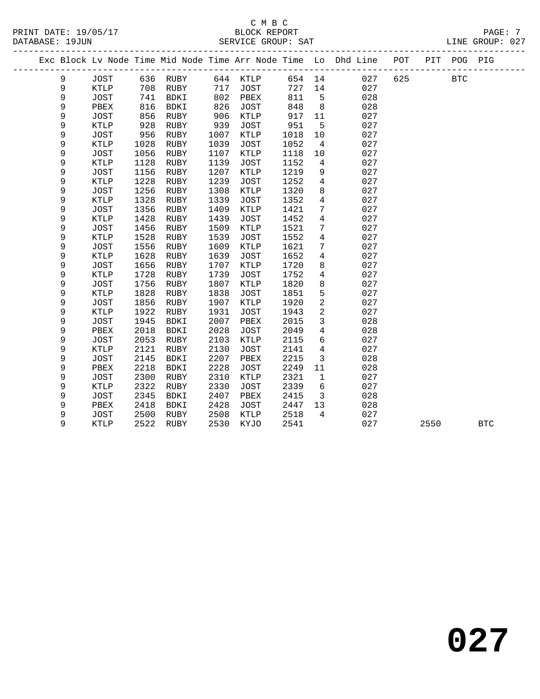PRINT DATE: 19/05/17 BLOCK REPORT PAGE: 7 DATABASE: 19JUN

### C M B C<br>BLOCK REPORT

| DATABASE: 19JUN |             |      |             |      | SERVICE GROUP: SAT |      |                 |                                                                    |     |              | TINE GKOUL: 031 |
|-----------------|-------------|------|-------------|------|--------------------|------|-----------------|--------------------------------------------------------------------|-----|--------------|-----------------|
|                 |             |      |             |      |                    |      |                 | Exc Block Lv Node Time Mid Node Time Arr Node Time Lo Dhd Line POT |     | PIT POG PIG  |                 |
| 9               | JOST        | 636  | RUBY        | 644  | <b>KTLP</b>        |      |                 | 027<br>654 14                                                      | 625 | $_{\rm BTC}$ |                 |
| 9               | KTLP        | 708  | RUBY        | 717  | JOST               | 727  | 14              | 027                                                                |     |              |                 |
| 9               | <b>JOST</b> | 741  | <b>BDKI</b> | 802  | PBEX               | 811  | 5               | 028                                                                |     |              |                 |
| 9               | PBEX        | 816  | <b>BDKI</b> | 826  | JOST               | 848  | 8               | 028                                                                |     |              |                 |
| 9               | <b>JOST</b> | 856  | RUBY        | 906  | KTLP               | 917  | 11              | 027                                                                |     |              |                 |
| 9               | <b>KTLP</b> | 928  | RUBY        | 939  | JOST               | 951  | 5               | 027                                                                |     |              |                 |
| 9               | <b>JOST</b> | 956  | RUBY        | 1007 | KTLP               | 1018 | 10              | 027                                                                |     |              |                 |
| 9               | <b>KTLP</b> | 1028 | RUBY        | 1039 | JOST               | 1052 | $\overline{4}$  | 027                                                                |     |              |                 |
| 9               | <b>JOST</b> | 1056 | RUBY        | 1107 | KTLP               | 1118 | 10              | 027                                                                |     |              |                 |
| 9               | <b>KTLP</b> | 1128 | RUBY        | 1139 | JOST               | 1152 | $4\overline{ }$ | 027                                                                |     |              |                 |
| 9               | <b>JOST</b> | 1156 | RUBY        | 1207 | KTLP               | 1219 | 9               | 027                                                                |     |              |                 |
| 9               | <b>KTLP</b> | 1228 | RUBY        | 1239 | JOST               | 1252 | $4\overline{ }$ | 027                                                                |     |              |                 |
| 9               | <b>JOST</b> | 1256 | RUBY        | 1308 | KTLP               | 1320 | 8               | 027                                                                |     |              |                 |
| 9               | <b>KTLP</b> | 1328 | RUBY        | 1339 | JOST               | 1352 | $\overline{4}$  | 027                                                                |     |              |                 |
| 9               | <b>JOST</b> | 1356 | RUBY        | 1409 | KTLP               | 1421 | $7\phantom{.0}$ | 027                                                                |     |              |                 |
| 9               | KTLP        | 1428 | RUBY        | 1439 | JOST               | 1452 | $\overline{4}$  | 027                                                                |     |              |                 |
| 9               | <b>JOST</b> | 1456 | RUBY        | 1509 | KTLP               | 1521 | 7               | 027                                                                |     |              |                 |
| 9               | <b>KTLP</b> | 1528 | RUBY        | 1539 | JOST               | 1552 | 4               | 027                                                                |     |              |                 |
| 9               | <b>JOST</b> | 1556 | RUBY        | 1609 | KTLP               | 1621 | $7\phantom{.0}$ | 027                                                                |     |              |                 |
| 9               | <b>KTLP</b> | 1628 | RUBY        | 1639 | JOST               | 1652 | 4               | 027                                                                |     |              |                 |
| 9               | <b>JOST</b> | 1656 | RUBY        | 1707 | KTLP               | 1720 | 8               | 027                                                                |     |              |                 |
| 9               | <b>KTLP</b> | 1728 | RUBY        | 1739 | JOST               | 1752 | $\overline{4}$  | 027                                                                |     |              |                 |
| 9               | <b>JOST</b> | 1756 | RUBY        | 1807 | KTLP               | 1820 | 8               | 027                                                                |     |              |                 |
| 9               | <b>KTLP</b> | 1828 | RUBY        | 1838 | JOST               | 1851 | 5               | 027                                                                |     |              |                 |
| 9               | <b>JOST</b> | 1856 | RUBY        | 1907 | KTLP               | 1920 | $\overline{a}$  | 027                                                                |     |              |                 |
| 9               | <b>KTLP</b> | 1922 | RUBY        | 1931 | JOST               | 1943 | $\overline{c}$  | 027                                                                |     |              |                 |
| 9               | <b>JOST</b> | 1945 | <b>BDKI</b> | 2007 | PBEX               | 2015 | $\mathbf{3}$    | 028                                                                |     |              |                 |
| 9               | PBEX        | 2018 | <b>BDKI</b> | 2028 | JOST               | 2049 | $\overline{4}$  | 028                                                                |     |              |                 |
| 9               | <b>JOST</b> | 2053 | RUBY        | 2103 | KTLP               | 2115 | 6               | 027                                                                |     |              |                 |
| 9               | KTLP        | 2121 | RUBY        | 2130 | JOST               | 2141 | $4\overline{ }$ | 027                                                                |     |              |                 |
| 9               | <b>JOST</b> | 2145 | <b>BDKI</b> | 2207 | PBEX               | 2215 | 3               | 028                                                                |     |              |                 |

9 KTLP 2522 RUBY 2530 KYJO 2541 027 2550 BTC

 9 PBEX 2218 BDKI 2228 JOST 2249 11 028 9 JOST 2300 RUBY 2310 KTLP 2321 1 027 9 KTLP 2322 RUBY 2330 JOST 2339 6 027 9 JOST 2345 BDKI 2407 PBEX 2415 3 028 9 PBEX 2418 BDKI 2428 JOST 2447 13 028 9 JOST 2500 RUBY 2508 KTLP 2518 4 027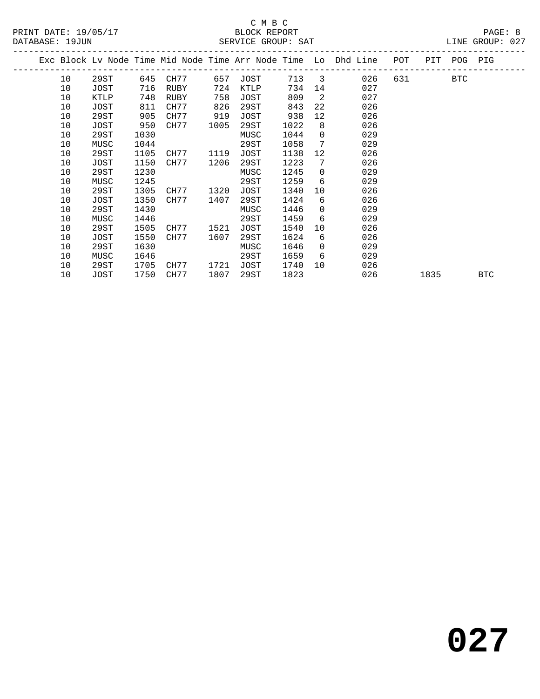|  |    |      |      |      |      |      |      |                 | Exc Block Lv Node Time Mid Node Time Arr Node Time Lo Dhd Line | POT | PIT  | POG        | PIG        |
|--|----|------|------|------|------|------|------|-----------------|----------------------------------------------------------------|-----|------|------------|------------|
|  | 10 | 29ST | 645  | CH77 | 657  | JOST | 713  | 3               | 026                                                            | 631 |      | <b>BTC</b> |            |
|  | 10 | JOST | 716  | RUBY | 724  | KTLP | 734  | 14              | 027                                                            |     |      |            |            |
|  | 10 | KTLP | 748  | RUBY | 758  | JOST | 809  | 2               | 027                                                            |     |      |            |            |
|  | 10 | JOST | 811  | CH77 | 826  | 29ST | 843  | $22^{\circ}$    | 026                                                            |     |      |            |            |
|  | 10 | 29ST | 905  | CH77 | 919  | JOST | 938  | 12 <sup>°</sup> | 026                                                            |     |      |            |            |
|  | 10 | JOST | 950  | CH77 | 1005 | 29ST | 1022 | 8               | 026                                                            |     |      |            |            |
|  | 10 | 29ST | 1030 |      |      | MUSC | 1044 | $\Omega$        | 029                                                            |     |      |            |            |
|  | 10 | MUSC | 1044 |      |      | 29ST | 1058 | 7               | 029                                                            |     |      |            |            |
|  | 10 | 29ST | 1105 | CH77 | 1119 | JOST | 1138 | 12 <sup>°</sup> | 026                                                            |     |      |            |            |
|  | 10 | JOST | 1150 | CH77 | 1206 | 29ST | 1223 | 7               | 026                                                            |     |      |            |            |
|  | 10 | 29ST | 1230 |      |      | MUSC | 1245 | $\Omega$        | 029                                                            |     |      |            |            |
|  | 10 | MUSC | 1245 |      |      | 29ST | 1259 | 6               | 029                                                            |     |      |            |            |
|  | 10 | 29ST | 1305 | CH77 | 1320 | JOST | 1340 | 10              | 026                                                            |     |      |            |            |
|  | 10 | JOST | 1350 | CH77 | 1407 | 29ST | 1424 | 6               | 026                                                            |     |      |            |            |
|  | 10 | 29ST | 1430 |      |      | MUSC | 1446 | $\Omega$        | 029                                                            |     |      |            |            |
|  | 10 | MUSC | 1446 |      |      | 29ST | 1459 | 6               | 029                                                            |     |      |            |            |
|  | 10 | 29ST | 1505 | CH77 | 1521 | JOST | 1540 | 10              | 026                                                            |     |      |            |            |
|  | 10 | JOST | 1550 | CH77 | 1607 | 29ST | 1624 | 6               | 026                                                            |     |      |            |            |
|  | 10 | 29ST | 1630 |      |      | MUSC | 1646 | $\Omega$        | 029                                                            |     |      |            |            |
|  | 10 | MUSC | 1646 |      |      | 29ST | 1659 | 6               | 029                                                            |     |      |            |            |
|  | 10 | 29ST | 1705 | CH77 | 1721 | JOST | 1740 | 10 <sup>°</sup> | 026                                                            |     |      |            |            |
|  | 10 | JOST | 1750 | CH77 | 1807 | 29ST | 1823 |                 | 026                                                            |     | 1835 |            | <b>BTC</b> |
|  |    |      |      |      |      |      |      |                 |                                                                |     |      |            |            |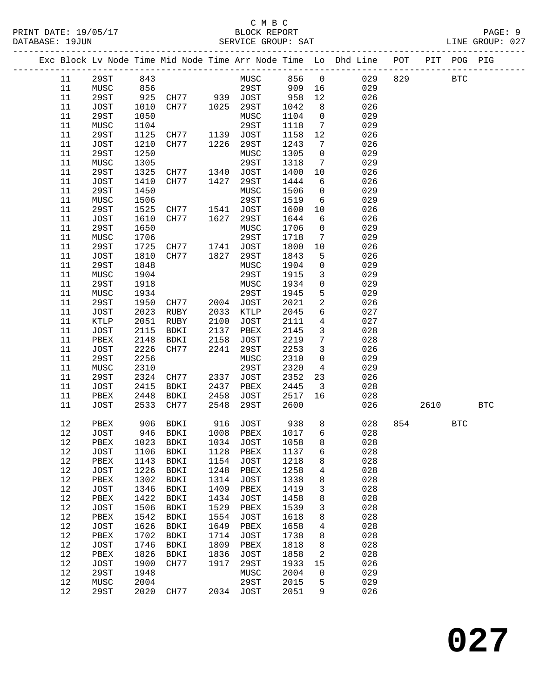#### C M B C N B C N B C N B C C M B C PRINT DATE: 19/05/17 BLOCK REPORT<br>DATABASE: 19JUN SERVICE GROUP: SAT

|          |              |              |                                  |              |                     |              |                         | Exc Block Lv Node Time Mid Node Time Arr Node Time Lo Dhd Line POT PIT POG PIG |          |  |  |
|----------|--------------|--------------|----------------------------------|--------------|---------------------|--------------|-------------------------|--------------------------------------------------------------------------------|----------|--|--|
|          | 11 29ST 843  |              |                                  |              |                     |              |                         | MUSC 856 0 029 829 BTC                                                         |          |  |  |
| 11       | MUSC         | 856          |                                  |              |                     |              |                         | 29ST 909 16 029                                                                |          |  |  |
| 11       | 29ST         |              |                                  |              |                     |              |                         | 925 CH77 939 JOST 958 12 026                                                   |          |  |  |
| 11       | JOST         | 1010         | CH77 1025 29ST                   |              |                     | 1042         | 8 <sup>8</sup>          | 026                                                                            |          |  |  |
| 11       | 29ST         | 1050         |                                  |              | MUSC                | 1104         | $\overline{0}$          | 029                                                                            |          |  |  |
| 11       | MUSC         | 1104         |                                  |              | 29ST                | 1118         |                         | $7\overline{ }$<br>029                                                         |          |  |  |
| 11       | 29ST         | 1125         | CH77 1139 JOST                   |              |                     | 1158         | 12                      | 026                                                                            |          |  |  |
| 11       | JOST         | 1210         | CH77 1226                        |              | 29ST                | 1243         | $7\overline{ }$         | 026                                                                            |          |  |  |
| 11       | 29ST         | 1250         |                                  |              | MUSC                | 1305         | $\overline{0}$          | 029                                                                            |          |  |  |
| 11       | MUSC         | 1305         |                                  |              | 29ST                | 1318         | $7\overline{ }$         | 029                                                                            |          |  |  |
| 11       | 29ST         | 1325         | CH77 1340 JOST                   |              |                     | 1400         | 10                      | 026                                                                            |          |  |  |
| 11       | JOST         | 1410         | CH77 1427                        |              | 29ST                | 1444         | 6                       | 026                                                                            |          |  |  |
| 11       | 29ST         | 1450         |                                  |              | MUSC                | 1506         | $\overline{0}$          | 029                                                                            |          |  |  |
| 11       | MUSC         | 1506         |                                  |              | 29ST                | 1519         | 6                       | 029                                                                            |          |  |  |
| 11       | 29ST         | 1525         | CH77 1541 JOST                   |              |                     | 1600         | 10                      | 026                                                                            |          |  |  |
| 11       | JOST         | 1610         | CH77                             | 1627         | 29ST                | 1644         | 6                       | 026                                                                            |          |  |  |
| 11       | 29ST         | 1650         |                                  |              | MUSC                | 1706         | $\overline{0}$          | 029                                                                            |          |  |  |
| 11       | MUSC         | 1706         | MUSC<br>29ST<br>CH77 1741 JOST   |              |                     | 1718         | $\overline{7}$          | 029                                                                            |          |  |  |
| 11       | 29ST         | 1725         |                                  |              |                     | 1800         | 10                      | 026                                                                            |          |  |  |
| 11       | JOST         | 1810         | CH77 1827                        |              | 29ST                | 1843         | 5 <sup>5</sup>          | 026                                                                            |          |  |  |
| 11       | 29ST         | 1848         |                                  |              | MUSC                | 1904         | $\overline{0}$          | 029                                                                            |          |  |  |
| 11       | MUSC         | 1904         |                                  |              | 29ST                | 1915         | 3 <sup>7</sup>          | 029                                                                            |          |  |  |
| 11       | 29ST         | 1918         |                                  |              | MUSC                | 1934         |                         | $\overline{0}$<br>029<br>$5^{\circ}$                                           |          |  |  |
| 11       | MUSC         | 1934         |                                  |              | 29ST                | 1945         | $2^{\circ}$             | 029                                                                            |          |  |  |
| 11<br>11 | 29ST<br>JOST | 1950<br>2023 | CH77 2004 JOST<br>RUBY 2033 KTLP |              |                     | 2021<br>2045 | $6\overline{}$          | 026<br>027                                                                     |          |  |  |
| 11       |              | 2051         | RUBY                             | 2100         |                     | 2111         | $\overline{4}$          | 027                                                                            |          |  |  |
| 11       | KTLP<br>JOST | 2115         | BDKI                             | 2137         | JOST<br>PBEX        | 2145         | $\overline{\mathbf{3}}$ | 028                                                                            |          |  |  |
| 11       | PBEX         | 2148         | BDKI                             | 2158         | JOST                | 2219         | $7\overline{ }$         | 028                                                                            |          |  |  |
| 11       | JOST         | 2226         | BDAI 2156<br>CH77 2241           |              | 29ST                | 2253         | 3 <sup>7</sup>          | 026                                                                            |          |  |  |
| 11       | 29ST         | 2256         |                                  |              | MUSC                | 2310         | $\overline{0}$          | 029                                                                            |          |  |  |
| 11       | MUSC         | 2310         |                                  |              | 29ST                | 2320         | $4\overline{4}$         | 029                                                                            |          |  |  |
| 11       | 29ST         | 2324         | CH77 2337 JOST                   |              |                     | 2352         | 23                      | 026                                                                            |          |  |  |
| 11       | JOST         | 2415         | BDKI                             | 2437         | PBEX                | 2445         | $\overline{\mathbf{3}}$ | 028                                                                            |          |  |  |
| 11       | PBEX         | 2448         | BDKI                             | 2458         | JOST                | 2517 16      |                         | 028                                                                            |          |  |  |
| 11       | JOST         |              | 2533 CH77 2548 29ST              |              |                     | 2600         |                         | 026                                                                            | 2610 BTC |  |  |
|          |              |              |                                  |              |                     |              |                         |                                                                                |          |  |  |
| 12       | PBEX         |              | 906 BDKI                         |              |                     |              |                         | 916 JOST 938 8 028 854 BTC                                                     |          |  |  |
| 12       | JOST         | 946          | BDKI                             | 1008<br>1034 | PBEX                | 1017         | 6                       | 028                                                                            |          |  |  |
| 12<br>12 | PBEX<br>JOST | 1023<br>1106 | BDKI<br>BDKI                     | 1128         | <b>JOST</b><br>PBEX | 1058<br>1137 | 8<br>6                  | 028<br>028                                                                     |          |  |  |
| $12\,$   | PBEX         | 1143         | BDKI                             | 1154         | JOST                | 1218         | 8                       | 028                                                                            |          |  |  |
| 12       | JOST         | 1226         | BDKI                             | 1248         | ${\tt PBEX}$        | 1258         | 4                       | 028                                                                            |          |  |  |
| 12       | PBEX         | 1302         | BDKI                             | 1314         | <b>JOST</b>         | 1338         | 8                       | 028                                                                            |          |  |  |
| 12       | JOST         | 1346         | BDKI                             | 1409         | PBEX                | 1419         | 3                       | 028                                                                            |          |  |  |
| 12       | PBEX         | 1422         | BDKI                             | 1434         | JOST                | 1458         | 8                       | 028                                                                            |          |  |  |
| 12       | JOST         | 1506         | BDKI                             | 1529         | PBEX                | 1539         | $\mathbf{3}$            | 028                                                                            |          |  |  |
| 12       | PBEX         | 1542         | BDKI                             | 1554         | <b>JOST</b>         | 1618         | 8                       | 028                                                                            |          |  |  |
| 12       | JOST         | 1626         | BDKI                             | 1649         | PBEX                | 1658         | 4                       | 028                                                                            |          |  |  |
| 12       | PBEX         | 1702         | BDKI                             | 1714         | JOST                | 1738         | 8                       | 028                                                                            |          |  |  |
| 12       | JOST         | 1746         | BDKI                             | 1809         | PBEX                | 1818         | $\,8\,$                 | 028                                                                            |          |  |  |
| 12       | PBEX         | 1826         | BDKI                             | 1836         | JOST                | 1858         | 2                       | 028                                                                            |          |  |  |
| 12       | JOST         | 1900         | CH77                             | 1917         | 29ST                | 1933         | 15                      | 026                                                                            |          |  |  |
| 12       | 29ST         | 1948         |                                  |              | MUSC                | 2004         | 0                       | 029                                                                            |          |  |  |
| 12       | MUSC         | 2004         |                                  |              | 29ST                | 2015         | 5                       | 029                                                                            |          |  |  |
| 12       | 29ST         | 2020         | CH77                             | 2034         | JOST                | 2051         | 9                       | 026                                                                            |          |  |  |

**027**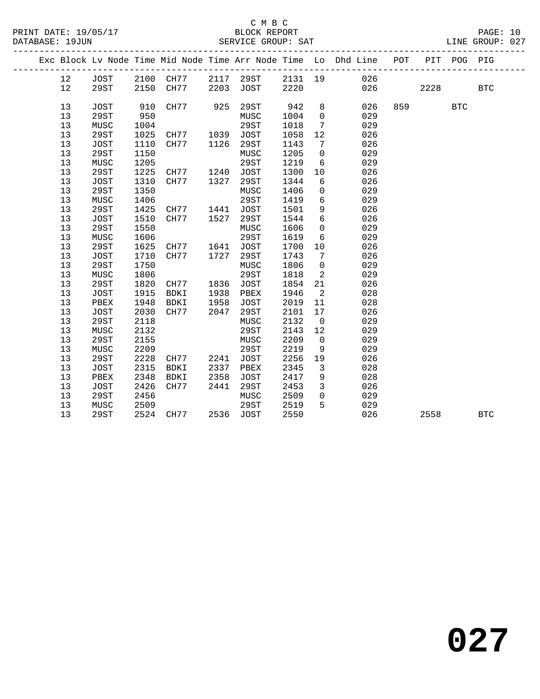#### C M B C DATABASE: 19JUN SERVICE GROUP: SAT

|  |    |      |      |             |      |             |         |                | Exc Block Lv Node Time Mid Node Time Arr Node Time Lo Dhd Line POT |     |          | PIT POG PIG |  |
|--|----|------|------|-------------|------|-------------|---------|----------------|--------------------------------------------------------------------|-----|----------|-------------|--|
|  | 12 | JOST | 2100 | CH77        | 2117 | 29ST        | 2131 19 |                | 026                                                                |     |          |             |  |
|  | 12 | 29ST | 2150 | CH77        | 2203 | JOST        | 2220    |                | 026                                                                |     | 2228 BTC |             |  |
|  |    |      |      |             |      |             |         |                |                                                                    |     |          |             |  |
|  | 13 | JOST | 910  | CH77 925    |      | 29ST        | 942     | 8              | 026                                                                | 859 |          | <b>BTC</b>  |  |
|  | 13 | 29ST | 950  |             |      | MUSC        | 1004    | $\mathsf{O}$   | 029                                                                |     |          |             |  |
|  | 13 | MUSC | 1004 |             |      | 29ST        | 1018    | $7^{\circ}$    | 029                                                                |     |          |             |  |
|  | 13 | 29ST | 1025 | CH77        | 1039 | JOST        | 1058    | 12             | 026                                                                |     |          |             |  |
|  | 13 | JOST | 1110 | CH77        | 1126 | 29ST        | 1143    | 7              | 026                                                                |     |          |             |  |
|  | 13 | 29ST | 1150 |             |      | MUSC        | 1205    | $\mathbf 0$    | 029                                                                |     |          |             |  |
|  | 13 | MUSC | 1205 |             |      | 29ST        | 1219    | 6              | 029                                                                |     |          |             |  |
|  | 13 | 29ST | 1225 | CH77        | 1240 | JOST        | 1300    | 10             | 026                                                                |     |          |             |  |
|  | 13 | JOST | 1310 | CH77        | 1327 | 29ST        | 1344    | 6              | 026                                                                |     |          |             |  |
|  | 13 | 29ST | 1350 |             |      | MUSC        | 1406    | $\mathbf 0$    | 029                                                                |     |          |             |  |
|  | 13 | MUSC | 1406 |             |      | 29ST        | 1419    | 6              | 029                                                                |     |          |             |  |
|  | 13 | 29ST | 1425 | CH77        | 1441 | <b>JOST</b> | 1501    | 9              | 026                                                                |     |          |             |  |
|  | 13 | JOST | 1510 | CH77        | 1527 | 29ST        | 1544    | 6              | 026                                                                |     |          |             |  |
|  | 13 | 29ST | 1550 |             |      | MUSC        | 1606    | $\mathbf 0$    | 029                                                                |     |          |             |  |
|  | 13 | MUSC | 1606 |             |      | 29ST        | 1619    | 6              | 029                                                                |     |          |             |  |
|  | 13 | 29ST | 1625 | CH77        | 1641 | JOST        | 1700    | 10             | 026                                                                |     |          |             |  |
|  | 13 | JOST | 1710 | CH77        | 1727 | 29ST        | 1743    | 7              | 026                                                                |     |          |             |  |
|  | 13 | 29ST | 1750 |             |      | MUSC        | 1806    | $\overline{0}$ | 029                                                                |     |          |             |  |
|  | 13 | MUSC | 1806 |             |      | 29ST        | 1818    | 2              | 029                                                                |     |          |             |  |
|  | 13 | 29ST | 1820 | CH77        | 1836 | JOST        | 1854    | 21             | 026                                                                |     |          |             |  |
|  | 13 | JOST | 1915 | <b>BDKI</b> | 1938 | PBEX        | 1946    | 2              | 028                                                                |     |          |             |  |
|  | 13 | PBEX | 1948 | BDKI        | 1958 | JOST        | 2019    | 11             | 028                                                                |     |          |             |  |
|  | 13 | JOST | 2030 | CH77        | 2047 | 29ST        | 2101    | 17             | 026                                                                |     |          |             |  |
|  | 13 | 29ST | 2118 |             |      | MUSC        | 2132    | $\overline{0}$ | 029                                                                |     |          |             |  |

13 29ST 2524 CH77 2536 JOST 2550 026 2558 BTC

13 MUSC 2132 29ST 2143 12 029<br>
13 29ST 2155 MUSC 2209 0 029<br>
13 MUSC 2209 29ST 2219 9 029

13 MUSC 2509 29ST 2519 5 029

 13 29ST 2155 MUSC 2209 0 029 13 MUSC 2209 29ST 2219 9 029 13 29ST 2228 CH77 2241 JOST 2256 19 026 13 JOST 2315 BDKI 2337 PBEX 2345 3 028 13 PBEX 2348 BDKI 2358 JOST 2417 9 028 13 JOST 2426 CH77 2441 29ST 2453 3 026 13 29ST 2456 MUSC 2509 0 029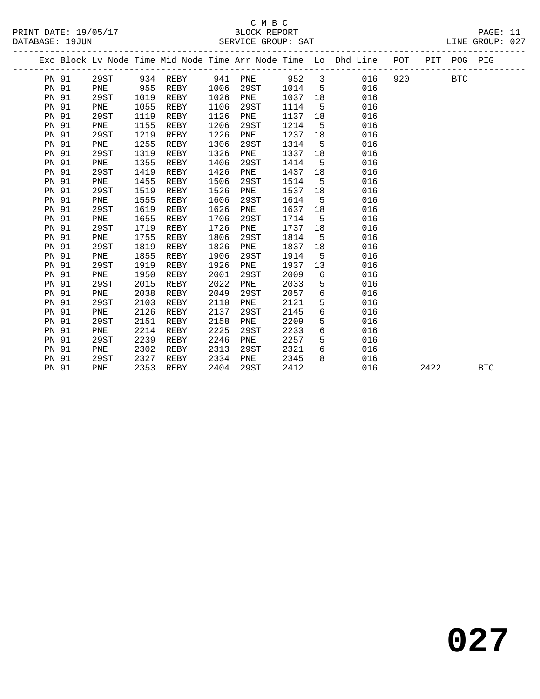|              |      |      |          |      |             |         |             | Exc Block Lv Node Time Mid Node Time Arr Node Time Lo Dhd Line POT PIT POG PIG |     |      |     |            |  |
|--------------|------|------|----------|------|-------------|---------|-------------|--------------------------------------------------------------------------------|-----|------|-----|------------|--|
| PN 91        | 29ST |      | 934 REBY | 941  | PNE         | 952 3   |             | 016                                                                            | 920 |      | BTC |            |  |
| PN 91        | PNE  | 955  | REBY     | 1006 | 29ST        | 1014    | $5^{\circ}$ | 016                                                                            |     |      |     |            |  |
| PN 91        | 29ST | 1019 | REBY     | 1026 | PNE         | 1037 18 |             | 016                                                                            |     |      |     |            |  |
| <b>PN 91</b> | PNE  | 1055 | REBY     | 1106 | 29ST        | 1114    | $-5$        | 016                                                                            |     |      |     |            |  |
| PN 91        | 29ST | 1119 | REBY     | 1126 | PNE         | 1137    | 18          | 016                                                                            |     |      |     |            |  |
| <b>PN 91</b> | PNE  | 1155 | REBY     | 1206 | 29ST        | 1214    | 5           | 016                                                                            |     |      |     |            |  |
| <b>PN 91</b> | 29ST | 1219 | REBY     | 1226 | PNE         | 1237    | 18          | 016                                                                            |     |      |     |            |  |
| PN 91        | PNE  | 1255 | REBY     | 1306 | 29ST        | 1314    | 5           | 016                                                                            |     |      |     |            |  |
| PN 91        | 29ST | 1319 | REBY     | 1326 | PNE         | 1337    | 18          | 016                                                                            |     |      |     |            |  |
| <b>PN 91</b> | PNE  | 1355 | REBY     | 1406 | 29ST        | 1414    | $5^{\circ}$ | 016                                                                            |     |      |     |            |  |
| <b>PN 91</b> | 29ST | 1419 | REBY     | 1426 | PNE         | 1437    | 18          | 016                                                                            |     |      |     |            |  |
| <b>PN 91</b> | PNE  | 1455 | REBY     | 1506 | 29ST        | 1514    | $5^{\circ}$ | 016                                                                            |     |      |     |            |  |
| <b>PN 91</b> | 29ST | 1519 | REBY     | 1526 | PNE         | 1537    | 18          | 016                                                                            |     |      |     |            |  |
| <b>PN 91</b> | PNE  | 1555 | REBY     | 1606 | 29ST        | 1614    | 5           | 016                                                                            |     |      |     |            |  |
| <b>PN 91</b> | 29ST | 1619 | REBY     | 1626 | PNE         | 1637    | 18          | 016                                                                            |     |      |     |            |  |
| <b>PN 91</b> | PNE  | 1655 | REBY     | 1706 | 29ST        | 1714    | $-5$        | 016                                                                            |     |      |     |            |  |
| <b>PN 91</b> | 29ST | 1719 | REBY     | 1726 | PNE         | 1737    | 18          | 016                                                                            |     |      |     |            |  |
| <b>PN 91</b> | PNE  | 1755 | REBY     | 1806 | 29ST        | 1814    | $-5$        | 016                                                                            |     |      |     |            |  |
| <b>PN 91</b> | 29ST | 1819 | REBY     | 1826 | PNE         | 1837    | 18          | 016                                                                            |     |      |     |            |  |
| PN 91        | PNE  | 1855 | REBY     | 1906 | 29ST        | 1914    | - 5         | 016                                                                            |     |      |     |            |  |
| <b>PN 91</b> | 29ST | 1919 | REBY     | 1926 | PNE         | 1937    | 13          | 016                                                                            |     |      |     |            |  |
| PN 91        | PNE  | 1950 | REBY     | 2001 | 29ST        | 2009    | 6           | 016                                                                            |     |      |     |            |  |
| PN 91        | 29ST | 2015 | REBY     | 2022 | PNE         | 2033    | 5           | 016                                                                            |     |      |     |            |  |
| <b>PN 91</b> | PNE  | 2038 | REBY     | 2049 | 29ST        | 2057    | 6           | 016                                                                            |     |      |     |            |  |
| <b>PN 91</b> | 29ST | 2103 | REBY     | 2110 | PNE         | 2121    | 5           | 016                                                                            |     |      |     |            |  |
| <b>PN 91</b> | PNE  | 2126 | REBY     | 2137 | 29ST        | 2145    | 6           | 016                                                                            |     |      |     |            |  |
| <b>PN 91</b> | 29ST | 2151 | REBY     | 2158 | PNE         | 2209    | 5           | 016                                                                            |     |      |     |            |  |
| <b>PN 91</b> | PNE  | 2214 | REBY     | 2225 | 29ST        | 2233    | 6           | 016                                                                            |     |      |     |            |  |
| PN 91        | 29ST | 2239 | REBY     | 2246 | PNE         | 2257    | 5           | 016                                                                            |     |      |     |            |  |
| PN 91        | PNE  | 2302 | REBY     | 2313 | 29ST        | 2321    | 6           | 016                                                                            |     |      |     |            |  |
| PN 91        | 29ST | 2327 | REBY     | 2334 | ${\rm PNE}$ | 2345    | 8           | 016                                                                            |     |      |     |            |  |
| <b>PN 91</b> | PNE  | 2353 | REBY     | 2404 | 29ST        | 2412    |             | 016                                                                            |     | 2422 |     | <b>BTC</b> |  |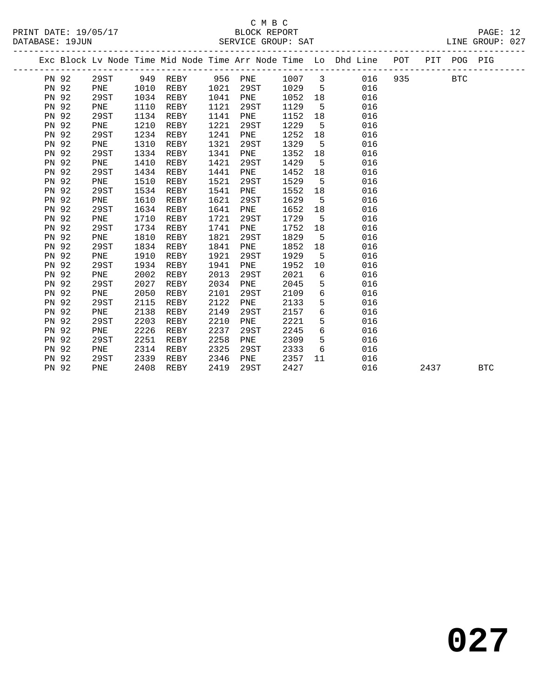#### C M B C<br>BLOCK REPORT SERVICE GROUP: SAT

|              |      |      |          |         |      |        |             | Exc Block Lv Node Time Mid Node Time Arr Node Time Lo Dhd Line POT |     |      | PIT POG PIG |            |
|--------------|------|------|----------|---------|------|--------|-------------|--------------------------------------------------------------------|-----|------|-------------|------------|
| PN 92        | 29ST |      | 949 REBY | 956 PNE |      | 1007 3 |             | 016                                                                | 935 |      | <b>BTC</b>  |            |
| <b>PN 92</b> | PNE  | 1010 | REBY     | 1021    | 29ST | 1029   | $5^{\circ}$ | 016                                                                |     |      |             |            |
| <b>PN 92</b> | 29ST | 1034 | REBY     | 1041    | PNE  | 1052   | 18          | 016                                                                |     |      |             |            |
| PN 92        | PNE  | 1110 | REBY     | 1121    | 29ST | 1129   | $5^{\circ}$ | 016                                                                |     |      |             |            |
| PN 92        | 29ST | 1134 | REBY     | 1141    | PNE  | 1152   | 18          | 016                                                                |     |      |             |            |
| PN 92        | PNE  | 1210 | REBY     | 1221    | 29ST | 1229   | 5           | 016                                                                |     |      |             |            |
| PN 92        | 29ST | 1234 | REBY     | 1241    | PNE  | 1252   | 18          | 016                                                                |     |      |             |            |
| <b>PN 92</b> | PNE  | 1310 | REBY     | 1321    | 29ST | 1329   | 5           | 016                                                                |     |      |             |            |
| <b>PN 92</b> | 29ST | 1334 | REBY     | 1341    | PNE  | 1352   | 18          | 016                                                                |     |      |             |            |
| <b>PN 92</b> | PNE  | 1410 | REBY     | 1421    | 29ST | 1429   | $5^{\circ}$ | 016                                                                |     |      |             |            |
| PN 92        | 29ST | 1434 | REBY     | 1441    | PNE  | 1452   | 18          | 016                                                                |     |      |             |            |
| PN 92        | PNE  | 1510 | REBY     | 1521    | 29ST | 1529   | $5^{\circ}$ | 016                                                                |     |      |             |            |
| PN 92        | 29ST | 1534 | REBY     | 1541    | PNE  | 1552   | 18          | 016                                                                |     |      |             |            |
| PN 92        | PNE  | 1610 | REBY     | 1621    | 29ST | 1629   | 5           | 016                                                                |     |      |             |            |
| <b>PN 92</b> | 29ST | 1634 | REBY     | 1641    | PNE  | 1652   | 18          | 016                                                                |     |      |             |            |
| <b>PN 92</b> | PNE  | 1710 | REBY     | 1721    | 29ST | 1729   | $5^{\circ}$ | 016                                                                |     |      |             |            |
| <b>PN 92</b> | 29ST | 1734 | REBY     | 1741    | PNE  | 1752   | 18          | 016                                                                |     |      |             |            |
| <b>PN 92</b> | PNE  | 1810 | REBY     | 1821    | 29ST | 1829   | $5^{\circ}$ | 016                                                                |     |      |             |            |
| PN 92        | 29ST | 1834 | REBY     | 1841    | PNE  | 1852   | 18          | 016                                                                |     |      |             |            |
| PN 92        | PNE  | 1910 | REBY     | 1921    | 29ST | 1929   | 5           | 016                                                                |     |      |             |            |
| PN 92        | 29ST | 1934 | REBY     | 1941    | PNE  | 1952   | 10          | 016                                                                |     |      |             |            |
| <b>PN 92</b> | PNE  | 2002 | REBY     | 2013    | 29ST | 2021   | 6           | 016                                                                |     |      |             |            |
| <b>PN 92</b> | 29ST | 2027 | REBY     | 2034    | PNE  | 2045   | 5           | 016                                                                |     |      |             |            |
| <b>PN 92</b> | PNE  | 2050 | REBY     | 2101    | 29ST | 2109   | 6           | 016                                                                |     |      |             |            |
| <b>PN 92</b> | 29ST | 2115 | REBY     | 2122    | PNE  | 2133   | 5           | 016                                                                |     |      |             |            |
| PN 92        | PNE  | 2138 | REBY     | 2149    | 29ST | 2157   | 6           | 016                                                                |     |      |             |            |
| PN 92        | 29ST | 2203 | REBY     | 2210    | PNE  | 2221   | 5           | 016                                                                |     |      |             |            |
| PN 92        | PNE  | 2226 | REBY     | 2237    | 29ST | 2245   | 6           | 016                                                                |     |      |             |            |
| PN 92        | 29ST | 2251 | REBY     | 2258    | PNE  | 2309   | 5           | 016                                                                |     |      |             |            |
| PN 92        | PNE  | 2314 | REBY     | 2325    | 29ST | 2333   | 6           | 016                                                                |     |      |             |            |
| PN 92        | 29ST | 2339 | REBY     | 2346    | PNE  | 2357   | 11          | 016                                                                |     |      |             |            |
| PN 92        | PNE  | 2408 | REBY     | 2419    | 29ST | 2427   |             | 016                                                                |     | 2437 |             | <b>BTC</b> |
|              |      |      |          |         |      |        |             |                                                                    |     |      |             |            |

**027**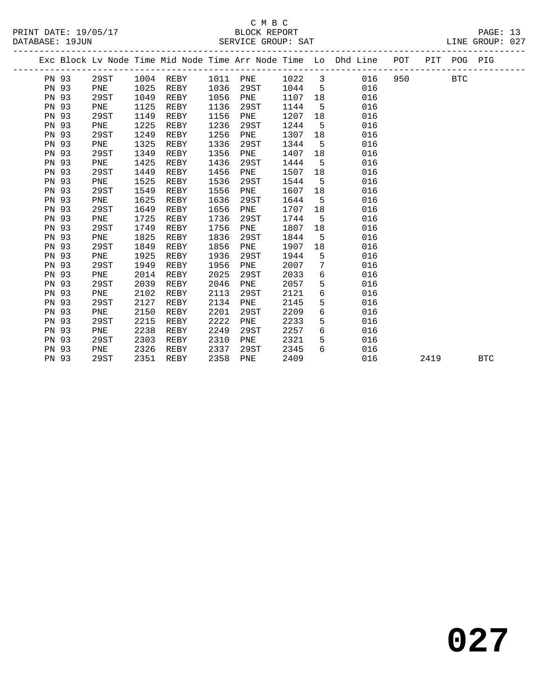|       |      |      |             |      |          |      |             | Exc Block Lv Node Time Mid Node Time Arr Node Time Lo Dhd Line POT |     |      | PIT POG PIG |            |
|-------|------|------|-------------|------|----------|------|-------------|--------------------------------------------------------------------|-----|------|-------------|------------|
| PN 93 | 29ST |      | $1004$ REBY |      | 1011 PNE | 1022 |             | $\overline{\mathbf{3}}$<br>016                                     | 950 |      | BTC         |            |
| PN 93 | PNE  | 1025 | REBY        | 1036 | 29ST     | 1044 | $5^{\circ}$ | 016                                                                |     |      |             |            |
| PN 93 | 29ST | 1049 | REBY        | 1056 | PNE      | 1107 | 18          | 016                                                                |     |      |             |            |
| PN 93 | PNE  | 1125 | REBY        | 1136 | 29ST     | 1144 | $5^{\circ}$ | 016                                                                |     |      |             |            |
| PN 93 | 29ST | 1149 | REBY        | 1156 | PNE      | 1207 | 18          | 016                                                                |     |      |             |            |
| PN 93 | PNE  | 1225 | REBY        | 1236 | 29ST     | 1244 | 5           | 016                                                                |     |      |             |            |
| PN 93 | 29ST | 1249 | REBY        | 1256 | PNE      | 1307 | 18          | 016                                                                |     |      |             |            |
| PN 93 | PNE  | 1325 | REBY        | 1336 | 29ST     | 1344 | 5           | 016                                                                |     |      |             |            |
| PN 93 | 29ST | 1349 | REBY        | 1356 | PNE      | 1407 | 18          | 016                                                                |     |      |             |            |
| PN 93 | PNE  | 1425 | REBY        | 1436 | 29ST     | 1444 | 5           | 016                                                                |     |      |             |            |
| PN 93 | 29ST | 1449 | REBY        | 1456 | PNE      | 1507 | 18          | 016                                                                |     |      |             |            |
| PN 93 | PNE  | 1525 | REBY        | 1536 | 29ST     | 1544 | $5^{\circ}$ | 016                                                                |     |      |             |            |
| PN 93 | 29ST | 1549 | REBY        | 1556 | PNE      | 1607 | 18          | 016                                                                |     |      |             |            |
| PN 93 | PNE  | 1625 | REBY        | 1636 | 29ST     | 1644 | 5           | 016                                                                |     |      |             |            |
| PN 93 | 29ST | 1649 | REBY        | 1656 | PNE      | 1707 | 18          | 016                                                                |     |      |             |            |
| PN 93 | PNE  | 1725 | REBY        | 1736 | 29ST     | 1744 | 5           | 016                                                                |     |      |             |            |
| PN 93 | 29ST | 1749 | REBY        | 1756 | PNE      | 1807 | 18          | 016                                                                |     |      |             |            |
| PN 93 | PNE  | 1825 | REBY        | 1836 | 29ST     | 1844 | 5           | 016                                                                |     |      |             |            |
| PN 93 | 29ST | 1849 | REBY        | 1856 | PNE      | 1907 | 18          | 016                                                                |     |      |             |            |
| PN 93 | PNE  | 1925 | REBY        | 1936 | 29ST     | 1944 | 5           | 016                                                                |     |      |             |            |
| PN 93 | 29ST | 1949 | REBY        | 1956 | PNE      | 2007 | 7           | 016                                                                |     |      |             |            |
| PN 93 | PNE  | 2014 | REBY        | 2025 | 29ST     | 2033 | 6           | 016                                                                |     |      |             |            |
| PN 93 | 29ST | 2039 | REBY        | 2046 | PNE      | 2057 | 5           | 016                                                                |     |      |             |            |
| PN 93 | PNE  | 2102 | REBY        | 2113 | 29ST     | 2121 | 6           | 016                                                                |     |      |             |            |
| PN 93 | 29ST | 2127 | REBY        | 2134 | PNE      | 2145 | 5           | 016                                                                |     |      |             |            |
| PN 93 | PNE  | 2150 | REBY        | 2201 | 29ST     | 2209 | 6           | 016                                                                |     |      |             |            |
| PN 93 | 29ST | 2215 | REBY        | 2222 | PNE      | 2233 | 5           | 016                                                                |     |      |             |            |
| PN 93 | PNE  | 2238 | REBY        | 2249 | 29ST     | 2257 | 6           | 016                                                                |     |      |             |            |
| PN 93 | 29ST | 2303 | REBY        | 2310 | PNE      | 2321 | 5           | 016                                                                |     |      |             |            |
| PN 93 | PNE  | 2326 | REBY        | 2337 | 29ST     | 2345 | 6           | 016                                                                |     |      |             |            |
| PN 93 | 29ST | 2351 | REBY        | 2358 | PNE      | 2409 |             | 016                                                                |     | 2419 |             | <b>BTC</b> |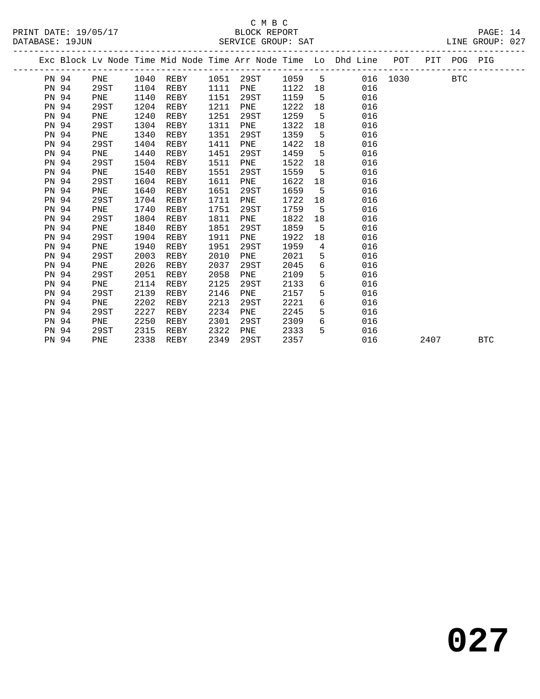|       |      |      |           |      |      |        |                | Exc Block Lv Node Time Mid Node Time Arr Node Time Lo Dhd Line POT PIT POG PIG |          |      |     |            |
|-------|------|------|-----------|------|------|--------|----------------|--------------------------------------------------------------------------------|----------|------|-----|------------|
| PN 94 | PNE  |      | 1040 REBY | 1051 | 29ST | 1059 5 |                |                                                                                | 016 1030 |      | BTC |            |
| PN 94 | 29ST | 1104 | REBY      | 1111 | PNE  | 1122   | 18             | 016                                                                            |          |      |     |            |
| PN 94 | PNE  | 1140 | REBY      | 1151 | 29ST | 1159   | 5              | 016                                                                            |          |      |     |            |
| PN 94 | 29ST | 1204 | REBY      | 1211 | PNE  | 1222   | 18             | 016                                                                            |          |      |     |            |
| PN 94 | PNE  | 1240 | REBY      | 1251 | 29ST | 1259   | 5 <sup>5</sup> | 016                                                                            |          |      |     |            |
| PN 94 | 29ST | 1304 | REBY      | 1311 | PNE  | 1322   | 18             | 016                                                                            |          |      |     |            |
| PN 94 | PNE  | 1340 | REBY      | 1351 | 29ST | 1359   | $5^{\circ}$    | 016                                                                            |          |      |     |            |
| PN 94 | 29ST | 1404 | REBY      | 1411 | PNE  | 1422   | 18             | 016                                                                            |          |      |     |            |
| PN 94 | PNE  | 1440 | REBY      | 1451 | 29ST | 1459   | 5              | 016                                                                            |          |      |     |            |
| PN 94 | 29ST | 1504 | REBY      | 1511 | PNE  | 1522   | 18             | 016                                                                            |          |      |     |            |
| PN 94 | PNE  | 1540 | REBY      | 1551 | 29ST | 1559   | 5              | 016                                                                            |          |      |     |            |
| PN 94 | 29ST | 1604 | REBY      | 1611 | PNE  | 1622   | 18             | 016                                                                            |          |      |     |            |
| PN 94 | PNE  | 1640 | REBY      | 1651 | 29ST | 1659   | $5^{\circ}$    | 016                                                                            |          |      |     |            |
| PN 94 | 29ST | 1704 | REBY      | 1711 | PNE  | 1722   | 18             | 016                                                                            |          |      |     |            |
| PN 94 | PNE  | 1740 | REBY      | 1751 | 29ST | 1759   | 5              | 016                                                                            |          |      |     |            |
| PN 94 | 29ST | 1804 | REBY      | 1811 | PNE  | 1822   | 18             | 016                                                                            |          |      |     |            |
| PN 94 | PNE  | 1840 | REBY      | 1851 | 29ST | 1859   | 5              | 016                                                                            |          |      |     |            |
| PN 94 | 29ST | 1904 | REBY      | 1911 | PNE  | 1922   | 18             | 016                                                                            |          |      |     |            |
| PN 94 | PNE  | 1940 | REBY      | 1951 | 29ST | 1959   | $\overline{4}$ | 016                                                                            |          |      |     |            |
| PN 94 | 29ST | 2003 | REBY      | 2010 | PNE  | 2021   | 5              | 016                                                                            |          |      |     |            |
| PN 94 | PNE  | 2026 | REBY      | 2037 | 29ST | 2045   | 6              | 016                                                                            |          |      |     |            |
| PN 94 | 29ST | 2051 | REBY      | 2058 | PNE  | 2109   | 5              | 016                                                                            |          |      |     |            |
| PN 94 | PNE  | 2114 | REBY      | 2125 | 29ST | 2133   | 6              | 016                                                                            |          |      |     |            |
| PN 94 | 29ST | 2139 | REBY      | 2146 | PNE  | 2157   | 5              | 016                                                                            |          |      |     |            |
| PN 94 | PNE  | 2202 | REBY      | 2213 | 29ST | 2221   | 6              | 016                                                                            |          |      |     |            |
| PN 94 | 29ST | 2227 | REBY      | 2234 | PNE  | 2245   | 5              | 016                                                                            |          |      |     |            |
| PN 94 | PNE  | 2250 | REBY      | 2301 | 29ST | 2309   | 6              | 016                                                                            |          |      |     |            |
| PN 94 | 29ST | 2315 | REBY      | 2322 | PNE  | 2333   | 5              | 016                                                                            |          |      |     |            |
| PN 94 | PNE  | 2338 | REBY      | 2349 | 29ST | 2357   |                | 016                                                                            |          | 2407 |     | <b>BTC</b> |
|       |      |      |           |      |      |        |                |                                                                                |          |      |     |            |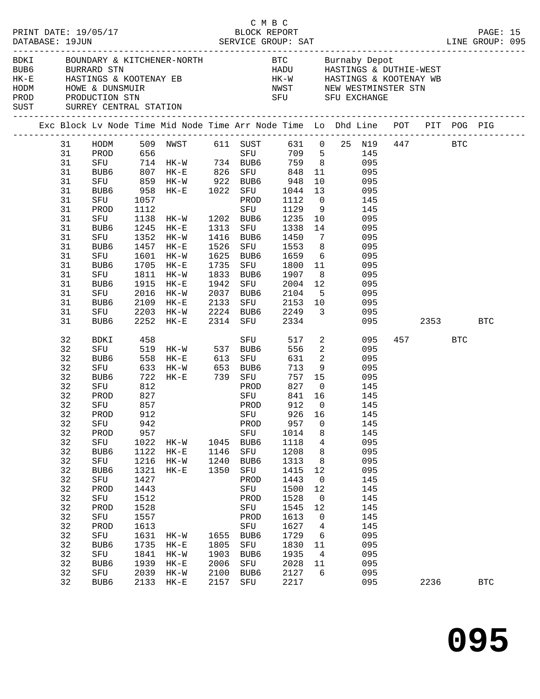|  | DATABASE: 19JUN                                                                                                                                    | PRINT DATE: 19/05/17                                                                                                                                                      |                                                                                                                                                         | 91.17 BLOCK REPORT PAGE: 15<br>SERVICE GROUP: SAT LINE GROUP: 095                                                                                                                                                                                                                                                                                                                                                                                                           |                                                                      |                                                                                                                                                             | C M B C                                                                                                                                                                             |                                                                                                                                           |                                                                     |                                                                                                                                                               |          |         |              |  |
|--|----------------------------------------------------------------------------------------------------------------------------------------------------|---------------------------------------------------------------------------------------------------------------------------------------------------------------------------|---------------------------------------------------------------------------------------------------------------------------------------------------------|-----------------------------------------------------------------------------------------------------------------------------------------------------------------------------------------------------------------------------------------------------------------------------------------------------------------------------------------------------------------------------------------------------------------------------------------------------------------------------|----------------------------------------------------------------------|-------------------------------------------------------------------------------------------------------------------------------------------------------------|-------------------------------------------------------------------------------------------------------------------------------------------------------------------------------------|-------------------------------------------------------------------------------------------------------------------------------------------|---------------------------------------------------------------------|---------------------------------------------------------------------------------------------------------------------------------------------------------------|----------|---------|--------------|--|
|  |                                                                                                                                                    | HODM HOWE & DUNSMUIR<br>PROD PRODUCTION STN<br>SUST SURREY CENTRAL STATION                                                                                                |                                                                                                                                                         | BDKI BOUNDARY & KITCHENER-NORTH BTC Burnaby Depot<br>BUB6 BURRARD STN HADU HASTINGS & DUTHIE-WEST<br>HK-E HASTINGS & KOOTENAY EB HK-W HASTINGS & KOOTENAY WB<br>MWST MEW WESTMINSTER STN SET OF THE CONTROL STN SET OF THE CONTROL STN SET OF THE CONTROL STN SET OF THE CONTROL STN SET OF THE CONTROL STN SET OF THE CONTROL STN SET OF THE CONTROL ST SET OF THE CONTROL STATE STRESS OF TH                                                                              |                                                                      |                                                                                                                                                             |                                                                                                                                                                                     |                                                                                                                                           |                                                                     |                                                                                                                                                               |          |         |              |  |
|  |                                                                                                                                                    |                                                                                                                                                                           |                                                                                                                                                         | Exc Block Lv Node Time Mid Node Time Arr Node Time Lo Dhd Line POT PIT POG PIG                                                                                                                                                                                                                                                                                                                                                                                              |                                                                      |                                                                                                                                                             |                                                                                                                                                                                     |                                                                                                                                           |                                                                     |                                                                                                                                                               |          |         |              |  |
|  | 31<br>31<br>31<br>31<br>31<br>31<br>31<br>31<br>31<br>31<br>31<br>31<br>31<br>31<br>31<br>31<br>31<br>31<br>31<br>31                               | SFU<br>PROD<br>SFU<br>BUB6<br>SFU<br>BUB6<br>SFU<br>BUB6<br>SFU<br>BUB6<br>SFU<br>BUB6<br>SFU<br>BUB6                                                                     | 1057<br>1457                                                                                                                                            | HODM 509 NWST 611 SUST 631 0 25 N19 447 BTC<br>PROD 656 SFU 709 5 145<br>PROD 656 SFU 709 5 145<br>SFU 714 HK-W 734 BUB6 759 8 095<br>BUB6 807 HK-E 826 SFU 848 11 095<br>SFU 859 HK-W 922 BUB6 948 10 095<br>BUB6 958 HK-E 1022 SFU 1044 13 095<br>1352 HK-W 1416 BUB6 1450<br>$HK-E$<br>1601 HK-W<br>1705 HK-E<br>1811 HK-W<br>1915 HK-E<br>2016 HK-W 2037 BUB6 2104 5 095<br>2109 HK-E 2133 SFU 2153 10 095<br>2203 HK-W 2224 BUB6 2249 3 095<br>2252 HK-E 2314 SFU 2334 | 1526<br>1942                                                         |                                                                                                                                                             | PROD 1112 0 145<br>SFU 1553<br>1625 BUB6 1659 6 095<br>1735 SFU 1800 11 095<br>1833 BUB6 1907<br>SFU 2004 12                                                                        |                                                                                                                                           | $7\overline{ }$<br>8 095<br>8 095<br>095                            | 095<br>095                                                                                                                                                    | 095 2353 |         | <b>BTC</b>   |  |
|  | 32<br>32<br>32<br>32<br>32<br>32<br>32<br>32<br>32<br>32<br>32<br>32<br>32<br>32<br>32<br>32<br>32<br>32<br>32<br>32<br>32<br>32<br>32<br>32<br>32 | BDKI<br>PROD<br>SFU<br>32 PROD 912<br>SFU<br>PROD<br>SFU<br>BUB6<br>SFU<br>BUB6<br>SFU<br>PROD<br>SFU<br>PROD<br>SFU<br>PROD<br>SFU<br>BUB6<br>${\tt SFU}$<br>BUB6<br>SFU | 458<br>827<br>857<br>942<br>957<br>1022<br>1122<br>1216<br>1321<br>1427<br>1443<br>1512<br>1528<br>1557<br>1613<br>1631<br>1735<br>1841<br>1939<br>2039 | SFU 519 HK-W 537 BUB6<br>BUB6 558 HK-E 613 SFU<br>SFU 633 HK-W 653 BUB6<br>BUB6 722 HK-E 739 SFU<br>SFU 812 PROD<br><b>SFU</b><br>HK-W<br>$HK-E$<br>$HK-W$<br>$HK-E$<br>$HK-W$<br>$HK-E$<br>$HK-W$<br>$HK-E$<br>$HK-W$                                                                                                                                                                                                                                                      | 1045<br>1146<br>1240<br>1350<br>1655<br>1805<br>1903<br>2006<br>2100 | SFU<br>PROD<br>PROD<br>PROD<br>SFU<br>BUB6<br>SFU<br>BUB6<br>SFU<br>PROD<br>SFU<br>PROD<br>SFU<br>PROD<br>${\rm SFU}$<br>BUB6<br>SFU<br>BUB6<br>SFU<br>BUB6 | 556<br>757 15<br>841 16<br>912<br>SFU 926 16<br>957<br>1014<br>1118<br>1208<br>1313<br>1415<br>1443<br>1500<br>1528<br>1545<br>1613<br>1627<br>1729<br>1830<br>1935<br>2028<br>2127 | $\overline{0}$<br>0<br>8<br>4<br>8<br>8<br>12<br>$\mathbf 0$<br>12<br>$\overline{0}$<br>12<br>$\mathbf 0$<br>4<br>6<br>11<br>4<br>11<br>6 | 517 2<br>$\overline{2}$<br>631 2<br>$713$ 9 095<br>827 0 145<br>145 | 095<br>095<br>095<br>095<br>145<br>145<br>145<br>145<br>095<br>095<br>095<br>095<br>145<br>145<br>145<br>145<br>145<br>145<br>095<br>095<br>095<br>095<br>095 |          | 457 BTC |              |  |
|  | 32                                                                                                                                                 | BUB6                                                                                                                                                                      | 2133                                                                                                                                                    | $HK-E$                                                                                                                                                                                                                                                                                                                                                                                                                                                                      | 2157                                                                 | SFU                                                                                                                                                         | 2217                                                                                                                                                                                |                                                                                                                                           |                                                                     | 095                                                                                                                                                           |          | 2236    | $_{\rm BTC}$ |  |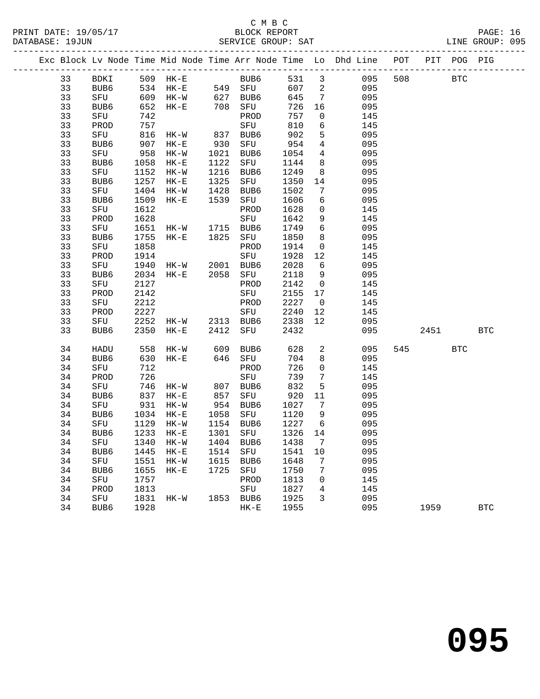#### C M B C<br>BLOCK REPORT SERVICE GROUP: SAT

|  |          |             |              |                                       |      |                  |              |                     | Exc Block Lv Node Time Mid Node Time Arr Node Time Lo Dhd Line POT PIT POG PIG |     |      |            |            |
|--|----------|-------------|--------------|---------------------------------------|------|------------------|--------------|---------------------|--------------------------------------------------------------------------------|-----|------|------------|------------|
|  | 33       | BDKI        |              | 509 HK-E                              |      | BUB6             | 531          | $\mathbf{3}$        | 095                                                                            | 508 |      | <b>BTC</b> |            |
|  | 33       | BUB6        |              | $534$ $HK-E$ $549$ $SFU$              |      |                  | 607          | 2                   | 095                                                                            |     |      |            |            |
|  | 33       | SFU         | 609          | ----<br>HK-W 627 BUB6<br>HK-E 708 SFU |      |                  | 645          | $\overline{7}$      | 095                                                                            |     |      |            |            |
|  | 33       | BUB6        | 652          |                                       |      |                  | 726          | 16                  | 095                                                                            |     |      |            |            |
|  | 33       | SFU         | 742          |                                       |      | PROD             | 757          | $\mathbf 0$         | 145                                                                            |     |      |            |            |
|  | 33       | PROD        | 757          |                                       |      | SFU              | 810          | 6                   | 145                                                                            |     |      |            |            |
|  | 33       | SFU         | 816          | $HK-W$                                | 837  | BUB6             | 902          | 5                   | 095                                                                            |     |      |            |            |
|  | 33       | BUB6        | 907          | $HK-E$                                | 930  | SFU              | 954          | $\overline{4}$      | 095                                                                            |     |      |            |            |
|  | 33       | SFU         | 958          | HK-W                                  | 1021 | BUB6             | 1054         | 4                   | 095                                                                            |     |      |            |            |
|  | 33       | BUB6        | 1058         | $HK-E$                                | 1122 | SFU              | 1144         | 8                   | 095                                                                            |     |      |            |            |
|  | 33       | SFU         | 1152         | HK-W                                  | 1216 | BUB6             | 1249         | 8                   | 095                                                                            |     |      |            |            |
|  | 33       | BUB6        | 1257         | $HK-E$                                | 1325 | SFU              | 1350         | 14                  | 095                                                                            |     |      |            |            |
|  | 33       | SFU         | 1404         | $HK-W$                                | 1428 | BUB6             | 1502         | 7                   | 095                                                                            |     |      |            |            |
|  | 33       | BUB6        | 1509         | $HK-E$                                | 1539 | SFU              | 1606         | 6                   | 095                                                                            |     |      |            |            |
|  | 33       | SFU         | 1612         |                                       |      | PROD             | 1628         | $\mathbf 0$         | 145                                                                            |     |      |            |            |
|  | 33       | PROD        | 1628         |                                       |      | SFU              | 1642         | 9                   | 145                                                                            |     |      |            |            |
|  | 33       | SFU         | 1651         | HK-W                                  |      | 1715 BUB6        | 1749         | 6                   | 095                                                                            |     |      |            |            |
|  | 33       | BUB6        | 1755         | $HK-E$                                | 1825 | SFU              | 1850         | 8                   | 095                                                                            |     |      |            |            |
|  | 33       | SFU         | 1858         |                                       |      | PROD             | 1914         | $\mathsf{O}$        | 145                                                                            |     |      |            |            |
|  | 33       | PROD        | 1914         |                                       |      | SFU              | 1928         | 12                  | 145                                                                            |     |      |            |            |
|  | 33       | SFU         | 1940         | $HK-W$                                | 2001 | BUB6<br>2058 SFU | 2028         | 6                   | 095                                                                            |     |      |            |            |
|  | 33<br>33 | BUB6        | 2034<br>2127 | $HK-E$                                |      | PROD             | 2118<br>2142 | 9<br>$\overline{0}$ | 095<br>145                                                                     |     |      |            |            |
|  | 33       | SFU<br>PROD | 2142         |                                       |      | SFU              | 2155         | 17                  | 145                                                                            |     |      |            |            |
|  | 33       | SFU         | 2212         |                                       |      | PROD             | 2227         | $\overline{0}$      | 145                                                                            |     |      |            |            |
|  | 33       | PROD        | 2227         |                                       |      | SFU              | 2240         | 12                  | 145                                                                            |     |      |            |            |
|  | 33       | SFU         | 2252         | $HK-W$                                |      | 2313 BUB6        | 2338         | 12                  | 095                                                                            |     |      |            |            |
|  | 33       | BUB6        | 2350         | $HK-E$                                | 2412 | SFU              | 2432         |                     | 095                                                                            |     | 2451 |            | <b>BTC</b> |
|  |          |             |              |                                       |      |                  |              |                     |                                                                                |     |      |            |            |
|  | 34       | HADU        | 558          | HK-W                                  | 609  | BUB6             | 628          | 2                   | 095                                                                            | 545 |      | <b>BTC</b> |            |
|  | 34       | BUB6        | 630          | $HK-E$                                | 646  | SFU              | 704          | 8                   | 095                                                                            |     |      |            |            |
|  | 34       | SFU         | 712          |                                       |      | PROD             | 726          | $\mathbf 0$         | 145                                                                            |     |      |            |            |
|  | 34       | PROD        | 726          |                                       |      | SFU              | 739          | $7\phantom{.0}$     | 145                                                                            |     |      |            |            |
|  | 34       | SFU         | 746          | HK-W                                  | 807  | BUB6             | 832          | 5                   | 095                                                                            |     |      |            |            |
|  | 34       | BUB6        | 837          | $HK-E$                                | 857  | SFU              | 920          | 11                  | 095                                                                            |     |      |            |            |
|  | 34       | SFU         | 931          | $HK-W$                                |      | 954 BUB6         | 1027         | 7                   | 095                                                                            |     |      |            |            |
|  | 34       | BUB6        | 1034         | $HK-E$                                |      | 1058 SFU         | 1120         | 9                   | 095                                                                            |     |      |            |            |
|  | 34       | SFU         | 1129         | $HK-W$                                |      | 1154 BUB6        | 1227         | 6                   | 095                                                                            |     |      |            |            |
|  | 34       | BUB6        | 1233         | $HK-E$                                | 1301 | SFU              | 1326         | 14                  | 095                                                                            |     |      |            |            |
|  | 34       | SFU         | 1340         | HK-W                                  | 1404 | BUB6             | 1438         | $7\overline{ }$     | 095                                                                            |     |      |            |            |
|  | 34       | BUB6        | 1445         | $HK-E$                                |      | 1514 SFU         | 1541         | $10\,$              | 095                                                                            |     |      |            |            |
|  | 34       | SFU         | 1551         | HK-W                                  | 1615 | BUB6             | 1648         | 7                   | 095                                                                            |     |      |            |            |
|  | 34       | BUB6        | 1655         | $HK-E$                                | 1725 | SFU              | 1750         | 7                   | 095                                                                            |     |      |            |            |
|  | 34       | SFU         | 1757         |                                       |      | PROD             | 1813         | $\mathbf 0$         | 145                                                                            |     |      |            |            |
|  | 34       | PROD        | 1813         |                                       |      | SFU              | 1827         | 4                   | 145                                                                            |     |      |            |            |
|  | 34       | SFU         | 1831         | HK-W                                  |      | 1853 BUB6        | 1925         | $\overline{3}$      | 095                                                                            |     |      |            |            |

34 BUB6 1928 HK-E 1955 095 1959 BTC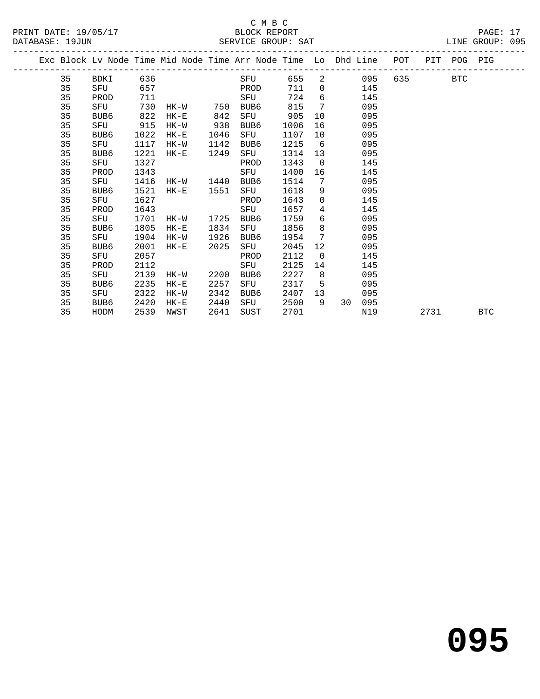#### C M B C<br>BLOCK REPORT SERVICE GROUP: SAT

|  |    |      |      | Exc Block Lv Node Time Mid Node Time Arr Node Time Lo Dhd Line POT |      |      |      |                 |          |       |           |      | PIT POG PIG |            |
|--|----|------|------|--------------------------------------------------------------------|------|------|------|-----------------|----------|-------|-----------|------|-------------|------------|
|  | 35 | BDKI | 636  |                                                                    |      | SFU  | 655  |                 |          | 2 095 | 635 — 100 |      | <b>BTC</b>  |            |
|  | 35 | SFU  | 657  |                                                                    |      | PROD | 711  |                 | $\Omega$ | 145   |           |      |             |            |
|  | 35 | PROD | 711  |                                                                    |      | SFU  | 724  | 6               |          | 145   |           |      |             |            |
|  | 35 | SFU  | 730  | $HK-W$                                                             | 750  | BUB6 | 815  | 7               |          | 095   |           |      |             |            |
|  | 35 | BUB6 | 822  | $HK-E$                                                             | 842  | SFU  | 905  | 10              |          | 095   |           |      |             |            |
|  | 35 | SFU  | 915  | HK-W                                                               | 938  | BUB6 | 1006 | 16              |          | 095   |           |      |             |            |
|  | 35 | BUB6 | 1022 | $HK-E$                                                             | 1046 | SFU  | 1107 | 10              |          | 095   |           |      |             |            |
|  | 35 | SFU  | 1117 | HK-W                                                               | 1142 | BUB6 | 1215 | 6               |          | 095   |           |      |             |            |
|  | 35 | BUB6 | 1221 | $HK-E$                                                             | 1249 | SFU  | 1314 | 13              |          | 095   |           |      |             |            |
|  | 35 | SFU  | 1327 |                                                                    |      | PROD | 1343 | $\overline{0}$  |          | 145   |           |      |             |            |
|  | 35 | PROD | 1343 |                                                                    |      | SFU  | 1400 | 16              |          | 145   |           |      |             |            |
|  | 35 | SFU  | 1416 | HK-W 1440                                                          |      | BUB6 | 1514 | $7\phantom{.0}$ |          | 095   |           |      |             |            |
|  | 35 | BUB6 | 1521 | $HK-E$                                                             | 1551 | SFU  | 1618 | 9               |          | 095   |           |      |             |            |
|  | 35 | SFU  | 1627 |                                                                    |      | PROD | 1643 | $\mathbf 0$     |          | 145   |           |      |             |            |
|  | 35 | PROD | 1643 |                                                                    |      | SFU  | 1657 | $4\overline{ }$ |          | 145   |           |      |             |            |
|  | 35 | SFU  | 1701 | HK-W 1725                                                          |      | BUB6 | 1759 | 6               |          | 095   |           |      |             |            |
|  | 35 | BUB6 | 1805 | $HK-E$                                                             | 1834 | SFU  | 1856 | 8               |          | 095   |           |      |             |            |
|  | 35 | SFU  | 1904 | HK-W                                                               | 1926 | BUB6 | 1954 | 7               |          | 095   |           |      |             |            |
|  | 35 | BUB6 | 2001 | $HK-E$                                                             | 2025 | SFU  | 2045 | 12              |          | 095   |           |      |             |            |
|  | 35 | SFU  | 2057 |                                                                    |      | PROD | 2112 | $\overline{0}$  |          | 145   |           |      |             |            |
|  | 35 | PROD | 2112 |                                                                    |      | SFU  | 2125 | 14              |          | 145   |           |      |             |            |
|  | 35 | SFU  | 2139 | HK-W                                                               | 2200 | BUB6 | 2227 | 8               |          | 095   |           |      |             |            |
|  | 35 | BUB6 | 2235 | HK-E                                                               | 2257 | SFU  | 2317 | 5               |          | 095   |           |      |             |            |
|  | 35 | SFU  | 2322 | HK-W                                                               | 2342 | BUB6 | 2407 | 13              |          | 095   |           |      |             |            |
|  | 35 | BUB6 | 2420 | $HK-E$                                                             | 2440 | SFU  | 2500 | 9               | 30       | 095   |           |      |             |            |
|  | 35 | HODM | 2539 | NWST                                                               | 2641 | SUST | 2701 |                 |          | N19   |           | 2731 |             | <b>BTC</b> |

**095**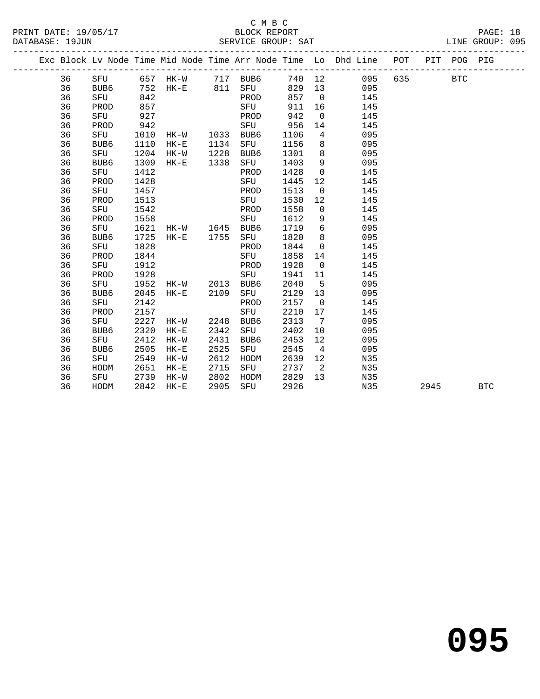#### C M B C<br>BLOCK REPORT DATABASE: 19JUN SERVICE GROUP: SAT

|  |    |      |      |                |      |                       |      |                 | Exc Block Lv Node Time Mid Node Time Arr Node Time Lo Dhd Line POT PIT POG PIG |         |  |  |
|--|----|------|------|----------------|------|-----------------------|------|-----------------|--------------------------------------------------------------------------------|---------|--|--|
|  | 36 |      |      |                |      | SFU 657 HK-W 717 BUB6 |      |                 | 740 12<br>095                                                                  | 635 BTC |  |  |
|  | 36 | BUB6 | 752  | $HK-E$ 811     |      | SFU                   | 829  |                 | 13<br>095                                                                      |         |  |  |
|  | 36 | SFU  | 842  |                |      | PROD                  | 857  |                 | 145<br>$\overline{0}$                                                          |         |  |  |
|  | 36 | PROD | 857  |                |      | SFU                   | 911  | 16              | 145                                                                            |         |  |  |
|  | 36 | SFU  | 927  |                |      | PROD                  | 942  | $\overline{0}$  | 145                                                                            |         |  |  |
|  | 36 | PROD | 942  |                |      | SFU                   | 956  | 14              | 145                                                                            |         |  |  |
|  | 36 | SFU  | 1010 | HK-W 1033      |      | BUB6                  | 1106 | 4               | 095                                                                            |         |  |  |
|  | 36 | BUB6 | 1110 | HK-E           | 1134 | SFU                   | 1156 | 8               | 095                                                                            |         |  |  |
|  | 36 | SFU  | 1204 | HK-W           | 1228 | BUB6                  | 1301 | 8               | 095                                                                            |         |  |  |
|  | 36 | BUB6 | 1309 | $HK-E$         | 1338 | SFU                   | 1403 | 9               | 095                                                                            |         |  |  |
|  | 36 | SFU  | 1412 |                |      | PROD                  | 1428 | $\mathsf{O}$    | 145                                                                            |         |  |  |
|  | 36 | PROD | 1428 |                |      | SFU                   | 1445 | 12              | 145                                                                            |         |  |  |
|  | 36 | SFU  | 1457 |                |      | PROD                  | 1513 | $\mathbf 0$     | 145                                                                            |         |  |  |
|  | 36 | PROD | 1513 |                |      | SFU                   | 1530 | 12              | 145                                                                            |         |  |  |
|  | 36 | SFU  | 1542 |                |      | PROD                  | 1558 | $\overline{0}$  | 145                                                                            |         |  |  |
|  | 36 | PROD | 1558 |                |      | SFU                   | 1612 | 9               | 145                                                                            |         |  |  |
|  | 36 | SFU  | 1621 | HK-W 1645      |      | BUB6                  | 1719 | 6               | 095                                                                            |         |  |  |
|  | 36 | BUB6 | 1725 | $HK-E$         | 1755 | SFU                   | 1820 | 8               | 095                                                                            |         |  |  |
|  | 36 | SFU  | 1828 |                |      | PROD                  | 1844 | $\overline{0}$  | 145                                                                            |         |  |  |
|  | 36 | PROD | 1844 |                |      | SFU                   | 1858 | 14              | 145                                                                            |         |  |  |
|  | 36 | SFU  | 1912 |                |      | PROD                  | 1928 | $\overline{0}$  | 145                                                                            |         |  |  |
|  | 36 | PROD | 1928 |                |      | SFU                   | 1941 | 11              | 145                                                                            |         |  |  |
|  | 36 | SFU  | 1952 | HK-W 2013      |      | BUB6                  | 2040 | 5               | 095                                                                            |         |  |  |
|  | 36 | BUB6 | 2045 | HK-E           | 2109 | SFU                   | 2129 | 13              | 095                                                                            |         |  |  |
|  | 36 | SFU  | 2142 |                |      | PROD                  | 2157 | $\mathsf{O}$    | 145                                                                            |         |  |  |
|  | 36 | PROD | 2157 |                |      | SFU                   | 2210 | 17              | 145                                                                            |         |  |  |
|  | 36 | SFU  |      | 2227 HK-W 2248 |      | BUB6                  | 2313 | $7\overline{ }$ | 095                                                                            |         |  |  |

 36 BUB6 2320 HK-E 2342 SFU 2402 10 095 36 SFU 2412 HK-W 2431 BUB6 2453 12 095 36 BUB6 2505 HK-E 2525 SFU 2545 4 095 36 SFU 2549 HK-W 2612 HODM 2639 12 N35 36 HODM 2651 HK-E 2715 SFU 2737 2 N35 36 SFU 2739 HK-W 2802 HODM 2829 13 N35

36 HODM 2842 HK-E 2905 SFU 2926 N35 2945 BTC

**095**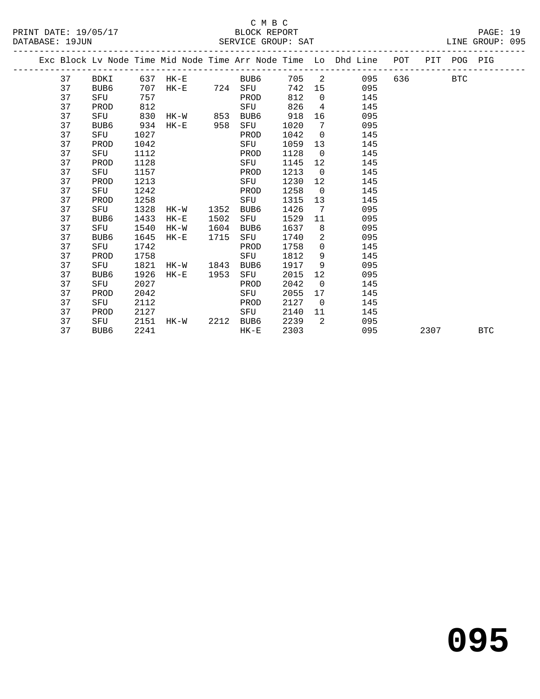|  |    |      |      |          |      |              |      |                | Exc Block Lv Node Time Mid Node Time Arr Node Time Lo Dhd Line POT |     |      | PIT POG PIG |            |
|--|----|------|------|----------|------|--------------|------|----------------|--------------------------------------------------------------------|-----|------|-------------|------------|
|  | 37 | BDKI |      | 637 HK-E |      | BUB6         | 705  | 2              | 095                                                                | 636 |      | <b>BTC</b>  |            |
|  | 37 | BUB6 | 707  |          |      | HK-E 724 SFU | 742  | 15             | 095                                                                |     |      |             |            |
|  | 37 | SFU  | 757  |          |      | PROD         | 812  | $\Omega$       | 145                                                                |     |      |             |            |
|  | 37 | PROD | 812  |          |      | SFU          | 826  | 4              | 145                                                                |     |      |             |            |
|  | 37 | SFU  | 830  | HK-W 853 |      | BUB6         | 918  | 16             | 095                                                                |     |      |             |            |
|  | 37 | BUB6 | 934  | $HK-E$   | 958  | SFU          | 1020 | 7              | 095                                                                |     |      |             |            |
|  | 37 | SFU  | 1027 |          |      | PROD         | 1042 | $\overline{0}$ | 145                                                                |     |      |             |            |
|  | 37 | PROD | 1042 |          |      | SFU          | 1059 | 13             | 145                                                                |     |      |             |            |
|  | 37 | SFU  | 1112 |          |      | PROD         | 1128 | $\Omega$       | 145                                                                |     |      |             |            |
|  | 37 | PROD | 1128 |          |      | SFU          | 1145 | 12             | 145                                                                |     |      |             |            |
|  | 37 | SFU  | 1157 |          |      | PROD         | 1213 | $\overline{0}$ | 145                                                                |     |      |             |            |
|  | 37 | PROD | 1213 |          |      | SFU          | 1230 | 12             | 145                                                                |     |      |             |            |
|  | 37 | SFU  | 1242 |          |      | PROD         | 1258 | $\Omega$       | 145                                                                |     |      |             |            |
|  | 37 | PROD | 1258 |          |      | SFU          | 1315 | 13             | 145                                                                |     |      |             |            |
|  | 37 | SFU  | 1328 | HK-W     | 1352 | BUB6         | 1426 | $\overline{7}$ | 095                                                                |     |      |             |            |
|  | 37 | BUB6 | 1433 | $HK-E$   | 1502 | SFU          | 1529 | 11             | 095                                                                |     |      |             |            |
|  | 37 | SFU  | 1540 | HK-W     | 1604 | BUB6         | 1637 | 8              | 095                                                                |     |      |             |            |
|  | 37 | BUB6 | 1645 | $HK-E$   | 1715 | SFU          | 1740 | $\overline{2}$ | 095                                                                |     |      |             |            |
|  | 37 | SFU  | 1742 |          |      | PROD         | 1758 | $\overline{0}$ | 145                                                                |     |      |             |            |
|  | 37 | PROD | 1758 |          |      | SFU          | 1812 | 9              | 145                                                                |     |      |             |            |
|  | 37 | SFU  | 1821 | HK-W     | 1843 | BUB6         | 1917 | 9              | 095                                                                |     |      |             |            |
|  | 37 | BUB6 | 1926 | $HK-E$   | 1953 | SFU          | 2015 | 12             | 095                                                                |     |      |             |            |
|  | 37 | SFU  | 2027 |          |      | PROD         | 2042 | $\overline{0}$ | 145                                                                |     |      |             |            |
|  | 37 | PROD | 2042 |          |      | SFU          | 2055 | 17             | 145                                                                |     |      |             |            |
|  | 37 | SFU  | 2112 |          |      | PROD         | 2127 | $\overline{0}$ | 145                                                                |     |      |             |            |
|  | 37 | PROD | 2127 |          |      | SFU          | 2140 | 11             | 145                                                                |     |      |             |            |
|  | 37 | SFU  | 2151 | $HK-W$   | 2212 | BUB6         | 2239 | $\overline{2}$ | 095                                                                |     |      |             |            |
|  | 37 | BUB6 | 2241 |          |      | $HK-E$       | 2303 |                | 095                                                                |     | 2307 |             | <b>BTC</b> |
|  |    |      |      |          |      |              |      |                |                                                                    |     |      |             |            |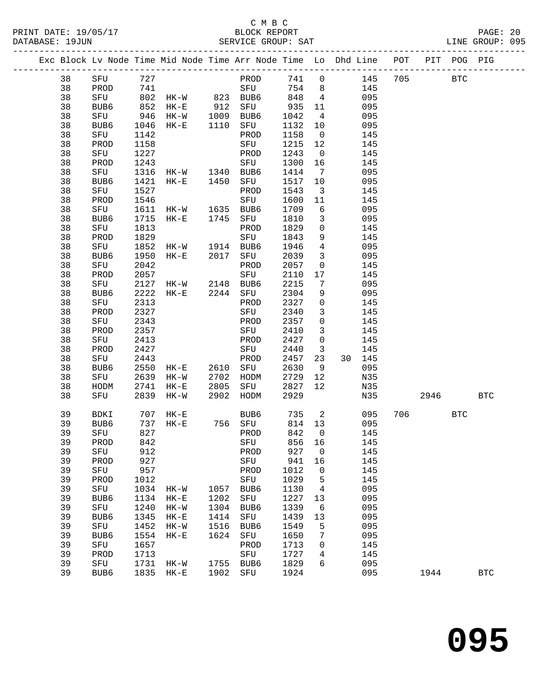### C M B C<br>BLOCK REPORT

|          |                  |            |                                                                                |      |                                                         |                                                            |                         |                   |            | PAGE: 20<br>LINE GROUP: 095 |  |
|----------|------------------|------------|--------------------------------------------------------------------------------|------|---------------------------------------------------------|------------------------------------------------------------|-------------------------|-------------------|------------|-----------------------------|--|
|          |                  |            | Exc Block Lv Node Time Mid Node Time Arr Node Time Lo Dhd Line POT PIT POG PIG |      |                                                         |                                                            |                         |                   |            |                             |  |
|          |                  |            | 38 SFU 727 PROD 741 0 145 705                                                  |      |                                                         |                                                            |                         |                   | <b>BTC</b> |                             |  |
| 38       | PROD             | 741        |                                                                                |      | SFU                                                     |                                                            |                         | 754 8 145         |            |                             |  |
| 38       | SFU              |            | 802 HK-W 823 BUB6 848 4 095                                                    |      |                                                         |                                                            |                         |                   |            |                             |  |
| 38       |                  |            | BUB6 852 HK-E 912 SFU<br>SFU 946 HK-W 1009 BUB6<br>BUB6 1046 HK-E 1110 SFU     |      |                                                         | $\begin{array}{rrrr} & 935 & 11 \\ 1042 & & 4 \end{array}$ |                         | 095               |            |                             |  |
| 38       |                  |            |                                                                                |      |                                                         |                                                            | $4\overline{4}$         | 095               |            |                             |  |
| 38       |                  |            |                                                                                |      |                                                         | 1132 10                                                    |                         | 095               |            |                             |  |
| 38       | SFU              | 1142       |                                                                                |      | PROD                                                    | 1158                                                       | $\overline{0}$          | 145               |            |                             |  |
| 38       | PROD             | 1158       |                                                                                |      | SFU                                                     | 1215 12                                                    |                         | 145               |            |                             |  |
| 38       | SFU              | 1227       |                                                                                |      | PROD                                                    | 1243                                                       | $\overline{0}$          | 145               |            |                             |  |
| 38<br>38 | PROD<br>SFU      | 1243       | 1316 HK-W 1340 BUB6                                                            |      | SFU                                                     | 1300 16<br>1414                                            | $\overline{7}$          | 145<br>095        |            |                             |  |
| 38       | BUB6             | 1421       | HK-E 1450 SFU                                                                  |      |                                                         | 1517                                                       | 10                      | 095               |            |                             |  |
| 38       | SFU              | 1527       |                                                                                |      | PROD                                                    | 1543                                                       | $\overline{\mathbf{3}}$ | 145               |            |                             |  |
| 38       | PROD             | 1546       |                                                                                |      | SFU                                                     | 1600                                                       | 11                      | 145               |            |                             |  |
| 38       | SFU              |            | 1611 HK-W 1635 BUB6                                                            |      |                                                         | 1709                                                       | 6                       | 095               |            |                             |  |
| 38       | BUB6             | 1715       | HK-E 1745 SFU                                                                  |      |                                                         | 1810                                                       | $\overline{3}$          | 095               |            |                             |  |
| 38       | SFU              | 1813       |                                                                                |      | PROD                                                    | 1829                                                       | $\overline{0}$          | 145               |            |                             |  |
| 38       | PROD             | 1829       |                                                                                |      | SFU                                                     | 1843                                                       | 9                       | 145               |            |                             |  |
| 38       | SFU              |            | 1852 HK-W 1914 BUB6                                                            |      |                                                         | 1946                                                       | $\overline{4}$          | 095               |            |                             |  |
| 38       | BUB6             | 1950       | HK-E 2017 SFU                                                                  |      |                                                         | 2039                                                       | $\overline{3}$          | 095               |            |                             |  |
| 38       | SFU              | 2042       |                                                                                |      | PROD                                                    | 2057                                                       | $\overline{0}$          | 145               |            |                             |  |
| 38       | PROD             | 2057       |                                                                                |      | SFU                                                     | 2110                                                       | 17                      | 145               |            |                             |  |
| 38       | SFU              |            | 2127 HK-W 2148 BUB6                                                            |      |                                                         | 2215                                                       | $\overline{7}$          | 095               |            |                             |  |
| 38       | BUB6             | 2222       |                                                                                |      | HK-E 2244 SFU 2304                                      |                                                            | 9                       | 095               |            |                             |  |
| 38       | SFU              | 2313       |                                                                                |      | PROD                                                    | 2327                                                       | $\overline{0}$          | 145               |            |                             |  |
| 38       | PROD             | 2327       |                                                                                |      | SFU 2340                                                |                                                            | $\mathbf{3}$            | 145               |            |                             |  |
| 38       | SFU              | 2343       |                                                                                |      | PROD                                                    | 2357                                                       | $\overline{0}$          | 145               |            |                             |  |
| 38       | PROD             | 2357       |                                                                                |      | SFU                                                     | 2410                                                       | $\overline{3}$          | 145               |            |                             |  |
| 38       | SFU              | 2413       |                                                                                |      | PROD                                                    | 2427                                                       | $\overline{0}$          | 145               |            |                             |  |
| 38       | PROD             | 2427       |                                                                                |      | SFU                                                     | 2440                                                       | $\overline{\mathbf{3}}$ | 145               |            |                             |  |
| 38       | SFU<br>BUB6      | 2443       | 2550 HK-E 2610 SFU                                                             |      | PROD                                                    | 2457<br>2630                                               | 23<br>9                 | 30 145<br>095     |            |                             |  |
| 38<br>38 | SFU              |            | 2639 HK-W                                                                      |      |                                                         |                                                            |                         |                   |            |                             |  |
| 38       | HODM             |            | 2741 HK-E                                                                      |      | 2002 HODM 2729 12<br>2805 SFU 2827 12<br>2902 HODM 2929 |                                                            |                         | N35<br>N35        |            |                             |  |
| 38       | SFU <sup>L</sup> |            | 2839 HK-W                                                                      |      |                                                         |                                                            |                         | ctN<br>N35        | 2946       | <b>BTC</b>                  |  |
|          |                  |            |                                                                                |      |                                                         |                                                            |                         |                   |            |                             |  |
| 39       | BDKI             |            | 707 HK-E                                                                       |      | BUB6                                                    |                                                            |                         | 735 2 095 706 BTC |            |                             |  |
|          |                  |            | 39 BUB6 737 HK-E 756 SFU 814 13 095                                            |      |                                                         |                                                            |                         |                   |            |                             |  |
| 39       | SFU              | 827        |                                                                                |      | PROD                                                    | 842                                                        | 0                       | 145               |            |                             |  |
| 39       | PROD             | 842        |                                                                                |      | SFU                                                     | 856                                                        | 16                      | 145               |            |                             |  |
| 39       | SFU              | 912<br>927 |                                                                                |      | PROD                                                    | 927                                                        | 0                       | 145               |            |                             |  |
| 39<br>39 | PROD<br>SFU      | 957        |                                                                                |      | ${\rm SFU}$<br>PROD                                     | 941<br>1012                                                | 16<br>$\mathsf 0$       | 145<br>145        |            |                             |  |
| 39       | PROD             | 1012       |                                                                                |      | SFU                                                     | 1029                                                       | 5                       | 145               |            |                             |  |
| 39       | SFU              | 1034       | $HK-W$                                                                         | 1057 | BUB6                                                    | 1130                                                       | 4                       | 095               |            |                             |  |
| 39       | BUB6             | 1134       | $HK-E$                                                                         | 1202 | SFU                                                     | 1227                                                       | 13                      | 095               |            |                             |  |
| 39       | SFU              | 1240       | $HK-W$                                                                         | 1304 | BUB <sub>6</sub>                                        | 1339                                                       | 6                       | 095               |            |                             |  |
| 39       | BUB6             | 1345       | $HK-E$                                                                         | 1414 | SFU                                                     | 1439                                                       | 13                      | 095               |            |                             |  |
| 39       | SFU              | 1452       | $HK-W$                                                                         | 1516 | BUB6                                                    | 1549                                                       | 5                       | 095               |            |                             |  |
| 39       | BUB6             | 1554       | $HK-E$                                                                         | 1624 | SFU                                                     | 1650                                                       | 7                       | 095               |            |                             |  |
| 39       | ${\rm SFU}$      | 1657       |                                                                                |      | PROD                                                    | 1713                                                       | 0                       | 145               |            |                             |  |
| 39       | PROD             | 1713       |                                                                                |      | SFU                                                     | 1727                                                       | 4                       | 145               |            |                             |  |
| 39       | SFU              | 1731       | $HK-W$                                                                         | 1755 | BUB6                                                    | 1829                                                       | 6                       | 095               |            |                             |  |
| 39       | BUB6             | 1835       | $HK-E$                                                                         | 1902 | SFU                                                     | 1924                                                       |                         | 095               | 1944       | $_{\rm BTC}$                |  |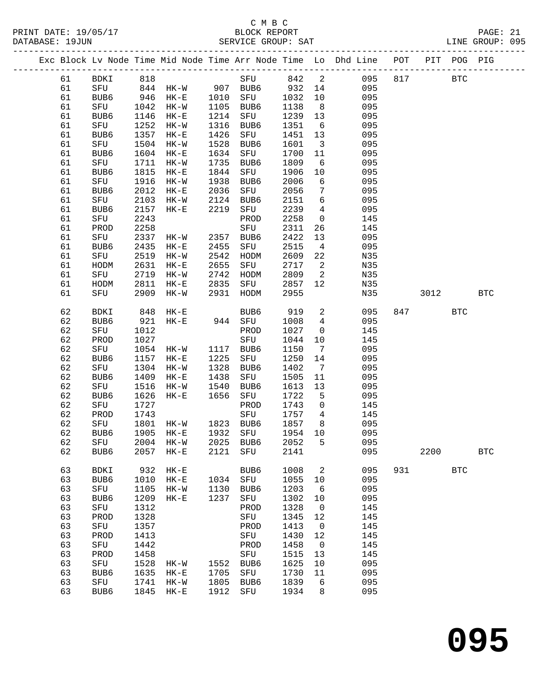#### C M B C DATABASE: 19JUN SERVICE GROUP: SAT LINE GROUP: 095

------------------------------------------------------------------------------------------------- Exc Block Lv Node Time Mid Node Time Arr Node Time Lo Dhd Line POT PIT POG PIG -------------------------------------------------------------------------------------------------

61 BDKI 818 SFU 842 2 095 817 BTC

 61 SFU 844 HK-W 907 BUB6 932 14 095 61 BUB6 946 HK-E 1010 SFU 1032 10 095

 63 SFU 1741 HK-W 1805 BUB6 1839 6 095 63 BUB6 1845 HK-E 1912 SFU 1934 8 095

| 61 | SFU         | 1042 | $HK-W$    | 1105     | BUB6         | 1138    | 8               | 095 |     |      |              |            |  |
|----|-------------|------|-----------|----------|--------------|---------|-----------------|-----|-----|------|--------------|------------|--|
| 61 | BUB6        | 1146 | $HK-E$    | 1214     | SFU          | 1239    | $13$            | 095 |     |      |              |            |  |
| 61 | SFU         | 1252 | $HK-W$    | 1316     | BUB6         | 1351    | 6               | 095 |     |      |              |            |  |
| 61 | BUB6        | 1357 | $HK-E$    | 1426     | SFU          | 1451    | 13              | 095 |     |      |              |            |  |
| 61 | SFU         | 1504 | $HK-W$    | 1528     | BUB6         | 1601    | $\mathbf{3}$    | 095 |     |      |              |            |  |
| 61 | BUB6        | 1604 | $HK-E$    | 1634     | SFU          | 1700    | 11              | 095 |     |      |              |            |  |
| 61 | SFU         | 1711 | $HK-W$    | 1735     | BUB6         | 1809    | 6               | 095 |     |      |              |            |  |
| 61 | BUB6        | 1815 | $HK-E$    | 1844     | SFU          | 1906    | 10              | 095 |     |      |              |            |  |
| 61 | SFU         | 1916 | $HK-W$    | 1938     | BUB6         | 2006    | 6               | 095 |     |      |              |            |  |
| 61 | BUB6        | 2012 | $HK-E$    | 2036     | SFU          | 2056    | 7               | 095 |     |      |              |            |  |
| 61 | SFU         | 2103 | $HK-W$    | 2124     | BUB6         | 2151    | 6               | 095 |     |      |              |            |  |
| 61 | BUB6        | 2157 | $HK-E$    | 2219     | SFU          | 2239    | 4               | 095 |     |      |              |            |  |
| 61 | SFU         | 2243 |           |          | PROD         | 2258    | $\mathsf 0$     | 145 |     |      |              |            |  |
| 61 | PROD        | 2258 |           |          | SFU          | 2311    | 26              | 145 |     |      |              |            |  |
| 61 | SFU         | 2337 | $HK-W$    | 2357     | BUB6         | 2422    | 13              | 095 |     |      |              |            |  |
| 61 | BUB6        | 2435 | $HK-E$    | 2455     | SFU          | 2515    | $\overline{4}$  | 095 |     |      |              |            |  |
| 61 | SFU         | 2519 | $HK-W$    | 2542     | HODM         | 2609    | 22              | N35 |     |      |              |            |  |
| 61 | HODM        | 2631 | $HK-E$    | 2655     | SFU          | 2717    | 2               | N35 |     |      |              |            |  |
| 61 | SFU         | 2719 | $HK-W$    | 2742     | HODM         | 2809    | $\sqrt{2}$      | N35 |     |      |              |            |  |
| 61 | HODM        | 2811 | $HK-E$    | 2835     | SFU          | 2857    | 12              | N35 |     |      |              |            |  |
| 61 | SFU         | 2909 | $HK-W$    | 2931     | HODM         | 2955    |                 | N35 |     | 3012 |              | <b>BTC</b> |  |
|    |             |      |           |          |              |         |                 |     |     |      |              |            |  |
| 62 | BDKI        | 848  | $HK-E$    |          | BUB6         | 919     | 2               | 095 | 847 |      | $_{\rm BTC}$ |            |  |
| 62 | BUB6        | 921  | $HK-E$    | 944      | SFU          | 1008    | $\overline{4}$  | 095 |     |      |              |            |  |
| 62 | SFU         | 1012 |           |          | ${\tt PROD}$ | 1027    | $\mathsf{O}$    | 145 |     |      |              |            |  |
| 62 | PROD        | 1027 |           |          | SFU          | 1044    | 10              | 145 |     |      |              |            |  |
| 62 | SFU         | 1054 | $HK-W$    | 1117     | BUB6         | 1150    | 7               | 095 |     |      |              |            |  |
| 62 | BUB6        | 1157 | $HK-E$    | 1225     | SFU          | 1250    | 14              | 095 |     |      |              |            |  |
| 62 | SFU         | 1304 | $HK-W$    | 1328     | BUB6         | 1402    | $7\phantom{.0}$ | 095 |     |      |              |            |  |
| 62 | BUB6        | 1409 | $HK-E$    | 1438     | SFU          | 1505    | 11              | 095 |     |      |              |            |  |
| 62 | SFU         | 1516 | HK-W      | 1540     | BUB6         | 1613    | 13              | 095 |     |      |              |            |  |
| 62 | BUB6        | 1626 | $HK-E$    | 1656     | SFU          | 1722    | 5               | 095 |     |      |              |            |  |
| 62 | SFU         | 1727 |           |          | PROD         | 1743    | 0               | 145 |     |      |              |            |  |
| 62 | PROD        | 1743 |           |          | ${\rm SFU}$  | 1757    | $\overline{4}$  | 145 |     |      |              |            |  |
| 62 | SFU         | 1801 | $HK-W$    | 1823     | BUB6         | 1857    | 8               | 095 |     |      |              |            |  |
| 62 | BUB6        | 1905 | $HK-E$    | 1932     | SFU          | 1954    | 10              | 095 |     |      |              |            |  |
| 62 | SFU         | 2004 | $HK-W$    | 2025     | BUB6         | 2052    | 5               | 095 |     |      |              |            |  |
| 62 | BUB6        | 2057 | $HK-E$    | 2121     | SFU          | 2141    |                 | 095 |     | 2200 |              | <b>BTC</b> |  |
|    |             |      |           |          |              |         |                 |     |     |      |              |            |  |
| 63 | <b>BDKI</b> | 932  | $HK-E$    |          | BUB6         | 1008    | 2               | 095 | 931 |      | $_{\rm BTC}$ |            |  |
| 63 | BUB6        | 1010 | $HK-E$    | 1034     | SFU          | 1055    | 10              | 095 |     |      |              |            |  |
| 63 | SFU         | 1105 | $HK-W$    | 1130     | BUB6         | 1203    | 6               | 095 |     |      |              |            |  |
| 63 | BUB6        |      | 1209 HK-E | 1237     | SFU          | 1302 10 |                 | 095 |     |      |              |            |  |
| 63 | SFU         | 1312 |           |          | PROD         | 1328    | $\mathbf 0$     | 145 |     |      |              |            |  |
| 63 | PROD        | 1328 |           |          | SFU          | 1345    | 12              | 145 |     |      |              |            |  |
| 63 | SFU         | 1357 |           |          | PROD         | 1413    | $\mathbf 0$     | 145 |     |      |              |            |  |
| 63 | PROD        | 1413 |           |          | SFU          | 1430    | 12              | 145 |     |      |              |            |  |
| 63 | SFU         | 1442 |           |          | PROD         | 1458    | $\mathbf 0$     | 145 |     |      |              |            |  |
| 63 | PROD        | 1458 |           |          | SFU          | 1515    | 13              | 145 |     |      |              |            |  |
| 63 | SFU         | 1528 | HK-W      |          | 1552 BUB6    | 1625    | 10              | 095 |     |      |              |            |  |
| 63 | BUB6        |      | 1635 HK-E | 1705 SFU |              | 1730    | 11              | 095 |     |      |              |            |  |
|    |             |      |           |          |              |         |                 |     |     |      |              |            |  |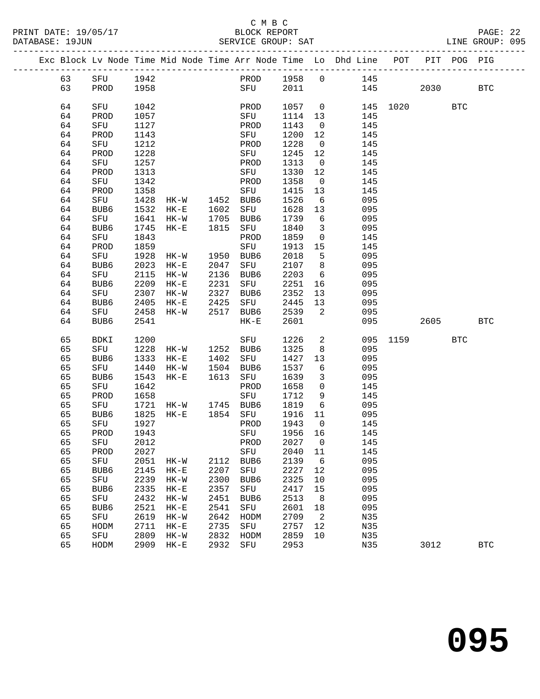#### C M B C<br>BLOCK REPORT SERVICE GROUP: SAT

|  |          | Exc Block Lv Node Time Mid Node Time Arr Node Time Lo Dhd Line POT |              |          |      |             |              |                   |            |      |      | PIT POG PIG |            |
|--|----------|--------------------------------------------------------------------|--------------|----------|------|-------------|--------------|-------------------|------------|------|------|-------------|------------|
|  | 63       | SFU                                                                | 1942         |          |      | PROD        | 1958         | $\Omega$          | 145        |      |      |             |            |
|  | 63       | PROD                                                               | 1958         |          |      | SFU         | 2011         |                   | 145        |      | 2030 |             | <b>BTC</b> |
|  |          |                                                                    |              |          |      |             |              |                   |            |      |      |             |            |
|  | 64       | SFU                                                                | 1042         |          |      | PROD        | 1057         | $\overline{0}$    | 145        | 1020 |      | <b>BTC</b>  |            |
|  | 64       | PROD                                                               | 1057         |          |      | SFU         | 1114         | 13                | 145        |      |      |             |            |
|  | 64       | SFU                                                                | 1127         |          |      | PROD        | 1143         | $\mathbf 0$       | 145        |      |      |             |            |
|  | 64       | PROD                                                               | 1143         |          |      | SFU         | 1200         | 12                | 145        |      |      |             |            |
|  | 64       | SFU                                                                | 1212         |          |      | PROD        | 1228         | $\mathbf 0$       | 145        |      |      |             |            |
|  | 64       | PROD                                                               | 1228         |          |      | SFU         | 1245         | 12                | 145        |      |      |             |            |
|  | 64       | SFU                                                                | 1257         |          |      | PROD        | 1313         | $\overline{0}$    | 145        |      |      |             |            |
|  | 64       | PROD                                                               | 1313         |          |      | SFU         | 1330         | 12                | 145        |      |      |             |            |
|  | 64       | SFU                                                                | 1342         |          |      | PROD        | 1358         | $\overline{0}$    | 145        |      |      |             |            |
|  | 64       | PROD                                                               | 1358         |          |      | SFU         | 1415         | 13                | 145        |      |      |             |            |
|  | 64       | SFU                                                                | 1428         | HK-W     | 1452 | BUB6        | 1526         | 6                 | 095        |      |      |             |            |
|  | 64       | BUB <sub>6</sub>                                                   | 1532         | $HK-E$   | 1602 | SFU         | 1628         | 13                | 095        |      |      |             |            |
|  | 64       | SFU                                                                | 1641         | $HK-W$   | 1705 | BUB6        | 1739         | 6                 | 095        |      |      |             |            |
|  | 64       | BUB6                                                               | 1745         | $HK - E$ | 1815 | SFU         | 1840         | $\mathbf{3}$      | 095        |      |      |             |            |
|  | 64<br>64 | SFU<br>PROD                                                        | 1843<br>1859 |          |      | PROD<br>SFU | 1859<br>1913 | $\mathbf 0$<br>15 | 145<br>145 |      |      |             |            |
|  | 64       | SFU                                                                | 1928         | HK-W     | 1950 | BUB6        | 2018         | 5                 | 095        |      |      |             |            |
|  | 64       | BUB <sub>6</sub>                                                   | 2023         | $HK-E$   | 2047 | SFU         | 2107         | 8                 | 095        |      |      |             |            |
|  | 64       | SFU                                                                | 2115         | $HK-W$   | 2136 | BUB6        | 2203         | 6                 | 095        |      |      |             |            |
|  | 64       | BUB <sub>6</sub>                                                   | 2209         | $HK-E$   | 2231 | SFU         | 2251         | 16                | 095        |      |      |             |            |
|  | 64       | SFU                                                                | 2307         | $HK-W$   | 2327 | BUB6        | 2352         | 13                | 095        |      |      |             |            |
|  | 64       | BUB <sub>6</sub>                                                   | 2405         | $HK-E$   | 2425 | SFU         | 2445         | 13                | 095        |      |      |             |            |
|  | 64       | SFU                                                                | 2458         | $HK-W$   | 2517 | BUB6        | 2539         | 2                 | 095        |      |      |             |            |
|  | 64       | BUB6                                                               | 2541         |          |      | $HK-E$      | 2601         |                   | 095        |      | 2605 |             | <b>BTC</b> |
|  |          |                                                                    |              |          |      |             |              |                   |            |      |      |             |            |
|  | 65       | BDKI                                                               | 1200         |          |      | SFU         | 1226         | $\overline{a}$    | 095        | 1159 |      | <b>BTC</b>  |            |
|  | 65       | SFU                                                                | 1228         | $HK-W$   | 1252 | BUB6        | 1325         | 8                 | 095        |      |      |             |            |
|  | 65       | BUB6                                                               | 1333         | $HK-E$   | 1402 | SFU         | 1427         | 13                | 095        |      |      |             |            |
|  | 65       | SFU                                                                | 1440         | $HK-W$   | 1504 | BUB6        | 1537         | 6                 | 095        |      |      |             |            |
|  | 65       | BUB6                                                               | 1543         | $HK-E$   | 1613 | SFU         | 1639         | 3                 | 095        |      |      |             |            |
|  | 65       | SFU                                                                | 1642         |          |      | PROD        | 1658         | $\mathsf{O}$      | 145        |      |      |             |            |
|  | 65       | PROD                                                               | 1658         |          |      | SFU         | 1712         | 9                 | 145        |      |      |             |            |
|  | 65       | SFU                                                                | 1721         | HK-W     | 1745 | BUB6        | 1819         | $\sqrt{6}$        | 095        |      |      |             |            |
|  | 65       | BUB6                                                               | 1825         | $HK - E$ | 1854 | SFU         | 1916         | 11                | 095        |      |      |             |            |
|  | 65       | SFU                                                                | 1927         |          |      | PROD        | 1943         | $\mathbf 0$       | 145        |      |      |             |            |
|  | 65       | PROD                                                               | 1943         |          |      | SFU         | 1956         | 16                | 145        |      |      |             |            |
|  | 65       | SFU                                                                | 2012         |          |      | PROD        | 2027         | $\mathbf 0$       | 145        |      |      |             |            |
|  | 65       | PROD                                                               | 2027         |          |      | SFU         | 2040         | 11                | 145        |      |      |             |            |
|  | 65       | SFU                                                                | 2051         | $HK-W$   | 2112 | BUB6        | 2139         | 6                 | 095        |      |      |             |            |
|  | 65       | BUB6                                                               | 2145         | $HK-E$   | 2207 | SFU         | 2227         | 12                | 095        |      |      |             |            |
|  | 65       | SFU                                                                | 2239         | $HK-W$   | 2300 | BUB6        | 2325         | 10                | 095        |      |      |             |            |
|  | 65       | BUB6                                                               | 2335         | $HK-E$   | 2357 | SFU         | 2417         | 15                | 095        |      |      |             |            |
|  | 65       | SFU                                                                | 2432         | $HK-W$   | 2451 | BUB6        | 2513         | 8                 | 095        |      |      |             |            |

 65 BUB6 2521 HK-E 2541 SFU 2601 18 095 65 SFU 2619 HK-W 2642 HODM 2709 2 N35 65 HODM 2711 HK-E 2735 SFU 2757 12 N35 65 SFU 2809 HK-W 2832 HODM 2859 10 N35

65 HODM 2909 HK-E 2932 SFU 2953 N35 3012 BTC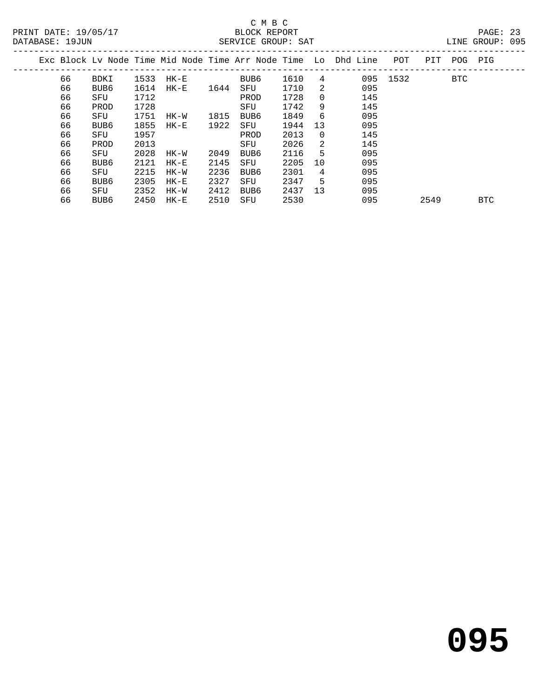|    |                  |      |          |      |      |      |    | Exc Block Ly Node Time Mid Node Time Arr Node Time Lo Dhd Line | POT  | PIT  | POG        | PIG        |  |
|----|------------------|------|----------|------|------|------|----|----------------------------------------------------------------|------|------|------------|------------|--|
| 66 | BDKI             | 1533 | $HK-E$   |      | BUB6 | 1610 | 4  | 095                                                            | 1532 |      | <b>BTC</b> |            |  |
| 66 | BUB <sub>6</sub> | 1614 | $HK - E$ | 1644 | SFU  | 1710 | 2  | 095                                                            |      |      |            |            |  |
| 66 | SFU              | 1712 |          |      | PROD | 1728 | 0  | 145                                                            |      |      |            |            |  |
| 66 | PROD             | 1728 |          |      | SFU  | 1742 | 9  | 145                                                            |      |      |            |            |  |
| 66 | SFU              | 1751 | HK-W     | 1815 | BUB6 | 1849 | 6  | 095                                                            |      |      |            |            |  |
| 66 | BUB <sub>6</sub> | 1855 | $HK-E$   | 1922 | SFU  | 1944 | 13 | 095                                                            |      |      |            |            |  |
| 66 | SFU              | 1957 |          |      | PROD | 2013 | 0  | 145                                                            |      |      |            |            |  |
| 66 | PROD             | 2013 |          |      | SFU  | 2026 | 2  | 145                                                            |      |      |            |            |  |
| 66 | SFU              | 2028 | HK-W     | 2049 | BUB6 | 2116 | 5  | 095                                                            |      |      |            |            |  |
| 66 | BUB <sub>6</sub> | 2121 | $HK-E$   | 2145 | SFU  | 2205 | 10 | 095                                                            |      |      |            |            |  |
| 66 | SFU              | 2215 | HK-W     | 2236 | BUB6 | 2301 | 4  | 095                                                            |      |      |            |            |  |
| 66 | BUB <sub>6</sub> | 2305 | $HK-E$   | 2327 | SFU  | 2347 | 5  | 095                                                            |      |      |            |            |  |
| 66 | SFU              | 2352 | HK-W     | 2412 | BUB6 | 2437 | 13 | 095                                                            |      |      |            |            |  |
| 66 | BUB6             | 2450 | HK-E     | 2510 | SFU  | 2530 |    | 095                                                            |      | 2549 |            | <b>BTC</b> |  |
|    |                  |      |          |      |      |      |    |                                                                |      |      |            |            |  |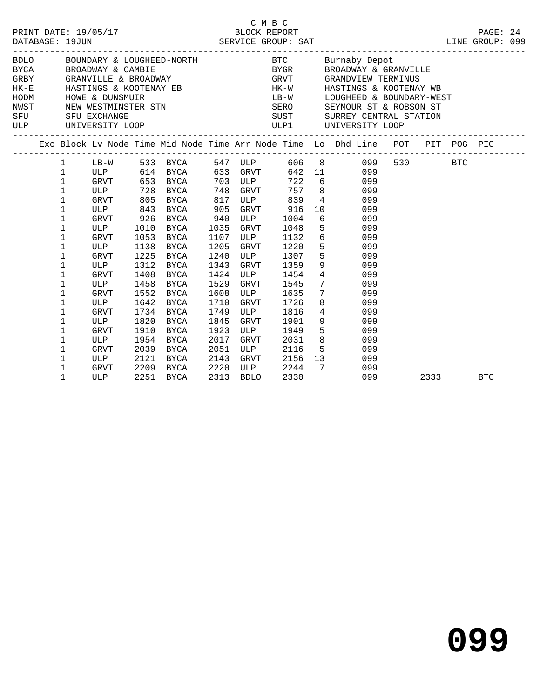|            |                                                                                          | PRINT DATE: 19/05/17                                                                  |                                                                                      |                                                                                                                            |                                                                              | C M B C                                                                                                       | BLOCK REPORT                                                                                 |                 |                                                                                                                                                                                                                                                                                                                                                                                                                         |  |      | PAGE: 24   |  |
|------------|------------------------------------------------------------------------------------------|---------------------------------------------------------------------------------------|--------------------------------------------------------------------------------------|----------------------------------------------------------------------------------------------------------------------------|------------------------------------------------------------------------------|---------------------------------------------------------------------------------------------------------------|----------------------------------------------------------------------------------------------|-----------------|-------------------------------------------------------------------------------------------------------------------------------------------------------------------------------------------------------------------------------------------------------------------------------------------------------------------------------------------------------------------------------------------------------------------------|--|------|------------|--|
| SFU<br>ULP |                                                                                          |                                                                                       |                                                                                      | HODM HOWE & DUNSMUIR<br>NWST NEW WESTMINSTER STN<br>CHILL CHILL CHILL                                                      |                                                                              |                                                                                                               |                                                                                              |                 | BDLO BOUNDARY & LOUGHEED-NORTH BTC Burnaby Depot<br>${\tt BYCA} \hspace{1.5cm} {\tt BROADWAY} \hspace{1.5cm} \& \hspace{1.5cm} {\tt CAMBIE} \hspace{1.5cm} {\tt S}{\tt ROMDWAY} \hspace{1.5cm} {\tt BROADWAY} \hspace{1.5cm} \& \hspace{1.5cm} {\tt BROADWAY} \hspace{1.5cm} {\tt GRANDVIEW} \hspace{1.5cm} {\tt TERMINUS}$<br>HK-E HASTINGS & KOOTENAY EB HK-W HASTINGS & KOOTENAY WB<br>LB-W LOUGHEED & BOUNDARY-WEST |  |      |            |  |
|            |                                                                                          |                                                                                       |                                                                                      |                                                                                                                            |                                                                              |                                                                                                               |                                                                                              |                 | Exc Block Lv Node Time Mid Node Time Arr Node Time Lo Dhd Line POT PIT POG PIG                                                                                                                                                                                                                                                                                                                                          |  |      |            |  |
|            | $\mathbf{1}$<br>$\mathbf{1}$<br>$\mathbf 1$<br>1<br>1<br>1<br>1<br>1<br>1<br>$\mathbf 1$ | ULP 843<br>GRVT 926<br>ULP<br><b>GRVT</b><br>ULP<br><b>GRVT</b>                       | 1010<br>1053<br>1138<br>1225                                                         | GRVT 653 BYCA 703 ULP<br>ULP 728 BYCA 748 GRVT<br>GRVT 805 BYCA 817<br><b>BYCA</b><br>BYCA<br>BYCA<br>BYCA<br>BYCA<br>BYCA | 905<br>940<br>1035<br>1205<br>1240                                           | <b>GRVT</b><br>1107 ULP<br>GRVT<br>ULP                                                                        | ULP 839<br>GRVT 916<br>ULP 1004<br>1048<br>1132<br>1220<br>1307                              |                 | 1 LB-W 533 BYCA 547 ULP 606 8 099 530 BTC<br>ULP 614 BYCA 633 GRVT 642 11 099<br>722 6 099<br>757 8 099<br>4 099<br>10 099<br>6 099<br>5 099<br>$\frac{6}{5}$<br>5<br>9<br>099<br>099<br>099                                                                                                                                                                                                                            |  |      |            |  |
|            | $\mathbf 1$<br>1<br>1<br>1<br>1<br>1<br>1<br>1<br>1<br>1<br>1<br>1                       | ULP<br><b>GRVT</b><br>ULP<br>GRVT<br>ULP<br>GRVT<br>ULP<br>GRVT<br>ULP<br>GRVT<br>ULP | 1408<br>1458<br>1552<br>1642<br>1734<br>1820<br>1910<br>1954<br>2039<br>2121<br>2209 | 1312 BYCA<br>BYCA<br>BYCA<br>BYCA<br>BYCA<br>BYCA<br>BYCA<br>BYCA<br>BYCA<br>BYCA<br>BYCA<br>BYCA                          | 1343<br>1424<br>1529<br>1608<br>1710<br>1749<br>1845<br>1923<br>2017<br>2051 | GRVT<br>ULP<br>GRVT<br>ULP<br>GRVT<br>ULP<br>GRVT<br>ULP<br>GRVT<br>ULP<br>2143 GRVT<br>2220 ULP<br>2313 BDLO | 1359<br>1454<br>1545<br>1635<br>1726<br>1816<br>1901<br>1949<br>2031<br>2116<br>2156<br>2244 | $7\overline{ }$ | 099<br>$4\overline{ }$<br>099<br>$7\overline{ }$<br>099<br>$7\overline{ }$<br>099<br>8<br>099<br>$4\overline{ }$<br>099<br>$9 \left( \frac{1}{2} \right)$<br>099<br>$5^{\circ}$<br>099<br>8<br>099<br>5 099<br>13<br>099<br>099                                                                                                                                                                                         |  |      |            |  |
|            | $\mathbf{1}$                                                                             | GRVT<br>ULP                                                                           |                                                                                      | 2251 BYCA                                                                                                                  |                                                                              | 2313 BDLO                                                                                                     | 2330                                                                                         |                 | 099                                                                                                                                                                                                                                                                                                                                                                                                                     |  | 2333 | <b>BTC</b> |  |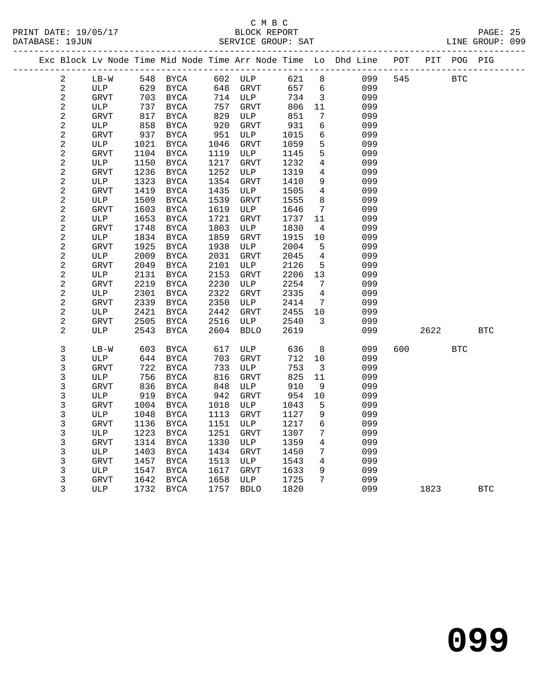|                          |                    |              |                     |              |             |              |                                    | Exc Block Lv Node Time Mid Node Time Arr Node Time Lo Dhd Line POT PIT POG PIG |     |      |            |            |
|--------------------------|--------------------|--------------|---------------------|--------------|-------------|--------------|------------------------------------|--------------------------------------------------------------------------------|-----|------|------------|------------|
| 2                        | $LB-W$             |              | 548 BYCA            |              | 602 ULP     | 621          | 8                                  | 099                                                                            | 545 |      | <b>BTC</b> |            |
| $\overline{2}$           | ULP                | 629          | BYCA                | 648          | GRVT        | 657          | 6                                  | 099                                                                            |     |      |            |            |
| $\sqrt{2}$               | GRVT               | 703          | BYCA                |              | 714 ULP     | 734          | $\overline{3}$                     | 099                                                                            |     |      |            |            |
| $\sqrt{2}$               | ULP                | 737          | BYCA                | 757          | <b>GRVT</b> | 806          | 11                                 | 099                                                                            |     |      |            |            |
| $\sqrt{2}$               | <b>GRVT</b>        | 817          | BYCA                | 829          | ULP         | 851          | 7                                  | 099                                                                            |     |      |            |            |
| $\overline{c}$           | ULP                | 858          | BYCA                | 920          | GRVT        | 931          | 6                                  | 099                                                                            |     |      |            |            |
| 2                        | <b>GRVT</b>        | 937          | BYCA                | 951          | ULP         | 1015         | 6                                  | 099                                                                            |     |      |            |            |
| $\sqrt{2}$               | ULP                | 1021         | BYCA                | 1046         | <b>GRVT</b> | 1059         | 5                                  | 099                                                                            |     |      |            |            |
| $\sqrt{2}$               | <b>GRVT</b>        | 1104         | BYCA                | 1119         | ULP         | 1145         | 5                                  | 099                                                                            |     |      |            |            |
| $\sqrt{2}$               | ULP                | 1150         | BYCA                | 1217         | GRVT        | 1232         | $\overline{4}$                     | 099                                                                            |     |      |            |            |
| $\overline{a}$           | <b>GRVT</b>        | 1236         | BYCA                | 1252         | ULP         | 1319         | $\overline{4}$                     | 099                                                                            |     |      |            |            |
| $\sqrt{2}$               | ULP                | 1323         | BYCA                | 1354         | GRVT        | 1410         | 9<br>$\overline{4}$                | 099                                                                            |     |      |            |            |
| $\sqrt{2}$<br>$\sqrt{2}$ | <b>GRVT</b>        | 1419<br>1509 | BYCA<br><b>BYCA</b> | 1435<br>1539 | ULP         | 1505<br>1555 | 8                                  | 099<br>099                                                                     |     |      |            |            |
| $\sqrt{2}$               | ULP                | 1603         |                     | 1619         | GRVT        | 1646         |                                    |                                                                                |     |      |            |            |
|                          | <b>GRVT</b>        | 1653         | BYCA                | 1721         | ULP         |              | 7                                  | 099<br>099                                                                     |     |      |            |            |
| $\sqrt{2}$<br>$\sqrt{2}$ | ULP<br><b>GRVT</b> | 1748         | BYCA<br><b>BYCA</b> | 1803         | GRVT<br>ULP | 1737<br>1830 | 11<br>$\overline{4}$               | 099                                                                            |     |      |            |            |
| $\sqrt{2}$               | ULP                | 1834         | BYCA                | 1859         | <b>GRVT</b> | 1915         | 10                                 | 099                                                                            |     |      |            |            |
| $\sqrt{2}$               | <b>GRVT</b>        | 1925         | BYCA                | 1938         | ULP         | 2004         | 5                                  | 099                                                                            |     |      |            |            |
| 2                        | ULP                | 2009         | BYCA                | 2031         | GRVT        | 2045         | $\overline{4}$                     | 099                                                                            |     |      |            |            |
| $\sqrt{2}$               | <b>GRVT</b>        | 2049         | BYCA                | 2101         | ULP         | 2126         | 5                                  | 099                                                                            |     |      |            |            |
| $\sqrt{2}$               | ULP                | 2131         | <b>BYCA</b>         | 2153         | GRVT        | 2206         | 13                                 | 099                                                                            |     |      |            |            |
| $\sqrt{2}$               | <b>GRVT</b>        | 2219         | $_{\rm BYCA}$       | 2230         | ULP         | 2254         | 7                                  | 099                                                                            |     |      |            |            |
| $\sqrt{2}$               | ULP                | 2301         | BYCA                | 2322         | GRVT        | 2335         | $\overline{4}$                     | 099                                                                            |     |      |            |            |
| $\sqrt{2}$               | <b>GRVT</b>        | 2339         | BYCA                | 2350         | ULP         | 2414         | 7                                  | 099                                                                            |     |      |            |            |
| $\overline{c}$           | ULP                | 2421         | BYCA                | 2442         | GRVT        | 2455         | 10                                 | 099                                                                            |     |      |            |            |
| $\sqrt{2}$               | GRVT               | 2505         | BYCA                | 2516         | ULP         | 2540         | 3                                  | 099                                                                            |     |      |            |            |
| 2                        | ULP                | 2543         | BYCA                | 2604         | <b>BDLO</b> | 2619         |                                    | 099                                                                            |     | 2622 |            | <b>BTC</b> |
|                          |                    |              |                     |              |             |              |                                    |                                                                                |     |      |            |            |
| 3                        | $LB-W$             | 603          | BYCA                | 617          | ULP         | 636          | 8                                  | 099                                                                            | 600 |      | <b>BTC</b> |            |
| 3                        | ULP                | 644          | BYCA                | 703          | GRVT        | 712          | 10                                 | 099                                                                            |     |      |            |            |
| 3                        | <b>GRVT</b>        | 722          | <b>BYCA</b>         | 733          | ULP         | 753          | $\overline{\mathbf{3}}$            | 099                                                                            |     |      |            |            |
| 3                        | ULP                | 756          | BYCA                | 816          | GRVT        | 825          | 11                                 | 099                                                                            |     |      |            |            |
| 3                        | <b>GRVT</b>        | 836          | BYCA                | 848          | ULP         | 910          | 9                                  | 099                                                                            |     |      |            |            |
| 3                        | ULP                | 919          | BYCA                | 942          | <b>GRVT</b> | 954          | 10                                 | 099                                                                            |     |      |            |            |
| 3                        | GRVT               | 1004         | BYCA                | 1018         | ULP         | 1043         | 5                                  | 099                                                                            |     |      |            |            |
| $\mathsf{3}$             | ULP                | 1048         | <b>BYCA</b>         | 1113         | GRVT        | 1127         | 9                                  | 099                                                                            |     |      |            |            |
| 3                        | <b>GRVT</b>        | 1136         | BYCA                | 1151         | ULP         | 1217         | $6\overline{6}$<br>$7\phantom{.0}$ | 099                                                                            |     |      |            |            |
| 3                        | ULP                | 1223         | BYCA                | 1251         | GRVT        | 1307         |                                    | 099                                                                            |     |      |            |            |
| 3                        | <b>GRVT</b>        | 1314         | BYCA                | 1330         | ULP         | 1359         | 4                                  | 099                                                                            |     |      |            |            |
| 3<br>$\mathsf{3}$        | ULP                | 1403         | <b>BYCA</b>         | 1434<br>1513 | <b>GRVT</b> | 1450         | 7<br>$\overline{4}$                | 099<br>099                                                                     |     |      |            |            |
| 3                        | GRVT<br>ULP        | 1457<br>1547 | BYCA<br><b>BYCA</b> | 1617         | ULP         | 1543<br>1633 | 9                                  | 099                                                                            |     |      |            |            |
| 3                        | GRVT               | 1642         | BYCA                | 1658         | GRVT<br>ULP | 1725         | $7\phantom{.0}$                    | 099                                                                            |     |      |            |            |
| 3                        | ULP                |              | 1732 BYCA           | 1757         | <b>BDLO</b> | 1820         |                                    | 099                                                                            |     | 1823 |            | <b>BTC</b> |
|                          |                    |              |                     |              |             |              |                                    |                                                                                |     |      |            |            |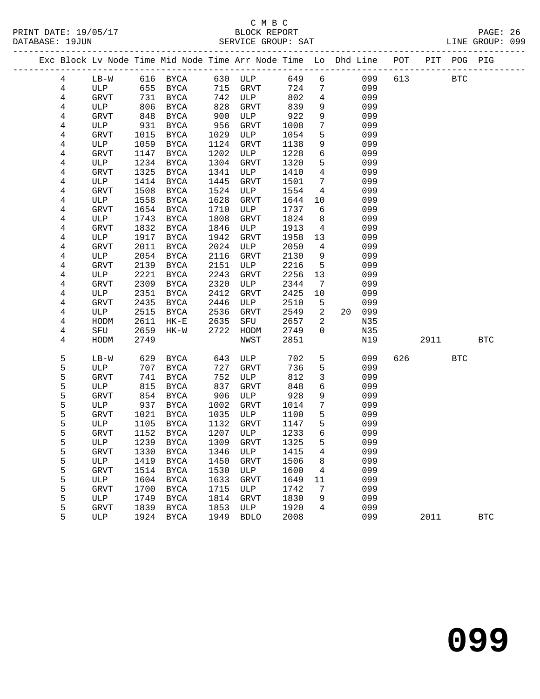|  |                |             |      | Exc Block Lv Node Time Mid Node Time Arr Node Time Lo Dhd Line POT PIT POG PIG |      |             |      |                 |    |     |     |      |            |            |
|--|----------------|-------------|------|--------------------------------------------------------------------------------|------|-------------|------|-----------------|----|-----|-----|------|------------|------------|
|  | 4              | $LB-W$      |      | 616 BYCA 630 ULP                                                               |      |             | 649  | 6               |    | 099 | 613 |      | <b>BTC</b> |            |
|  | $\overline{4}$ | ULP         | 655  | BYCA                                                                           | 715  | GRVT        | 724  | 7               |    | 099 |     |      |            |            |
|  | 4              | GRVT        | 731  | BYCA                                                                           | 742  | ULP         | 802  | $\overline{4}$  |    | 099 |     |      |            |            |
|  | 4              | ULP         | 806  | BYCA                                                                           | 828  | GRVT        | 839  | 9               |    | 099 |     |      |            |            |
|  | 4              | GRVT        | 848  | BYCA                                                                           | 900  | ULP         | 922  | $\mathsf 9$     |    | 099 |     |      |            |            |
|  | 4              | ULP         | 931  | BYCA                                                                           | 956  | GRVT        | 1008 | $7\phantom{.0}$ |    | 099 |     |      |            |            |
|  | 4              | GRVT        | 1015 | BYCA                                                                           | 1029 | ULP         | 1054 | 5               |    | 099 |     |      |            |            |
|  | 4              | ULP         | 1059 | BYCA                                                                           | 1124 | GRVT        | 1138 | 9               |    | 099 |     |      |            |            |
|  | 4              | GRVT        | 1147 | BYCA                                                                           | 1202 | ULP         | 1228 | $\sqrt{6}$      |    | 099 |     |      |            |            |
|  | 4              | ULP         | 1234 | BYCA                                                                           | 1304 | GRVT        | 1320 | $5\phantom{.0}$ |    | 099 |     |      |            |            |
|  | 4              | GRVT        | 1325 | BYCA                                                                           | 1341 | ULP         | 1410 | $\overline{4}$  |    | 099 |     |      |            |            |
|  | 4              | ULP         | 1414 | BYCA                                                                           | 1445 | GRVT        | 1501 | 7               |    | 099 |     |      |            |            |
|  | $\overline{4}$ | GRVT        | 1508 | BYCA                                                                           | 1524 | ULP         | 1554 | $\overline{4}$  |    | 099 |     |      |            |            |
|  | 4              | ULP         | 1558 | BYCA                                                                           | 1628 | GRVT        | 1644 | 10              |    | 099 |     |      |            |            |
|  | 4              | GRVT        | 1654 | BYCA                                                                           | 1710 | ULP         | 1737 | 6               |    | 099 |     |      |            |            |
|  | 4              | ULP         | 1743 | BYCA                                                                           | 1808 | GRVT        | 1824 | 8               |    | 099 |     |      |            |            |
|  | 4              | GRVT        | 1832 | <b>BYCA</b>                                                                    | 1846 | ULP         | 1913 | $\overline{4}$  |    | 099 |     |      |            |            |
|  | 4              | ULP         | 1917 | BYCA                                                                           | 1942 | GRVT        | 1958 | 13              |    | 099 |     |      |            |            |
|  | 4              | GRVT        | 2011 | BYCA                                                                           | 2024 | ULP         | 2050 | $\overline{4}$  |    | 099 |     |      |            |            |
|  | 4              | ULP         | 2054 | BYCA                                                                           | 2116 | GRVT        | 2130 | 9               |    | 099 |     |      |            |            |
|  | 4              | <b>GRVT</b> | 2139 | BYCA                                                                           | 2151 | ULP         | 2216 | 5               |    | 099 |     |      |            |            |
|  | 4              | ULP         | 2221 | BYCA                                                                           | 2243 | GRVT        | 2256 | 13              |    | 099 |     |      |            |            |
|  | 4              | GRVT        | 2309 | BYCA                                                                           | 2320 | ULP         | 2344 | 7               |    | 099 |     |      |            |            |
|  | 4              | ULP         | 2351 | BYCA                                                                           | 2412 | GRVT        | 2425 | 10              |    | 099 |     |      |            |            |
|  | 4              | GRVT        | 2435 | BYCA                                                                           | 2446 | ULP         | 2510 | 5               |    | 099 |     |      |            |            |
|  | 4              | ULP         | 2515 | BYCA                                                                           | 2536 | GRVT        | 2549 | $\overline{2}$  | 20 | 099 |     |      |            |            |
|  | 4              | HODM        | 2611 | $HK-E$                                                                         | 2635 | SFU         | 2657 | 2               |    | N35 |     |      |            |            |
|  | 4              | SFU         | 2659 | HK-W                                                                           | 2722 | HODM        | 2749 | $\overline{0}$  |    | N35 |     |      |            |            |
|  | 4              | HODM        | 2749 |                                                                                |      | NWST        | 2851 |                 |    | N19 |     | 2911 |            | <b>BTC</b> |
|  | 5              | $LB-W$      | 629  | BYCA                                                                           | 643  | ULP         | 702  | 5               |    | 099 | 626 |      | <b>BTC</b> |            |
|  | 5              | ULP         | 707  | BYCA                                                                           | 727  | <b>GRVT</b> | 736  | $5\phantom{.0}$ |    | 099 |     |      |            |            |
|  | 5              | <b>GRVT</b> | 741  | BYCA                                                                           | 752  | ULP         | 812  | 3               |    | 099 |     |      |            |            |
|  | 5              | ULP         | 815  | BYCA                                                                           | 837  | <b>GRVT</b> | 848  | 6               |    | 099 |     |      |            |            |
|  | 5              | GRVT        | 854  | BYCA                                                                           | 906  | ULP         | 928  | $\,9$           |    | 099 |     |      |            |            |
|  | 5              | ULP         | 937  | BYCA                                                                           | 1002 | GRVT        | 1014 | 7               |    | 099 |     |      |            |            |
|  | 5              | GRVT        | 1021 | BYCA                                                                           | 1035 | ULP         | 1100 | 5               |    | 099 |     |      |            |            |
|  | 5              | ULP         | 1105 | BYCA                                                                           | 1132 | GRVT        | 1147 | 5               |    | 099 |     |      |            |            |
|  | 5              | <b>GRVT</b> | 1152 | BYCA                                                                           | 1207 | ULP         | 1233 | 6               |    | 099 |     |      |            |            |
|  | 5              | ULP         |      | 1239 BYCA                                                                      |      | 1309 GRVT   | 1325 | 5               |    | 099 |     |      |            |            |
|  | 5              | GRVT        | 1330 | BYCA                                                                           | 1346 | ULP         | 1415 | 4               |    | 099 |     |      |            |            |
|  | 5              | ULP         | 1419 | BYCA                                                                           | 1450 | GRVT        | 1506 | 8               |    | 099 |     |      |            |            |
|  | 5              | GRVT        | 1514 | BYCA                                                                           | 1530 | ULP         | 1600 | 4               |    | 099 |     |      |            |            |
|  | 5              | ULP         | 1604 | BYCA                                                                           | 1633 | GRVT        | 1649 | 11              |    | 099 |     |      |            |            |
|  | 5              | GRVT        | 1700 | BYCA                                                                           | 1715 | ULP         | 1742 | 7               |    | 099 |     |      |            |            |
|  | 5              | ULP         | 1749 | BYCA                                                                           | 1814 | <b>GRVT</b> | 1830 | 9               |    | 099 |     |      |            |            |
|  | 5              | <b>GRVT</b> | 1839 | BYCA                                                                           | 1853 | ULP         | 1920 | 4               |    | 099 |     |      |            |            |
|  | 5              | ULP         |      | 1924 BYCA                                                                      | 1949 | <b>BDLO</b> | 2008 |                 |    | 099 |     | 2011 |            | <b>BTC</b> |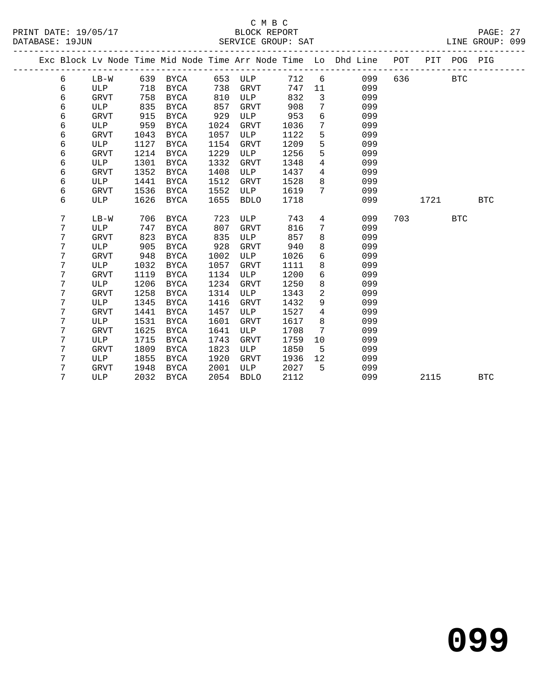### C M B C<br>BLOCK REPORT

PAGE: 27<br>LINE GROUP: 099

|  |   |             |      |             |      |             |      |                 | Exc Block Lv Node Time Mid Node Time Arr Node Time Lo Dhd Line POT |     | ________________ | PIT POG PIG |            |
|--|---|-------------|------|-------------|------|-------------|------|-----------------|--------------------------------------------------------------------|-----|------------------|-------------|------------|
|  | 6 | LB-W        |      | 639 BYCA    | 653  | ULP         | 712  | 6               | 099                                                                | 636 |                  | <b>BTC</b>  |            |
|  | 6 | ULP         | 718  | BYCA        | 738  | GRVT        | 747  | 11              | 099                                                                |     |                  |             |            |
|  | 6 | <b>GRVT</b> | 758  | BYCA        | 810  | ULP         | 832  | $\overline{3}$  | 099                                                                |     |                  |             |            |
|  | 6 | ULP         | 835  | BYCA        | 857  | GRVT        | 908  | 7               | 099                                                                |     |                  |             |            |
|  | 6 | GRVT        | 915  | BYCA        | 929  | ULP         | 953  | 6               | 099                                                                |     |                  |             |            |
|  | 6 | ULP         | 959  | BYCA        | 1024 | GRVT        | 1036 | $7\phantom{.0}$ | 099                                                                |     |                  |             |            |
|  | 6 | GRVT        | 1043 | BYCA        | 1057 | ULP         | 1122 | 5               | 099                                                                |     |                  |             |            |
|  | 6 | ULP         | 1127 | BYCA        | 1154 | <b>GRVT</b> | 1209 | 5               | 099                                                                |     |                  |             |            |
|  | 6 | <b>GRVT</b> | 1214 | BYCA        | 1229 | ULP         | 1256 | 5               | 099                                                                |     |                  |             |            |
|  | 6 | ULP         | 1301 | BYCA        | 1332 | <b>GRVT</b> | 1348 | $\overline{4}$  | 099                                                                |     |                  |             |            |
|  | 6 | <b>GRVT</b> | 1352 | <b>BYCA</b> | 1408 | ULP         | 1437 | $\overline{4}$  | 099                                                                |     |                  |             |            |
|  | 6 | ULP         | 1441 | <b>BYCA</b> | 1512 | GRVT        | 1528 | 8               | 099                                                                |     |                  |             |            |
|  | 6 | <b>GRVT</b> | 1536 | BYCA        | 1552 | ULP         | 1619 | 7               | 099                                                                |     |                  |             |            |
|  | 6 | ULP         | 1626 | BYCA        | 1655 | <b>BDLO</b> | 1718 |                 | 099                                                                |     | 1721             |             | <b>BTC</b> |
|  |   |             |      |             |      |             |      |                 |                                                                    |     |                  |             |            |
|  | 7 | $LB-W$      | 706  | <b>BYCA</b> | 723  | ULP         | 743  | $\overline{4}$  | 099                                                                | 703 |                  | <b>BTC</b>  |            |
|  | 7 | ULP         | 747  | BYCA        | 807  | <b>GRVT</b> | 816  | 7               | 099                                                                |     |                  |             |            |
|  | 7 | <b>GRVT</b> | 823  | BYCA        | 835  | ULP         | 857  | 8               | 099                                                                |     |                  |             |            |
|  | 7 | ULP         | 905  | <b>BYCA</b> | 928  | <b>GRVT</b> | 940  | 8               | 099                                                                |     |                  |             |            |
|  | 7 | <b>GRVT</b> | 948  | BYCA        | 1002 | ULP         | 1026 | $6\overline{6}$ | 099                                                                |     |                  |             |            |
|  | 7 | ULP         | 1032 | <b>BYCA</b> | 1057 | <b>GRVT</b> | 1111 | 8               | 099                                                                |     |                  |             |            |
|  | 7 | <b>GRVT</b> | 1119 | BYCA        | 1134 | ULP         | 1200 | 6               | 099                                                                |     |                  |             |            |
|  | 7 | ULP         | 1206 | <b>BYCA</b> | 1234 | <b>GRVT</b> | 1250 | 8               | 099                                                                |     |                  |             |            |
|  | 7 | <b>GRVT</b> | 1258 | <b>BYCA</b> | 1314 | ULP         | 1343 | $\overline{c}$  | 099                                                                |     |                  |             |            |
|  | 7 | ULP         | 1345 | <b>BYCA</b> | 1416 | <b>GRVT</b> | 1432 | $\overline{9}$  | 099                                                                |     |                  |             |            |
|  | 7 | <b>GRVT</b> | 1441 | <b>BYCA</b> | 1457 | ULP         | 1527 | $\overline{4}$  | 099                                                                |     |                  |             |            |
|  | 7 | ULP         | 1531 | <b>BYCA</b> | 1601 | <b>GRVT</b> | 1617 | 8               | 099                                                                |     |                  |             |            |
|  | 7 | <b>GRVT</b> | 1625 | <b>BYCA</b> | 1641 | ULP         | 1708 | 7               | 099                                                                |     |                  |             |            |
|  | 7 | ULP         | 1715 | <b>BYCA</b> | 1743 | <b>GRVT</b> | 1759 | 10              | 099                                                                |     |                  |             |            |
|  | 7 | <b>GRVT</b> | 1809 | <b>BYCA</b> | 1823 | <b>ULP</b>  | 1850 | 5               | 099                                                                |     |                  |             |            |
|  | 7 | ULP         | 1855 | <b>BYCA</b> | 1920 | GRVT        | 1936 | 12              | 099                                                                |     |                  |             |            |
|  | 7 | GRVT        | 1948 | BYCA        | 2001 | ULP         | 2027 | 5               | 099                                                                |     |                  |             |            |
|  | 7 | ULP         | 2032 | BYCA        | 2054 | <b>BDLO</b> | 2112 |                 | 099                                                                |     | 2115             |             | <b>BTC</b> |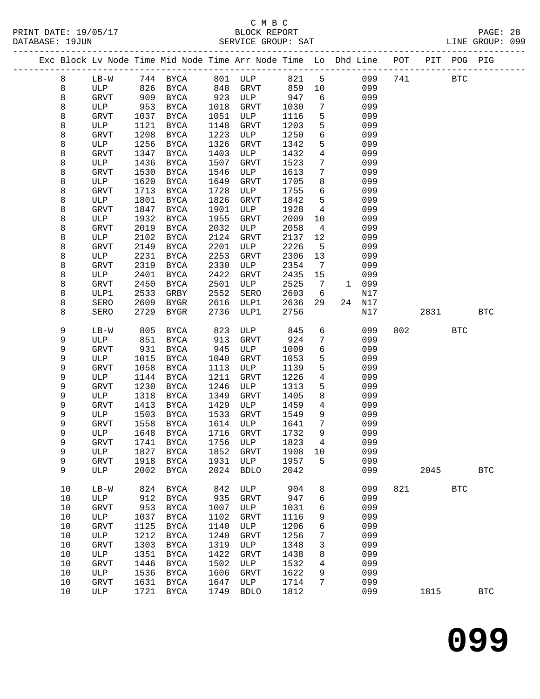|        |      |                    |              |                     |              | Exc Block Lv Node Time Mid Node Time Arr Node Time Lo Dhd Line POT |              |                 |              | -------------------------------- |     |      | PIT POG PIG |              |
|--------|------|--------------------|--------------|---------------------|--------------|--------------------------------------------------------------------|--------------|-----------------|--------------|----------------------------------|-----|------|-------------|--------------|
| 8      |      | $LB-W$             |              | 744 BYCA            | 801          | ULP                                                                | 821          | 5               |              | 099                              | 741 |      | <b>BTC</b>  |              |
| 8      |      | ULP                | 826          | BYCA                | 848          | <b>GRVT</b>                                                        | 859          | 10              |              | 099                              |     |      |             |              |
| 8      |      | <b>GRVT</b>        | 909          | <b>BYCA</b>         | 923          | ULP                                                                | 947          | 6               |              | 099                              |     |      |             |              |
| 8      |      | ULP                | 953          | BYCA                | 1018         | <b>GRVT</b>                                                        | 1030         | $7\phantom{.0}$ |              | 099                              |     |      |             |              |
| 8      |      | GRVT               | 1037         | BYCA                | 1051         | ULP                                                                | 1116         | 5               |              | 099                              |     |      |             |              |
| 8      |      | ULP                | 1121         | BYCA                | 1148         | GRVT                                                               | 1203         | 5               |              | 099                              |     |      |             |              |
| 8      |      | GRVT               | 1208         | BYCA                | 1223         | ULP                                                                | 1250         | 6               |              | 099                              |     |      |             |              |
| 8      |      | ULP                | 1256         | BYCA                | 1326         | GRVT                                                               | 1342         | 5               |              | 099                              |     |      |             |              |
| 8      |      | GRVT               | 1347         | BYCA                | 1403         | ULP                                                                | 1432         | $\overline{4}$  |              | 099                              |     |      |             |              |
| 8      |      | ULP                | 1436         | BYCA                | 1507         | <b>GRVT</b>                                                        | 1523         | 7               |              | 099                              |     |      |             |              |
| 8      |      | <b>GRVT</b>        | 1530         | BYCA                | 1546         | ULP                                                                | 1613         | 7               |              | 099                              |     |      |             |              |
| 8      |      | ULP                | 1620         | BYCA                | 1649         | <b>GRVT</b>                                                        | 1705         | 8               |              | 099                              |     |      |             |              |
| 8      |      | GRVT               | 1713         | BYCA                | 1728         | ULP                                                                | 1755         | 6               |              | 099                              |     |      |             |              |
| 8      |      | ULP                | 1801         | BYCA                | 1826         | GRVT                                                               | 1842         | 5               |              | 099                              |     |      |             |              |
| 8      |      | GRVT               | 1847         | <b>BYCA</b>         | 1901         | ULP                                                                | 1928         | $\overline{4}$  |              | 099                              |     |      |             |              |
| 8      |      | ULP<br><b>GRVT</b> | 1932<br>2019 | BYCA                | 1955<br>2032 | <b>GRVT</b><br>ULP                                                 | 2009<br>2058 | 10              |              | 099<br>099                       |     |      |             |              |
| 8<br>8 |      | ULP                | 2102         | BYCA<br>BYCA        | 2124         | <b>GRVT</b>                                                        | 2137         | 4<br>12         |              | 099                              |     |      |             |              |
| 8      |      | GRVT               | 2149         | BYCA                | 2201         | ULP                                                                | 2226         | 5               |              | 099                              |     |      |             |              |
| 8      |      | ULP                | 2231         | BYCA                | 2253         | GRVT                                                               | 2306         | 13              |              | 099                              |     |      |             |              |
| 8      |      | GRVT               | 2319         | BYCA                | 2330         | ULP                                                                | 2354         | 7               |              | 099                              |     |      |             |              |
| 8      |      | ULP                | 2401         | <b>BYCA</b>         | 2422         | <b>GRVT</b>                                                        | 2435         | 15              |              | 099                              |     |      |             |              |
| 8      |      | GRVT               | 2450         | <b>BYCA</b>         | 2501         | ULP                                                                | 2525         | 7               | $\mathbf{1}$ | 099                              |     |      |             |              |
| 8      |      | ULP1               | 2533         | GRBY                | 2552         | SERO                                                               | 2603         | 6               |              | N17                              |     |      |             |              |
| 8      |      | SERO               | 2609         | BYGR                | 2616         | ULP1                                                               | 2636         | 29              | 24           | N17                              |     |      |             |              |
| 8      |      | SERO               | 2729         | BYGR                | 2736         | ULP1                                                               | 2756         |                 |              | N17                              |     | 2831 |             | <b>BTC</b>   |
|        |      |                    |              |                     |              |                                                                    |              |                 |              |                                  |     |      |             |              |
| 9      |      | $LB-W$             | 805          | BYCA                | 823          | ULP                                                                | 845          | 6               |              | 099                              | 802 |      | BTC         |              |
| 9      |      | ULP                | 851          | BYCA                | 913          | <b>GRVT</b>                                                        | 924          | 7               |              | 099                              |     |      |             |              |
| 9      |      | GRVT               | 931          | BYCA                | 945          | ULP                                                                | 1009         | 6               |              | 099                              |     |      |             |              |
| 9      |      | ULP                | 1015         | BYCA                | 1040         | GRVT                                                               | 1053         | 5               |              | 099                              |     |      |             |              |
| 9      |      | <b>GRVT</b>        | 1058         | BYCA                | 1113         | ULP                                                                | 1139         | 5               |              | 099                              |     |      |             |              |
| 9      |      | ULP                | 1144         | BYCA                | 1211         | GRVT                                                               | 1226         | $\overline{4}$  |              | 099                              |     |      |             |              |
| 9      |      | GRVT               | 1230         | BYCA                | 1246         | ULP                                                                | 1313         | 5               |              | 099                              |     |      |             |              |
| 9      |      | ULP                | 1318         | BYCA                | 1349         | <b>GRVT</b>                                                        | 1405         | 8               |              | 099                              |     |      |             |              |
| 9      |      | <b>GRVT</b>        | 1413         | BYCA                | 1429         | ULP                                                                | 1459         | $\overline{4}$  |              | 099                              |     |      |             |              |
| 9      |      | ULP                | 1503         | BYCA                | 1533         | <b>GRVT</b>                                                        | 1549         | 9               |              | 099                              |     |      |             |              |
| 9<br>9 |      | GRVT               | 1558         | BYCA                | 1614         | ULP                                                                | 1641         | 7<br>9          |              | 099<br>099                       |     |      |             |              |
|        |      | ULP                | 1648         | BYCA                | 1716         | <b>GRVT</b>                                                        | 1732         |                 |              |                                  |     |      |             |              |
| 9<br>9 |      | GRVT<br>ULP        | 1741<br>1827 | BYCA<br><b>BYCA</b> | 1756<br>1852 | ULP<br>GRVT                                                        | 1823<br>1908 | 4<br>10         |              | 099<br>099                       |     |      |             |              |
| 9      |      | GRVT               | 1918         | <b>BYCA</b>         | 1931         | ULP                                                                | 1957         | 5               |              | 099                              |     |      |             |              |
| 9      |      | ULP                | 2002         | BYCA                | 2024         | <b>BDLO</b>                                                        | 2042         |                 |              | 099                              |     | 2045 |             | $_{\rm BTC}$ |
|        |      |                    |              |                     |              |                                                                    |              |                 |              |                                  |     |      |             |              |
|        | 10   | $LB-W$             | 824          | BYCA                | 842          | ULP                                                                | 904          | 8               |              | 099                              | 821 |      | <b>BTC</b>  |              |
|        | 10   | $_{\rm ULP}$       | 912          | BYCA                | 935          | ${\tt GRVT}$                                                       | 947          | 6               |              | 099                              |     |      |             |              |
|        | 10   | <b>GRVT</b>        | 953          | BYCA                | 1007         | ULP                                                                | 1031         | 6               |              | 099                              |     |      |             |              |
|        | 10   | ULP                | 1037         | <b>BYCA</b>         | 1102         | <b>GRVT</b>                                                        | 1116         | 9               |              | 099                              |     |      |             |              |
|        | 10   | GRVT               | 1125         | BYCA                | 1140         | ULP                                                                | 1206         | б               |              | 099                              |     |      |             |              |
|        | 10   | ULP                | 1212         | <b>BYCA</b>         | 1240         | GRVT                                                               | 1256         | 7               |              | 099                              |     |      |             |              |
|        | $10$ | GRVT               | 1303         | <b>BYCA</b>         | 1319         | ULP                                                                | 1348         | 3               |              | 099                              |     |      |             |              |
|        | $10$ | ULP                | 1351         | <b>BYCA</b>         | 1422         | GRVT                                                               | 1438         | 8               |              | 099                              |     |      |             |              |
|        | $10$ | GRVT               | 1446         | <b>BYCA</b>         | 1502         | ULP                                                                | 1532         | 4               |              | 099                              |     |      |             |              |
|        | $10$ | ULP                | 1536         | <b>BYCA</b>         | 1606         | GRVT                                                               | 1622         | 9               |              | 099                              |     |      |             |              |
|        | $10$ | GRVT               | 1631         | <b>BYCA</b>         | 1647         | ULP                                                                | 1714         | 7               |              | 099                              |     |      |             |              |
|        | 10   | ULP                | 1721         | <b>BYCA</b>         | 1749         | <b>BDLO</b>                                                        | 1812         |                 |              | 099                              |     | 1815 |             | $_{\rm BTC}$ |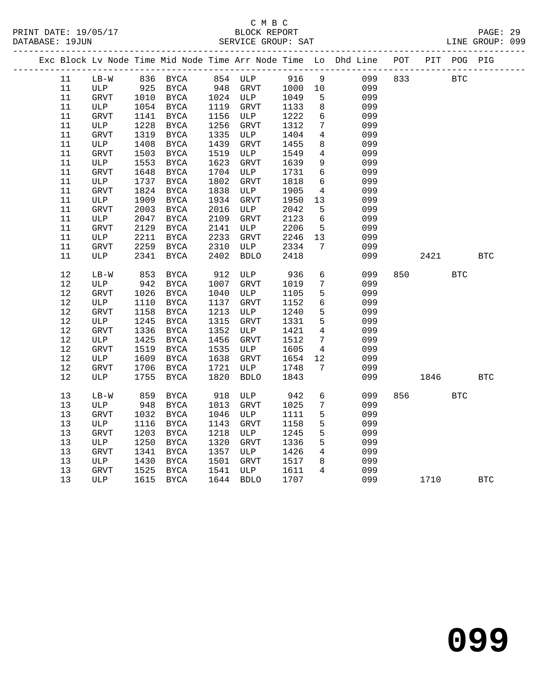|      |              |      |             |      |              |      |                 | Exc Block Lv Node Time Mid Node Time Arr Node Time Lo Dhd Line POT |     |      | PIT POG PIG |            |
|------|--------------|------|-------------|------|--------------|------|-----------------|--------------------------------------------------------------------|-----|------|-------------|------------|
| 11   | $LB-W$       |      | 836 BYCA    |      | 854 ULP      | 916  | 9               | 099                                                                | 833 |      | <b>BTC</b>  |            |
| 11   | ULP          | 925  | BYCA        | 948  | GRVT         | 1000 | 10              | 099                                                                |     |      |             |            |
| 11   | GRVT         | 1010 | BYCA        |      | 1024 ULP     | 1049 | 5               | 099                                                                |     |      |             |            |
| 11   | ULP          | 1054 | BYCA        | 1119 | GRVT         | 1133 | 8               | 099                                                                |     |      |             |            |
| 11   | <b>GRVT</b>  | 1141 | BYCA        | 1156 | ULP          | 1222 | $6\overline{6}$ | 099                                                                |     |      |             |            |
| 11   | ULP          | 1228 | <b>BYCA</b> | 1256 | GRVT         | 1312 | $7\phantom{.0}$ | 099                                                                |     |      |             |            |
| 11   | GRVT         | 1319 | <b>BYCA</b> | 1335 | ULP          | 1404 | $\overline{4}$  | 099                                                                |     |      |             |            |
| 11   | ULP          | 1408 | <b>BYCA</b> | 1439 | ${\tt GRVT}$ | 1455 | 8               | 099                                                                |     |      |             |            |
| 11   | <b>GRVT</b>  | 1503 | <b>BYCA</b> | 1519 | ULP          | 1549 | $\overline{4}$  | 099                                                                |     |      |             |            |
| 11   | ULP          | 1553 | BYCA        | 1623 | GRVT         | 1639 | 9               | 099                                                                |     |      |             |            |
| 11   | GRVT         | 1648 | BYCA        | 1704 | ULP          | 1731 | $6\overline{6}$ | 099                                                                |     |      |             |            |
| 11   | ULP          | 1737 | <b>BYCA</b> | 1802 | GRVT         | 1818 | 6               | 099                                                                |     |      |             |            |
| 11   | <b>GRVT</b>  | 1824 | <b>BYCA</b> | 1838 | ULP          | 1905 | 4               | 099                                                                |     |      |             |            |
| 11   | ULP          | 1909 | <b>BYCA</b> | 1934 | GRVT         | 1950 | 13              | 099                                                                |     |      |             |            |
| 11   | <b>GRVT</b>  | 2003 | BYCA        | 2016 | ULP          | 2042 | 5               | 099                                                                |     |      |             |            |
| 11   | ULP          | 2047 | <b>BYCA</b> | 2109 | <b>GRVT</b>  | 2123 | 6               | 099                                                                |     |      |             |            |
| 11   | <b>GRVT</b>  | 2129 | BYCA        | 2141 | ULP          | 2206 | 5               | 099                                                                |     |      |             |            |
| 11   | ULP          | 2211 | BYCA        | 2233 | <b>GRVT</b>  | 2246 | 13              | 099                                                                |     |      |             |            |
| 11   | GRVT         | 2259 | <b>BYCA</b> | 2310 | ULP          | 2334 | 7               | 099                                                                |     |      |             |            |
| 11   | ULP          | 2341 | <b>BYCA</b> | 2402 | <b>BDLO</b>  | 2418 |                 | 099                                                                |     | 2421 |             | <b>BTC</b> |
| 12   | $LB-W$       | 853  | BYCA        | 912  | ULP          | 936  | 6               | 099                                                                | 850 |      | <b>BTC</b>  |            |
| 12   | ULP          | 942  | BYCA        | 1007 | GRVT         | 1019 | $7\phantom{.0}$ | 099                                                                |     |      |             |            |
| 12   | GRVT         | 1026 | <b>BYCA</b> | 1040 | ULP          | 1105 | 5               | 099                                                                |     |      |             |            |
| 12   | ULP          | 1110 | <b>BYCA</b> | 1137 | <b>GRVT</b>  | 1152 | $6\overline{6}$ | 099                                                                |     |      |             |            |
| 12   | <b>GRVT</b>  | 1158 | <b>BYCA</b> | 1213 | ULP          | 1240 | $5\phantom{.0}$ | 099                                                                |     |      |             |            |
| $12$ | ULP          | 1245 | <b>BYCA</b> | 1315 | GRVT         | 1331 | 5               | 099                                                                |     |      |             |            |
| $12$ | <b>GRVT</b>  | 1336 | <b>BYCA</b> | 1352 | ULP          | 1421 | 4               | 099                                                                |     |      |             |            |
| 12   | ULP          | 1425 | <b>BYCA</b> | 1456 | <b>GRVT</b>  | 1512 | $7\overline{ }$ | 099                                                                |     |      |             |            |
| 12   | <b>GRVT</b>  | 1519 | <b>BYCA</b> | 1535 | ULP          | 1605 | 4               | 099                                                                |     |      |             |            |
| 12   | ULP          | 1609 | <b>BYCA</b> | 1638 | GRVT         | 1654 | 12              | 099                                                                |     |      |             |            |
| 12   | ${\tt GRVT}$ | 1706 | BYCA        | 1721 | ULP          | 1748 | 7               | 099                                                                |     |      |             |            |
| 12   | ULP          | 1755 | BYCA        | 1820 | <b>BDLO</b>  | 1843 |                 | 099                                                                |     | 1846 |             | <b>BTC</b> |
| 13   | $LB-W$       | 859  | <b>BYCA</b> | 918  | ULP          | 942  | $6\overline{6}$ | 099                                                                | 856 |      | <b>BTC</b>  |            |
| 13   | ULP          | 948  | BYCA        | 1013 | GRVT         | 1025 | 7               | 099                                                                |     |      |             |            |
| 13   | <b>GRVT</b>  | 1032 | <b>BYCA</b> | 1046 | ULP          | 1111 | 5               | 099                                                                |     |      |             |            |
| 13   | ULP          | 1116 | BYCA        | 1143 | GRVT         | 1158 | $5\phantom{.0}$ | 099                                                                |     |      |             |            |
| 13   | GRVT         | 1203 | BYCA        | 1218 | ULP          | 1245 | 5               | 099                                                                |     |      |             |            |
| 13   | ULP          | 1250 | <b>BYCA</b> | 1320 | <b>GRVT</b>  | 1336 | 5               | 099                                                                |     |      |             |            |
| 13   | <b>GRVT</b>  | 1341 | <b>BYCA</b> | 1357 | ULP          | 1426 | $\overline{4}$  | 099                                                                |     |      |             |            |
| 13   | ULP          | 1430 | <b>BYCA</b> | 1501 | GRVT         | 1517 | 8               | 099                                                                |     |      |             |            |
| 13   | GRVT         | 1525 | BYCA        | 1541 | ULP          | 1611 | $\overline{4}$  | 099                                                                |     |      |             |            |
| 13   | ULP          | 1615 | <b>BYCA</b> | 1644 | <b>BDLO</b>  | 1707 |                 | 099                                                                |     | 1710 |             | <b>BTC</b> |
|      |              |      |             |      |              |      |                 |                                                                    |     |      |             |            |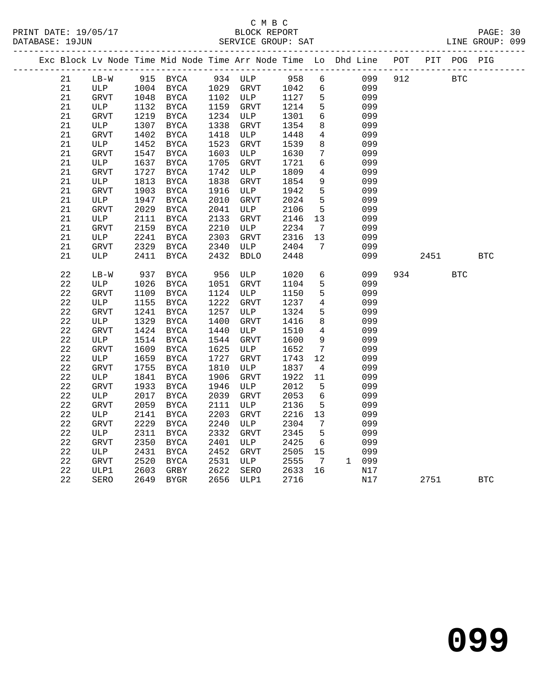|  |                   |              |      |                   |              |              |              |                      |       | Exc Block Lv Node Time Mid Node Time Arr Node Time Lo Dhd Line POT PIT POG PIG |      |            |            |
|--|-------------------|--------------|------|-------------------|--------------|--------------|--------------|----------------------|-------|--------------------------------------------------------------------------------|------|------------|------------|
|  | 21                | LB-W         |      | 915 BYCA          |              | 934 ULP 958  |              | $6\overline{6}$      |       | 912<br>099                                                                     |      | <b>BTC</b> |            |
|  | 21                | ULP          | 1004 | BYCA              | 1029         | GRVT         | 1042         | 6                    |       | 099                                                                            |      |            |            |
|  | 21                | ${\tt GRVT}$ | 1048 | BYCA              |              | 1102 ULP     | 1127         | 5                    |       | 099                                                                            |      |            |            |
|  | 21                | ULP          | 1132 | BYCA              | 1159         | GRVT         | 1214         | 5                    |       | 099                                                                            |      |            |            |
|  | 21                | GRVT         | 1219 | BYCA              | 1234         | ULP          | 1301         | $\sqrt{6}$           |       | 099                                                                            |      |            |            |
|  | 21                | ULP          | 1307 | $_{\rm BYCA}$     | 1338         | GRVT         | 1354         | $\,8\,$              |       | 099                                                                            |      |            |            |
|  | 21                | ${\tt GRVT}$ | 1402 | <b>BYCA</b>       | 1418         | ULP          | 1448         | $\overline{4}$       |       | 099                                                                            |      |            |            |
|  | 21                | ULP          | 1452 | BYCA              | 1523         | GRVT         | 1539         | 8                    |       | 099                                                                            |      |            |            |
|  | 21                | <b>GRVT</b>  | 1547 | <b>BYCA</b>       | 1603         | ULP          | 1630         | $7\phantom{.0}$      |       | 099                                                                            |      |            |            |
|  | 21                | ULP          | 1637 | BYCA              | 1705         | GRVT         | 1721         | 6                    |       | 099                                                                            |      |            |            |
|  | 21                | GRVT         | 1727 | <b>BYCA</b>       | 1742         | ULP          | 1809         | $\overline{4}$       |       | 099                                                                            |      |            |            |
|  | 21                | ULP          | 1813 | $_{\rm BYCA}$     | 1838         | GRVT         | 1854         | $\mathsf 9$          |       | 099                                                                            |      |            |            |
|  | 21                | <b>GRVT</b>  | 1903 | <b>BYCA</b>       | 1916         | ULP          | 1942         | 5                    |       | 099                                                                            |      |            |            |
|  | 21                | ULP          | 1947 | <b>BYCA</b>       | 2010         | GRVT         | 2024         | 5                    |       | 099                                                                            |      |            |            |
|  | 21                | ${\tt GRVT}$ | 2029 | <b>BYCA</b>       | 2041         | ULP          | 2106         | 5                    |       | 099                                                                            |      |            |            |
|  | 21                | ULP          | 2111 | <b>BYCA</b>       | 2133         | GRVT         | 2146         | 13                   |       | 099                                                                            |      |            |            |
|  | 21                | GRVT         | 2159 | BYCA              | 2210         | ULP          | 2234         | $7\overline{ }$      |       | 099                                                                            |      |            |            |
|  | $2\sqrt{1}$       | ULP          | 2241 | $_{\rm BYCA}$     | 2303         | GRVT         | 2316         | 13                   |       | 099                                                                            |      |            |            |
|  | 21                | <b>GRVT</b>  | 2329 | <b>BYCA</b>       | 2340         | ULP          | 2404         | $7\overline{ }$      |       | 099                                                                            |      |            |            |
|  | 21                | ULP          | 2411 | BYCA              | 2432         | <b>BDLO</b>  | 2448         |                      |       | 099                                                                            | 2451 |            | <b>BTC</b> |
|  |                   |              |      |                   |              |              |              |                      |       |                                                                                |      |            |            |
|  | 22                | $LB-W$       | 937  | BYCA              | 956          | ULP          | 1020         | 6                    |       | 099                                                                            | 934  | <b>BTC</b> |            |
|  | 22                | ULP          | 1026 | BYCA              | 1051         | GRVT         | 1104         | $\overline{5}$       |       | 099                                                                            |      |            |            |
|  | $2\sqrt{2}$       | GRVT         | 1109 | $_{\rm BYCA}$     | 1124         | ULP          | 1150         | 5                    |       | 099                                                                            |      |            |            |
|  | $2\sqrt{2}$       | ULP          | 1155 | <b>BYCA</b>       | 1222         | ${\tt GRVT}$ | 1237         | $\overline{4}$       |       | 099                                                                            |      |            |            |
|  | 22                | GRVT         | 1241 | <b>BYCA</b>       | 1257         | ULP          | 1324         | 5                    |       | 099                                                                            |      |            |            |
|  | $2\sqrt{2}$       | ULP          | 1329 | <b>BYCA</b>       | 1400         | <b>GRVT</b>  | 1416         | 8                    |       | 099                                                                            |      |            |            |
|  | $2\sqrt{2}$       | GRVT         | 1424 | BYCA              | 1440         | ULP          | 1510         | $\overline{4}$       |       | 099                                                                            |      |            |            |
|  | $2\sqrt{2}$       | ULP          | 1514 | BYCA              | 1544         | GRVT         | 1600         | 9                    |       | 099                                                                            |      |            |            |
|  | $2\sqrt{2}$       | GRVT         | 1609 | $_{\rm BYCA}$     | 1625         | ULP          | 1652         | $7\phantom{.0}$      |       | 099                                                                            |      |            |            |
|  | 22                | $_{\rm ULP}$ | 1659 | <b>BYCA</b>       | 1727         | <b>GRVT</b>  | 1743         | 12                   |       | 099                                                                            |      |            |            |
|  | 22                | GRVT         | 1755 | <b>BYCA</b>       | 1810         | ULP          | 1837         | $\overline{4}$       |       | 099                                                                            |      |            |            |
|  | $2\sqrt{2}$       | ULP          | 1841 | <b>BYCA</b>       | 1906         | GRVT         | 1922         | 11                   |       | 099                                                                            |      |            |            |
|  | 22                | GRVT         | 1933 | BYCA              | 1946         | ULP          | 2012         | 5                    |       | 099                                                                            |      |            |            |
|  | $2\sqrt{2}$       | ULP          | 2017 | BYCA              | 2039         | GRVT         | 2053         | 6                    |       | 099                                                                            |      |            |            |
|  | $2\sqrt{2}$       | GRVT         | 2059 | <b>BYCA</b>       | 2111         | ULP          | 2136         | 5                    |       | 099                                                                            |      |            |            |
|  | $2\sqrt{2}$       | ULP          | 2141 | <b>BYCA</b>       | 2203         | ${\tt GRVT}$ | 2216         | 13                   |       | 099                                                                            |      |            |            |
|  | 22                | GRVT         | 2229 | <b>BYCA</b>       | 2240         | ULP          | 2304         | $7\phantom{.0}$      |       | 099                                                                            |      |            |            |
|  | 22                | ULP          | 2311 | BYCA              | 2332         | GRVT         | 2345         | 5                    |       | 099                                                                            |      |            |            |
|  | 22                | GRVT         | 2350 | BYCA              | 2401         | ULP          | 2425         | $6\overline{6}$      |       | 099                                                                            |      |            |            |
|  | $2\sqrt{2}$       | ULP          | 2431 | BYCA              | 2452         | GRVT         | 2505         | 15                   |       | 099                                                                            |      |            |            |
|  | $2\sqrt{2}$       | <b>GRVT</b>  | 2520 | <b>BYCA</b>       | 2531         | ULP          | 2555         | $\overline{7}$<br>16 | 1 099 |                                                                                |      |            |            |
|  | $2\sqrt{2}$<br>22 | ULP1<br>SERO | 2603 | GRBY<br>2649 BYGR | 2622<br>2656 | SERO         | 2633<br>2716 |                      |       | N17<br>N17                                                                     | 2751 |            | <b>BTC</b> |
|  |                   |              |      |                   |              | ULP1         |              |                      |       |                                                                                |      |            |            |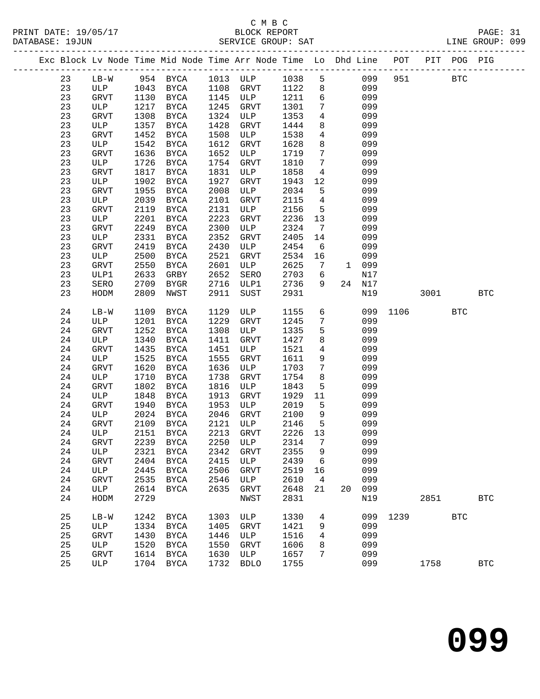|    |             |      |             |      | Exc Block Lv Node Time Mid Node Time Arr Node Time Lo Dhd Line POT PIT POG PIG |      |                 |                |        |              |            |            |              |
|----|-------------|------|-------------|------|--------------------------------------------------------------------------------|------|-----------------|----------------|--------|--------------|------------|------------|--------------|
| 23 | $LB-W$      |      |             |      | 954 BYCA 1013 ULP                                                              | 1038 |                 | 5 <sub>5</sub> | 099    | 951          | <b>BTC</b> |            |              |
| 23 | ULP         |      | 1043 BYCA   |      | 1108 GRVT                                                                      | 1122 | 8               |                | 099    |              |            |            |              |
| 23 | GRVT        |      | 1130 BYCA   |      | 1145 ULP                                                                       | 1211 | 6               |                | 099    |              |            |            |              |
| 23 | ULP         | 1217 | BYCA        | 1245 | GRVT                                                                           | 1301 | $7\phantom{.0}$ |                | 099    |              |            |            |              |
| 23 | GRVT        | 1308 | BYCA        | 1324 | ULP                                                                            | 1353 | $\overline{4}$  |                | 099    |              |            |            |              |
| 23 | ULP         | 1357 | BYCA        | 1428 | GRVT                                                                           | 1444 | 8               |                | 099    |              |            |            |              |
| 23 | GRVT        | 1452 | BYCA        | 1508 | ULP                                                                            | 1538 | $\overline{4}$  |                | 099    |              |            |            |              |
| 23 | ULP         | 1542 | BYCA        | 1612 | GRVT                                                                           | 1628 | 8               |                | 099    |              |            |            |              |
| 23 | GRVT        | 1636 | BYCA        | 1652 | ULP                                                                            | 1719 | $7\phantom{.0}$ |                | 099    |              |            |            |              |
| 23 | ULP         | 1726 | BYCA        | 1754 | GRVT                                                                           | 1810 | $\overline{7}$  |                | 099    |              |            |            |              |
| 23 | GRVT        | 1817 | BYCA        | 1831 | ULP                                                                            | 1858 | $\overline{4}$  |                | 099    |              |            |            |              |
| 23 | ULP         | 1902 | BYCA        | 1927 | GRVT                                                                           | 1943 | 12              |                | 099    |              |            |            |              |
| 23 | GRVT        | 1955 | <b>BYCA</b> | 2008 | ULP                                                                            | 2034 | 5               |                | 099    |              |            |            |              |
| 23 | ULP         | 2039 | BYCA        | 2101 | GRVT                                                                           | 2115 | $\overline{4}$  |                | 099    |              |            |            |              |
| 23 | GRVT        | 2119 | BYCA        | 2131 | ULP                                                                            | 2156 | 5               |                | 099    |              |            |            |              |
| 23 | ULP         | 2201 | BYCA        | 2223 | GRVT                                                                           | 2236 | 13              |                | 099    |              |            |            |              |
| 23 | GRVT        | 2249 | BYCA        | 2300 | ULP                                                                            | 2324 | $\overline{7}$  |                | 099    |              |            |            |              |
| 23 | ULP         | 2331 | BYCA        | 2352 | GRVT                                                                           | 2405 | 14              |                | 099    |              |            |            |              |
| 23 | GRVT        | 2419 | BYCA        | 2430 | ULP                                                                            | 2454 | $6\overline{6}$ |                | 099    |              |            |            |              |
| 23 | ULP         | 2500 | BYCA        | 2521 | GRVT                                                                           | 2534 | 16              |                | 099    |              |            |            |              |
| 23 | GRVT        | 2550 | <b>BYCA</b> | 2601 | ULP                                                                            | 2625 | $7\phantom{.0}$ |                | 1 099  |              |            |            |              |
| 23 | ULP1        | 2633 | GRBY        | 2652 | SERO                                                                           | 2703 | 6               |                | N17    |              |            |            |              |
| 23 | SERO        | 2709 | BYGR        | 2716 | ULP1                                                                           | 2736 | 9               |                | 24 N17 |              |            |            |              |
| 23 | HODM        | 2809 | NWST        | 2911 | SUST                                                                           | 2931 |                 |                | N19    |              | 3001       |            | $_{\rm BTC}$ |
|    |             |      |             |      |                                                                                |      |                 |                |        |              |            |            |              |
| 24 | LB-W        | 1109 | BYCA        | 1129 | ULP                                                                            | 1155 | 6               |                |        | 099 1106     |            | <b>BTC</b> |              |
| 24 | ULP         | 1201 | BYCA        | 1229 | GRVT                                                                           | 1245 | $7\phantom{.0}$ |                | 099    |              |            |            |              |
| 24 | GRVT        | 1252 | <b>BYCA</b> | 1308 | ULP                                                                            | 1335 | 5               |                | 099    |              |            |            |              |
| 24 | ULP         | 1340 | BYCA        | 1411 | GRVT                                                                           | 1427 | 8               |                | 099    |              |            |            |              |
| 24 | GRVT        | 1435 | BYCA        | 1451 | ULP                                                                            | 1521 | $\overline{4}$  |                | 099    |              |            |            |              |
| 24 | ULP         | 1525 | BYCA        | 1555 | GRVT                                                                           | 1611 | 9               |                | 099    |              |            |            |              |
| 24 | GRVT        | 1620 | BYCA        | 1636 | ULP                                                                            | 1703 | $7\phantom{.0}$ |                | 099    |              |            |            |              |
| 24 | ULP         | 1710 | BYCA        | 1738 | GRVT                                                                           | 1754 | 8               |                | 099    |              |            |            |              |
| 24 | <b>GRVT</b> | 1802 | BYCA        | 1816 | ULP                                                                            | 1843 | 5               |                | 099    |              |            |            |              |
| 24 | ULP         | 1848 | BYCA        | 1913 | GRVT                                                                           | 1929 | 11              |                | 099    |              |            |            |              |
| 24 | GRVT        | 1940 | BYCA        | 1953 | ULP                                                                            | 2019 | 5               |                | 099    |              |            |            |              |
| 24 | ULP         | 2024 | BYCA        | 2046 | GRVT                                                                           | 2100 | 9               |                | 099    |              |            |            |              |
| 24 | GRVT        | 2109 | BYCA        | 2121 | ULP                                                                            | 2146 | $5^{\circ}$     |                | 099    |              |            |            |              |
| 24 | ULP         |      | 2151 BYCA   | 2213 | GRVT                                                                           | 2226 | 13              |                | 099    |              |            |            |              |
| 24 | GRVT        |      | 2239 BYCA   |      | 2250 ULP 2314 7                                                                |      |                 |                | 099    |              |            |            |              |
| 24 | ULP         | 2321 | BYCA        | 2342 | GRVT                                                                           | 2355 | 9               |                | 099    |              |            |            |              |
| 24 | GRVT        | 2404 | BYCA        | 2415 | ULP                                                                            | 2439 | 6               |                | 099    |              |            |            |              |
| 24 | ULP         | 2445 | BYCA        | 2506 | GRVT                                                                           | 2519 | 16              |                | 099    |              |            |            |              |
| 24 | GRVT        | 2535 | BYCA        | 2546 | ULP                                                                            | 2610 | $\overline{4}$  |                | 099    |              |            |            |              |
| 24 | ULP         | 2614 | BYCA        | 2635 | GRVT                                                                           | 2648 | 21              |                | 20 099 |              |            |            |              |
| 24 | HODM        | 2729 |             |      | NWST                                                                           | 2831 |                 |                | N19    |              | 2851       |            | <b>BTC</b>   |
| 25 | $LB-W$      |      | 1242 BYCA   | 1303 | ULP                                                                            | 1330 | $4\overline{ }$ |                |        | 099 1239 BTC |            |            |              |
| 25 | ULP         | 1334 | BYCA        | 1405 | GRVT                                                                           | 1421 | 9               |                | 099    |              |            |            |              |
| 25 | GRVT        | 1430 | BYCA        | 1446 | ULP                                                                            | 1516 | $\overline{4}$  |                | 099    |              |            |            |              |
| 25 | ULP         | 1520 | BYCA        | 1550 | GRVT                                                                           | 1606 | 8               |                | 099    |              |            |            |              |
| 25 | <b>GRVT</b> |      | 1614 BYCA   | 1630 | ULP                                                                            | 1657 | 7               |                | 099    |              |            |            |              |
| 25 | ULP         |      | 1704 BYCA   | 1732 | <b>BDLO</b>                                                                    | 1755 |                 |                | 099    |              | 1758       |            | <b>BTC</b>   |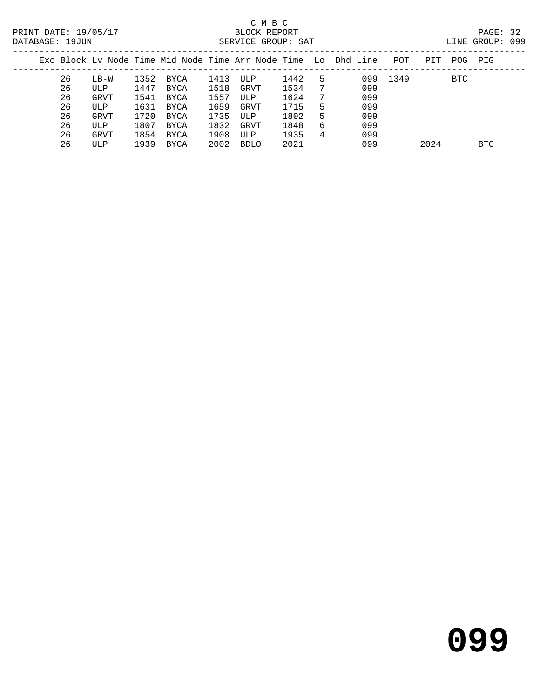| PAGE: 32        |  |
|-----------------|--|
| LINE GROUP: 099 |  |
|                 |  |

| Exc Block Ly Node Time Mid Node Time Arr Node Time Lo Dhd Line |      |      |      |      |      |      |   |     | POT  | PTT  | POG. | PIG  |
|----------------------------------------------------------------|------|------|------|------|------|------|---|-----|------|------|------|------|
| 26                                                             | LB-W | 1352 | BYCA | 1413 | ULP  | 1442 | 5 | 099 | 1349 |      | BTC  |      |
| 26                                                             | ULP  | 1447 | BYCA | 1518 | GRVT | 1534 | 7 | 099 |      |      |      |      |
| 26                                                             | GRVT | 1541 | BYCA | 1557 | ULP  | 1624 | 7 | 099 |      |      |      |      |
| 26                                                             | ULP  | 1631 | BYCA | 1659 | GRVT | 1715 | 5 | 099 |      |      |      |      |
| 26                                                             | GRVT | 1720 | BYCA | 1735 | ULP  | 1802 | 5 | 099 |      |      |      |      |
| 26                                                             | ULP  | 1807 | BYCA | 1832 | GRVT | 1848 | 6 | 099 |      |      |      |      |
| 26                                                             | GRVT | 1854 | BYCA | 1908 | ULP  | 1935 | 4 | 099 |      |      |      |      |
| 26                                                             | ULP  | 1939 | BYCA | 2002 | BDLO | 2021 |   | 099 |      | 2024 |      | BTC. |
|                                                                |      |      |      |      |      |      |   |     |      |      |      |      |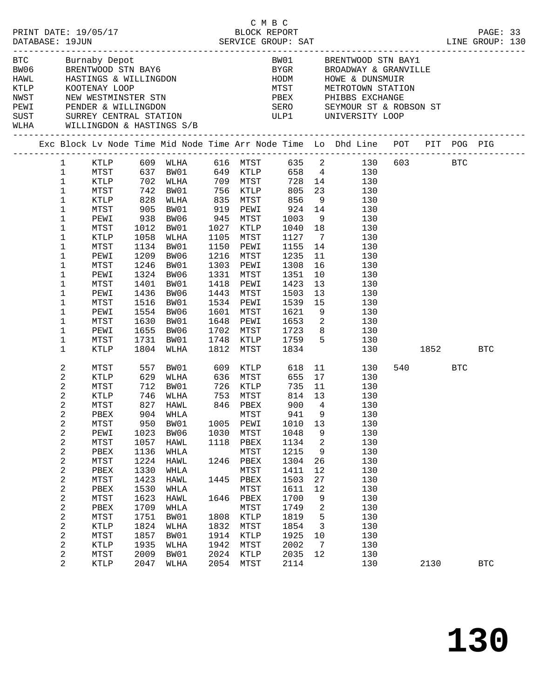|                |                                |             |                                                                                             |      | C M B C                          |                                                       |                |                                                                                                                                                                                                                                                                                                                                           |      |          |            |  |
|----------------|--------------------------------|-------------|---------------------------------------------------------------------------------------------|------|----------------------------------|-------------------------------------------------------|----------------|-------------------------------------------------------------------------------------------------------------------------------------------------------------------------------------------------------------------------------------------------------------------------------------------------------------------------------------------|------|----------|------------|--|
|                | WLHA WILLINGDON & HASTINGS S/B |             | BTC        Burnaby Depot<br>BW06      BRENTWOOD STN BAY6<br>HAWL      HASTINGS & WILLINGDON |      |                                  |                                                       |                | BW01 BRENTWOOD STN BAY1<br>$\begin{tabular}{llllll} \multicolumn{2}{l}{{\small\tt BYGR}} & & & {\small\tt BROADWAY} & & {\small\tt GRANVILLE} \\ {\small\tt HODM} & & & {\small\tt HOWE} & & {\small\tt DUNSMUIR} \end{tabular}$<br>MTST METROTOWN STATION<br>PBEX PHIBBS EXCHANGE<br>SERO SEYMOUR ST & ROBSON ST<br>ULP1 UNIVERSITY LOOP |      |          |            |  |
|                |                                |             |                                                                                             |      |                                  |                                                       |                | Exc Block Lv Node Time Mid Node Time Arr Node Time Lo Dhd Line POT PIT POG PIG                                                                                                                                                                                                                                                            |      |          |            |  |
|                |                                |             |                                                                                             |      |                                  |                                                       |                | 1 KTLP 609 WLHA 616 MTST 635 2 130 603 BTC                                                                                                                                                                                                                                                                                                |      |          |            |  |
| $\mathbf{1}$   |                                |             |                                                                                             |      |                                  |                                                       |                |                                                                                                                                                                                                                                                                                                                                           |      |          |            |  |
| $\mathbf{1}$   |                                |             |                                                                                             |      |                                  |                                                       |                | MTST 637 BW01 649 KTLP 658 4 130<br>KTLP 702 WLHA 709 MTST 728 14 130<br>MTST 742 BW01 756 KTLP 805 23 130<br>KTLP 828 WLHA 835 MTST 856 9 130                                                                                                                                                                                            |      |          |            |  |
| $\mathbf{1}$   |                                |             |                                                                                             |      |                                  |                                                       |                |                                                                                                                                                                                                                                                                                                                                           |      |          |            |  |
| $\mathbf{1}$   |                                |             |                                                                                             |      |                                  |                                                       |                |                                                                                                                                                                                                                                                                                                                                           |      |          |            |  |
| $\mathbf{1}$   | MTST                           | 905         | BW01                                                                                        |      | 919 PEWI 924 14                  |                                                       |                | 130                                                                                                                                                                                                                                                                                                                                       |      |          |            |  |
| $\mathbf{1}$   | PEWI                           | 938<br>1012 | BW06                                                                                        |      | 945 MTST<br>1027 KTLP            |                                                       |                | $\frac{9}{130}$                                                                                                                                                                                                                                                                                                                           |      |          |            |  |
| $\mathbf{1}$   | MTST                           | 1012        | BW01                                                                                        |      | 1027 KTLP                        | $\begin{array}{cc} 1003 & 9 \\ 1040 & 18 \end{array}$ |                | 130                                                                                                                                                                                                                                                                                                                                       |      |          |            |  |
| $\mathbf{1}$   | KTLP                           | 1058        | WLHA                                                                                        |      | 1105 MTST                        | $\begin{array}{cc}\n 1127 & 7\n \end{array}$          |                | 130                                                                                                                                                                                                                                                                                                                                       |      |          |            |  |
| $\mathbf{1}$   | MTST                           | 1134        | BW01                                                                                        |      | 1150 PEWI                        | 1155 14                                               |                | 130                                                                                                                                                                                                                                                                                                                                       |      |          |            |  |
| $\mathbf{1}$   | PEWI                           | 1209        | BW06                                                                                        |      | 1216 MTST                        | 1235<br>1308<br>1351                                  | 11             | 130                                                                                                                                                                                                                                                                                                                                       |      |          |            |  |
| $\mathbf{1}$   | MTST                           | 1246        | BW01                                                                                        |      | 1303 PEWI                        |                                                       |                | 16<br>130                                                                                                                                                                                                                                                                                                                                 |      |          |            |  |
| $\mathbf{1}$   | PEWI                           | 1324        | BW06                                                                                        |      | 1331 MTST                        |                                                       | 10             | 130                                                                                                                                                                                                                                                                                                                                       |      |          |            |  |
| $\mathbf{1}$   | MTST                           | 1401        | BW01                                                                                        |      | 1418 PEWI                        | 1423                                                  | 13             | 130                                                                                                                                                                                                                                                                                                                                       |      |          |            |  |
| $\mathbf{1}$   | PEWI                           | 1436        | BW06                                                                                        |      | 1443 MTST                        |                                                       | 13             | 130                                                                                                                                                                                                                                                                                                                                       |      |          |            |  |
| $\mathbf 1$    | MTST                           | 1516        | BW01                                                                                        |      | 1534 PEWI                        | 1503<br>1539<br>1621                                  | 15             | 130                                                                                                                                                                                                                                                                                                                                       |      |          |            |  |
| 1              | PEWI                           | 1554        | BW06                                                                                        |      | 1601 MTST                        |                                                       |                | $\overline{9}$<br>130                                                                                                                                                                                                                                                                                                                     |      |          |            |  |
| $\mathbf 1$    | MTST                           | 1630        | BW01                                                                                        |      | 1648 PEWI 1653 2                 |                                                       |                | 130                                                                                                                                                                                                                                                                                                                                       |      |          |            |  |
| $\mathbf{1}$   | PEWI                           | 1655        | BW06                                                                                        |      | 1702 MTST                        |                                                       |                | 8 <sup>1</sup><br>130                                                                                                                                                                                                                                                                                                                     |      |          |            |  |
| $\mathbf{1}$   | MTST                           |             |                                                                                             |      |                                  | 1723                                                  |                |                                                                                                                                                                                                                                                                                                                                           |      |          |            |  |
|                |                                | 1731        | BW01                                                                                        |      | 1748 KTLP 1759<br>1812 MTST 1834 |                                                       |                | $5\overline{)}$<br>130                                                                                                                                                                                                                                                                                                                    |      |          |            |  |
| $\mathbf{1}$   | KTLP                           |             | 1804 WLHA                                                                                   |      | 1812 MTST                        |                                                       |                | 130                                                                                                                                                                                                                                                                                                                                       |      | 1852 189 | BTC        |  |
| 2              | MTST                           | 557         | BW01                                                                                        |      | 609 KTLP                         | 618                                                   |                | 11<br>130                                                                                                                                                                                                                                                                                                                                 | 540  | BTC      |            |  |
| 2              | KTLP                           |             | 629 WLHA<br>712 BW01<br>746 WLHA                                                            |      | 636 MTST<br>726 KTLP             | 655 17                                                |                | 130                                                                                                                                                                                                                                                                                                                                       |      |          |            |  |
| 2              | MTST                           |             |                                                                                             |      |                                  | 735                                                   | 11             | 130                                                                                                                                                                                                                                                                                                                                       |      |          |            |  |
| 2              | KTLP                           |             |                                                                                             |      | 753 MTST                         | 814 13                                                |                | 130                                                                                                                                                                                                                                                                                                                                       |      |          |            |  |
| $\overline{2}$ | MTST                           |             | 827 HAWL                                                                                    |      | 846 PBEX                         | 900                                                   | $\overline{4}$ | 130                                                                                                                                                                                                                                                                                                                                       |      |          |            |  |
| $\overline{a}$ | PBEX                           |             | 904 WHLA                                                                                    |      | MTST 941 9                       |                                                       |                | 130                                                                                                                                                                                                                                                                                                                                       |      |          |            |  |
| 2              | MTST                           | 950         | BW01                                                                                        | 1005 | PEWI                             | 1010                                                  | 13             | 130                                                                                                                                                                                                                                                                                                                                       |      |          |            |  |
| 2              | PEWI                           | 1023        | BW06                                                                                        | 1030 | MTST                             | 1048                                                  | 9              | 130                                                                                                                                                                                                                                                                                                                                       |      |          |            |  |
| 2              | MTST                           | 1057        | HAWL                                                                                        | 1118 | PBEX                             | 1134                                                  | 2              | 130                                                                                                                                                                                                                                                                                                                                       |      |          |            |  |
| 2              | ${\tt PBEX}$                   | 1136        | WHLA                                                                                        |      | MTST                             | 1215                                                  | 9              | 130                                                                                                                                                                                                                                                                                                                                       |      |          |            |  |
| $\sqrt{2}$     | MTST                           | 1224        | HAWL                                                                                        | 1246 | PBEX                             | 1304                                                  | 26             | 130                                                                                                                                                                                                                                                                                                                                       |      |          |            |  |
|                |                                |             |                                                                                             |      |                                  |                                                       |                |                                                                                                                                                                                                                                                                                                                                           |      |          |            |  |
| 2              | ${\tt PBEX}$                   | 1330        | WHLA                                                                                        |      | MTST                             | 1411                                                  | 12             | 130                                                                                                                                                                                                                                                                                                                                       |      |          |            |  |
| $\sqrt{2}$     | MTST                           | 1423        | HAWL                                                                                        | 1445 | PBEX                             | 1503                                                  | 27             | 130                                                                                                                                                                                                                                                                                                                                       |      |          |            |  |
| 2              | ${\tt PBEX}$                   | 1530        | WHLA                                                                                        |      | MTST                             | 1611                                                  | 12             | 130                                                                                                                                                                                                                                                                                                                                       |      |          |            |  |
| $\mathbf{2}$   | MTST                           | 1623        | HAWL                                                                                        | 1646 | PBEX                             | 1700                                                  | 9              | 130                                                                                                                                                                                                                                                                                                                                       |      |          |            |  |
| 2              | ${\tt PBEX}$                   | 1709        | WHLA                                                                                        |      | MTST                             | 1749                                                  | 2              | 130                                                                                                                                                                                                                                                                                                                                       |      |          |            |  |
| $\sqrt{2}$     | MTST                           | 1751        | BW01                                                                                        | 1808 | KTLP                             | 1819                                                  | 5              | 130                                                                                                                                                                                                                                                                                                                                       |      |          |            |  |
| 2              | <b>KTLP</b>                    | 1824        | WLHA                                                                                        | 1832 | MTST                             | 1854                                                  | 3              | 130                                                                                                                                                                                                                                                                                                                                       |      |          |            |  |
| $\sqrt{2}$     | MTST                           | 1857        | BW01                                                                                        | 1914 | KTLP                             | 1925                                                  | 10             | 130                                                                                                                                                                                                                                                                                                                                       |      |          |            |  |
| 2              | <b>KTLP</b>                    | 1935        | WLHA                                                                                        | 1942 | MTST                             | 2002                                                  | 7              | 130                                                                                                                                                                                                                                                                                                                                       |      |          |            |  |
| $\sqrt{2}$     | MTST                           | 2009        | BW01                                                                                        | 2024 | KTLP                             | 2035                                                  | 12             | 130                                                                                                                                                                                                                                                                                                                                       |      |          |            |  |
| 2              | KTLP                           | 2047        | WLHA                                                                                        | 2054 | MTST                             | 2114                                                  |                | 130                                                                                                                                                                                                                                                                                                                                       | 2130 |          | <b>BTC</b> |  |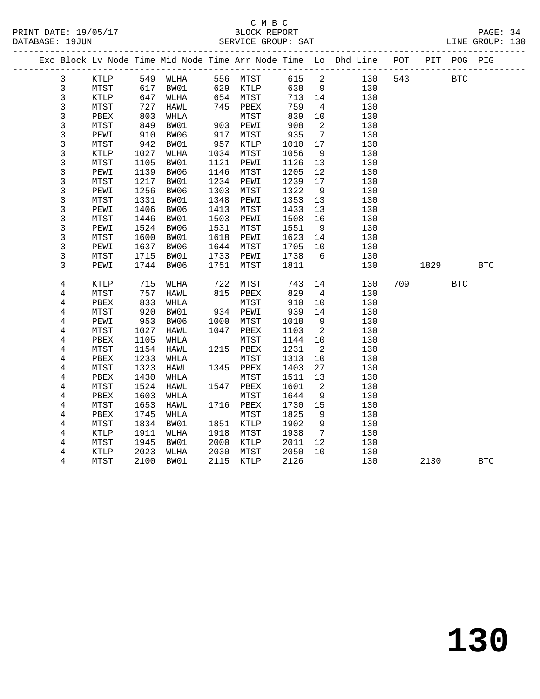#### C M B C<br>BLOCK REPORT SERVICE GROUP: SAT

|                |             |      |                   |      |            |      |                            | Exc Block Lv Node Time Mid Node Time Arr Node Time Lo Dhd Line POT |     |            | PIT POG PIG |            |
|----------------|-------------|------|-------------------|------|------------|------|----------------------------|--------------------------------------------------------------------|-----|------------|-------------|------------|
| 3              | KTLP        |      | 549 WLHA 556 MTST |      |            | 615  | $\overline{\mathbf{c}}$    | 130                                                                | 543 | <b>BTC</b> |             |            |
| $\mathbf{3}$   | MTST        | 617  | BW01              |      | 629 KTLP   | 638  | 9                          | 130                                                                |     |            |             |            |
| 3              | KTLP        | 647  | WLHA              |      | $654$ MTST | 713  | 14                         | 130                                                                |     |            |             |            |
| 3              | MTST        | 727  | HAWL              |      | 745 PBEX   | 759  | $\overline{4}$             | 130                                                                |     |            |             |            |
| 3              | PBEX        | 803  | WHLA              |      | MTST       | 839  | 10                         | 130                                                                |     |            |             |            |
| 3              | MTST        | 849  | BW01              | 903  | PEWI       | 908  | 2                          | 130                                                                |     |            |             |            |
| $\mathfrak{Z}$ | PEWI        | 910  | BW06              |      | 917 MTST   | 935  | $7\overline{ }$            | 130                                                                |     |            |             |            |
| 3              | MTST        | 942  | BW01              |      | 957 KTLP   | 1010 | 17                         | 130                                                                |     |            |             |            |
| 3              | <b>KTLP</b> | 1027 | WLHA              |      | 1034 MTST  | 1056 | 9                          | 130                                                                |     |            |             |            |
| 3              | MTST        | 1105 | BW01              | 1121 | PEWI       | 1126 | 13                         | 130                                                                |     |            |             |            |
| $\mathfrak{Z}$ | PEWI        | 1139 | BW06              |      | 1146 MTST  | 1205 | 12                         | 130                                                                |     |            |             |            |
| 3              | MTST        | 1217 | BW01              |      | 1234 PEWI  | 1239 | 17                         | 130                                                                |     |            |             |            |
| 3              | PEWI        | 1256 | BW06              | 1303 | MTST       | 1322 | 9                          | 130                                                                |     |            |             |            |
| $\mathfrak{Z}$ | MTST        | 1331 | BW01              | 1348 | PEWI       | 1353 | 13                         | 130                                                                |     |            |             |            |
| 3              | PEWI        | 1406 | BW06              | 1413 | MTST       | 1433 | 13                         | 130                                                                |     |            |             |            |
| 3              | MTST        | 1446 | BW01              | 1503 | PEWI       | 1508 | 16                         | 130                                                                |     |            |             |            |
| 3              | PEWI        | 1524 | BW06              | 1531 | MTST       | 1551 | 9                          | 130                                                                |     |            |             |            |
| 3              | MTST        | 1600 | BW01              | 1618 | PEWI       | 1623 | 14                         | 130                                                                |     |            |             |            |
| 3              | PEWI        | 1637 | BW06              |      | 1644 MTST  | 1705 | 10                         | 130                                                                |     |            |             |            |
| 3              | MTST        | 1715 | BW01              | 1733 | PEWI       | 1738 | 6                          | 130                                                                |     |            |             |            |
| 3              | PEWI        | 1744 | BW06              | 1751 | MTST       | 1811 |                            | 130                                                                |     | 1829       |             | <b>BTC</b> |
|                |             |      |                   |      |            |      |                            |                                                                    |     |            |             |            |
| 4              | KTLP        | 715  | WLHA              | 722  | MTST       | 743  | 14                         | 130                                                                | 709 |            | <b>BTC</b>  |            |
| 4              | MTST        | 757  | HAWL              |      | 815 PBEX   | 829  | $\overline{4}$             | 130                                                                |     |            |             |            |
| 4              | PBEX        | 833  | WHLA              |      | MTST       | 910  | 10                         | 130                                                                |     |            |             |            |
| 4              | MTST        | 920  | BW01              |      | 934 PEWI   | 939  | 14                         | 130                                                                |     |            |             |            |
| 4              | PEWI        | 953  | BW06              | 1000 | MTST       | 1018 | 9                          | 130                                                                |     |            |             |            |
| $\overline{4}$ | MTST        | 1027 | HAWL              |      | 1047 PBEX  | 1103 | $\overline{\phantom{0}}^2$ | 130                                                                |     |            |             |            |
| 4              | PBEX        | 1105 | WHLA              |      | MTST       | 1144 | 10                         | 130                                                                |     |            |             |            |
| 4              | MTST        | 1154 | HAWL              |      | 1215 PBEX  | 1231 | $\overline{2}$             | 130                                                                |     |            |             |            |
| $\overline{4}$ | PBEX        | 1233 | WHLA              |      | MTST       | 1313 | 10                         | 130                                                                |     |            |             |            |
| 4              | MTST        | 1323 | HAWL              |      | 1345 PBEX  | 1403 | 27                         | 130                                                                |     |            |             |            |
| 4              | PBEX        | 1430 | WHLA              |      | MTST       | 1511 | 13                         | 130                                                                |     |            |             |            |
| 4              | MTST        | 1524 | HAWL              |      | 1547 PBEX  | 1601 | 2                          | 130                                                                |     |            |             |            |
| 4              | PBEX        | 1603 | WHLA              |      | MTST       | 1644 | 9                          | 130                                                                |     |            |             |            |
| 4              | MTST        | 1653 | HAWL              |      | 1716 PBEX  | 1730 | 15                         | 130                                                                |     |            |             |            |
| 4              | PBEX        | 1745 | WHLA              |      | MTST       | 1825 | 9                          | 130                                                                |     |            |             |            |
| $\overline{4}$ | MTST        | 1834 | BW01              |      | 1851 KTLP  | 1902 | 9                          | 130                                                                |     |            |             |            |
| 4              | KTLP        | 1911 | WLHA              | 1918 | MTST       | 1938 | $\overline{7}$             | 130                                                                |     |            |             |            |
| 4              | MTST        | 1945 | BW01              | 2000 | KTLP       | 2011 | 12                         | 130                                                                |     |            |             |            |
| 4              | KTLP        | 2023 | WLHA              | 2030 | MTST       | 2050 | 10                         | 130                                                                |     |            |             |            |

4 MTST 2100 BW01 2115 KTLP 2126 130 2130 BTC

**130**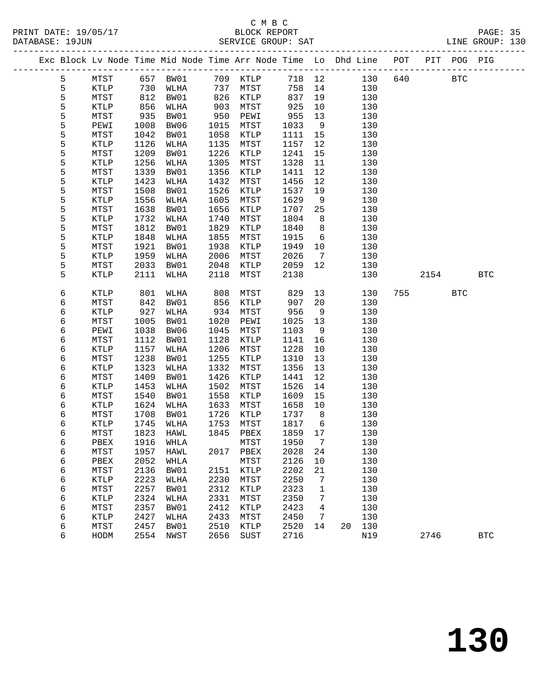## C M B C<br>BLOCK REPORT

DATABASE: 19JUN SERVICE GROUP: SAT LINE GROUP: 130 ------------------------------------------------------------------------------------------------- Exc Block Lv Node Time Mid Node Time Arr Node Time Lo Dhd Line POT PIT POG PIG ------------------------------------------------------------------------------------------------- 5 MTST 657 BW01 709 KTLP 718 12 130 640 BTC 5 KTLP 730 WLHA 737 MTST 758 14 130 5 MTST 812 BW01 826 KTLP 837 19 130 5 KTLP 856 WLHA 903 MTST 925 10 130 5 MTST 935 BW01 950 PEWI 955 13 130 5 PEWI 1008 BW06 1015 MTST 1033 9 130 5 MTST 1042 BW01 1058 KTLP 1111 15 130 5 KTLP 1126 WLHA 1135 MTST 1157 12 130 5 MTST 1209 BW01 1226 KTLP 1241 15 130 5 KTLP 1256 WLHA 1305 MTST 1328 11 130 5 MTST 1339 BW01 1356 KTLP 1411 12 130 5 KTLP 1423 WLHA 1432 MTST 1456 12 130 5 MTST 1508 BW01 1526 KTLP 1537 19 130 5 KTLP 1556 WLHA 1605 MTST 1629 9 130 5 MTST 1638 BW01 1656 KTLP 1707 25 130 5 KTLP 1732 WLHA 1740 MTST 1804 8 130 5 MTST 1812 BW01 1829 KTLP 1840 8 130 5 KTLP 1848 WLHA 1855 MTST 1915 6 130 5 MTST 1921 BW01 1938 KTLP 1949 10 130 5 KTLP 1959 WLHA 2006 MTST 2026 7 130 5 MTST 2033 BW01 2048 KTLP 2059 12 130 5 KTLP 2111 WLHA 2118 MTST 2138 130 2154 BTC 6 KTLP 801 WLHA 808 MTST 829 13 130 755 BTC 6 MTST 842 BW01 856 KTLP 907 20 130 6 KTLP 927 WLHA 934 MTST 956 9 130 6 MTST 1005 BW01 1020 PEWI 1025 13 130 6 PEWI 1038 BW06 1045 MTST 1103 9 130 6 MTST 1112 BW01 1128 KTLP 1141 16 130 6 KTLP 1157 WLHA 1206 MTST 1228 10 130 6 MTST 1238 BW01 1255 KTLP 1310 13 130

 6 KTLP 1323 WLHA 1332 MTST 1356 13 130 6 MTST 1409 BW01 1426 KTLP 1441 12 130 6 KTLP 1453 WLHA 1502 MTST 1526 14 130 6 MTST 1540 BW01 1558 KTLP 1609 15 130 6 KTLP 1624 WLHA 1633 MTST 1658 10 130 6 MTST 1708 BW01 1726 KTLP 1737 8 130 6 KTLP 1745 WLHA 1753 MTST 1817 6 130 6 MTST 1823 HAWL 1845 PBEX 1859 17 130 6 PBEX 1916 WHLA MTST 1950 7 130 6 MTST 1957 HAWL 2017 PBEX 2028 24 130 6 PBEX 2052 WHLA MTST 2126 10 130 6 MTST 2136 BW01 2151 KTLP 2202 21 130 6 KTLP 2223 WLHA 2230 MTST 2250 7 130 6 MTST 2257 BW01 2312 KTLP 2323 1 130 6 KTLP 2324 WLHA 2331 MTST 2350 7 130 6 MTST 2357 BW01 2412 KTLP 2423 4 130 6 KTLP 2427 WLHA 2433 MTST 2450 7 130 6 MTST 2457 BW01 2510 KTLP 2520 14 20 130

6 HODM 2554 NWST 2656 SUST 2716 N19 2746 BTC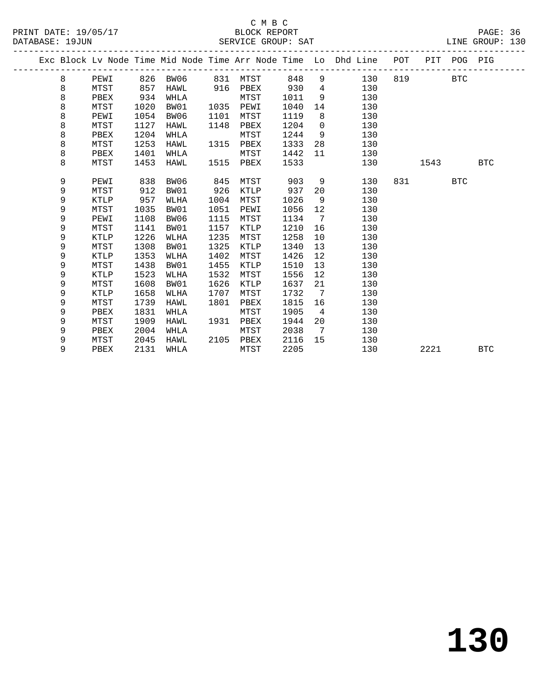|  |   |             |      |             |      |      |      |                | Exc Block Lv Node Time Mid Node Time Arr Node Time Lo Dhd Line POT |     |      | PIT POG PIG |            |
|--|---|-------------|------|-------------|------|------|------|----------------|--------------------------------------------------------------------|-----|------|-------------|------------|
|  | 8 | PEWI        |      | 826 BW06    | 831  | MTST | 848  | 9              | 130                                                                | 819 |      | BTC         |            |
|  | 8 | MTST        | 857  | HAWL        | 916  | PBEX | 930  | $4^{\circ}$    | 130                                                                |     |      |             |            |
|  | 8 | PBEX        | 934  | WHLA        |      | MTST | 1011 | 9              | 130                                                                |     |      |             |            |
|  | 8 | MTST        | 1020 | BW01        | 1035 | PEWI | 1040 | 14             | 130                                                                |     |      |             |            |
|  | 8 | PEWI        | 1054 | BW06        | 1101 | MTST | 1119 | 8              | 130                                                                |     |      |             |            |
|  | 8 | MTST        | 1127 | <b>HAWL</b> | 1148 | PBEX | 1204 | $\mathbf 0$    | 130                                                                |     |      |             |            |
|  | 8 | PBEX        | 1204 | WHLA        |      | MTST | 1244 | 9              | 130                                                                |     |      |             |            |
|  | 8 | MTST        | 1253 | HAWL        | 1315 | PBEX | 1333 | 28             | 130                                                                |     |      |             |            |
|  | 8 | PBEX        | 1401 | WHLA        |      | MTST | 1442 | 11             | 130                                                                |     |      |             |            |
|  | 8 | MTST        | 1453 | HAWL        | 1515 | PBEX | 1533 |                | 130                                                                |     | 1543 |             | <b>BTC</b> |
|  |   |             |      |             |      |      |      |                |                                                                    |     |      |             |            |
|  | 9 | PEWI        | 838  | BW06        | 845  | MTST | 903  | 9              | 130                                                                | 831 |      | <b>BTC</b>  |            |
|  | 9 | MTST        | 912  | BW01        | 926  | KTLP | 937  | 20             | 130                                                                |     |      |             |            |
|  | 9 | <b>KTLP</b> | 957  | WLHA        | 1004 | MTST | 1026 | 9              | 130                                                                |     |      |             |            |
|  | 9 | MTST        | 1035 | BW01        | 1051 | PEWI | 1056 | 12             | 130                                                                |     |      |             |            |
|  | 9 | PEWI        | 1108 | BW06        | 1115 | MTST | 1134 | $\overline{7}$ | 130                                                                |     |      |             |            |
|  | 9 | MTST        | 1141 | BW01        | 1157 | KTLP | 1210 | 16             | 130                                                                |     |      |             |            |
|  | 9 | KTLP        | 1226 | WLHA        | 1235 | MTST | 1258 | 10             | 130                                                                |     |      |             |            |
|  | 9 | MTST        | 1308 | BW01        | 1325 | KTLP | 1340 | 13             | 130                                                                |     |      |             |            |
|  | 9 | KTLP        | 1353 | WLHA        | 1402 | MTST | 1426 | 12             | 130                                                                |     |      |             |            |
|  | 9 | MTST        | 1438 | BW01        | 1455 | KTLP | 1510 | 13             | 130                                                                |     |      |             |            |
|  | 9 | KTLP        | 1523 | WLHA        | 1532 | MTST | 1556 | 12             | 130                                                                |     |      |             |            |
|  | 9 | MTST        | 1608 | BW01        | 1626 | KTLP | 1637 | 21             | 130                                                                |     |      |             |            |
|  | 9 | KTLP        | 1658 | WLHA        | 1707 | MTST | 1732 | 7              | 130                                                                |     |      |             |            |
|  | 9 | MTST        | 1739 | HAWL        | 1801 | PBEX | 1815 | 16             | 130                                                                |     |      |             |            |
|  | 9 | PBEX        | 1831 | WHLA        |      | MTST | 1905 | 4              | 130                                                                |     |      |             |            |
|  | 9 | MTST        | 1909 | HAWL        | 1931 | PBEX | 1944 | 20             | 130                                                                |     |      |             |            |
|  | 9 | PBEX        | 2004 | WHLA        |      | MTST | 2038 | 7              | 130                                                                |     |      |             |            |
|  | 9 | MTST        | 2045 | HAWL        | 2105 | PBEX | 2116 | 15             | 130                                                                |     |      |             |            |
|  | 9 | PBEX        | 2131 | WHLA        |      | MTST | 2205 |                | 130                                                                |     | 2221 |             | <b>BTC</b> |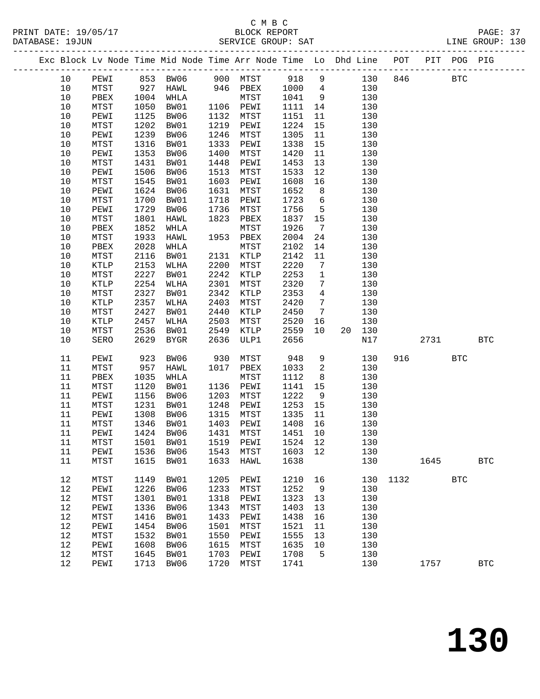| Exc Block Lv Node Time Mid Node Time Arr Node Time Lo Dhd Line POT PIT POG PIG |      |      |           |      |                                     |         |                          |        |     |          |            |            |              |
|--------------------------------------------------------------------------------|------|------|-----------|------|-------------------------------------|---------|--------------------------|--------|-----|----------|------------|------------|--------------|
| 10                                                                             | PEWI |      |           |      | 853 BW06 900 MTST 918 9             |         |                          | 130    |     | 846      | <b>BTC</b> |            |              |
| 10                                                                             | MTST |      | 927 HAWL  |      | 946 PBEX                            | 1000    | $4\overline{4}$          |        | 130 |          |            |            |              |
| 10                                                                             | PBEX |      | 1004 WHLA |      | MTST                                | 1041    | 9                        |        | 130 |          |            |            |              |
| 10                                                                             | MTST | 1050 | BW01      |      | 1106 PEWI                           | 1111    | 14                       |        | 130 |          |            |            |              |
| 10                                                                             | PEWI | 1125 | BW06      |      | 1132 MTST                           | 1151    | 11                       |        | 130 |          |            |            |              |
| 10                                                                             |      | 1202 |           |      | 1219 PEWI                           | 1224    | 15                       |        | 130 |          |            |            |              |
|                                                                                | MTST |      | BW01      |      |                                     |         |                          |        |     |          |            |            |              |
| 10                                                                             | PEWI | 1239 | BW06      | 1246 | MTST                                | 1305    | 11                       |        | 130 |          |            |            |              |
| 10                                                                             | MTST | 1316 | BW01      | 1333 | PEWI                                | 1338    | 15                       |        | 130 |          |            |            |              |
| 10                                                                             | PEWI | 1353 | BW06      | 1400 | MTST                                | 1420    | 11                       |        | 130 |          |            |            |              |
| 10                                                                             | MTST | 1431 | BW01      | 1448 | PEWI                                | 1453    | 13                       |        | 130 |          |            |            |              |
| 10                                                                             | PEWI | 1506 | BW06      |      | 1513 MTST                           | 1533    | 12                       |        | 130 |          |            |            |              |
| 10                                                                             | MTST | 1545 | BW01      | 1603 | PEWI                                | 1608    | 16                       |        | 130 |          |            |            |              |
| 10                                                                             | PEWI | 1624 | BW06      | 1631 | MTST                                | 1652    | 8 <sup>8</sup>           |        | 130 |          |            |            |              |
| 10                                                                             | MTST | 1700 | BW01      | 1718 | PEWI                                | 1723    | 6                        |        | 130 |          |            |            |              |
| 10                                                                             | PEWI | 1729 | BW06      | 1736 | MTST                                | 1756    | $5^{\circ}$              |        | 130 |          |            |            |              |
| 10                                                                             | MTST | 1801 | HAWL      | 1823 | PBEX                                | 1837    | 15                       |        | 130 |          |            |            |              |
| 10                                                                             | PBEX | 1852 | WHLA      |      | MTST                                | 1926    | $\overline{7}$           |        | 130 |          |            |            |              |
| 10                                                                             | MTST | 1933 | HAWL      |      | 1953 PBEX                           | 2004    | 24                       |        | 130 |          |            |            |              |
| 10                                                                             | PBEX | 2028 | WHLA      |      | MTST                                | 2102    | 14                       |        | 130 |          |            |            |              |
|                                                                                |      |      |           |      |                                     |         |                          |        |     |          |            |            |              |
| 10                                                                             | MTST | 2116 | BW01      |      | 2131 KTLP                           | 2142    | 11                       |        | 130 |          |            |            |              |
| 10                                                                             | KTLP | 2153 | WLHA      | 2200 | MTST                                | 2220    | $7\phantom{.0}$          |        | 130 |          |            |            |              |
| 10                                                                             | MTST | 2227 | BW01      | 2242 | KTLP                                | 2253    | $\mathbf{1}$             |        | 130 |          |            |            |              |
| 10                                                                             | KTLP | 2254 | WLHA      | 2301 | MTST                                | 2320    | $7\phantom{.0}$          |        | 130 |          |            |            |              |
| 10                                                                             | MTST | 2327 | BW01      | 2342 | KTLP                                | 2353    | $\overline{4}$           |        | 130 |          |            |            |              |
| 10                                                                             | KTLP | 2357 | WLHA      | 2403 | MTST                                | 2420    | $\overline{7}$           |        | 130 |          |            |            |              |
| 10                                                                             | MTST | 2427 | BW01      | 2440 | KTLP                                | 2450    | $\overline{7}$           |        | 130 |          |            |            |              |
| 10                                                                             | KTLP | 2457 | WLHA      | 2503 | MTST                                | 2520    | 16                       |        | 130 |          |            |            |              |
| 10                                                                             | MTST | 2536 | BW01      | 2549 | KTLP                                | 2559    | 10                       | 20 130 |     |          |            |            |              |
| 10                                                                             | SERO | 2629 | BYGR      | 2636 | ULP1                                | 2656    |                          |        | N17 |          | 2731       |            | $_{\rm BTC}$ |
|                                                                                |      |      |           |      |                                     |         |                          |        |     |          |            |            |              |
| 11                                                                             | PEWI | 923  | BW06      | 930  | MTST                                | 948     | 9                        |        | 130 | 916      |            | <b>BTC</b> |              |
| 11                                                                             | MTST | 957  | HAWL      |      | 1017 PBEX                           | 1033    | $\overline{\phantom{a}}$ |        | 130 |          |            |            |              |
| 11                                                                             | PBEX | 1035 | WHLA      |      | MTST                                | 1112    | 8 <sup>8</sup>           |        | 130 |          |            |            |              |
| 11                                                                             | MTST | 1120 | BW01      |      | 1136 PEWI                           | 1141    | 15                       |        | 130 |          |            |            |              |
| 11                                                                             | PEWI | 1156 | BW06      |      | 1203 MTST                           | 1222    | 9                        |        | 130 |          |            |            |              |
| 11                                                                             | MTST | 1231 | BW01      | 1248 | PEWI                                | 1253    | 15                       |        | 130 |          |            |            |              |
| 11                                                                             | PEWI | 1308 | BW06      | 1315 | MTST                                | 1335    | 11                       |        | 130 |          |            |            |              |
| 11                                                                             | MTST | 1346 | BW01      |      | 1403 PEWI                           | 1408    | 16                       |        | 130 |          |            |            |              |
| 11                                                                             | PEWI |      | 1424 BW06 |      | 1431 MTST                           | 1451    | 10                       |        | 130 |          |            |            |              |
|                                                                                |      |      |           |      | 11 MTST 1501 BW01 1519 PEWI 1524 12 |         |                          |        | 130 |          |            |            |              |
|                                                                                |      |      |           |      |                                     |         |                          |        |     |          |            |            |              |
| 11                                                                             | PEWI | 1536 | BW06      | 1543 | MTST                                | 1603 12 |                          |        | 130 |          |            |            |              |
| 11                                                                             | MTST | 1615 | BW01      | 1633 | HAWL                                | 1638    |                          |        | 130 |          | 1645       |            | <b>BTC</b>   |
| 12                                                                             | MTST | 1149 | BW01      | 1205 | PEWI                                | 1210    | 16                       |        |     | 130 1132 |            | <b>BTC</b> |              |
| 12                                                                             | PEWI | 1226 | BW06      | 1233 | MTST                                | 1252    | $\overline{9}$           |        | 130 |          |            |            |              |
| $12$                                                                           | MTST | 1301 | BW01      | 1318 | PEWI                                | 1323    | 13                       |        | 130 |          |            |            |              |
| $12$                                                                           |      | 1336 | BW06      | 1343 |                                     | 1403    | 13                       |        | 130 |          |            |            |              |
|                                                                                | PEWI |      |           |      | MTST                                |         |                          |        |     |          |            |            |              |
| 12                                                                             | MTST | 1416 | BW01      | 1433 | PEWI                                | 1438    | 16                       |        | 130 |          |            |            |              |
| 12                                                                             | PEWI | 1454 | BW06      | 1501 | MTST                                | 1521    | 11                       |        | 130 |          |            |            |              |
| 12                                                                             | MTST | 1532 | BW01      | 1550 | PEWI                                | 1555    | 13                       |        | 130 |          |            |            |              |
| $12$                                                                           | PEWI | 1608 | BW06      | 1615 | MTST                                | 1635    | 10                       |        | 130 |          |            |            |              |
| 12                                                                             | MTST | 1645 | BW01      | 1703 | PEWI                                | 1708    | $5^{\circ}$              |        | 130 |          |            |            |              |
| 12                                                                             | PEWI | 1713 | BW06      | 1720 | MTST                                | 1741    |                          |        | 130 |          | 1757       |            | $_{\rm BTC}$ |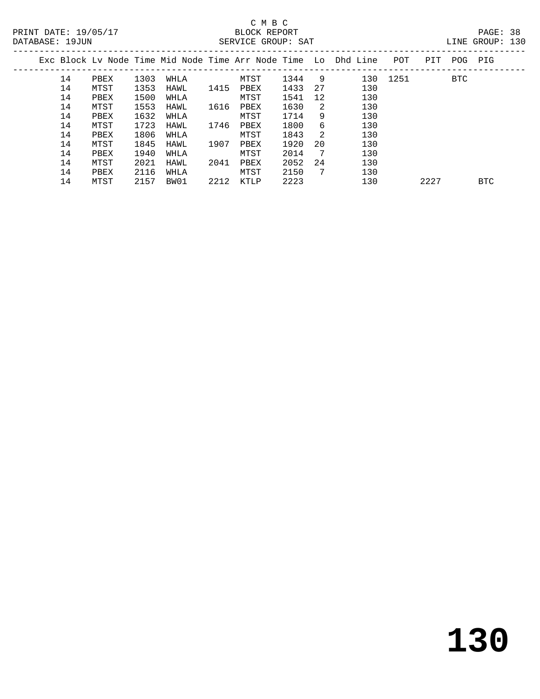| LINE GROUP: | 130 |
|-------------|-----|

| PRINT DATE: 19/05/17<br>DATABASE: 19JUN |    |      |      |      |      | BLOCK REPORT<br>SERVICE GROUP: SAT |      |                |                                                                    |          |      |             | PAGE: 38<br>LINE GROUP: 130 |  |
|-----------------------------------------|----|------|------|------|------|------------------------------------|------|----------------|--------------------------------------------------------------------|----------|------|-------------|-----------------------------|--|
|                                         |    |      |      |      |      |                                    |      |                | Exc Block Lv Node Time Mid Node Time Arr Node Time Lo Dhd Line POT |          |      | PIT POG PIG |                             |  |
|                                         | 14 | PBEX | 1303 | WHLA |      | MTST                               | 1344 | - 9            |                                                                    | 130 1251 |      | BTC         |                             |  |
|                                         | 14 | MTST | 1353 | HAWL | 1415 | PBEX                               | 1433 | 27             | 130                                                                |          |      |             |                             |  |
|                                         | 14 | PBEX | 1500 | WHLA |      | MTST                               | 1541 | 12             | 130                                                                |          |      |             |                             |  |
|                                         | 14 | MTST | 1553 | HAWL | 1616 | PBEX                               | 1630 | $\overline{2}$ | 130                                                                |          |      |             |                             |  |
|                                         | 14 | PBEX | 1632 | WHLA |      | MTST                               | 1714 | 9              | 130                                                                |          |      |             |                             |  |
|                                         | 14 | MTST | 1723 | HAWL | 1746 | PBEX                               | 1800 | 6              | 130                                                                |          |      |             |                             |  |
|                                         | 14 | PBEX | 1806 | WHLA |      | MTST                               | 1843 | $\overline{2}$ | 130                                                                |          |      |             |                             |  |
|                                         | 14 | MTST | 1845 | HAWL | 1907 | PBEX                               | 1920 | 20             | 130                                                                |          |      |             |                             |  |
|                                         | 14 | PBEX | 1940 | WHLA |      | MTST                               | 2014 | $\overline{7}$ | 130                                                                |          |      |             |                             |  |
|                                         | 14 | MTST | 2021 | HAWL | 2041 | PBEX                               | 2052 | 24             | 130                                                                |          |      |             |                             |  |
|                                         | 14 | PBEX | 2116 | WHLA |      | MTST                               | 2150 | $\overline{7}$ | 130                                                                |          |      |             |                             |  |
|                                         | 14 | MTST | 2157 | BW01 | 2212 | KTLP                               | 2223 |                | 130                                                                |          | 2227 |             | <b>BTC</b>                  |  |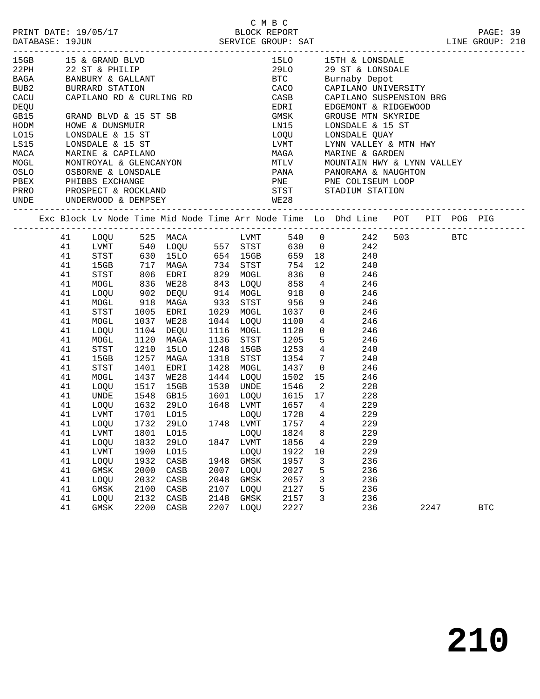|  | PRINT DATE: 19/05/17 |  |
|--|----------------------|--|
|  |                      |  |

-------------------------------------------------------------------------------------------------

| 15GB<br>22PH<br>BAGA<br>BUB2<br>CACU<br>DEQU<br>GB15<br>HODM |          | 15 & GRAND BLVD<br>22 ST & PHILIP<br>BANBURY & GALLANT<br>BURRARD STATION<br>BURRARD STATION<br>HOWE & DUNSMUIR |              | CAPILANO RD & CURLING RD<br>GRAND BLVD & 15 ST SB                                                                                                                                                                                           |                        | 15LO<br>29LO<br>GMSK<br>LN15 |                         | 15TH & LONSDALE<br>29 ST & LONSDALE<br>BTC Burnaby Depot<br>CACO CAPILANO UNIVERSITY<br>CASB CAPILANO SUSPENSION E<br>EDEXT EDGEMONT & RIDGEWOOD<br>CAPILANO SUSPENSION BRG<br>GROUSE MTN SKYRIDE<br>LONSDALE & 15 ST |                             |      |            |  |
|--------------------------------------------------------------|----------|-----------------------------------------------------------------------------------------------------------------|--------------|---------------------------------------------------------------------------------------------------------------------------------------------------------------------------------------------------------------------------------------------|------------------------|------------------------------|-------------------------|-----------------------------------------------------------------------------------------------------------------------------------------------------------------------------------------------------------------------|-----------------------------|------|------------|--|
|                                                              |          |                                                                                                                 |              | HODM HOWE & DUNSMUIR<br>LO15 LONSDALE & 15 ST LOQU<br>LS15 LONSDALE & 15 ST LUMT<br>MACA MARINE & CAPILANO MAGA<br>MOGL MONTROYAL & GLENCANYON MTLV<br>OSLO OSBORNE & LONSDALE PANA<br>PBEX PHIBBS EXCHANGE PNE<br>PRRO PROSPECT & ROCKLAND |                        |                              |                         | LOQU LONSDALE QUAY<br>LVMT LYNN VALLEY & MTN HWY<br>MAGA MARINE & GARDEN<br>MTLV MOUNTAIN HWY & LYNN VALLEY<br>PANA PANORAMA & NAUGHTON<br>PNE PNE COLISEUM LOOP<br>STST STADIUM STATION<br>WE28                      |                             |      |            |  |
|                                                              |          |                                                                                                                 |              |                                                                                                                                                                                                                                             |                        |                              |                         |                                                                                                                                                                                                                       |                             |      |            |  |
|                                                              |          |                                                                                                                 |              |                                                                                                                                                                                                                                             |                        |                              |                         |                                                                                                                                                                                                                       |                             |      |            |  |
|                                                              |          |                                                                                                                 |              |                                                                                                                                                                                                                                             |                        |                              |                         |                                                                                                                                                                                                                       |                             |      |            |  |
|                                                              |          |                                                                                                                 |              |                                                                                                                                                                                                                                             |                        |                              |                         |                                                                                                                                                                                                                       |                             |      |            |  |
|                                                              |          |                                                                                                                 |              |                                                                                                                                                                                                                                             |                        |                              |                         |                                                                                                                                                                                                                       |                             |      |            |  |
|                                                              |          |                                                                                                                 |              |                                                                                                                                                                                                                                             |                        |                              |                         |                                                                                                                                                                                                                       |                             |      |            |  |
|                                                              |          |                                                                                                                 |              |                                                                                                                                                                                                                                             |                        |                              |                         |                                                                                                                                                                                                                       | --------------------------- |      |            |  |
|                                                              |          |                                                                                                                 |              |                                                                                                                                                                                                                                             |                        |                              |                         | Exc Block Lv Node Time Mid Node Time Arr Node Time Lo Dhd Line POT PIT POG PIG                                                                                                                                        |                             |      |            |  |
|                                                              | 41       |                                                                                                                 |              |                                                                                                                                                                                                                                             |                        |                              |                         |                                                                                                                                                                                                                       |                             |      |            |  |
|                                                              | 41       |                                                                                                                 |              |                                                                                                                                                                                                                                             |                        |                              |                         |                                                                                                                                                                                                                       |                             |      |            |  |
|                                                              | 41       |                                                                                                                 |              |                                                                                                                                                                                                                                             |                        |                              |                         |                                                                                                                                                                                                                       |                             |      |            |  |
|                                                              | 41       |                                                                                                                 |              |                                                                                                                                                                                                                                             |                        |                              |                         |                                                                                                                                                                                                                       |                             |      |            |  |
|                                                              | 41       |                                                                                                                 |              |                                                                                                                                                                                                                                             |                        |                              |                         |                                                                                                                                                                                                                       |                             |      |            |  |
|                                                              | 41       |                                                                                                                 |              |                                                                                                                                                                                                                                             |                        |                              |                         |                                                                                                                                                                                                                       |                             |      |            |  |
|                                                              | 41       |                                                                                                                 |              |                                                                                                                                                                                                                                             |                        |                              |                         |                                                                                                                                                                                                                       |                             |      |            |  |
|                                                              | 41       |                                                                                                                 |              |                                                                                                                                                                                                                                             |                        |                              |                         |                                                                                                                                                                                                                       |                             |      |            |  |
|                                                              | 41       |                                                                                                                 |              |                                                                                                                                                                                                                                             |                        |                              |                         |                                                                                                                                                                                                                       |                             |      |            |  |
|                                                              | 41       |                                                                                                                 |              |                                                                                                                                                                                                                                             |                        |                              |                         |                                                                                                                                                                                                                       |                             |      |            |  |
|                                                              | 41       | LOQU                                                                                                            | 1104         | DEQU                                                                                                                                                                                                                                        | 1116 MOGL              | 1120 0                       |                         | 246                                                                                                                                                                                                                   |                             |      |            |  |
|                                                              | 41       | MOGL                                                                                                            | 1120         | MAGA                                                                                                                                                                                                                                        | 1136 STST              | 1205 5                       |                         | 246                                                                                                                                                                                                                   |                             |      |            |  |
|                                                              | 41       | STST                                                                                                            | 1210         | 15LO                                                                                                                                                                                                                                        | 1248 15GB              | 1253 4                       |                         | 240                                                                                                                                                                                                                   |                             |      |            |  |
|                                                              | 41       | 15GB                                                                                                            | 1257         | MAGA                                                                                                                                                                                                                                        | 1318 STST              | 1354 7                       |                         | 240                                                                                                                                                                                                                   |                             |      |            |  |
|                                                              | 41       | STST                                                                                                            | 1401         | EDRI                                                                                                                                                                                                                                        | 1428 MOGL              | 1437 0                       |                         | 246                                                                                                                                                                                                                   |                             |      |            |  |
|                                                              | 41       | MOGL                                                                                                            | 1437         | WE28                                                                                                                                                                                                                                        | 1444 LOQU              | 1502 15                      |                         | 246                                                                                                                                                                                                                   |                             |      |            |  |
|                                                              | 41       | LOOU                                                                                                            | 1517         | 15GB                                                                                                                                                                                                                                        | 1530 UNDE              | 1546                         | $\overline{2}$          | 228                                                                                                                                                                                                                   |                             |      |            |  |
|                                                              | 41       | UNDE                                                                                                            | 1548         | GB15                                                                                                                                                                                                                                        | 1601 LOQU              | 1615 17                      |                         | 228                                                                                                                                                                                                                   |                             |      |            |  |
|                                                              | 41       | LOQU                                                                                                            | 1632         | 29LO                                                                                                                                                                                                                                        | 1648 LVMT              | 1657 4                       |                         | 229                                                                                                                                                                                                                   |                             |      |            |  |
|                                                              | 41       | LVMT                                                                                                            | 1701         | LO15                                                                                                                                                                                                                                        | LOQU                   | 1728                         | $4\overline{4}$         | 229                                                                                                                                                                                                                   |                             |      |            |  |
|                                                              | 41       | LOQU                                                                                                            | 1732         | 29LO                                                                                                                                                                                                                                        | 1748 LVMT              | 1757 4                       |                         | 229                                                                                                                                                                                                                   |                             |      |            |  |
|                                                              | 41       | LVMT                                                                                                            | 1801         | LO15                                                                                                                                                                                                                                        | LOQU                   | $1824 \qquad 8$              |                         | 229                                                                                                                                                                                                                   |                             |      |            |  |
|                                                              | 41       | LOOU                                                                                                            | 1832         | 29LO                                                                                                                                                                                                                                        | 1847 LVMT              | 1856 4<br>1922 10            |                         | 229                                                                                                                                                                                                                   |                             |      |            |  |
|                                                              | 41       | LVMT                                                                                                            | 1900         | LO15                                                                                                                                                                                                                                        | LOQU                   |                              |                         | 229                                                                                                                                                                                                                   |                             |      |            |  |
|                                                              | 41       | LOQU                                                                                                            | 1932         | CASB                                                                                                                                                                                                                                        | 1948 GMSK              | 1957                         | $\overline{\mathbf{3}}$ | 236                                                                                                                                                                                                                   |                             |      |            |  |
|                                                              | 41       | GMSK                                                                                                            | 2000         | CASB                                                                                                                                                                                                                                        | 2007 LOQU              | 2027 5                       |                         | 236                                                                                                                                                                                                                   |                             |      |            |  |
|                                                              | 41<br>41 | LOQU<br>GMSK                                                                                                    | 2032<br>2100 | CASB                                                                                                                                                                                                                                        | 2048 GMSK<br>2107 LOQU | 2057 3<br>2127 5             |                         | 236<br>236                                                                                                                                                                                                            |                             |      |            |  |
|                                                              | 41       | LOQU                                                                                                            | 2132         | CASB<br>CASB                                                                                                                                                                                                                                | 2148 GMSK              |                              |                         | 2157 3 236                                                                                                                                                                                                            |                             |      |            |  |
|                                                              | 41       | GMSK                                                                                                            |              | 2200 CASB                                                                                                                                                                                                                                   | 2207 LOQU              | 2227                         |                         | 236                                                                                                                                                                                                                   |                             | 2247 | <b>BTC</b> |  |
|                                                              |          |                                                                                                                 |              |                                                                                                                                                                                                                                             |                        |                              |                         |                                                                                                                                                                                                                       |                             |      |            |  |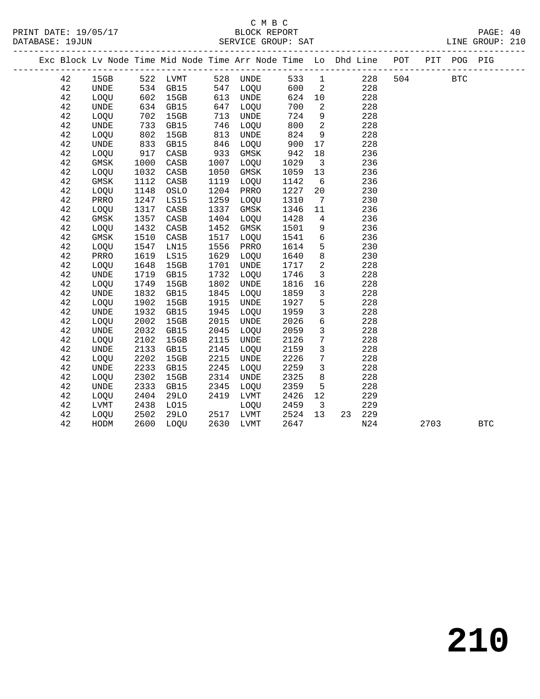| – |
|---|

|  |             |                              |      | Exc Block Lv Node Time Mid Node Time Arr Node Time Lo Dhd Line POT |      |          |      |                          |        | __________________ |      | PIT POG PIG |            |
|--|-------------|------------------------------|------|--------------------------------------------------------------------|------|----------|------|--------------------------|--------|--------------------|------|-------------|------------|
|  | 42          | 15GB                         |      | 522 LVMT 528 UNDE                                                  |      |          | 533  | $\overline{1}$           | 228    | 504                |      | <b>BTC</b>  |            |
|  | 42          | <b>UNDE</b>                  |      | 534 GB15<br>602 15GB                                               |      | 547 LOQU | 600  | $\overline{\phantom{a}}$ | 228    |                    |      |             |            |
|  | 42          | LOQU                         |      |                                                                    | 613  | UNDE     | 624  | 10                       | 228    |                    |      |             |            |
|  | 42          | <b>UNDE</b>                  | 634  | GB15                                                               | 647  | LOQU     | 700  | $\overline{2}$           | 228    |                    |      |             |            |
|  | 42          | LOQU                         | 702  | 15GB                                                               | 713  | UNDE     | 724  | 9                        | 228    |                    |      |             |            |
|  | 42          | UNDE                         | 733  | GB15                                                               | 746  | LOQU     | 800  | $\overline{2}$           | 228    |                    |      |             |            |
|  | 42          | LOQU                         | 802  | 15GB                                                               | 813  | UNDE     | 824  | 9                        | 228    |                    |      |             |            |
|  | 42          | UNDE                         | 833  | GB15                                                               | 846  | LOQU     | 900  | 17                       | 228    |                    |      |             |            |
|  | 42          | LOQU                         | 917  | CASB                                                               | 933  | GMSK     | 942  | 18                       | 236    |                    |      |             |            |
|  | 42          | GMSK                         | 1000 | CASB                                                               | 1007 | LOQU     | 1029 | $\overline{\mathbf{3}}$  | 236    |                    |      |             |            |
|  | $4\sqrt{2}$ | LOQU                         | 1032 | CASB                                                               | 1050 | GMSK     | 1059 | 13                       | 236    |                    |      |             |            |
|  | 42          | GMSK                         | 1112 | CASB                                                               | 1119 | LOQU     | 1142 | $6\overline{6}$          | 236    |                    |      |             |            |
|  | 42          | LOQU                         | 1148 | OSLO                                                               | 1204 | PRRO     | 1227 | 20                       | 230    |                    |      |             |            |
|  | 42          | PRRO                         | 1247 | LS15                                                               | 1259 | LOQU     | 1310 | $\overline{7}$           | 230    |                    |      |             |            |
|  | 42          | LOOU                         | 1317 | CASB                                                               | 1337 | GMSK     | 1346 | 11                       | 236    |                    |      |             |            |
|  | 42          | $\rm{GMSK}$                  | 1357 | CASB                                                               | 1404 | LOQU     | 1428 | $\overline{4}$           | 236    |                    |      |             |            |
|  | 42          | LOQU                         | 1432 | CASB                                                               | 1452 | GMSK     | 1501 | 9                        | 236    |                    |      |             |            |
|  | 42          | GMSK                         | 1510 | CASB                                                               | 1517 | LOQU     | 1541 | 6                        | 236    |                    |      |             |            |
|  | 42          | LOQU                         | 1547 | LN15                                                               | 1556 | PRRO     | 1614 | 5                        | 230    |                    |      |             |            |
|  | 42          | PRRO                         | 1619 | LS15                                                               | 1629 | LOQU     | 1640 | 8                        | 230    |                    |      |             |            |
|  | 42          | LOQU                         | 1648 | 15GB                                                               | 1701 | UNDE     | 1717 | $\overline{\phantom{a}}$ | 228    |                    |      |             |            |
|  | 42          | <b>UNDE</b>                  | 1719 | GB15                                                               | 1732 | LOQU     | 1746 | $\overline{3}$           | 228    |                    |      |             |            |
|  | 42          | LOQU                         | 1749 | 15GB                                                               | 1802 | UNDE     | 1816 | 16                       | 228    |                    |      |             |            |
|  | 42          | $\ensuremath{\mathsf{UNDE}}$ | 1832 | GB15                                                               | 1845 | LOQU     | 1859 | $\overline{\mathbf{3}}$  | 228    |                    |      |             |            |
|  | 42          | LOQU                         | 1902 | 15GB                                                               | 1915 | UNDE     | 1927 | 5                        | 228    |                    |      |             |            |
|  | 42          | <b>UNDE</b>                  | 1932 | GB15                                                               | 1945 | LOOU     | 1959 | $\mathbf{3}$             | 228    |                    |      |             |            |
|  | 42          | <b>LOOU</b>                  | 2002 | 15GB                                                               | 2015 | UNDE     | 2026 | $6\overline{6}$          | 228    |                    |      |             |            |
|  | 42          | <b>UNDE</b>                  | 2032 | GB15                                                               | 2045 | LOQU     | 2059 | $\overline{3}$           | 228    |                    |      |             |            |
|  | 42          | LOQU                         | 2102 | 15GB                                                               | 2115 | UNDE     | 2126 | $7\phantom{.0}$          | 228    |                    |      |             |            |
|  | 42          | $\ensuremath{\mathsf{UNDE}}$ | 2133 | GB15                                                               | 2145 | LOQU     | 2159 | $\mathbf{3}$             | 228    |                    |      |             |            |
|  | 42          | LOQU                         | 2202 | 15GB                                                               | 2215 | UNDE     | 2226 | $7\phantom{.0}$          | 228    |                    |      |             |            |
|  | 42          | <b>UNDE</b>                  | 2233 | GB15                                                               | 2245 | LOQU     | 2259 | 3                        | 228    |                    |      |             |            |
|  | 42          | LOQU                         | 2302 | 15GB                                                               | 2314 | UNDE     | 2325 | 8                        | 228    |                    |      |             |            |
|  | 42          | <b>UNDE</b>                  | 2333 | GB15                                                               | 2345 | LOQU     | 2359 | $5\overline{5}$          | 228    |                    |      |             |            |
|  | 42          | LOQU                         | 2404 | 29LO                                                               | 2419 | LVMT     | 2426 | 12                       | 229    |                    |      |             |            |
|  | 42          | LVMT                         | 2438 | L015                                                               |      | LOQU     | 2459 | $\overline{\mathbf{3}}$  | 229    |                    |      |             |            |
|  | 42          | LOQU                         | 2502 | 29LO                                                               | 2517 | LVMT     | 2524 | 13                       | 23 229 |                    |      |             |            |
|  | 42          | HODM                         | 2600 | LOOU                                                               | 2630 | LVMT     | 2647 |                          | N24    |                    | 2703 |             | <b>BTC</b> |
|  |             |                              |      |                                                                    |      |          |      |                          |        |                    |      |             |            |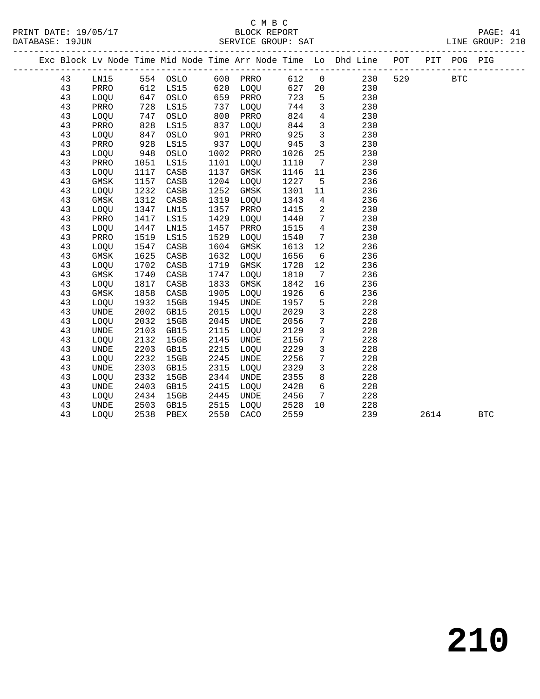|  |    |             |      |          |      |             |      |                 | --------------------                                               |     |      |             |              |  |
|--|----|-------------|------|----------|------|-------------|------|-----------------|--------------------------------------------------------------------|-----|------|-------------|--------------|--|
|  |    |             |      |          |      |             |      |                 | Exc Block Lv Node Time Mid Node Time Arr Node Time Lo Dhd Line POT |     |      | PIT POG PIG |              |  |
|  | 43 | LN15        |      | 554 OSLO | 600  | PRRO        | 612  | $\overline{0}$  | 230                                                                | 529 |      | <b>BTC</b>  |              |  |
|  | 43 | PRRO        | 612  | LS15     | 620  | LOQU        | 627  | 20              | 230                                                                |     |      |             |              |  |
|  | 43 | LOQU        | 647  | OSLO     | 659  | PRRO        | 723  | 5               | 230                                                                |     |      |             |              |  |
|  | 43 | PRRO        | 728  | LS15     | 737  | LOQU        | 744  | $\mathbf{3}$    | 230                                                                |     |      |             |              |  |
|  | 43 | LOQU        | 747  | OSLO     | 800  | PRRO        | 824  | $\overline{4}$  | 230                                                                |     |      |             |              |  |
|  | 43 | PRRO        | 828  | LS15     | 837  | LOQU        | 844  | $\overline{3}$  | 230                                                                |     |      |             |              |  |
|  | 43 | LOQU        | 847  | OSLO     | 901  | PRRO        | 925  | $\overline{3}$  | 230                                                                |     |      |             |              |  |
|  | 43 | PRRO        | 928  | LS15     | 937  | LOQU        | 945  | $\overline{3}$  | 230                                                                |     |      |             |              |  |
|  | 43 | LOQU        | 948  | OSLO     | 1002 | PRRO        | 1026 | 25              | 230                                                                |     |      |             |              |  |
|  | 43 | PRRO        | 1051 | LS15     | 1101 | LOQU        | 1110 | 7               | 230                                                                |     |      |             |              |  |
|  | 43 | LOQU        | 1117 | CASB     | 1137 | $\rm{GMSK}$ | 1146 | 11              | 236                                                                |     |      |             |              |  |
|  | 43 | GMSK        | 1157 | CASB     | 1204 | LOQU        | 1227 | 5               | 236                                                                |     |      |             |              |  |
|  | 43 | LOQU        | 1232 | CASB     | 1252 | $\rm{GMSK}$ | 1301 | 11              | 236                                                                |     |      |             |              |  |
|  | 43 | GMSK        | 1312 | CASB     | 1319 | LOQU        | 1343 | 4               | 236                                                                |     |      |             |              |  |
|  | 43 | LOQU        | 1347 | LN15     | 1357 | PRRO        | 1415 | 2               | 230                                                                |     |      |             |              |  |
|  | 43 | PRRO        | 1417 | LS15     | 1429 | LOQU        | 1440 | 7               | 230                                                                |     |      |             |              |  |
|  | 43 | LOQU        | 1447 | LN15     | 1457 | PRRO        | 1515 | $\overline{4}$  | 230                                                                |     |      |             |              |  |
|  | 43 | PRRO        | 1519 | LS15     | 1529 | LOQU        | 1540 | $7\phantom{.0}$ | 230                                                                |     |      |             |              |  |
|  | 43 | LOQU        | 1547 | CASB     | 1604 | GMSK        | 1613 | 12              | 236                                                                |     |      |             |              |  |
|  | 43 | GMSK        | 1625 | CASB     | 1632 | LOQU        | 1656 | 6               | 236                                                                |     |      |             |              |  |
|  | 43 | LOQU        | 1702 | CASB     | 1719 | GMSK        | 1728 | 12              | 236                                                                |     |      |             |              |  |
|  | 43 | GMSK        | 1740 | CASB     | 1747 | LOQU        | 1810 | 7               | 236                                                                |     |      |             |              |  |
|  | 43 | LOQU        | 1817 | CASB     | 1833 | GMSK        | 1842 | 16              | 236                                                                |     |      |             |              |  |
|  | 43 | GMSK        | 1858 | CASB     | 1905 | LOQU        | 1926 | 6               | 236                                                                |     |      |             |              |  |
|  | 43 | LOQU        | 1932 | 15GB     | 1945 | UNDE        | 1957 | 5               | 228                                                                |     |      |             |              |  |
|  | 43 | <b>UNDE</b> | 2002 | GB15     | 2015 | LOQU        | 2029 | $\mathbf{3}$    | 228                                                                |     |      |             |              |  |
|  | 43 | LOQU        | 2032 | 15GB     | 2045 | <b>UNDE</b> | 2056 | 7               | 228                                                                |     |      |             |              |  |
|  | 43 | <b>UNDE</b> | 2103 | GB15     | 2115 | LOQU        | 2129 | $\mathbf{3}$    | 228                                                                |     |      |             |              |  |
|  | 43 | LOQU        | 2132 | 15GB     | 2145 | <b>UNDE</b> | 2156 | $\overline{7}$  | 228                                                                |     |      |             |              |  |
|  | 43 | <b>UNDE</b> | 2203 | GB15     | 2215 | LOQU        | 2229 | $\mathbf{3}$    | 228                                                                |     |      |             |              |  |
|  | 43 | LOOU        | 2232 | 15GB     | 2245 | UNDE        | 2256 | 7               | 228                                                                |     |      |             |              |  |
|  | 43 | <b>UNDE</b> | 2303 | GB15     | 2315 | <b>LOOU</b> | 2329 | 3               | 228                                                                |     |      |             |              |  |
|  | 43 | LOQU        | 2332 | 15GB     | 2344 | UNDE        | 2355 | 8               | 228                                                                |     |      |             |              |  |
|  | 43 | <b>UNDE</b> | 2403 | GB15     | 2415 | LOQU        | 2428 | 6               | 228                                                                |     |      |             |              |  |
|  | 43 | LOQU        | 2434 | 15GB     | 2445 | <b>UNDE</b> | 2456 | 7               | 228                                                                |     |      |             |              |  |
|  | 43 | <b>UNDE</b> | 2503 | GB15     | 2515 | LOQU        | 2528 | 10              | 228                                                                |     |      |             |              |  |
|  | 43 | LOOU        | 2538 | PBEX     | 2550 | CACO        | 2559 |                 | 239                                                                |     | 2614 |             | $_{\rm BTC}$ |  |
|  |    |             |      |          |      |             |      |                 |                                                                    |     |      |             |              |  |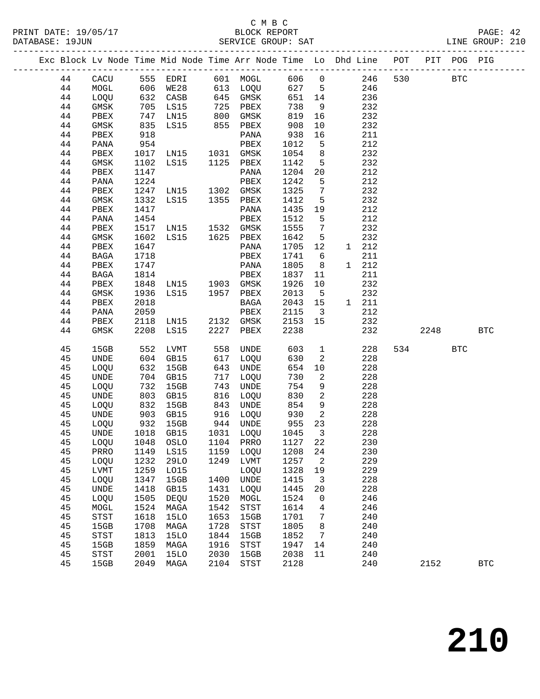|  |          |              |                   | Exc Block Lv Node Time Mid Node Time Arr Node Time Lo Dhd Line POT PIT POG PIG |            |                            |            |                                 |            |     |      |            |              |
|--|----------|--------------|-------------------|--------------------------------------------------------------------------------|------------|----------------------------|------------|---------------------------------|------------|-----|------|------------|--------------|
|  | 44       | CACU         |                   | 555 EDRI                                                                       |            | 601 MOGL                   |            |                                 | 606 0 246  | 530 |      | <b>BTC</b> |              |
|  | 44       | MOGL         |                   |                                                                                |            |                            | 627 5      |                                 | 246        |     |      |            |              |
|  | 44       | LOQU         |                   | 606 WE28<br>632 CASB                                                           |            | 613  LOQU<br>645  GMSK     | 651 14     |                                 | 236        |     |      |            |              |
|  | 44       | GMSK         |                   | 705 LS15                                                                       |            | 725 PBEX                   | 738        | 9                               | 232        |     |      |            |              |
|  | 44       | PBEX         | 747               | LN15                                                                           | 800        | GMSK                       | 819        | 16                              | 232        |     |      |            |              |
|  | 44       | GMSK         |                   | LS15                                                                           |            | 855 PBEX                   | 908        | 10                              | 232        |     |      |            |              |
|  | 44       | PBEX         | 835<br>918<br>918 |                                                                                |            | PANA                       | 938        | 16                              | 211        |     |      |            |              |
|  | 44       | PANA         | 954               |                                                                                |            | PBEX                       | 1012       | $5^{\circ}$                     | 212        |     |      |            |              |
|  | 44       | PBEX         | 1017              | LN15 1031 GMSK                                                                 |            |                            | 1054       | 8                               | 232        |     |      |            |              |
|  | 44       | GMSK         | 1102              | LS15 1125 PBEX                                                                 |            |                            | 1142       | 5 <sup>5</sup>                  | 232        |     |      |            |              |
|  | 44       | PBEX         | 1147              |                                                                                |            | PANA                       | 1204       | 20                              | 212        |     |      |            |              |
|  | 44       | PANA         | 1224              |                                                                                |            | PBEX                       | 1242       | $5^{\circ}$                     | 212        |     |      |            |              |
|  | 44       | PBEX         |                   | 1247 LN15 1302 GMSK                                                            |            |                            | 1325       | $\overline{7}$                  | 232        |     |      |            |              |
|  | 44       | GMSK         | 1332              | LS15 1355 PBEX                                                                 |            |                            | 1412       | $5^{\circ}$                     | 232        |     |      |            |              |
|  | 44       | PBEX         | 1417              |                                                                                |            | PANA                       | 1435       | 19                              | 212        |     |      |            |              |
|  | 44       | PANA         | 1454              |                                                                                |            | PBEX                       | 1512       | $5^{\circ}$                     | 212        |     |      |            |              |
|  | 44       | PBEX         | 1517              | LN15 1532 GMSK                                                                 |            |                            | 1555       | $\overline{7}$                  | 232        |     |      |            |              |
|  | 44       | GMSK         | 1602              | LS15 1625 PBEX                                                                 |            |                            | 1642       | $-5$                            | 232        |     |      |            |              |
|  | 44       | PBEX         | 1647              |                                                                                |            | PANA                       | 1705       | 12                              | 1 212      |     |      |            |              |
|  | 44       | BAGA         | 1718              |                                                                                |            | PBEX                       | 1741       | 6                               | 211        |     |      |            |              |
|  | 44       | PBEX         | 1747              |                                                                                |            | PANA                       | 1805       | 8 <sup>8</sup>                  | 1 212      |     |      |            |              |
|  | 44       | BAGA         | 1814              |                                                                                |            |                            | 1837       | 11                              | 211        |     |      |            |              |
|  | 44       | PBEX         | 1848              |                                                                                |            |                            | 1926       | 10                              | 232        |     |      |            |              |
|  | 44       | GMSK         | 1936              | PBEX<br>LN15 1903 GMSK<br>LS15 1957 PBEX                                       |            |                            | 2013       | $5^{\circ}$                     | 232        |     |      |            |              |
|  | 44       | PBEX         | 2018              |                                                                                |            | BAGA                       | 2043       | 15                              | 1 211      |     |      |            |              |
|  | 44       | PANA         | 2059              |                                                                                |            | PBEX                       | 2115       | $\overline{\phantom{a}}$ 3      | 212        |     |      |            |              |
|  | 44       | PBEX         | 2118              | LN15 2132 GMSK                                                                 |            |                            | 2153       | 15                              | 232        |     |      |            |              |
|  | 44       | GMSK         | 2208              | LS15                                                                           |            | 2227 PBEX                  | 2238       |                                 | 232        |     | 2248 |            | <b>BTC</b>   |
|  |          |              |                   |                                                                                |            |                            |            |                                 |            |     |      |            |              |
|  | 45       | 15GB         | 552               | LVMT                                                                           | 558        | UNDE                       | 603        | $\mathbf{1}$                    | 228        |     | 534  | <b>BTC</b> |              |
|  | 45       | UNDE         | 604               | GB15                                                                           |            | 617 LOQU                   | 630        | $\overline{2}$                  | 228        |     |      |            |              |
|  | 45<br>45 | LOQU         | 632<br>704        | 15GB                                                                           |            | 643 UNDE                   | 654<br>730 | 10                              | 228        |     |      |            |              |
|  | 45       | UNDE         | 732               | GB15<br>15GB                                                                   | 717<br>743 | LOQU<br>UNDE               | 754        | $\overline{\phantom{a}}^2$<br>9 | 228<br>228 |     |      |            |              |
|  | 45       | LOQU<br>UNDE |                   |                                                                                |            | 816 LOQU                   | 830        | $\overline{a}$                  | 228        |     |      |            |              |
|  | 45       | LOQU         |                   |                                                                                |            | 843 UNDE                   | 854        | 9                               | 228        |     |      |            |              |
|  | 45       | UNDE         |                   | 803 GB15<br>832 15GB<br>903 GB15                                               |            | 916 LOQU                   | 930        | $\overline{\mathbf{2}}$         | 228        |     |      |            |              |
|  | 45       | LOQU         |                   | 932 15GB                                                                       |            | 944 UNDE                   | 955        | 23                              | 228        |     |      |            |              |
|  | 45       | UNDE         |                   | 1018 GB15                                                                      |            | 1031 LOQU                  | 1045       | $\overline{\mathbf{3}}$         | 228        |     |      |            |              |
|  | 45       |              |                   | LOQU 1048 OSLO 1104 PRRO 1127 22                                               |            |                            |            |                                 | 230        |     |      |            |              |
|  | 45       | PRRO         | 1149              | LS15                                                                           | 1159       | LOQU                       | 1208       | 24                              | 230        |     |      |            |              |
|  | 45       | LOQU         | 1232              | <b>29LO</b>                                                                    | 1249       | LVMT                       | 1257       | 2                               | 229        |     |      |            |              |
|  | 45       | LVMT         | 1259              | L015                                                                           |            | LOQU                       | 1328       | 19                              | 229        |     |      |            |              |
|  | 45       | LOQU         | 1347              | 15GB                                                                           | 1400       | UNDE                       | 1415       | 3                               | 228        |     |      |            |              |
|  | 45       | UNDE         | 1418              | GB15                                                                           | 1431       | LOQU                       | 1445       | 20                              | 228        |     |      |            |              |
|  | 45       | LOQU         | 1505              | DEQU                                                                           | 1520       | MOGL                       | 1524       | 0                               | 246        |     |      |            |              |
|  | 45       | MOGL         | 1524              | MAGA                                                                           | 1542       | STST                       | 1614       | 4                               | 246        |     |      |            |              |
|  | 45       | <b>STST</b>  | 1618              | <b>15LO</b>                                                                    | 1653       | 15GB                       | 1701       | 7                               | 240        |     |      |            |              |
|  | 45       | 15GB         | 1708              | MAGA                                                                           | 1728       | $_{\footnotesize\rm STST}$ | 1805       | 8                               | 240        |     |      |            |              |
|  | 45       | <b>STST</b>  | 1813              | <b>15LO</b>                                                                    | 1844       | 15GB                       | 1852       | 7                               | 240        |     |      |            |              |
|  | 45       | 15GB         | 1859              | MAGA                                                                           | 1916       | $_{\footnotesize\rm STST}$ | 1947       | 14                              | 240        |     |      |            |              |
|  | 45       | STST         | 2001              | <b>15LO</b>                                                                    | 2030       | 15GB                       | 2038       | 11                              | 240        |     |      |            |              |
|  | 45       | 15GB         | 2049              | MAGA                                                                           | 2104       | $_{\footnotesize\rm STST}$ | 2128       |                                 | 240        |     | 2152 |            | $_{\rm BTC}$ |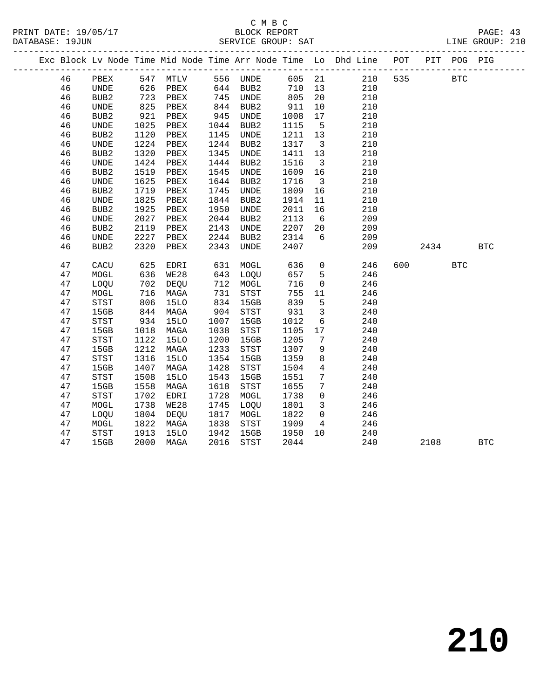## C M B C

|          |                              |                     |                     |              |              |              |                         |                                                                                |     |            |            | PAGE: 43<br>LINE GROUP: 210 |  |
|----------|------------------------------|---------------------|---------------------|--------------|--------------|--------------|-------------------------|--------------------------------------------------------------------------------|-----|------------|------------|-----------------------------|--|
|          |                              |                     |                     |              |              |              |                         | Exc Block Lv Node Time Mid Node Time Arr Node Time Lo Dhd Line POT PIT POG PIG |     |            |            |                             |  |
| 46       | PBEX                         |                     | 547 MTLV            |              | 556 UNDE     |              | 605 21                  | 210                                                                            | 535 | <b>BTC</b> |            |                             |  |
| 46       | UNDE                         |                     |                     |              |              |              | 710 13                  | 210                                                                            |     |            |            |                             |  |
| 46       | BUB <sub>2</sub>             | $0 - 723$           |                     |              |              | 805          | 20 <sub>o</sub>         | 210                                                                            |     |            |            |                             |  |
| 46       | UNDE                         |                     | PBEX                | 844          | BUB2         | 911          | 10                      | 210                                                                            |     |            |            |                             |  |
| 46       | BUB <sub>2</sub>             | 825<br>921          | PBEX                | 945          | UNDE         | 1008         | 17                      | 210                                                                            |     |            |            |                             |  |
| 46       | UNDE                         | 1025                | PBEX                | 1044         | BUB2         | 1115         | $5^{\circ}$             | 210                                                                            |     |            |            |                             |  |
| 46       | BUB <sub>2</sub>             | 1120                | PBEX                | 1145         | UNDE         | 1211         | 13                      | 210                                                                            |     |            |            |                             |  |
| 46       | $\ensuremath{\mathsf{UNDE}}$ | 1224                | PBEX                | 1244         | BUB2         | 1317         | $\overline{\mathbf{3}}$ | 210                                                                            |     |            |            |                             |  |
| 46       | BUB <sub>2</sub>             | 1320                | PBEX                | 1345         | <b>UNDE</b>  | 1411         | 13                      | 210                                                                            |     |            |            |                             |  |
| 46       | UNDE                         | 1424                | PBEX                | 1444         | BUB2         | 1516         | $\overline{\mathbf{3}}$ | 210                                                                            |     |            |            |                             |  |
| 46       | BUB2                         | 1519                | PBEX                | 1545         | UNDE         | 1609         | 16                      | 210                                                                            |     |            |            |                             |  |
| 46       | UNDE                         | 1625                | PBEX                | 1644         | BUB2         | 1716         | $\overline{\mathbf{3}}$ | 210                                                                            |     |            |            |                             |  |
| 46       | BUB <sub>2</sub>             | 1719                | PBEX                | 1745         | UNDE         | 1809         | 16                      | 210                                                                            |     |            |            |                             |  |
| 46       | UNDE                         | 1825                | PBEX                | 1844         | BUB2         | 1914         | 11                      | 210                                                                            |     |            |            |                             |  |
| 46       | BUB <sub>2</sub>             | 1925                | PBEX                | 1950         | UNDE         | 2011         | 16                      | 210                                                                            |     |            |            |                             |  |
| 46       | UNDE                         | 2027                | PBEX                | 2044         | BUB2         | 2113         | $6\overline{6}$         | 209                                                                            |     |            |            |                             |  |
| 46       | BUB2                         | 2119                | PBEX                | 2143         | UNDE         | 2207         | 20                      | 209                                                                            |     |            |            |                             |  |
| 46       | UNDE                         | 2227                | PBEX                | 2244         | BUB2         | 2314         | 6                       | 209                                                                            |     |            |            |                             |  |
| 46       | BUB <sub>2</sub>             | 2320                | PBEX                | 2343         | <b>UNDE</b>  | 2407         |                         | 209                                                                            |     | 2434       |            | <b>BTC</b>                  |  |
| 47       | CACU                         | 625                 | EDRI                | 631          | MOGL         | 636          | $\overline{0}$          | 246                                                                            | 600 |            | <b>BTC</b> |                             |  |
| 47       | $\tt MOGL$                   | 636                 | WE28                | 643          | LOQU         | 657          | $5^{\circ}$             | 246                                                                            |     |            |            |                             |  |
| 47       | LOQU                         | $0 -$<br>702<br>716 | DEQU                |              | 712 MOGL     | 716          | $\overline{0}$          | 246                                                                            |     |            |            |                             |  |
| 47       | MOGL                         | 716                 | MAGA                | 731          | STST         | 755          | 11                      | 246                                                                            |     |            |            |                             |  |
| 47       | STST                         | $844$<br>$344$      | 15LO                | 834          | 15GB         | 839          | 5                       | 240                                                                            |     |            |            |                             |  |
| 47       | 15GB                         |                     | MAGA                | 904          | STST         | 931          | $\overline{3}$          | 240                                                                            |     |            |            |                             |  |
| 47       | STST                         | 934                 | <b>15LO</b>         | 1007         | 15GB         | 1012         | 6                       | 240                                                                            |     |            |            |                             |  |
| 47       | 15GB                         | 1018                | MAGA                | 1038         | STST         | 1105         | 17                      | 240                                                                            |     |            |            |                             |  |
| 47       | STST                         | 1122                | <b>15LO</b>         | 1200         | 15GB         | 1205         | $7\overline{ }$         | 240                                                                            |     |            |            |                             |  |
| 47       | 15GB                         | 1212                | MAGA                | 1233         | STST         | 1307         | 9                       | 240                                                                            |     |            |            |                             |  |
| 47       | STST                         | 1316                | <b>15LO</b>         | 1354         | 15GB         | 1359         | 8                       | 240                                                                            |     |            |            |                             |  |
| 47       | 15GB                         | 1407                | MAGA                | 1428         | STST         | 1504         | $\overline{4}$          | 240                                                                            |     |            |            |                             |  |
| 47       | STST                         | 1508                | 15LO                | 1543         | 15GB         | 1551         | $7\phantom{.0}$         | 240                                                                            |     |            |            |                             |  |
| 47       | 15GB                         | 1558                | MAGA                | 1618         | STST         | 1655         | $7\phantom{.0}$         | 240                                                                            |     |            |            |                             |  |
| 47       | <b>STST</b>                  | 1702                | EDRI                | 1728         | MOGL         | 1738         | $\overline{0}$          | 246                                                                            |     |            |            |                             |  |
| 47       | MOGL                         | 1738                | WE28                | 1745         | LOQU         | 1801         | $\overline{\mathbf{3}}$ | 246                                                                            |     |            |            |                             |  |
| 47       | LOQU                         | 1804<br>1822        | DEQU                | 1817         | MOGL         | 1822         | $\overline{0}$          | 246                                                                            |     |            |            |                             |  |
| 47       | MOGL<br>${\tt STST}$         | 1913                | MAGA<br><b>15LO</b> | 1838<br>1942 | STST<br>15GB | 1909<br>1950 | $\overline{4}$<br>10    | 246<br>240                                                                     |     |            |            |                             |  |
| 47<br>47 | 15GB                         | 2000                | MAGA                | 2016         | STST         | 2044         |                         | 240                                                                            |     | 2108       |            |                             |  |
|          |                              |                     |                     |              |              |              |                         |                                                                                |     |            |            | <b>BTC</b>                  |  |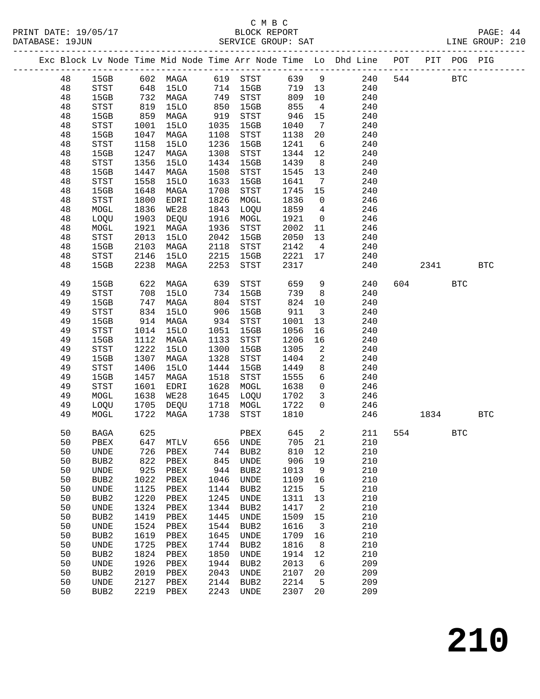#### C M B C<br>BLOCK REPORT SERVICE GROUP: SAT

|    |                              |                     |                      |      |                  |         |                         | Exc Block Lv Node Time Mid Node Time Arr Node Time Lo Dhd Line POT |     |      | PIT POG PIG |            |
|----|------------------------------|---------------------|----------------------|------|------------------|---------|-------------------------|--------------------------------------------------------------------|-----|------|-------------|------------|
| 48 | 15GB                         |                     | 602 MAGA             |      | 619 STST         |         |                         | 639 9 240                                                          | 544 |      | <b>BTC</b>  |            |
| 48 | STST                         |                     |                      |      | 714 15GB         | 719 13  |                         | 240                                                                |     |      |             |            |
| 48 | 15GB                         |                     | 648 15LO<br>732 MAGA |      | 749 STST         | 809     | 10                      | 240                                                                |     |      |             |            |
| 48 | STST                         | 819                 | 15LO                 | 850  | 15GB             | 855     | $\overline{4}$          | 240                                                                |     |      |             |            |
| 48 | 15GB                         | 859                 | MAGA                 | 919  | STST             | 946     | 15                      | 240                                                                |     |      |             |            |
| 48 | STST                         | 1001                | 15LO                 | 1035 | 15GB             | 1040    | $7\overline{ }$         | 240                                                                |     |      |             |            |
| 48 | 15GB                         | 1047                | MAGA                 | 1108 | STST             | 1138    | 20                      | 240                                                                |     |      |             |            |
| 48 | STST                         | 1158                | 15LO                 | 1236 | 15GB             | 1241    | 6                       | 240                                                                |     |      |             |            |
| 48 | 15GB                         | 1247                | MAGA                 | 1308 | STST             | 1344    | 12                      | 240                                                                |     |      |             |            |
| 48 | <b>STST</b>                  | 1356                | <b>15LO</b>          | 1434 | 15GB             | 1439    | 8 <sup>8</sup>          | 240                                                                |     |      |             |            |
| 48 | 15GB                         | 1447                | MAGA                 | 1508 | STST             | 1545    | 13                      | 240                                                                |     |      |             |            |
| 48 | STST                         | 1558                | <b>15LO</b>          | 1633 | 15GB             | 1641    | $\overline{7}$          | 240                                                                |     |      |             |            |
| 48 | 15GB                         | 1648                | MAGA                 | 1708 | STST             | 1745    | 15                      | 240                                                                |     |      |             |            |
| 48 | <b>STST</b>                  | 1800                | EDRI                 | 1826 | MOGL             | 1836    | $\overline{0}$          | 246                                                                |     |      |             |            |
| 48 | MOGL                         | 1836                | WE28                 | 1843 | LOQU             | 1859    | $\overline{4}$          | 246                                                                |     |      |             |            |
| 48 | LOQU                         | 1903                | DEQU                 | 1916 | MOGL             | 1921    | $\overline{0}$          | 246                                                                |     |      |             |            |
| 48 | MOGL                         | 1921                | MAGA                 | 1936 | STST             | 2002    | 11                      | 246                                                                |     |      |             |            |
| 48 | $_{\footnotesize\rm STST}$   | 2013                | <b>15LO</b>          | 2042 | 15GB             | 2050    | 13                      | 240                                                                |     |      |             |            |
| 48 | 15GB                         | 2103                | MAGA                 | 2118 | STST             | 2142    | $\overline{4}$          | 240                                                                |     |      |             |            |
| 48 | STST                         | 2146                | 15LO<br>MAGA         | 2215 | 15GB             | 2221 17 |                         | 240                                                                |     |      |             |            |
| 48 | 15GB                         | 2238                |                      | 2253 | STST             | 2317    |                         | 240                                                                |     | 2341 |             | <b>BTC</b> |
| 49 | 15GB                         | 622                 | MAGA                 | 639  | STST             | 659     | 9                       | 240                                                                |     | 604  | <b>BTC</b>  |            |
| 49 | STST                         | 708                 | 15LO                 |      | 734 15GB         | 739     | 8 <sup>8</sup>          | 240                                                                |     |      |             |            |
| 49 | 15GB                         | 747                 | MAGA                 |      | 804 STST         | 824     | 10                      | 240                                                                |     |      |             |            |
| 49 | STST                         | 834                 | 15LO                 | 906  | 15GB             | 911     | $\overline{\mathbf{3}}$ | 240                                                                |     |      |             |            |
| 49 | 15GB                         | 914                 | MAGA                 |      | 934 STST         | 1001    | 13                      | 240                                                                |     |      |             |            |
| 49 | STST                         | 1014                | 15LO                 | 1051 | 15GB             | 1056    | 16                      | 240                                                                |     |      |             |            |
| 49 | 15GB                         | 1112                | MAGA                 | 1133 | STST             | 1206    | 16                      | 240                                                                |     |      |             |            |
| 49 | STST                         | 1222                | <b>15LO</b>          | 1300 | 15GB             | 1305    | 2                       | 240                                                                |     |      |             |            |
| 49 | 15GB                         | 1307                | MAGA                 | 1328 | STST             | 1404    | $\overline{a}$          | 240                                                                |     |      |             |            |
| 49 | STST                         | 1406                | 15LO                 | 1444 | 15GB             | 1449    | 8                       | 240                                                                |     |      |             |            |
| 49 | 15GB                         | 1457                | MAGA                 | 1518 | STST             | 1555    | 6                       | 240                                                                |     |      |             |            |
| 49 | STST                         | 1601                | EDRI                 | 1628 | MOGL             | 1638    | $\overline{0}$          | 246                                                                |     |      |             |            |
| 49 | MOGL                         | 1638                | WE28                 | 1645 | LOQU             | 1702    | $\overline{\mathbf{3}}$ | 246                                                                |     |      |             |            |
| 49 | LOQU                         | $\frac{1705}{1705}$ | DEQU                 |      | 1718 MOGL        | 1722    | $\overline{0}$          | 246                                                                |     |      |             |            |
| 49 | MOGL                         | 1722                | MAGA                 | 1738 | STST             | 1810    |                         | 246                                                                |     | 1834 |             | <b>BTC</b> |
| 50 | <b>BAGA</b>                  | 625                 |                      |      | PBEX             |         | 645 2                   | 211                                                                |     | 554  | BTC         |            |
|    | 50 PBEX 647 MTLV             |                     |                      |      | 656 UNDE         |         | 705 21                  | 210                                                                |     |      |             |            |
| 50 | UNDE                         | 726                 | PBEX                 | 744  | BUB <sub>2</sub> | 810     | 12                      | 210                                                                |     |      |             |            |
| 50 | BUB <sub>2</sub>             | 822                 | PBEX                 | 845  | UNDE             | 906     | 19                      | 210                                                                |     |      |             |            |
| 50 | <b>UNDE</b>                  | 925                 | ${\tt PBEX}$         | 944  | BUB2             | 1013    | 9                       | 210                                                                |     |      |             |            |
| 50 | BUB <sub>2</sub>             | 1022                | PBEX                 | 1046 | UNDE             | 1109    | 16                      | 210                                                                |     |      |             |            |
| 50 | $\ensuremath{\mathsf{UNDE}}$ | 1125                | PBEX                 | 1144 | BUB <sub>2</sub> | 1215    | 5                       | 210                                                                |     |      |             |            |
| 50 | BUB <sub>2</sub>             | 1220                | PBEX                 | 1245 | UNDE             | 1311    | 13                      | 210                                                                |     |      |             |            |
| 50 | <b>UNDE</b>                  | 1324                | PBEX                 | 1344 | BUB <sub>2</sub> | 1417    | 2                       | 210                                                                |     |      |             |            |
| 50 | BUB <sub>2</sub>             | 1419                | PBEX                 | 1445 | UNDE             | 1509    | 15                      | 210                                                                |     |      |             |            |
| 50 | <b>UNDE</b>                  | 1524                | PBEX                 | 1544 | BUB <sub>2</sub> | 1616    | 3                       | 210                                                                |     |      |             |            |
| 50 | BUB <sub>2</sub>             | 1619                | PBEX                 | 1645 | UNDE             | 1709    | 16                      | 210                                                                |     |      |             |            |
| 50 | UNDE                         | 1725                | PBEX                 | 1744 | BUB <sub>2</sub> | 1816    | 8                       | 210                                                                |     |      |             |            |
| 50 | BUB <sub>2</sub>             | 1824                | PBEX                 | 1850 | UNDE             | 1914    | 12                      | 210                                                                |     |      |             |            |
| 50 | <b>UNDE</b>                  | 1926                | PBEX                 | 1944 | BUB2             | 2013    | 6                       | 209                                                                |     |      |             |            |

 50 BUB2 2019 PBEX 2043 UNDE 2107 20 209 50 UNDE 2127 PBEX 2144 BUB2 2214 5 209 50 BUB2 2219 PBEX 2243 UNDE 2307 20 209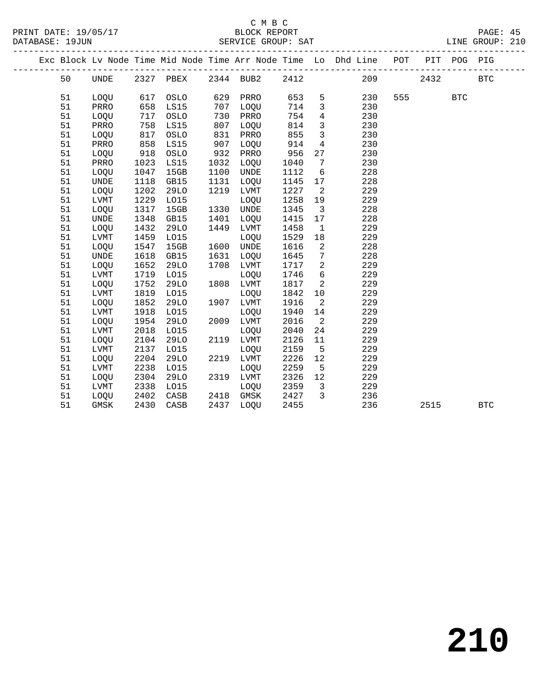|  |    |             |      |             |      |           |      |                         | Exc Block Lv Node Time Mid Node Time Arr Node Time Lo Dhd Line POT |     |      | PIT POG PIG |            |  |
|--|----|-------------|------|-------------|------|-----------|------|-------------------------|--------------------------------------------------------------------|-----|------|-------------|------------|--|
|  | 50 | UNDE        |      | 2327 PBEX   |      | 2344 BUB2 | 2412 |                         |                                                                    | 209 | 2432 |             | <b>BTC</b> |  |
|  |    |             |      |             |      |           |      |                         |                                                                    |     |      |             |            |  |
|  | 51 | <b>LOOU</b> | 617  | OSLO        | 629  | PRRO      | 653  | 5                       | 230                                                                | 555 |      | <b>BTC</b>  |            |  |
|  | 51 | PRRO        | 658  | LS15        | 707  | LOQU      | 714  | $\mathbf{3}$            | 230                                                                |     |      |             |            |  |
|  | 51 | LOQU        | 717  | OSLO        | 730  | PRRO      | 754  | $\overline{4}$          | 230                                                                |     |      |             |            |  |
|  | 51 | PRRO        | 758  | LS15        | 807  | LOQU      | 814  | $\overline{3}$          | 230                                                                |     |      |             |            |  |
|  | 51 | LOQU        | 817  | OSLO        | 831  | PRRO      | 855  | $\overline{3}$          | 230                                                                |     |      |             |            |  |
|  | 51 | PRRO        | 858  | LS15        | 907  | LOQU      | 914  | $\overline{4}$          | 230                                                                |     |      |             |            |  |
|  | 51 | LOQU        | 918  | OSLO        | 932  | PRRO      | 956  | 27                      | 230                                                                |     |      |             |            |  |
|  | 51 | PRRO        | 1023 | LS15        | 1032 | LOQU      | 1040 | $7\phantom{.0}$         | 230                                                                |     |      |             |            |  |
|  | 51 | LOQU        | 1047 | 15GB        | 1100 | UNDE      | 1112 | 6                       | 228                                                                |     |      |             |            |  |
|  | 51 | UNDE        | 1118 | GB15        | 1131 | LOQU      | 1145 | 17                      | 228                                                                |     |      |             |            |  |
|  | 51 | LOQU        | 1202 | <b>29LO</b> | 1219 | LVMT      | 1227 | $\overline{2}$          | 229                                                                |     |      |             |            |  |
|  | 51 | LVMT        | 1229 | L015        |      | LOQU      | 1258 | 19                      | 229                                                                |     |      |             |            |  |
|  | 51 | LOQU        | 1317 | 15GB        | 1330 | UNDE      | 1345 | $\overline{\mathbf{3}}$ | 228                                                                |     |      |             |            |  |
|  | 51 | <b>UNDE</b> | 1348 | GB15        | 1401 | LOQU      | 1415 | 17                      | 228                                                                |     |      |             |            |  |
|  | 51 | LOQU        | 1432 | 29LO        | 1449 | LVMT      | 1458 | $\mathbf{1}$            | 229                                                                |     |      |             |            |  |
|  | 51 | LVMT        | 1459 | L015        |      | LOQU      | 1529 | 18                      | 229                                                                |     |      |             |            |  |
|  | 51 | LOQU        | 1547 | 15GB        |      | 1600 UNDE | 1616 | 2                       | 228                                                                |     |      |             |            |  |
|  | 51 | <b>UNDE</b> | 1618 | GB15        | 1631 | LOQU      | 1645 | $7\phantom{.0}$         | 228                                                                |     |      |             |            |  |
|  | 51 | LOQU        | 1652 | 29LO        | 1708 | LVMT      | 1717 | 2                       | 229                                                                |     |      |             |            |  |
|  | 51 | <b>LVMT</b> | 1719 | L015        |      | LOQU      | 1746 | 6                       | 229                                                                |     |      |             |            |  |
|  | 51 | LOQU        | 1752 | 29LO        |      | 1808 LVMT | 1817 | 2                       | 229                                                                |     |      |             |            |  |
|  | 51 | <b>LVMT</b> | 1819 | L015        |      | LOQU      | 1842 | 10                      | 229                                                                |     |      |             |            |  |
|  | 51 | LOQU        | 1852 | 29LO        |      | 1907 LVMT | 1916 | 2                       | 229                                                                |     |      |             |            |  |
|  | 51 | <b>LVMT</b> | 1918 | L015        |      | LOQU      | 1940 | 14                      | 229                                                                |     |      |             |            |  |
|  | 51 | LOQU        | 1954 | 29LO        |      | 2009 LVMT | 2016 | $\overline{a}$          | 229                                                                |     |      |             |            |  |
|  | 51 | LVMT        | 2018 | L015        |      | LOQU      | 2040 | 24                      | 229                                                                |     |      |             |            |  |
|  | 51 | LOQU        | 2104 | 29LO        |      | 2119 LVMT | 2126 | 11                      | 229                                                                |     |      |             |            |  |
|  | 51 | <b>LVMT</b> | 2137 | L015        |      | LOQU      | 2159 | 5                       | 229                                                                |     |      |             |            |  |
|  | 51 | LOQU        | 2204 | 29LO        |      | 2219 LVMT | 2226 | 12                      | 229                                                                |     |      |             |            |  |
|  | 51 | LVMT        | 2238 | L015        |      | LOQU      | 2259 | 5                       | 229                                                                |     |      |             |            |  |
|  | 51 | LOQU        | 2304 | 29LO        |      | 2319 LVMT | 2326 | 12                      | 229                                                                |     |      |             |            |  |
|  | 51 | LVMT        | 2338 | L015        |      | LOQU      | 2359 | $\overline{\mathbf{3}}$ | 229                                                                |     |      |             |            |  |
|  | 51 | LOQU        | 2402 | CASB        |      | 2418 GMSK | 2427 | $\overline{3}$          | 236                                                                |     |      |             |            |  |
|  | 51 | GMSK        | 2430 | CASB        | 2437 | LOOU      | 2455 |                         | 236                                                                |     | 2515 |             | <b>BTC</b> |  |
|  |    |             |      |             |      |           |      |                         |                                                                    |     |      |             |            |  |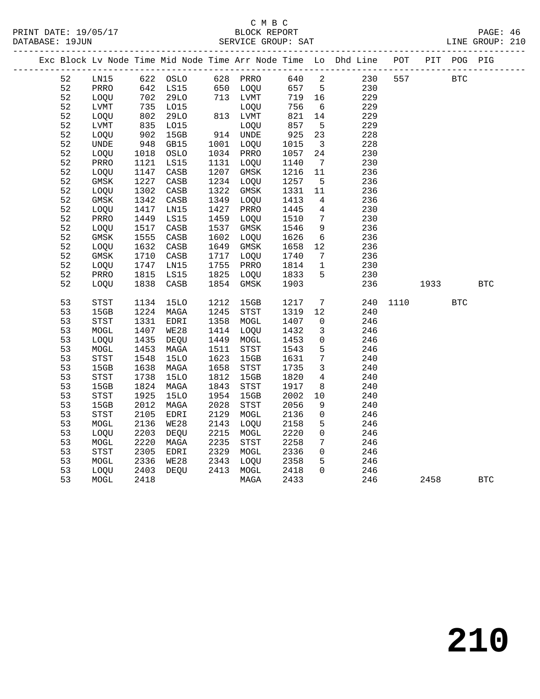#### C M B C<br>BLOCK REPORT SERVICE GROUP: SAT

|    |                            |                      |                   |      |             |        |                              | Exc Block Lv Node Time Mid Node Time Arr Node Time Lo Dhd Line POT |      |            | PIT POG PIG |              |  |
|----|----------------------------|----------------------|-------------------|------|-------------|--------|------------------------------|--------------------------------------------------------------------|------|------------|-------------|--------------|--|
| 52 | LN15                       |                      | 622 OSLO 628 PRRO |      |             | 640 2  |                              | 230                                                                | 557  | <b>BTC</b> |             |              |  |
| 52 | PRRO                       | 642                  | LS15              |      | 650 LOQU    | 657    | $5^{\circ}$                  | 230                                                                |      |            |             |              |  |
| 52 | LOQU                       | $\frac{1}{2}$<br>702 | 29LO              |      | 713 LVMT    | 719 16 |                              | 229                                                                |      |            |             |              |  |
| 52 | LVMT                       |                      | L015              |      | LOQU        | 756    | $6\overline{6}$              | 229                                                                |      |            |             |              |  |
| 52 | LOQU                       | 802                  | 29LO              |      | 813 LVMT    | 821    | 14                           | 229                                                                |      |            |             |              |  |
| 52 | LVMT                       | 835                  | L015              |      | LOQU        | 857    | $5^{\circ}$                  | 229                                                                |      |            |             |              |  |
| 52 | LOQU                       | 902                  | 15GB              |      | 914 UNDE    | 925    | 23                           | 228                                                                |      |            |             |              |  |
| 52 | <b>UNDE</b>                | 948                  | GB15              |      | 1001 LOQU   | 1015   | $\overline{\mathbf{3}}$      | 228                                                                |      |            |             |              |  |
| 52 | LOQU                       | 1018                 | OSLO              |      | 1034 PRRO   | 1057   | 24                           | 230                                                                |      |            |             |              |  |
| 52 | PRRO                       | 1121                 | LS15              |      | 1131 LOQU   | 1140   | $7\phantom{.0}\phantom{.0}7$ | 230                                                                |      |            |             |              |  |
| 52 | LOQU                       | 1147                 | CASB              | 1207 | GMSK        | 1216   | 11                           | 236                                                                |      |            |             |              |  |
| 52 | GMSK                       | 1227                 | CASB              |      | 1234 LOQU   | 1257   | $5^{\circ}$                  | 236                                                                |      |            |             |              |  |
| 52 | LOQU                       | 1302                 | CASB              | 1322 | GMSK        | 1331   | 11                           | 236                                                                |      |            |             |              |  |
| 52 | GMSK                       | 1342                 | CASB              | 1349 | LOQU        | 1413   | 4                            | 236                                                                |      |            |             |              |  |
| 52 | LOQU                       | 1417                 | LN15              | 1427 | PRRO        | 1445   | $4\overline{ }$              | 230                                                                |      |            |             |              |  |
| 52 | PRRO                       | 1449                 | LS15              | 1459 | LOQU        | 1510   | 7                            | 230                                                                |      |            |             |              |  |
| 52 | LOQU                       | 1517                 | CASB              | 1537 | GMSK        | 1546   | 9                            | 236                                                                |      |            |             |              |  |
| 52 | GMSK                       | 1555                 | CASB              | 1602 | LOQU        | 1626   | $6\overline{6}$              | 236                                                                |      |            |             |              |  |
| 52 | LOQU                       | 1632                 | CASB              | 1649 | GMSK        | 1658   | 12                           | 236                                                                |      |            |             |              |  |
| 52 | GMSK                       | 1710                 | CASB              | 1717 | LOQU        | 1740   | $7\overline{ }$              | 236                                                                |      |            |             |              |  |
| 52 | LOQU                       | 1747                 | LN15              | 1755 | PRRO        | 1814   | $\overline{1}$               | 230                                                                |      |            |             |              |  |
| 52 | PRRO                       | 1815                 | LS15              | 1825 | LOQU        | 1833   | 5                            | 230                                                                |      |            |             |              |  |
| 52 | LOQU                       | 1838                 | CASB              | 1854 | GMSK        | 1903   |                              | 236                                                                |      | 1933       |             | $_{\rm BTC}$ |  |
| 53 | $_{\footnotesize\rm STST}$ | 1134                 | 15LO              | 1212 | 15GB        | 1217   | $7\phantom{.0}$              | 240                                                                | 1110 |            | <b>BTC</b>  |              |  |
| 53 | 15GB                       | 1224                 | MAGA              | 1245 | STST        | 1319   | 12                           | 240                                                                |      |            |             |              |  |
| 53 | <b>STST</b>                | 1331                 | EDRI              | 1358 | MOGL        | 1407   | $\overline{0}$               | 246                                                                |      |            |             |              |  |
| 53 | MOGL                       | 1407                 | WE28              | 1414 | LOQU        | 1432   | $\overline{3}$               | 246                                                                |      |            |             |              |  |
| 53 | LOQU                       | 1435                 | DEQU              | 1449 | MOGL        | 1453   | $\mathbf 0$                  | 246                                                                |      |            |             |              |  |
| 53 | MOGL                       | 1453                 | MAGA              | 1511 | STST        | 1543   | 5                            | 246                                                                |      |            |             |              |  |
| 53 | ${\tt STST}$               | 1548                 | <b>15LO</b>       | 1623 | 15GB        | 1631   | $7\phantom{.0}$              | 240                                                                |      |            |             |              |  |
| 53 | 15GB                       | 1638                 | MAGA              | 1658 | STST        | 1735   | $\mathbf{3}$                 | 240                                                                |      |            |             |              |  |
| 53 | STST                       | 1738                 | <b>15LO</b>       | 1812 | 15GB        | 1820   | $\overline{4}$               | 240                                                                |      |            |             |              |  |
| 53 | 15GB                       | 1824                 | MAGA              | 1843 | STST        | 1917   | 8                            | 240                                                                |      |            |             |              |  |
| 53 | STST                       | 1925                 | <b>15LO</b>       | 1954 | 15GB        | 2002   | 10                           | 240                                                                |      |            |             |              |  |
| 53 | 15GB                       | 2012                 | MAGA              | 2028 | STST        | 2056   | 9                            | 240                                                                |      |            |             |              |  |
| 53 | STST                       | 2105                 | EDRI              | 2129 | MOGL        | 2136   | $\mathsf{O}$                 | 246                                                                |      |            |             |              |  |
| 53 | MOGL                       | 2136                 | <b>WE28</b>       | 2143 | LOQU        | 2158   | 5                            | 246                                                                |      |            |             |              |  |
| 53 | LOQU                       | 2203                 | DEQU              | 2215 | MOGL        | 2220   | $\mathsf{O}$                 | 246                                                                |      |            |             |              |  |
| 53 | MOGL                       | 2220                 | MAGA              | 2235 | <b>STST</b> | 2258   | $7\overline{ }$              | 246                                                                |      |            |             |              |  |
| 53 | STST                       | 2305                 | EDRI              | 2329 | MOGL        | 2336   | $\mathbf 0$                  | 246                                                                |      |            |             |              |  |
| 53 | MOGL                       | 2336                 | <b>WE28</b>       | 2343 | LOQU        | 2358   | 5                            | 246                                                                |      |            |             |              |  |

53 LOQU 2403 DEQU 2413 MOGL 2418 0 246

53 MOGL 2418 MAGA 2433 246 2458 BTC

**210**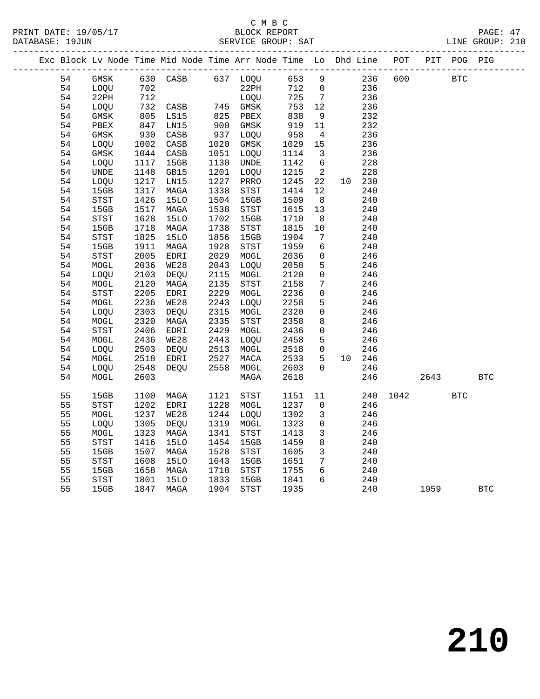|  |          |             |      | Exc Block Lv Node Time Mid Node Time Arr Node Time Lo Dhd Line POT PIT POG PIG |              |                                       |              |                              |            |      |      |            |            |
|--|----------|-------------|------|--------------------------------------------------------------------------------|--------------|---------------------------------------|--------------|------------------------------|------------|------|------|------------|------------|
|  | 54       | GMSK        |      | 630 CASB                                                                       |              | 637 LOQU                              | 653          | 9                            | 236        | 600  |      | <b>BTC</b> |            |
|  | 54       | LOQU        | 702  |                                                                                |              | 22PH                                  | 712          | $\overline{0}$               | 236        |      |      |            |            |
|  | 54       | 22PH        | 712  |                                                                                |              | LOQU                                  | 725          | $7\overline{ }$              | 236        |      |      |            |            |
|  | 54       | LOQU        | 732  | CASB                                                                           |              | 745 GMSK                              | 753          | 12                           | 236        |      |      |            |            |
|  | 54       | GMSK        | 805  | LS15                                                                           | 825          | PBEX                                  | 838          | 9                            | 232        |      |      |            |            |
|  | 54       | PBEX        | 847  | LN15                                                                           | 900          | GMSK                                  | 919          | 11                           | 232        |      |      |            |            |
|  | 54       | GMSK        | 930  | CASB                                                                           | 937          | LOQU                                  | 958          | $\overline{4}$               | 236        |      |      |            |            |
|  | 54       | LOQU        | 1002 | CASB                                                                           | 1020         | GMSK                                  | 1029         | 15                           | 236        |      |      |            |            |
|  | 54       | GMSK        | 1044 | CASB                                                                           | 1051         | LOQU                                  | 1114         | $\overline{\mathbf{3}}$      | 236        |      |      |            |            |
|  | 54       | LOQU        | 1117 | 15GB                                                                           | 1130         | UNDE                                  | 1142         | 6                            | 228        |      |      |            |            |
|  | 54       | <b>UNDE</b> | 1148 | GB15                                                                           | 1201         | LOQU                                  | 1215         | 2                            | 228        |      |      |            |            |
|  | 54       | LOQU        | 1217 | LN15                                                                           | 1227         | PRRO                                  | 1245         | 22                           | 10 230     |      |      |            |            |
|  | 54       | 15GB        | 1317 | MAGA                                                                           | 1338         | STST                                  | 1414         | 12                           | 240        |      |      |            |            |
|  | 54       | STST        | 1426 | 15LO                                                                           | 1504         | 15GB                                  | 1509         | 8 <sup>8</sup>               | 240        |      |      |            |            |
|  | 54       | 15GB        | 1517 | MAGA                                                                           | 1538         | $_{\footnotesize{\textnormal{STST}}}$ | 1615         | 13                           | 240        |      |      |            |            |
|  | 54       | <b>STST</b> | 1628 | 15LO                                                                           | 1702         | 15GB                                  | 1710         | 8                            | 240        |      |      |            |            |
|  | 54       | 15GB        | 1718 | MAGA                                                                           | 1738         | STST                                  | 1815         | 10                           | 240        |      |      |            |            |
|  | 54       | STST        | 1825 | <b>15LO</b>                                                                    | 1856         | 15GB                                  | 1904         | $7\phantom{.0}\phantom{.0}7$ | 240        |      |      |            |            |
|  | 54       | 15GB        | 1911 | MAGA                                                                           | 1928         | $_{\footnotesize{\textnormal{STST}}}$ | 1959         | 6                            | 240        |      |      |            |            |
|  | 54       | STST        | 2005 | EDRI                                                                           | 2029         | MOGL                                  | 2036         | $\mathbf 0$                  | 246        |      |      |            |            |
|  | 54       | MOGL        | 2036 | WE28                                                                           | 2043         | LOOU                                  | 2058         | 5                            | 246        |      |      |            |            |
|  | 54       | LOQU        | 2103 | DEQU                                                                           | 2115         | MOGL                                  | 2120         | $\mathbf 0$                  | 246        |      |      |            |            |
|  | 54       | MOGL        | 2120 | MAGA                                                                           | 2135         | STST                                  | 2158         | $7\phantom{.0}$              | 246        |      |      |            |            |
|  | 54       | STST        | 2205 | EDRI                                                                           | 2229         | MOGL                                  | 2236         | $\mathbf 0$                  | 246        |      |      |            |            |
|  | 54       | MOGL        | 2236 | WE28                                                                           | 2243         | LOQU                                  | 2258         | 5                            | 246        |      |      |            |            |
|  | 54       | LOQU        | 2303 | DEQU                                                                           | 2315         | ${\tt MOGL}$                          | 2320         | $\mathbf 0$                  | 246        |      |      |            |            |
|  | 54       | MOGL        | 2320 | MAGA                                                                           | 2335         | <b>STST</b>                           | 2358         | 8                            | 246        |      |      |            |            |
|  | 54       | STST        | 2406 | EDRI                                                                           | 2429         | MOGL                                  | 2436         | 0                            | 246        |      |      |            |            |
|  | 54       | MOGL        | 2436 | WE28                                                                           | 2443         | LOQU                                  | 2458         | 5                            | 246        |      |      |            |            |
|  | 54       | LOQU        | 2503 | DEQU                                                                           | 2513         | MOGL                                  | 2518         | $\overline{0}$               | 246        |      |      |            |            |
|  | 54       | MOGL        | 2518 | EDRI                                                                           | 2527         | MACA                                  | 2533         | 5                            | 10 246     |      |      |            |            |
|  | 54       | LOQU        | 2548 | DEOU                                                                           | 2558         | MOGL                                  | 2603         | $\Omega$                     | 246        |      |      |            |            |
|  | 54       | MOGL        | 2603 |                                                                                |              | MAGA                                  | 2618         |                              | 246        |      | 2643 |            | <b>BTC</b> |
|  |          |             |      |                                                                                |              |                                       |              |                              |            |      |      |            |            |
|  | 55       | 15GB        | 1100 | MAGA                                                                           | 1121         | STST                                  | 1151         | 11                           | 240        | 1042 |      | <b>BTC</b> |            |
|  | 55       | STST        | 1202 | EDRI                                                                           | 1228         | MOGL                                  | 1237         | $\mathbf 0$                  | 246        |      |      |            |            |
|  | 55       | MOGL        | 1237 | WE28                                                                           | 1244         | LOOU                                  | 1302         | 3                            | 246        |      |      |            |            |
|  | 55       | LOQU        | 1305 | DEQU                                                                           | 1319         | MOGL                                  | 1323         | $\mathbf 0$                  | 246        |      |      |            |            |
|  | 55       | MOGL        | 1323 | MAGA                                                                           | 1341         | STST                                  | 1413         | $\mathbf{3}$                 | 246        |      |      |            |            |
|  | 55       | STST        | 1416 | <b>15LO</b>                                                                    | 1454         |                                       | 1459         | $\,8\,$                      |            |      |      |            |            |
|  | 55       |             |      |                                                                                | 1528         | 15GB                                  |              | $\overline{3}$               | 240        |      |      |            |            |
|  |          | 15GB        | 1507 | MAGA                                                                           |              | STST                                  | 1605         | 7                            | 240        |      |      |            |            |
|  | 55<br>55 | STST        | 1608 | <b>15LO</b>                                                                    | 1643<br>1718 | 15GB                                  | 1651<br>1755 | 6                            | 240        |      |      |            |            |
|  |          | 15GB        | 1658 | MAGA                                                                           |              | STST                                  |              | 6                            | 240<br>240 |      |      |            |            |
|  | 55       | STST        | 1801 | <b>15LO</b>                                                                    | 1833         | 15GB                                  | 1841         |                              |            |      |      |            |            |
|  | 55       | 15GB        | 1847 | MAGA                                                                           | 1904         | STST                                  | 1935         |                              | 240        |      | 1959 |            | <b>BTC</b> |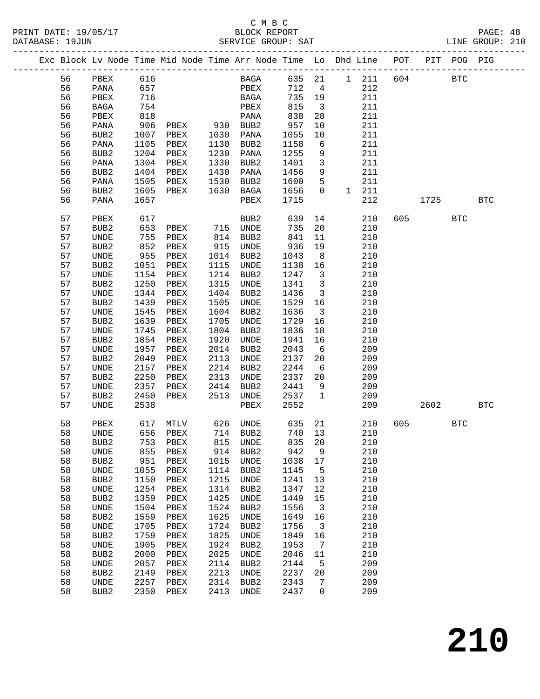### C M B C

| DATABASE: 19JUN |    |                              |            |                                                                                |      | SERVICE GROUP: SAT |        |                         |               |     |           |            | LINE GROUP: 210 |  |
|-----------------|----|------------------------------|------------|--------------------------------------------------------------------------------|------|--------------------|--------|-------------------------|---------------|-----|-----------|------------|-----------------|--|
|                 |    |                              |            | Exc Block Lv Node Time Mid Node Time Arr Node Time Lo Dhd Line POT PIT POG PIG |      |                    |        |                         |               |     |           |            |                 |  |
|                 | 56 | $\rm{PBEX}$                  | 616        |                                                                                |      | BAGA 635 21        |        |                         | $1 \quad 211$ |     | 604 BTC   |            |                 |  |
|                 | 56 | PANA                         | 657        |                                                                                |      | PBEX               | 712    | $\overline{4}$          | 212           |     |           |            |                 |  |
|                 | 56 | PBEX                         | 716        |                                                                                |      | BAGA               | 735 19 |                         | 211           |     |           |            |                 |  |
|                 | 56 | BAGA                         | 754        |                                                                                |      | PBEX               | 815    | $\overline{\mathbf{3}}$ | 211           |     |           |            |                 |  |
|                 | 56 | PBEX                         | 818        |                                                                                |      | PANA               | 838    | 28                      | 211           |     |           |            |                 |  |
|                 | 56 | PANA                         | 906        | PBEX 930 BUB2                                                                  |      |                    | 957    | 10                      | 211           |     |           |            |                 |  |
|                 | 56 | BUB2                         | 1007       | PBEX                                                                           | 1030 | PANA               | 1055   | $10 \,$                 | 211           |     |           |            |                 |  |
|                 | 56 | PANA                         | 1105       | PBEX                                                                           | 1130 | BUB2               | 1158   | 6                       | 211           |     |           |            |                 |  |
|                 | 56 | BUB2                         |            | 1204 PBEX                                                                      | 1230 | PANA               | 1255   | 9                       | 211           |     |           |            |                 |  |
|                 | 56 | PANA                         | 1304       | PBEX                                                                           | 1330 | BUB2               | 1401   | $\overline{\mathbf{3}}$ | 211           |     |           |            |                 |  |
|                 | 56 | BUB2                         | 1404       | PBEX                                                                           | 1430 | PANA               | 1456   | 9                       | 211           |     |           |            |                 |  |
|                 | 56 | PANA                         | 1505       | PBEX                                                                           | 1530 | BUB2               | 1600   | $5^{\circ}$             | 211           |     |           |            |                 |  |
|                 | 56 | BUB2                         | 1605       | PBEX                                                                           | 1630 | BAGA               | 1656   | $\overline{0}$          | 1 211         |     |           |            |                 |  |
|                 | 56 | PANA                         | 1657       |                                                                                |      | PBEX               | 1715   |                         | 212           |     |           | 1725       | <b>BTC</b>      |  |
|                 |    |                              |            |                                                                                |      |                    |        |                         |               |     |           |            |                 |  |
|                 | 57 | PBEX                         | 617<br>653 |                                                                                |      | BUB2               | 639    | 14                      | 210           |     | 605 — 100 | <b>BTC</b> |                 |  |
|                 | 57 | BUB2                         | 755        |                                                                                |      |                    | 735    | 20                      | 210           |     |           |            |                 |  |
|                 | 57 | UNDE                         |            | PBEX                                                                           |      | 814 BUB2           | 841    | 11                      | 210           |     |           |            |                 |  |
|                 | 57 | BUB2                         | 852        | PBEX                                                                           |      | 915 UNDE           | 936    | 19                      | 210           |     |           |            |                 |  |
|                 | 57 | UNDE                         | 955        | PBEX                                                                           |      | 1014 BUB2          | 1043   | 8 <sup>8</sup>          | 210           |     |           |            |                 |  |
|                 | 57 | BUB2                         | 1051       | PBEX                                                                           |      | 1115 UNDE          | 1138   | 16                      | 210           |     |           |            |                 |  |
|                 | 57 | UNDE                         | 1154       | PBEX                                                                           | 1214 | BUB2               | 1247   | $\overline{\mathbf{3}}$ | 210           |     |           |            |                 |  |
|                 | 57 | BUB2                         | 1250       | PBEX                                                                           | 1315 | UNDE               | 1341   | $\overline{\mathbf{3}}$ | 210           |     |           |            |                 |  |
|                 | 57 | UNDE                         | 1344       | PBEX                                                                           | 1404 | BUB2               | 1436   | $\overline{\mathbf{3}}$ | 210           |     |           |            |                 |  |
|                 | 57 | BUB2                         | 1439       | PBEX                                                                           | 1505 | UNDE               | 1529   | 16                      | 210           |     |           |            |                 |  |
|                 | 57 | UNDE                         | 1545       | PBEX                                                                           | 1604 | BUB2               | 1636   | $\overline{\mathbf{3}}$ | 210           |     |           |            |                 |  |
|                 | 57 | BUB2                         | 1639       | PBEX                                                                           | 1705 | UNDE               | 1729   | 16                      | 210           |     |           |            |                 |  |
|                 | 57 | UNDE                         | 1745       | PBEX                                                                           | 1804 | BUB2               | 1836   | 18                      | 210           |     |           |            |                 |  |
|                 | 57 | BUB2                         | 1854       | PBEX                                                                           | 1920 | UNDE               | 1941   | 16                      | 210           |     |           |            |                 |  |
|                 | 57 | UNDE                         | 1957       | PBEX                                                                           | 2014 | BUB2               | 2043   | 6                       | 209           |     |           |            |                 |  |
|                 | 57 | BUB2                         | 2049       | PBEX                                                                           | 2113 | UNDE               | 2137   | 20                      | 209           |     |           |            |                 |  |
|                 | 57 | UNDE                         | 2157       | PBEX                                                                           |      | 2214 BUB2          | 2244   | 6                       | 209           |     |           |            |                 |  |
|                 | 57 | BUB2                         | 2250       | PBEX                                                                           |      | 2313 UNDE          | 2337   | 20                      | 209           |     |           |            |                 |  |
|                 | 57 | UNDE                         | 2357       | PBEX                                                                           | 2414 | BUB2               | 2441   | 9                       | 209           |     |           |            |                 |  |
|                 | 57 | BUB2                         | 2450       | PBEX                                                                           | 2513 | UNDE               | 2537   | $\overline{1}$          | 209           |     |           |            |                 |  |
|                 | 57 | UNDE                         | 2538       |                                                                                |      | PBEX               | 2552   |                         | 209           |     | 2602      |            | <b>BTC</b>      |  |
|                 | 58 | PBEX                         |            | 617 MTLV 626 UNDE                                                              |      |                    | 635 21 |                         | 210           | 605 |           | <b>BTC</b> |                 |  |
|                 | 58 |                              |            | UNDE 656 PBEX 714 BUB2 740 13                                                  |      |                    |        |                         | 210           |     |           |            |                 |  |
|                 | 58 | BUB <sub>2</sub>             | 753        | PBEX                                                                           | 815  | UNDE               | 835    | 20                      | 210           |     |           |            |                 |  |
|                 | 58 | UNDE                         | 855        | PBEX                                                                           | 914  | BUB2               | 942    | 9                       | 210           |     |           |            |                 |  |
|                 | 58 | BUB2                         | 951        | PBEX                                                                           | 1015 | UNDE               | 1038   | 17                      | 210           |     |           |            |                 |  |
|                 | 58 | $\ensuremath{\mathsf{UNDE}}$ | 1055       | PBEX                                                                           | 1114 | BUB2               | 1145   | $5^{\circ}$             | 210           |     |           |            |                 |  |
|                 | 58 | BUB2                         | 1150       | PBEX                                                                           | 1215 | UNDE               | 1241   | 13                      | 210           |     |           |            |                 |  |
|                 | 58 | $\ensuremath{\mathsf{UNDE}}$ | 1254       | PBEX                                                                           | 1314 | BUB2               | 1347   | 12                      | 210           |     |           |            |                 |  |
|                 | 58 | BUB2                         | 1359       | PBEX                                                                           | 1425 | UNDE               | 1449   | 15                      | 210           |     |           |            |                 |  |
|                 | 58 | $\ensuremath{\mathsf{UNDE}}$ | 1504       | PBEX                                                                           | 1524 | BUB <sub>2</sub>   | 1556   | $\overline{\mathbf{3}}$ | 210           |     |           |            |                 |  |
|                 | 58 | BUB2                         | 1559       | PBEX                                                                           | 1625 | UNDE               | 1649   | 16                      | 210           |     |           |            |                 |  |
|                 | 58 | UNDE                         | 1705       | PBEX                                                                           | 1724 | BUB <sub>2</sub>   | 1756   | $\overline{\mathbf{3}}$ | 210           |     |           |            |                 |  |
|                 | 58 | BUB2                         | 1759       | PBEX                                                                           | 1825 | UNDE               | 1849   | 16                      | 210           |     |           |            |                 |  |
|                 | 58 | $\ensuremath{\mathsf{UNDE}}$ | 1905       | PBEX                                                                           | 1924 | BUB <sub>2</sub>   | 1953   | $7\phantom{.0}$         | 210           |     |           |            |                 |  |
|                 | 58 | BUB2                         | 2000       | PBEX                                                                           | 2025 | UNDE               | 2046   | 11                      | 210           |     |           |            |                 |  |
|                 | 58 | UNDE                         | 2057       | PBEX                                                                           | 2114 | BUB2               | 2144   | 5                       | 209           |     |           |            |                 |  |
|                 | 58 | BUB2                         | 2149       | PBEX                                                                           | 2213 | UNDE               | 2237   | 20                      | 209           |     |           |            |                 |  |
|                 | 58 | UNDE                         | 2257       | PBEX                                                                           | 2314 | BUB2               | 2343   | 7                       | 209           |     |           |            |                 |  |
|                 | 58 | BUB2                         | 2350       | PBEX                                                                           | 2413 | UNDE               | 2437   | $\mathbf 0$             | 209           |     |           |            |                 |  |

**210**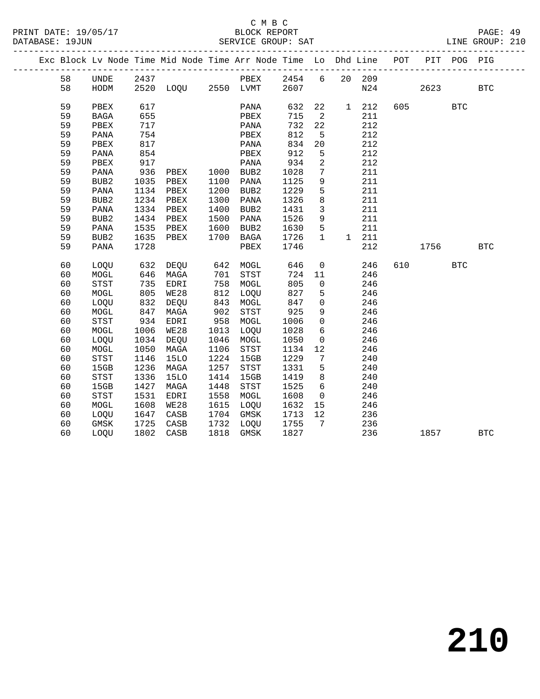### C M B C

| PRINT DATE: 19/05/17<br>DATABASE: 19JUN |    |                  |            |                   |      | 5/17 BLOCK REPORT<br>SERVICE GROUP: SAT                                        |      |                         |                |                    |          |       |            | PAGE: 49<br>LINE GROUP: 210 |  |
|-----------------------------------------|----|------------------|------------|-------------------|------|--------------------------------------------------------------------------------|------|-------------------------|----------------|--------------------|----------|-------|------------|-----------------------------|--|
|                                         |    |                  |            |                   |      | Exc Block Lv Node Time Mid Node Time Arr Node Time Lo Dhd Line POT PIT POG PIG |      |                         |                |                    |          |       |            |                             |  |
|                                         | 58 |                  |            |                   |      | UNDE 2437 PBEX 2454 6 20 209                                                   |      |                         |                |                    |          |       |            |                             |  |
|                                         | 58 | HODM             |            |                   |      | 2520 LOQU 2550 LVMT 2607                                                       |      |                         |                |                    | N24 2623 |       |            | BTC                         |  |
|                                         | 59 | PBEX             | 617        |                   |      | PANA                                                                           | 632  |                         |                | 22 1 212           |          | 605 7 | <b>BTC</b> |                             |  |
|                                         | 59 | <b>BAGA</b>      | 655        |                   |      | PBEX                                                                           | 715  | $\overline{2}$          |                | 211                |          |       |            |                             |  |
|                                         | 59 | PBEX             | 717        |                   |      | PANA                                                                           | 732  | 22                      |                | 212                |          |       |            |                             |  |
|                                         | 59 | PANA             | 754        |                   |      | PBEX                                                                           | 812  | $5^{\circ}$             |                | 212                |          |       |            |                             |  |
|                                         | 59 | PBEX             | 817        |                   |      | PANA                                                                           | 834  | 20                      |                | 212                |          |       |            |                             |  |
|                                         | 59 | PANA             | 854        |                   |      | PBEX                                                                           | 912  | 5                       |                | 212                |          |       |            |                             |  |
|                                         | 59 | PBEX             | 917        |                   |      | PANA                                                                           | 934  | $\overline{a}$          |                | 212                |          |       |            |                             |  |
|                                         | 59 | PANA             | 936        | PBEX 1000 BUB2    |      |                                                                                | 1028 | $7\overline{ }$         |                | 211                |          |       |            |                             |  |
|                                         | 59 | BUB <sub>2</sub> | 1035       | PBEX              | 1100 | PANA                                                                           | 1125 | 9                       |                | 211                |          |       |            |                             |  |
|                                         | 59 | PANA             |            | 1134 PBEX         | 1200 | BUB2                                                                           | 1229 | 5                       |                | 211                |          |       |            |                             |  |
|                                         | 59 | BUB <sub>2</sub> |            | 1234 PBEX         | 1300 | PANA                                                                           | 1326 | 8                       |                | 211                |          |       |            |                             |  |
|                                         | 59 | PANA             | 1334       | PBEX              | 1400 | BUB2                                                                           | 1431 | $\overline{\mathbf{3}}$ |                | 211                |          |       |            |                             |  |
|                                         | 59 | BUB <sub>2</sub> | 1434       | PBEX              | 1500 | PANA                                                                           | 1526 | 9                       |                | 211                |          |       |            |                             |  |
|                                         | 59 | PANA             | 1535       | PBEX              | 1600 | BUB2                                                                           | 1630 | $5\overline{)}$         |                | 211                |          |       |            |                             |  |
|                                         | 59 | BUB <sub>2</sub> | 1635       | PBEX              | 1700 | BAGA                                                                           | 1726 | $\mathbf{1}$            |                | 1 211              |          |       |            |                             |  |
|                                         | 59 | PANA             | 1728       |                   |      | PBEX                                                                           | 1746 |                         |                | 212                |          |       | 1756 17    | BTC                         |  |
|                                         | 60 | LOOU             |            | 632 DEQU 642 MOGL |      |                                                                                | 646  |                         | $\overline{0}$ | 246                | 610      |       | <b>BTC</b> |                             |  |
|                                         | 60 | MOGL             | 646<br>735 | MAGA              |      | 701 STST<br>758 MOGL                                                           | 724  | 11                      |                | 246                |          |       |            |                             |  |
|                                         | 60 | <b>STST</b>      |            | EDRI              |      |                                                                                | 805  | 0                       |                | 246                |          |       |            |                             |  |
|                                         | 60 | MOGL             | 805        | WE28              | 812  | LOOU                                                                           | 827  | $5\overline{)}$         |                | 246                |          |       |            |                             |  |
|                                         | 60 | LOQU             | 832        | DEQU              | 843  | MOGL                                                                           | 847  | $\overline{0}$          |                | $\frac{246}{246}$  |          |       |            |                             |  |
|                                         | 60 | MOGL             | 847        | MAGA              | 902  | STST                                                                           | 925  | 9                       |                |                    |          |       |            |                             |  |
|                                         | 60 | <b>STST</b>      | 934        | EDRI              | 958  | MOGL                                                                           | 1006 |                         |                | $\overline{0}$ 246 |          |       |            |                             |  |
|                                         | 60 | MOGL             | 1006       | WE28              | 1013 | LOOU                                                                           | 1028 | 6                       |                | 246                |          |       |            |                             |  |
|                                         | 60 | LOQU             | 1034       | DEQU              | 1046 | MOGL                                                                           | 1050 | $\overline{0}$          |                | 246                |          |       |            |                             |  |
|                                         | 60 | MOGL             | 1050       | MAGA              | 1106 | STST                                                                           | 1134 | 12                      |                | 246                |          |       |            |                             |  |
|                                         | 60 | <b>STST</b>      | 1146       | 15LO              | 1224 | 15GB                                                                           | 1229 | $7\overline{ }$         |                | 240                |          |       |            |                             |  |
|                                         | 60 | 15GB             | 1236       | MAGA              | 1257 | STST                                                                           | 1331 | 5 <sup>5</sup>          |                | 240                |          |       |            |                             |  |
|                                         | 60 | STST             | 1336       | 15LO              | 1414 | 15GB                                                                           | 1419 | 8 <sup>8</sup>          |                | 240                |          |       |            |                             |  |
|                                         | 60 | 15GB             | 1427       | MAGA              | 1448 | STST                                                                           | 1525 | 6                       |                | 240                |          |       |            |                             |  |
|                                         | 60 | <b>STST</b>      | 1531       | EDRI              | 1558 | MOGL                                                                           | 1608 |                         | $\overline{0}$ | 246                |          |       |            |                             |  |
|                                         | 60 | MOGL             | 1608       | WE28              | 1615 | LOQU                                                                           | 1632 | 15                      |                | 246                |          |       |            |                             |  |
|                                         | 60 | LOQU             | 1647       | CASB              | 1704 | GMSK                                                                           | 1713 | 12                      |                | 236                |          |       |            |                             |  |
|                                         | 60 | GMSK             | 1725       | CASB              | 1732 | LOQU                                                                           | 1755 | $7\overline{ }$         |                | 236                |          |       |            |                             |  |
|                                         | 60 | LOOU             | 1802       | CASB              | 1818 | GMSK                                                                           | 1827 |                         |                | 236                |          | 1857  |            | <b>BTC</b>                  |  |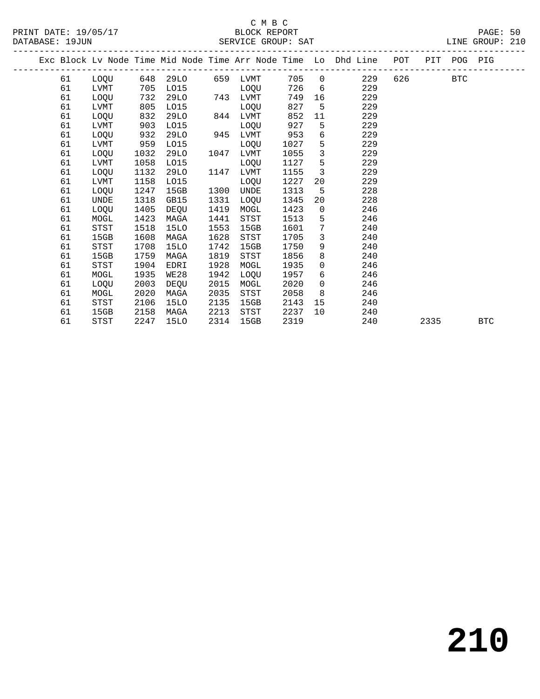### C M B C<br>BLOCK REPORT

LINE GROUP: 210

|  |    |             |      |             |      |                   |      |                 | Exc Block Lv Node Time Mid Node Time Arr Node Time Lo Dhd Line POT |        | PIT POG PIG |            |            |  |
|--|----|-------------|------|-------------|------|-------------------|------|-----------------|--------------------------------------------------------------------|--------|-------------|------------|------------|--|
|  | 61 | LOQU        |      |             |      | 648 29LO 659 LVMT |      |                 | 705 0<br>229                                                       | 626 72 |             | <b>BTC</b> |            |  |
|  | 61 | LVMT        | 705  | LO15        |      | LOQU              | 726  | $6\overline{6}$ | 229                                                                |        |             |            |            |  |
|  | 61 | LOQU        | 732  | 29LO        |      | 743 LVMT          | 749  |                 | 229                                                                |        |             |            |            |  |
|  | 61 | LVMT        | 805  | L015        |      | LOOU              | 827  | $-5$            | 229                                                                |        |             |            |            |  |
|  | 61 | <b>LOOU</b> | 832  | 29LO        | 844  | LVMT              | 852  | 11              | 229                                                                |        |             |            |            |  |
|  | 61 | LVMT        | 903  | L015        |      | LOQU              | 927  | 5               | 229                                                                |        |             |            |            |  |
|  | 61 | LOQU        | 932  | 29LO        |      | 945 LVMT          | 953  | 6               | 229                                                                |        |             |            |            |  |
|  | 61 | LVMT        | 959  | L015        |      | LOOU              | 1027 | 5               | 229                                                                |        |             |            |            |  |
|  | 61 | LOQU        | 1032 | 29LO        | 1047 | LVMT              | 1055 | $\mathbf{3}$    | 229                                                                |        |             |            |            |  |
|  | 61 | LVMT        | 1058 | L015        |      | LOQU              | 1127 | $5^{\circ}$     | 229                                                                |        |             |            |            |  |
|  | 61 | LOQU        | 1132 | 29LO        | 1147 | LVMT              | 1155 | $\overline{3}$  | 229                                                                |        |             |            |            |  |
|  | 61 | LVMT        | 1158 | L015        |      | LOQU              | 1227 | 20              | 229                                                                |        |             |            |            |  |
|  | 61 | LOQU        | 1247 | 15GB        | 1300 | UNDE              | 1313 | -5              | 228                                                                |        |             |            |            |  |
|  | 61 | <b>UNDE</b> | 1318 | GB15        | 1331 | LOQU              | 1345 | 20              | 228                                                                |        |             |            |            |  |
|  | 61 | LOQU        | 1405 | DEQU        | 1419 | MOGL              | 1423 | $\overline{0}$  | 246                                                                |        |             |            |            |  |
|  | 61 | MOGL        | 1423 | MAGA        | 1441 | <b>STST</b>       | 1513 | 5               | 246                                                                |        |             |            |            |  |
|  | 61 | STST        | 1518 | <b>15LO</b> | 1553 | 15GB              | 1601 | $7\phantom{.0}$ | 240                                                                |        |             |            |            |  |
|  | 61 | 15GB        | 1608 | MAGA        | 1628 | STST              | 1705 | $\mathbf{3}$    | 240                                                                |        |             |            |            |  |
|  | 61 | STST        | 1708 | 15LO        | 1742 | 15GB              | 1750 | 9               | 240                                                                |        |             |            |            |  |
|  | 61 | 15GB        | 1759 | MAGA        | 1819 | <b>STST</b>       | 1856 | 8               | 240                                                                |        |             |            |            |  |
|  | 61 | STST        | 1904 | EDRI        | 1928 | MOGL              | 1935 | $\overline{0}$  | 246                                                                |        |             |            |            |  |
|  | 61 | MOGL        | 1935 | WE28        | 1942 | <b>LOOU</b>       | 1957 | 6               | 246                                                                |        |             |            |            |  |
|  | 61 | <b>LOOU</b> | 2003 | DEOU        | 2015 | MOGL              | 2020 | $\overline{0}$  | 246                                                                |        |             |            |            |  |
|  | 61 | MOGL        | 2020 | MAGA        | 2035 | STST              | 2058 | 8 <sup>8</sup>  | 246                                                                |        |             |            |            |  |
|  | 61 | STST        | 2106 | 15LO        | 2135 | 15GB              | 2143 | 15              | 240                                                                |        |             |            |            |  |
|  | 61 | 15GB        | 2158 | MAGA        | 2213 | STST              | 2237 | 10              | 240                                                                |        |             |            |            |  |
|  | 61 | STST        | 2247 | 15LO        | 2314 | 15GB              | 2319 |                 | 240                                                                |        | 2335        |            | <b>BTC</b> |  |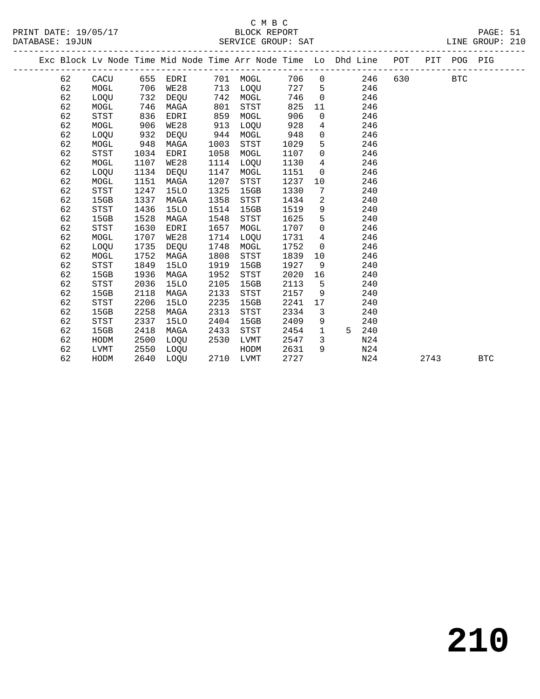### C M B C

| $\mathbf{\tau}$ |  |  |  |
|-----------------|--|--|--|

#### PRINT DATE: 19/05/17 BLOCK REPORT PAGE: 51 DATABASE: 19JUN SERVICE GROUP: SAT ------------------------------------------------------------------------------------------------- Exc Block Lv Node Time Mid Node Time Arr Node Time Lo Dhd Line POT PIT POG PIG ------------------------------------------------------------------------------------------------- 62 CACU 655 EDRI 701 MOGL 706 0 246 630 BTC 62 MOGL 706 WE28 713 LOQU 727 5 246 62 LOQU 732 DEQU 742 MOGL 746 0 246 62 MOGL 746 MAGA 801 STST 825 11 246 62 STST 836 EDRI 859 MOGL 906 0 246 62 MOGL 906 WE28 913 LOQU 928 4 246 62 LOQU 932 DEQU 944 MOGL 948 0 246 62 MOGL 948 MAGA 1003 STST 1029 5 246 62 STST 1034 EDRI 1058 MOGL 1107 0 246 62 MOGL 1107 WE28 1114 LOQU 1130 4 246 62 LOQU 1134 DEQU 1147 MOGL 1151 0 246 62 MOGL 1151 MAGA 1207 STST 1237 10 246 62 STST 1247 15LO 1325 15GB 1330 7 240 62 15GB 1337 MAGA 1358 STST 1434 2 240 62 STST 1436 15LO 1514 15GB 1519 9 240 62 15GB 1528 MAGA 1548 STST 1625 5 240 62 STST 1630 EDRI 1657 MOGL 1707 0 246 62 MOGL 1707 WE28 1714 LOQU 1731 4 246 62 LOQU 1735 DEQU 1748 MOGL 1752 0 246 62 MOGL 1752 MAGA 1808 STST 1839 10 246 62 STST 1849 15LO 1919 15GB 1927 9 240 62 15GB 1936 MAGA 1952 STST 2020 16 240 62 STST 2036 15LO 2105 15GB 2113 5 240 62 15GB 2118 MAGA 2133 STST 2157 9 240 62 STST 2206 15LO 2235 15GB 2241 17 240 62 15GB 2258 MAGA 2313 STST 2334 3 240 62 STST 2337 15LO 2404 15GB 2409 9 240 62 15GB 2418 MAGA 2433 STST 2454 1 5 240 62 HODM 2500 LOQU 2530 LVMT 2547 3 N24

62 LVMT 2550 LOQU HODM 2631 9 N24

62 HODM 2640 LOQU 2710 LVMT 2727 N24 2743 BTC

**210**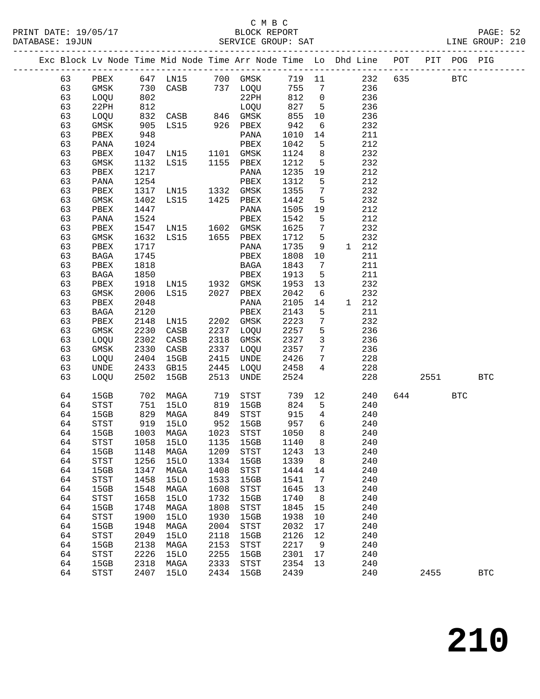### C M B C<br>BLOCK BEDORT

|          |                                    |              | PRINT DATE: 19/05/17 BLOCK REPORT PAGE: 52<br>DATABASE: 19JUN SERVICE GROUP: SAT LINE GROUP: 210          |              |                                       |                                                                                             |                         |                                                                                   |              |          |     |     |            |  |
|----------|------------------------------------|--------------|-----------------------------------------------------------------------------------------------------------|--------------|---------------------------------------|---------------------------------------------------------------------------------------------|-------------------------|-----------------------------------------------------------------------------------|--------------|----------|-----|-----|------------|--|
|          |                                    |              | Exc Block Lv Node Time Mid Node Time Arr Node Time Lo Dhd Line POT PIT POG PIG                            |              |                                       |                                                                                             |                         |                                                                                   |              |          |     |     |            |  |
|          |                                    |              |                                                                                                           |              |                                       |                                                                                             |                         |                                                                                   |              |          |     |     |            |  |
|          |                                    |              |                                                                                                           |              |                                       |                                                                                             |                         |                                                                                   |              |          |     |     |            |  |
|          |                                    |              |                                                                                                           |              |                                       |                                                                                             |                         |                                                                                   |              |          |     |     |            |  |
|          |                                    |              |                                                                                                           |              |                                       |                                                                                             |                         |                                                                                   |              |          |     |     |            |  |
|          |                                    |              |                                                                                                           |              |                                       |                                                                                             |                         |                                                                                   |              |          |     |     |            |  |
|          |                                    |              |                                                                                                           |              |                                       |                                                                                             |                         |                                                                                   |              |          |     |     |            |  |
|          |                                    |              |                                                                                                           |              |                                       |                                                                                             |                         |                                                                                   |              |          |     |     |            |  |
|          |                                    |              |                                                                                                           |              |                                       |                                                                                             |                         |                                                                                   |              |          |     |     |            |  |
|          |                                    |              |                                                                                                           |              |                                       | $\begin{array}{cccc} 1124 & 8 & & 232 \\ 1212 & 5 & & 232 \\ 1235 & 19 & & 212 \end{array}$ |                         |                                                                                   |              |          |     |     |            |  |
|          |                                    |              |                                                                                                           |              |                                       |                                                                                             |                         |                                                                                   |              |          |     |     |            |  |
| 63       | PBEX                               | 1217         |                                                                                                           |              | PANA                                  |                                                                                             |                         |                                                                                   |              |          |     |     |            |  |
| 63       | PANA                               | 1254         |                                                                                                           |              | PBEX                                  | 1312                                                                                        | 5 <sup>5</sup>          | 212                                                                               |              |          |     |     |            |  |
| 63       | PBEX                               |              |                                                                                                           |              |                                       |                                                                                             | $7\overline{ }$         | 232                                                                               |              |          |     |     |            |  |
| 63       | GMSK                               |              | 1317 LN15 1332 GMSK<br>1402 LS15 1425 PBEX<br>1447 PANA<br>1524 PBEX                                      |              | GMSK 1355<br>PBEX 1442<br>PANA 1505   |                                                                                             | 5 <sup>5</sup>          | $\begin{array}{c} 232 \\ 212 \end{array}$                                         |              |          |     |     |            |  |
| 63       | PBEX                               |              |                                                                                                           |              |                                       |                                                                                             | 19                      | 212                                                                               |              |          |     |     |            |  |
| 63       | PANA                               |              |                                                                                                           |              |                                       | 1542                                                                                        | $5^{\circ}$             |                                                                                   |              |          |     |     |            |  |
| 63       | PBEX                               |              | 1547 LN15 1602 GMSK<br>1632 LS15 1655 PBEX                                                                |              |                                       | 1625                                                                                        | $7\overline{ }$         | 232                                                                               |              |          |     |     |            |  |
| 63<br>63 | GMSK                               |              |                                                                                                           |              | PBEX 1712 5<br>PANA 1735 9            |                                                                                             |                         |                                                                                   | 232<br>1 212 |          |     |     |            |  |
| 63       | PBEX<br>BAGA                       | 1717<br>1745 |                                                                                                           |              | PBEX                                  | 1808 10                                                                                     |                         |                                                                                   | 211          |          |     |     |            |  |
| 63       | PBEX                               |              |                                                                                                           |              |                                       |                                                                                             | $\overline{7}$          |                                                                                   | 211          |          |     |     |            |  |
| 63       | BAGA                               |              |                                                                                                           |              |                                       |                                                                                             |                         |                                                                                   |              |          |     |     |            |  |
| 63       | PBEX                               |              | 1818 BAGA 1843<br>1850 PBEX 1913<br>1918 LN15 1932 GMSK 1953                                              |              |                                       | 1913 5<br>1953 13                                                                           |                         | $\begin{array}{c} 211 \\ 232 \end{array}$                                         |              |          |     |     |            |  |
| 63       | GMSK                               |              | 2006 LS15 2027 PBEX                                                                                       |              |                                       | 2042                                                                                        |                         | 6 232                                                                             |              |          |     |     |            |  |
| 63       | PBEX                               |              |                                                                                                           |              |                                       | 2105                                                                                        | 14                      |                                                                                   | 1 212        |          |     |     |            |  |
| 63       | BAGA                               |              | 2048 PANA 2105<br>2120 PBEX 2143<br>2148 LN15 2202 GMSK 2223                                              |              |                                       |                                                                                             | $5^{\circ}$             |                                                                                   | 211          |          |     |     |            |  |
| 63       | PBEX                               |              |                                                                                                           |              |                                       |                                                                                             | $7\overline{ }$         |                                                                                   | 232          |          |     |     |            |  |
| 63       | GMSK                               |              | 2230 CASB                                                                                                 |              | $2237$ LOQU 2257                      |                                                                                             | 5 <sup>5</sup>          | 236                                                                               |              |          |     |     |            |  |
| 63       | LOQU                               | 2302         | CASB                                                                                                      |              | 2318 GMSK 2327                        |                                                                                             | $\overline{\mathbf{3}}$ | 236                                                                               |              |          |     |     |            |  |
| 63       | GMSK                               | 2330         | CASB                                                                                                      |              | 2337 LOQU                             |                                                                                             |                         |                                                                                   |              |          |     |     |            |  |
| 63       | LOQU                               |              | 2330 CASB<br>2404 15GB                                                                                    |              | 2415 UNDE                             | 2357<br>2426                                                                                |                         | $\begin{array}{ccc} 7 & \hspace{1.5cm} 236 \\ 7 & \hspace{1.5cm} 228 \end{array}$ |              |          |     |     |            |  |
| 63       | UNDE                               |              | 2433 GB15                                                                                                 |              | 2445 LOQU                             | 2458                                                                                        |                         | $\frac{228}{4}$                                                                   |              |          |     |     |            |  |
| 63       | LOQU 2502 15GB                     |              |                                                                                                           |              | 2513 UNDE                             | 2524                                                                                        |                         |                                                                                   |              | 228 2551 |     |     | <b>BTC</b> |  |
| 64       |                                    |              | 15GB 702 MAGA 719 STST 739 12 240<br>STST 751 15LO 819 15GB 824 5 240<br>15GB 829 MAGA 849 STST 915 4 240 |              |                                       |                                                                                             |                         |                                                                                   |              |          | 644 | BTC |            |  |
| 64       |                                    |              |                                                                                                           |              |                                       |                                                                                             |                         |                                                                                   |              |          |     |     |            |  |
| 64       |                                    |              |                                                                                                           |              |                                       |                                                                                             |                         |                                                                                   |              |          |     |     |            |  |
| 64       | STST                               | 919          | <b>15LO</b>                                                                                               | 952          | 15GB                                  | 957 6                                                                                       |                         |                                                                                   | 240          |          |     |     |            |  |
| 64       | 15GB                               | 1003         | MAGA                                                                                                      | 1023         | ${\tt STST}$                          | 1050                                                                                        | 8                       |                                                                                   | 240          |          |     |     |            |  |
| 64       | $_{\footnotesize\rm STST}$         | 1058         | <b>15LO</b>                                                                                               | 1135         | 15GB                                  | 1140                                                                                        | 8                       |                                                                                   | 240          |          |     |     |            |  |
| 64       | 15GB                               | 1148         | MAGA                                                                                                      | 1209         | STST                                  | 1243                                                                                        | 13                      |                                                                                   | 240          |          |     |     |            |  |
| 64       | <b>STST</b>                        | 1256         | <b>15LO</b>                                                                                               | 1334         | 15GB                                  | 1339                                                                                        | 8                       |                                                                                   | 240          |          |     |     |            |  |
| 64       | 15GB                               | 1347         | MAGA                                                                                                      | 1408         | $_{\footnotesize{\textnormal{STST}}}$ | 1444                                                                                        | 14                      |                                                                                   | 240          |          |     |     |            |  |
| 64<br>64 | $_{\footnotesize\rm STST}$<br>15GB | 1458<br>1548 | <b>15LO</b><br>MAGA                                                                                       | 1533<br>1608 | 15GB<br>STST                          | 1541<br>1645                                                                                | 7<br>13                 |                                                                                   | 240<br>240   |          |     |     |            |  |
| 64       | <b>STST</b>                        | 1658         | <b>15LO</b>                                                                                               | 1732         | 15GB                                  | 1740                                                                                        | 8                       |                                                                                   | 240          |          |     |     |            |  |
| 64       | 15GB                               | 1748         | MAGA                                                                                                      | 1808         | ${\tt STST}$                          | 1845                                                                                        | 15                      |                                                                                   | 240          |          |     |     |            |  |
| 64       | $_{\footnotesize\rm STST}$         | 1900         | <b>15LO</b>                                                                                               | 1930         | 15GB                                  | 1938                                                                                        | 10                      |                                                                                   | 240          |          |     |     |            |  |
| 64       | 15GB                               | 1948         | MAGA                                                                                                      | 2004         | ${\tt STST}$                          | 2032                                                                                        | 17                      |                                                                                   | 240          |          |     |     |            |  |
| 64       | <b>STST</b>                        | 2049         | <b>15LO</b>                                                                                               | 2118         | 15GB                                  | 2126                                                                                        | 12                      |                                                                                   | 240          |          |     |     |            |  |
| 64       | 15GB                               | 2138         | MAGA                                                                                                      | 2153         | ${\tt STST}$                          | 2217                                                                                        | 9                       |                                                                                   | 240          |          |     |     |            |  |
| 64       | STST                               | 2226         | <b>15LO</b>                                                                                               | 2255         | 15GB                                  | 2301                                                                                        | 17                      |                                                                                   | 240          |          |     |     |            |  |

64 15GB 2318 MAGA 2333 STST 2354 13 240

64 STST 2407 15LO 2434 15GB 2439 240 2455 BTC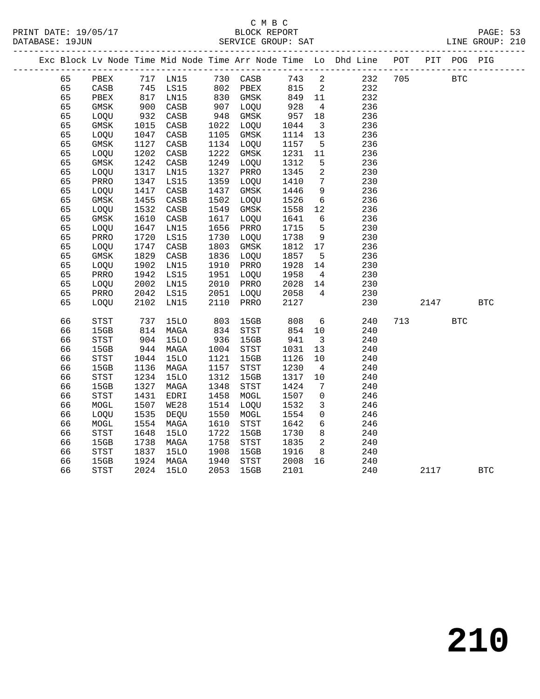## C M B C<br>BLOCK REPORT

|                 | PRINT DATE: 19/05/17 |  | BLOCK REPORT       |  | PAGE: 53        |  |
|-----------------|----------------------|--|--------------------|--|-----------------|--|
| DATABASE: 19JUN |                      |  | SERVICE GROUP: SAT |  | LINE GROUP: 210 |  |
|                 |                      |  |                    |  |                 |  |

|  |    |                            |      |                 |      |                            |      |                | Exc Block Lv Node Time Mid Node Time Arr Node Time Lo Dhd Line | $_{\rm POT}$ | $\verb PIT $ | POG PIG      |            |
|--|----|----------------------------|------|-----------------|------|----------------------------|------|----------------|----------------------------------------------------------------|--------------|--------------|--------------|------------|
|  | 65 | PBEX                       |      | 717 LN15        |      | 730 CASB                   | 743  | 2              | 232                                                            | 705          |              | $_{\rm BTC}$ |            |
|  | 65 | $\mathtt{CASB}$            | 745  | LS15            | 802  | PBEX                       | 815  | 2              | 232                                                            |              |              |              |            |
|  | 65 | PBEX                       | 817  | LN15            | 830  | GMSK                       | 849  | 11             | 232                                                            |              |              |              |            |
|  | 65 | $\rm{GMSK}$                | 900  | $\mathtt{CASB}$ | 907  | LOQU                       | 928  | $\overline{4}$ | 236                                                            |              |              |              |            |
|  | 65 | LOQU                       | 932  | $\mathtt{CASB}$ | 948  | GMSK                       | 957  | 18             | 236                                                            |              |              |              |            |
|  | 65 | GMSK                       | 1015 | CASB            | 1022 | LOQU                       | 1044 | 3              | 236                                                            |              |              |              |            |
|  | 65 | LOQU                       | 1047 | $\mathtt{CASB}$ | 1105 | GMSK                       | 1114 | 13             | 236                                                            |              |              |              |            |
|  | 65 | GMSK                       | 1127 | CASB            | 1134 | LOQU                       | 1157 | 5              | 236                                                            |              |              |              |            |
|  | 65 | LOQU                       | 1202 | $\mathtt{CASB}$ | 1222 | GMSK                       | 1231 | 11             | 236                                                            |              |              |              |            |
|  | 65 | $\rm{GMSK}$                | 1242 | $\mathtt{CASB}$ | 1249 | LOQU                       | 1312 | 5              | 236                                                            |              |              |              |            |
|  | 65 | LOQU                       | 1317 | LN15            | 1327 | PRRO                       | 1345 | $\overline{c}$ | 230                                                            |              |              |              |            |
|  | 65 | PRRO                       | 1347 | LS15            | 1359 | LOQU                       | 1410 | $\overline{7}$ | 230                                                            |              |              |              |            |
|  | 65 | LOQU                       | 1417 | CASB            | 1437 | GMSK                       | 1446 | 9              | 236                                                            |              |              |              |            |
|  | 65 | GMSK                       | 1455 | $\mathtt{CASB}$ | 1502 | LOQU                       | 1526 | 6              | 236                                                            |              |              |              |            |
|  | 65 | LOQU                       | 1532 | CASB            | 1549 | GMSK                       | 1558 | 12             | 236                                                            |              |              |              |            |
|  | 65 | <b>GMSK</b>                | 1610 | $\mathtt{CASB}$ | 1617 | LOQU                       | 1641 | 6              | 236                                                            |              |              |              |            |
|  | 65 | LOQU                       | 1647 | LN15            | 1656 | PRRO                       | 1715 | 5              | 230                                                            |              |              |              |            |
|  | 65 | PRRO                       | 1720 | LS15            | 1730 | LOQU                       | 1738 | $\mathsf 9$    | 230                                                            |              |              |              |            |
|  | 65 | LOQU                       | 1747 | $\mathtt{CASB}$ | 1803 | $\rm{GMSK}$                | 1812 | 17             | 236                                                            |              |              |              |            |
|  | 65 | GMSK                       | 1829 | CASB            | 1836 | LOQU                       | 1857 | 5              | 236                                                            |              |              |              |            |
|  | 65 | LOQU                       | 1902 | LN15            | 1910 | PRRO                       | 1928 | 14             | 230                                                            |              |              |              |            |
|  | 65 | PRRO                       | 1942 | LS15            | 1951 | LOQU                       | 1958 | $\overline{4}$ | 230                                                            |              |              |              |            |
|  | 65 | LOQU                       | 2002 | LN15            | 2010 | PRRO                       | 2028 | 14             | 230                                                            |              |              |              |            |
|  | 65 | PRRO                       | 2042 | LS15            | 2051 | LOQU                       | 2058 | 4              | 230                                                            |              |              |              |            |
|  | 65 | LOQU                       | 2102 | LN15            | 2110 | PRRO                       | 2127 |                | 230                                                            |              | 2147         |              | <b>BTC</b> |
|  |    |                            |      |                 |      |                            |      |                |                                                                |              |              |              |            |
|  | 66 | STST                       | 737  | <b>15LO</b>     | 803  | 15GB                       | 808  | 6              | 240                                                            | 713          |              | <b>BTC</b>   |            |
|  | 66 | 15GB                       | 814  | MAGA            | 834  | STST                       | 854  | 10             | 240                                                            |              |              |              |            |
|  | 66 | STST                       | 904  | <b>15LO</b>     | 936  | 15GB                       | 941  | $\overline{3}$ | 240                                                            |              |              |              |            |
|  | 66 | 15GB                       | 944  | MAGA            | 1004 | $_{\footnotesize\rm STST}$ | 1031 | 13             | 240                                                            |              |              |              |            |
|  | 66 | STST                       | 1044 | <b>15LO</b>     | 1121 | 15GB                       | 1126 | 10             | 240                                                            |              |              |              |            |
|  | 66 | 15GB                       | 1136 | MAGA            | 1157 | STST                       | 1230 | 4              | 240                                                            |              |              |              |            |
|  | 66 | STST                       | 1234 | <b>15LO</b>     | 1312 | 15GB                       | 1317 | 10             | 240                                                            |              |              |              |            |
|  | 66 | 15GB                       | 1327 | MAGA            | 1348 | STST                       | 1424 | 7              | 240                                                            |              |              |              |            |
|  | 66 | <b>STST</b>                | 1431 | EDRI            | 1458 | MOGL                       | 1507 | 0              | 246                                                            |              |              |              |            |
|  | 66 | MOGL                       | 1507 | <b>WE28</b>     | 1514 | LOQU                       | 1532 | 3              | 246                                                            |              |              |              |            |
|  | 66 | LOQU                       | 1535 | DEQU            | 1550 | MOGL                       | 1554 | 0              | 246                                                            |              |              |              |            |
|  | 66 | MOGL                       | 1554 | MAGA            | 1610 | STST                       | 1642 | 6              | 246                                                            |              |              |              |            |
|  | 66 | STST                       | 1648 | 15LO            | 1722 | 15GB                       | 1730 | 8              | 240                                                            |              |              |              |            |
|  | 66 | 15GB                       | 1738 | MAGA            | 1758 | STST                       | 1835 | 2              | 240                                                            |              |              |              |            |
|  | 66 | STST                       | 1837 | <b>15LO</b>     | 1908 | 15GB                       | 1916 | 8              | 240                                                            |              |              |              |            |
|  | 66 | 15GB                       | 1924 | MAGA            | 1940 | STST                       | 2008 | 16             | 240                                                            |              |              |              |            |
|  | 66 | $_{\footnotesize\rm STST}$ | 2024 | <b>15LO</b>     | 2053 | 15GB                       | 2101 |                | 240                                                            |              | 2117         |              | <b>BTC</b> |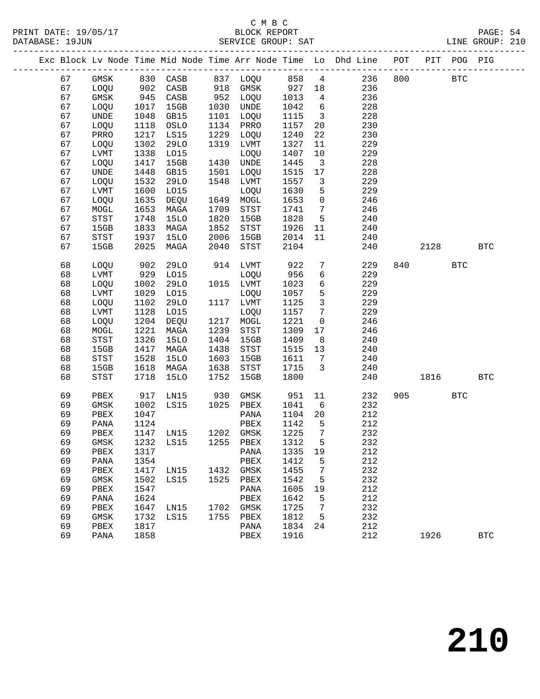|    |             |      |                                 |      |                                       |         |                         | Exc Block Lv Node Time Mid Node Time Arr Node Time Lo Dhd Line POT                                                                                                                                                 |     |           | PIT POG PIG |            |
|----|-------------|------|---------------------------------|------|---------------------------------------|---------|-------------------------|--------------------------------------------------------------------------------------------------------------------------------------------------------------------------------------------------------------------|-----|-----------|-------------|------------|
| 67 | GMSK        |      |                                 |      |                                       |         |                         | 830 CASB       837   LOQU        858     4                236     800<br>902   CASB        918   GMSK         927    18               236<br>945   CASB         952    LOQU        1013      4                 236 |     |           | <b>BTC</b>  |            |
| 67 | LOQU        |      |                                 |      |                                       |         |                         |                                                                                                                                                                                                                    |     |           |             |            |
| 67 | GMSK        |      |                                 |      | 952 LOQU                              |         |                         |                                                                                                                                                                                                                    |     |           |             |            |
| 67 | LOQU        | 1017 | 15GB                            | 1030 | UNDE                                  | 1042    | $6\overline{6}$         | 228                                                                                                                                                                                                                |     |           |             |            |
| 67 | UNDE        | 1048 | GB15                            | 1101 | LOQU                                  | 1115    | $\overline{\mathbf{3}}$ | 228                                                                                                                                                                                                                |     |           |             |            |
| 67 | LOQU        | 1118 | OSLO                            | 1134 | PRRO                                  | 1157    | 20                      | 230                                                                                                                                                                                                                |     |           |             |            |
| 67 | PRRO        | 1217 | LS15                            | 1229 | LOQU                                  | 1240    | 22                      | 230                                                                                                                                                                                                                |     |           |             |            |
| 67 | LOQU        | 1302 | 29LO                            | 1319 | LVMT                                  | 1327    | 11                      | 229                                                                                                                                                                                                                |     |           |             |            |
| 67 | LVMT        | 1338 | L015                            |      | LOQU                                  | 1407    | 10                      | 229                                                                                                                                                                                                                |     |           |             |            |
| 67 | LOQU        | 1417 | 15GB                            |      | 1430 UNDE                             | 1445    | $\overline{\mathbf{3}}$ | 228                                                                                                                                                                                                                |     |           |             |            |
| 67 | UNDE        | 1448 | GB15                            | 1501 | LOQU                                  | 1515    | 17                      | 228                                                                                                                                                                                                                |     |           |             |            |
| 67 | LOQU        | 1532 | 29LO                            | 1548 | LVMT                                  | 1557    | $\overline{\mathbf{3}}$ | 229                                                                                                                                                                                                                |     |           |             |            |
| 67 | <b>LVMT</b> | 1600 | L015                            |      | LOQU                                  | 1630    | 5                       | 229                                                                                                                                                                                                                |     |           |             |            |
| 67 | LOQU        | 1635 | DEQU                            |      | 1649 MOGL                             | 1653    | $\overline{0}$          | 246                                                                                                                                                                                                                |     |           |             |            |
| 67 | MOGL        | 1653 | MAGA                            | 1709 | STST                                  | 1741    | $7\overline{ }$         | 246                                                                                                                                                                                                                |     |           |             |            |
| 67 | STST        | 1748 | <b>15LO</b>                     | 1820 | 15GB                                  | 1828    | $5\overline{)}$         | 240                                                                                                                                                                                                                |     |           |             |            |
| 67 | 15GB        | 1833 | MAGA                            | 1852 | STST                                  | 1926    | 11                      | 240                                                                                                                                                                                                                |     |           |             |            |
| 67 | STST        | 1937 | 15LO                            | 2006 | 15GB                                  | 2014    | 11                      | 240                                                                                                                                                                                                                |     |           |             |            |
| 67 | 15GB        | 2025 | MAGA                            | 2040 | STST                                  | 2104    |                         | 240                                                                                                                                                                                                                |     | 2128      |             | <b>BTC</b> |
|    |             |      |                                 |      |                                       |         |                         |                                                                                                                                                                                                                    |     |           |             |            |
| 68 | LOQU        | 902  | 29LO                            |      | 914 LVMT                              | 922     | $7\phantom{.0}$         | 229                                                                                                                                                                                                                | 840 |           | <b>BTC</b>  |            |
| 68 | LVMT        | 929  | L015                            |      | LOQU                                  | 956     | 6                       | 229                                                                                                                                                                                                                |     |           |             |            |
| 68 | LOQU        | 1002 | 29LO                            |      | 1015 LVMT                             | 1023    | 6                       | 229                                                                                                                                                                                                                |     |           |             |            |
| 68 | LVMT        | 1029 | L015                            |      | LOQU                                  | 1057    | 5                       | 229                                                                                                                                                                                                                |     |           |             |            |
| 68 | LOQU        | 1102 | 29LO                            | 1117 | LVMT                                  | 1125    | $\mathbf{3}$            | 229                                                                                                                                                                                                                |     |           |             |            |
| 68 | LVMT        | 1128 | L015                            |      | LOQU                                  | 1157    | $7\overline{ }$         | 229                                                                                                                                                                                                                |     |           |             |            |
| 68 | LOQU        | 1204 | DEQU                            |      | 1217 MOGL                             | 1221    | $\overline{0}$          | 246                                                                                                                                                                                                                |     |           |             |            |
| 68 | MOGL        | 1221 | MAGA                            | 1239 | STST                                  | 1309    | 17                      | 246                                                                                                                                                                                                                |     |           |             |            |
| 68 | STST        | 1326 | <b>15LO</b>                     | 1404 | 15GB                                  | 1409    | 8 <sup>8</sup>          | 240                                                                                                                                                                                                                |     |           |             |            |
| 68 | 15GB        | 1417 | MAGA                            | 1438 | $_{\footnotesize{\textnormal{STST}}}$ | 1515    | 13                      | 240                                                                                                                                                                                                                |     |           |             |            |
| 68 | STST        | 1528 | <b>15LO</b>                     | 1603 | 15GB                                  | 1611    | $7\overline{ }$         | 240                                                                                                                                                                                                                |     |           |             |            |
| 68 | 15GB        | 1618 | MAGA                            | 1638 | STST                                  | 1715    | $\mathbf{3}$            | 240                                                                                                                                                                                                                |     |           |             |            |
| 68 | STST        | 1718 | 15LO                            | 1752 | 15GB                                  | 1800    |                         | 240                                                                                                                                                                                                                |     | 1816      |             | <b>BTC</b> |
| 69 | PBEX        | 917  | LN15 930                        |      | GMSK                                  | 951     | 11                      | 232                                                                                                                                                                                                                |     | 905 — 100 | <b>BTC</b>  |            |
| 69 | GMSK        | 1002 | $LSI5$ 1025                     |      | PBEX                                  | 1041    | 6                       | 232                                                                                                                                                                                                                |     |           |             |            |
| 69 | PBEX        | 1047 |                                 |      | PANA                                  | 1104    | 20                      | 212                                                                                                                                                                                                                |     |           |             |            |
| 69 | PANA        | 1124 |                                 |      | PBEX                                  | 1142    | 5                       | 212                                                                                                                                                                                                                |     |           |             |            |
| 69 | PBEX        |      | 1147 LN15 1202 GMSK             |      |                                       | 1225    | $7\overline{ }$         | 232                                                                                                                                                                                                                |     |           |             |            |
| 69 |             |      | GMSK 1232 LS15 1255 PBEX 1312 5 |      |                                       |         |                         | 232                                                                                                                                                                                                                |     |           |             |            |
| 69 | PBEX        | 1317 |                                 |      | PANA                                  | 1335 19 |                         | 212                                                                                                                                                                                                                |     |           |             |            |
| 69 | PANA        | 1354 |                                 |      | PBEX                                  | 1412    | 5                       | 212                                                                                                                                                                                                                |     |           |             |            |
| 69 | PBEX        | 1417 | LN15                            | 1432 | GMSK                                  | 1455    | $\overline{7}$          | 232                                                                                                                                                                                                                |     |           |             |            |
| 69 | GMSK        | 1502 | LS15                            | 1525 | PBEX                                  | 1542    | 5                       | 232                                                                                                                                                                                                                |     |           |             |            |
| 69 | PBEX        | 1547 |                                 |      | PANA                                  | 1605    | 19                      | 212                                                                                                                                                                                                                |     |           |             |            |
| 69 | PANA        | 1624 |                                 |      | PBEX                                  | 1642    | 5                       | 212                                                                                                                                                                                                                |     |           |             |            |
| 69 | PBEX        | 1647 | LN15                            | 1702 | GMSK                                  | 1725    | 7                       | 232                                                                                                                                                                                                                |     |           |             |            |
| 69 | GMSK        | 1732 | LS15                            | 1755 | PBEX                                  | 1812    | 5                       | 232                                                                                                                                                                                                                |     |           |             |            |
| 69 | PBEX        | 1817 |                                 |      | PANA                                  | 1834    | 24                      | 212                                                                                                                                                                                                                |     |           |             |            |
| 69 | PANA        | 1858 |                                 |      | PBEX                                  | 1916    |                         | 212                                                                                                                                                                                                                |     | 1926      |             | <b>BTC</b> |
|    |             |      |                                 |      |                                       |         |                         |                                                                                                                                                                                                                    |     |           |             |            |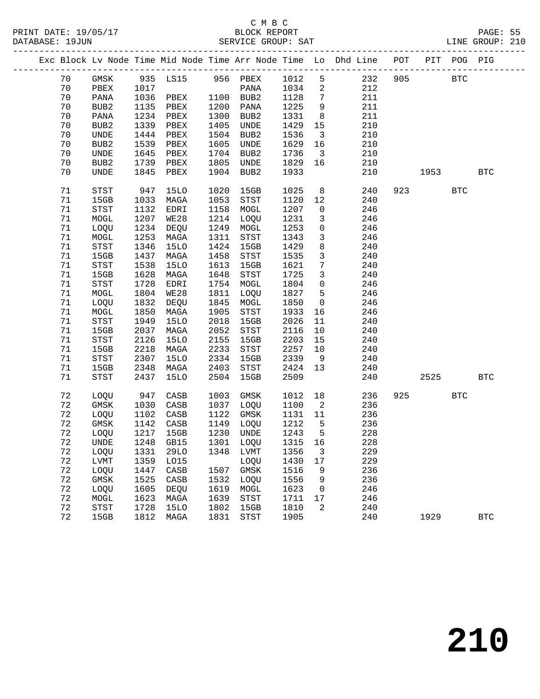|  |    |                            |      |             |      |                             |      |                            | Exc Block Lv Node Time Mid Node Time Arr Node Time Lo Dhd Line POT PIT POG PIG |     |                             |            |              |
|--|----|----------------------------|------|-------------|------|-----------------------------|------|----------------------------|--------------------------------------------------------------------------------|-----|-----------------------------|------------|--------------|
|  | 70 | GMSK                       |      |             |      | 935 LS15 956 PBEX 1012      |      | $5^{\circ}$                | 232                                                                            | 905 |                             | <b>BTC</b> |              |
|  | 70 | PBEX                       | 1017 |             |      | PANA                        | 1034 | $\overline{a}$             | 212                                                                            |     |                             |            |              |
|  | 70 | PANA                       | 1036 | PBEX        |      | 1100 BUB2                   | 1128 | $7\overline{ }$            | 211                                                                            |     |                             |            |              |
|  | 70 | BUB2                       | 1135 | PBEX        | 1200 | PANA                        | 1225 | 9                          | 211                                                                            |     |                             |            |              |
|  | 70 | PANA                       | 1234 | PBEX        | 1300 | BUB2                        | 1331 | 8                          | 211                                                                            |     |                             |            |              |
|  | 70 | BUB2                       | 1339 | PBEX        | 1405 | UNDE                        | 1429 | 15                         | 210                                                                            |     |                             |            |              |
|  | 70 | UNDE                       | 1444 | PBEX        | 1504 | BUB2                        | 1536 | $\overline{\mathbf{3}}$    | 210                                                                            |     |                             |            |              |
|  | 70 | BUB2                       | 1539 | PBEX        | 1605 | UNDE                        | 1629 | 16                         | 210                                                                            |     |                             |            |              |
|  | 70 | UNDE                       | 1645 | PBEX        | 1704 | BUB2                        | 1736 | $\overline{\mathbf{3}}$    | 210                                                                            |     |                             |            |              |
|  | 70 | BUB2                       | 1739 | PBEX        | 1805 | UNDE                        | 1829 | 16                         | 210                                                                            |     |                             |            |              |
|  | 70 | UNDE                       | 1845 | PBEX        | 1904 | BUB2                        | 1933 |                            | 210                                                                            |     | 1953                        |            | <b>BTC</b>   |
|  | 71 | STST                       | 947  | 15LO        | 1020 | 15GB                        | 1025 | 8 <sup>8</sup>             | 240                                                                            |     | 923 and the state of $\sim$ | <b>BTC</b> |              |
|  | 71 | 15GB                       | 1033 | MAGA        | 1053 | STST                        | 1120 | 12                         | 240                                                                            |     |                             |            |              |
|  | 71 | STST                       | 1132 | EDRI        | 1158 | MOGL                        | 1207 | $\overline{0}$             | 246                                                                            |     |                             |            |              |
|  | 71 | MOGL                       | 1207 | WE28        | 1214 | LOQU                        | 1231 | 3                          | 246                                                                            |     |                             |            |              |
|  | 71 | LOQU                       | 1234 | DEQU        | 1249 | MOGL                        | 1253 | $\mathsf 0$                | 246                                                                            |     |                             |            |              |
|  | 71 | MOGL                       | 1253 | MAGA        | 1311 | STST                        | 1343 | $\mathbf{3}$               | 246                                                                            |     |                             |            |              |
|  | 71 | STST                       | 1346 | <b>15LO</b> | 1424 | 15GB                        | 1429 | 8                          | 240                                                                            |     |                             |            |              |
|  | 71 | 15GB                       | 1437 | MAGA        | 1458 | STST                        | 1535 | $\mathbf{3}$               | 240                                                                            |     |                             |            |              |
|  | 71 | $_{\footnotesize\rm STST}$ | 1538 | <b>15LO</b> | 1613 | 15GB                        | 1621 | $7\phantom{.0}$            | 240                                                                            |     |                             |            |              |
|  | 71 | 15GB                       | 1628 | MAGA        | 1648 | STST                        | 1725 | $\mathbf{3}$               | 240                                                                            |     |                             |            |              |
|  | 71 | $_{\footnotesize\rm STST}$ | 1728 | EDRI        |      | 1754 MOGL                   | 1804 | $\mathsf{O}$               | 246                                                                            |     |                             |            |              |
|  | 71 | MOGL                       | 1804 | WE28        | 1811 | LOQU                        | 1827 | 5                          | 246                                                                            |     |                             |            |              |
|  | 71 | LOQU                       | 1832 | DEQU        | 1845 | MOGL                        | 1850 | $\overline{0}$             | 246                                                                            |     |                             |            |              |
|  | 71 | MOGL                       | 1850 | MAGA        | 1905 | STST                        | 1933 | 16                         | 246                                                                            |     |                             |            |              |
|  | 71 | $_{\footnotesize\rm STST}$ | 1949 | <b>15LO</b> | 2018 | 15GB                        | 2026 | 11                         | 240                                                                            |     |                             |            |              |
|  | 71 | 15GB                       | 2037 | MAGA        | 2052 | STST                        | 2116 | 10                         | 240                                                                            |     |                             |            |              |
|  | 71 | STST                       | 2126 | <b>15LO</b> | 2155 | 15GB                        | 2203 | 15                         | 240                                                                            |     |                             |            |              |
|  | 71 | 15GB                       | 2218 | MAGA        | 2233 | STST                        | 2257 | 10                         | 240                                                                            |     |                             |            |              |
|  | 71 | $_{\footnotesize\rm STST}$ | 2307 | <b>15LO</b> | 2334 | 15GB                        | 2339 | 9                          | 240                                                                            |     |                             |            |              |
|  | 71 | 15GB                       | 2348 | MAGA        | 2403 | STST                        | 2424 | 13                         | 240                                                                            |     |                             |            |              |
|  | 71 | STST                       | 2437 | 15LO        | 2504 | 15GB                        | 2509 |                            | 240                                                                            |     | 2525                        |            | $_{\rm BTC}$ |
|  |    |                            |      |             |      |                             |      |                            |                                                                                |     |                             |            |              |
|  | 72 | LOQU                       | 947  | CASB        | 1003 | GMSK                        | 1012 | 18                         | 236                                                                            |     | 925                         | <b>BTC</b> |              |
|  | 72 | GMSK                       | 1030 | CASB        | 1037 | LOQU                        | 1100 | $\overline{\phantom{a}}^2$ | 236                                                                            |     |                             |            |              |
|  | 72 | LOQU                       | 1102 | CASB        | 1122 | GMSK                        | 1131 | 11                         | 236                                                                            |     |                             |            |              |
|  | 72 | GMSK                       | 1142 | CASB        | 1149 | LOQU                        | 1212 | $5^{\circ}$                | 236                                                                            |     |                             |            |              |
|  | 72 | LOQU                       | 1217 | 15GB        |      | 1230 UNDE                   | 1243 | $5^{\circ}$                | 228                                                                            |     |                             |            |              |
|  | 72 | <b>UNDE</b>                |      |             |      | 1248 GB15 1301 LOQU 1315 16 |      |                            | 228                                                                            |     |                             |            |              |
|  | 72 | LOQU                       | 1331 | 29LO        |      | 1348 LVMT                   | 1356 | 3                          | 229                                                                            |     |                             |            |              |
|  | 72 | LVMT                       | 1359 | L015        |      | LOQU                        | 1430 | 17                         | 229                                                                            |     |                             |            |              |
|  | 72 | LOQU                       | 1447 | CASB        | 1507 | GMSK                        | 1516 | 9                          | 236                                                                            |     |                             |            |              |
|  | 72 | GMSK                       | 1525 | CASB        | 1532 | LOQU                        | 1556 | 9                          | 236                                                                            |     |                             |            |              |
|  | 72 | LOQU                       | 1605 | DEQU        | 1619 | MOGL                        | 1623 | 0                          | 246                                                                            |     |                             |            |              |
|  | 72 | MOGL                       | 1623 | MAGA        | 1639 | ${\tt STST}$                | 1711 | 17                         | 246                                                                            |     |                             |            |              |
|  | 72 | <b>STST</b>                | 1728 | 15LO        | 1802 | 15GB                        | 1810 | 2                          | 240                                                                            |     |                             |            |              |
|  | 72 | 15GB                       | 1812 | MAGA        | 1831 | STST                        | 1905 |                            | 240                                                                            |     | 1929                        |            | <b>BTC</b>   |
|  |    |                            |      |             |      |                             |      |                            |                                                                                |     |                             |            |              |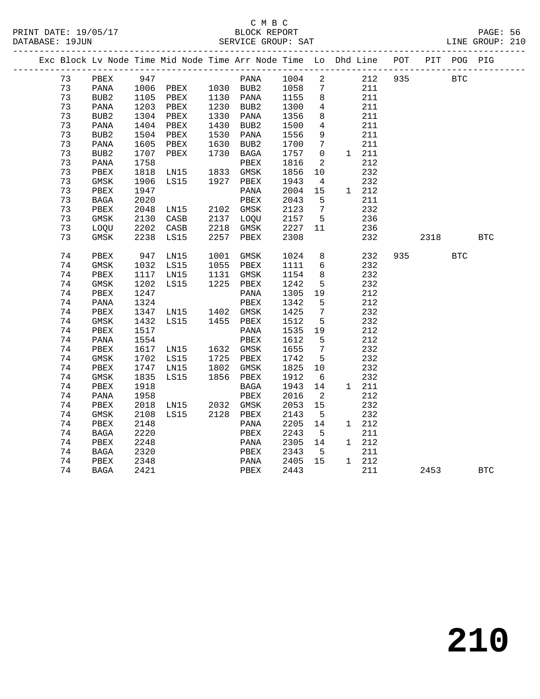|  |    |             |      |                                                         |      | Exc Block Lv Node Time Mid Node Time Arr Node Time Lo Dhd Line POT |              |                            |       |     |           | PIT POG PIG |            |
|--|----|-------------|------|---------------------------------------------------------|------|--------------------------------------------------------------------|--------------|----------------------------|-------|-----|-----------|-------------|------------|
|  | 73 | PBEX        | 947  |                                                         |      | PANA                                                               | 1004         | $\overline{\phantom{a}}^2$ | 212   | 935 |           | BTC         |            |
|  | 73 | PANA        |      |                                                         |      |                                                                    |              | $\overline{7}$             | 211   |     |           |             |            |
|  | 73 | BUB2        |      | 1006 PBEX 1030 BUB2<br>1105 PBEX 1130 PANA<br>1105 PBEX |      |                                                                    | 1058<br>1155 | 8                          | 211   |     |           |             |            |
|  | 73 | PANA        |      | 1203 PBEX                                               |      | 1230 BUB2                                                          | 1300         | 4                          | 211   |     |           |             |            |
|  | 73 | BUB2        | 1304 | PBEX                                                    |      | 1330 PANA                                                          | 1356         | 8                          | 211   |     |           |             |            |
|  | 73 | PANA        | 1404 | PBEX                                                    | 1430 | BUB2                                                               | 1500         | 4                          | 211   |     |           |             |            |
|  | 73 | BUB2        | 1504 | PBEX                                                    | 1530 | PANA                                                               | 1556         | 9                          | 211   |     |           |             |            |
|  | 73 | PANA        | 1605 | PBEX                                                    | 1630 | BUB2                                                               | 1700         | $7\phantom{.0}$            | 211   |     |           |             |            |
|  | 73 | BUB2        | 1707 | PBEX                                                    | 1730 | BAGA                                                               | 1757         | $\mathbf 0$                | 1 211 |     |           |             |            |
|  | 73 | PANA        | 1758 |                                                         |      | PBEX                                                               | 1816         | $\overline{2}$             | 212   |     |           |             |            |
|  | 73 | PBEX        | 1818 | LN15 1833 GMSK                                          |      |                                                                    | 1856         | 10                         | 232   |     |           |             |            |
|  | 73 | GMSK        | 1906 | LS15                                                    | 1927 | PBEX                                                               | 1943         | $\overline{4}$             | 232   |     |           |             |            |
|  | 73 | PBEX        | 1947 |                                                         |      | PANA                                                               | 2004         | 15                         | 1 212 |     |           |             |            |
|  | 73 | BAGA        | 2020 |                                                         |      | PBEX                                                               | 2043         | 5                          | 211   |     |           |             |            |
|  | 73 | PBEX        | 2048 | LNI5                                                    |      | 2102 GMSK<br>2137 LOQU                                             | 2123         | $\overline{7}$             | 232   |     |           |             |            |
|  | 73 | GMSK        | 2130 | CASB                                                    |      |                                                                    | 2157         | $5^{\circ}$                | 236   |     |           |             |            |
|  | 73 | LOQU        | 2202 | CASB                                                    | 2218 | GMSK                                                               | 2227         | 11                         | 236   |     |           |             |            |
|  | 73 | $\rm{GMSK}$ | 2238 | LS15                                                    | 2257 | PBEX                                                               | 2308         |                            | 232   |     | 2318      |             | <b>BTC</b> |
|  | 74 | PBEX        | 947  | LNI5                                                    | 1001 | GMSK                                                               | 1024         | 8                          | 232   |     | 935 — 100 | <b>BTC</b>  |            |
|  | 74 | GMSK        | 1032 | LS15                                                    |      | 1055 PBEX                                                          | 1111         | $6\overline{6}$            | 232   |     |           |             |            |
|  | 74 | PBEX        | 1117 | LN15                                                    |      | 1131 GMSK                                                          | 1154         | 8                          | 232   |     |           |             |            |
|  | 74 | GMSK        | 1202 | LS15                                                    |      | 1225 PBEX                                                          | 1242         | $5\overline{5}$            | 232   |     |           |             |            |
|  | 74 | PBEX        | 1247 |                                                         |      | PANA                                                               | 1305         | 19                         | 212   |     |           |             |            |
|  | 74 | PANA        | 1324 |                                                         |      | PBEX                                                               | 1342         | 5                          | 212   |     |           |             |            |
|  | 74 | PBEX        | 1347 | LN15 1402 GMSK                                          |      |                                                                    | 1425         | $\overline{7}$             | 232   |     |           |             |            |
|  | 74 | GMSK        | 1432 | LS15 1455 PBEX                                          |      |                                                                    | 1512         | 5                          | 232   |     |           |             |            |
|  | 74 | PBEX        | 1517 |                                                         |      | PANA                                                               | 1535         | 19                         | 212   |     |           |             |            |
|  | 74 | PANA        | 1554 |                                                         |      | PBEX                                                               | 1612         | 5                          | 212   |     |           |             |            |
|  | 74 | PBEX        | 1617 | LN15 1632 GMSK<br>LS15 1725 PBEX                        |      |                                                                    | 1655         | $\overline{7}$             | 232   |     |           |             |            |
|  | 74 | GMSK        |      | 1702 LS15                                               |      |                                                                    | 1742         | $5^{\circ}$                | 232   |     |           |             |            |
|  | 74 | PBEX        | 1747 | LN15                                                    |      | 1802 GMSK                                                          | 1825         | 10                         | 232   |     |           |             |            |
|  | 74 | $\rm{GMSK}$ | 1835 | LS15                                                    |      | 1856 PBEX                                                          | 1912         | 6                          | 232   |     |           |             |            |
|  | 74 | PBEX        | 1918 |                                                         |      | BAGA                                                               | 1943         | 14                         | 1 211 |     |           |             |            |
|  | 74 | PANA        | 1958 |                                                         |      | PBEX                                                               | 2016         | $\overline{2}$             | 212   |     |           |             |            |
|  | 74 | PBEX        | 2018 | LN15 2032 GMSK                                          |      |                                                                    | 2053         | 15                         | 232   |     |           |             |            |
|  | 74 | GMSK        | 2108 | LS15                                                    |      | 2128 PBEX                                                          | 2143         | $5^{\circ}$                | 232   |     |           |             |            |
|  | 74 | PBEX        | 2148 |                                                         |      | PANA                                                               | 2205         | 14                         | 1 212 |     |           |             |            |
|  | 74 | BAGA        | 2220 |                                                         |      | PBEX                                                               | 2243         | 5                          | 211   |     |           |             |            |
|  | 74 | PBEX        | 2248 |                                                         |      | PANA                                                               | 2305         | 14                         | 1 212 |     |           |             |            |
|  | 74 | BAGA        | 2320 |                                                         |      | PBEX                                                               | 2343         | $5^{\circ}$                | 211   |     |           |             |            |
|  | 74 | PBEX        | 2348 |                                                         |      | PANA                                                               | 2405 15      |                            | 1 212 |     |           |             |            |
|  | 74 | BAGA        | 2421 |                                                         |      | PBEX                                                               | 2443         |                            | 211   |     | 2453      |             | <b>BTC</b> |
|  |    |             |      |                                                         |      |                                                                    |              |                            |       |     |           |             |            |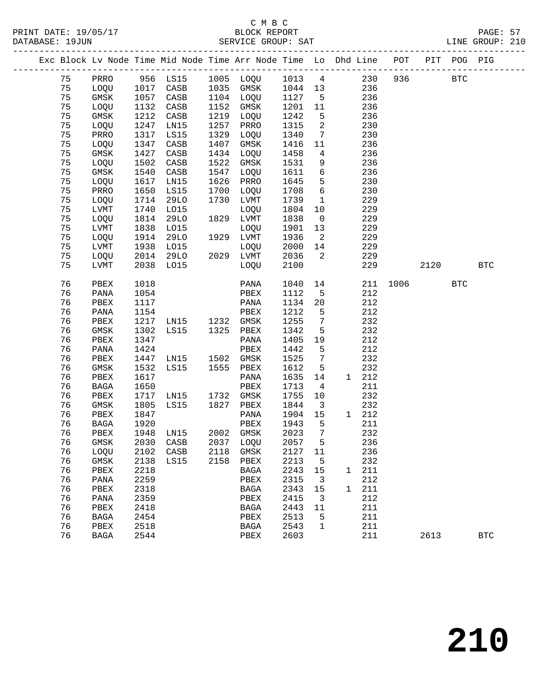|  |    |              |      |             |      | Exc Block Lv Node Time Mid Node Time Arr Node Time Lo Dhd Line POT |      |                         |   |       |      |      | PIT POG PIG |            |
|--|----|--------------|------|-------------|------|--------------------------------------------------------------------|------|-------------------------|---|-------|------|------|-------------|------------|
|  | 75 | PRRO         |      | 956 LS15    |      | 1005 LOQU                                                          | 1013 | $\overline{4}$          |   | 230   | 936  |      | <b>BTC</b>  |            |
|  | 75 | LOQU         | 1017 | CASB        | 1035 | GMSK                                                               | 1044 | 13                      |   | 236   |      |      |             |            |
|  | 75 | $\rm{GMSK}$  | 1057 | CASB        | 1104 | LOQU                                                               | 1127 | $5^{\circ}$             |   | 236   |      |      |             |            |
|  | 75 | LOQU         | 1132 | CASB        | 1152 | GMSK                                                               | 1201 | 11                      |   | 236   |      |      |             |            |
|  | 75 | GMSK         | 1212 | CASB        | 1219 | LOQU                                                               | 1242 | 5                       |   | 236   |      |      |             |            |
|  | 75 | LOQU         | 1247 | LN15        | 1257 | PRRO                                                               | 1315 | 2                       |   | 230   |      |      |             |            |
|  | 75 | PRRO         | 1317 | <b>LS15</b> | 1329 | LOQU                                                               | 1340 | 7                       |   | 230   |      |      |             |            |
|  | 75 | LOQU         | 1347 | CASB        | 1407 | GMSK                                                               | 1416 | 11                      |   | 236   |      |      |             |            |
|  | 75 | GMSK         | 1427 | CASB        | 1434 | LOQU                                                               | 1458 | 4                       |   | 236   |      |      |             |            |
|  | 75 | LOQU         | 1502 | CASB        | 1522 | GMSK                                                               | 1531 | 9                       |   | 236   |      |      |             |            |
|  | 75 | $\rm{GMSK}$  | 1540 | CASB        | 1547 | LOQU                                                               | 1611 | 6                       |   | 236   |      |      |             |            |
|  | 75 | LOQU         | 1617 | LN15        | 1626 | PRRO                                                               | 1645 | 5                       |   | 230   |      |      |             |            |
|  | 75 | PRRO         | 1650 | LS15        | 1700 | LOQU                                                               | 1708 | 6                       |   | 230   |      |      |             |            |
|  | 75 | LOQU         | 1714 | <b>29LO</b> | 1730 | LVMT                                                               | 1739 | $\mathbf{1}$            |   | 229   |      |      |             |            |
|  | 75 | <b>LVMT</b>  | 1740 | L015        |      | LOQU                                                               | 1804 | 10                      |   | 229   |      |      |             |            |
|  | 75 | LOQU         | 1814 | <b>29LO</b> | 1829 | LVMT                                                               | 1838 | $\overline{0}$          |   | 229   |      |      |             |            |
|  | 75 | LVMT         | 1838 | L015        |      | LOQU                                                               | 1901 | 13                      |   | 229   |      |      |             |            |
|  | 75 | LOQU         | 1914 | 29LO        | 1929 | LVMT                                                               | 1936 | 2                       |   | 229   |      |      |             |            |
|  | 75 | LVMT         | 1938 | L015        |      | LOQU                                                               | 2000 | 14                      |   | 229   |      |      |             |            |
|  | 75 | LOQU         | 2014 | 29LO        |      | 2029 LVMT                                                          | 2036 | 2                       |   | 229   |      |      |             |            |
|  | 75 | <b>LVMT</b>  | 2038 | LO15        |      | LOQU                                                               | 2100 |                         |   | 229   |      | 2120 |             | <b>BTC</b> |
|  | 76 | PBEX         | 1018 |             |      | PANA                                                               | 1040 | 14                      |   | 211   | 1006 |      | <b>BTC</b>  |            |
|  | 76 | PANA         | 1054 |             |      | PBEX                                                               | 1112 | 5                       |   | 212   |      |      |             |            |
|  | 76 | PBEX         | 1117 |             |      | PANA                                                               | 1134 | 20                      |   | 212   |      |      |             |            |
|  | 76 | PANA         | 1154 |             |      | PBEX                                                               | 1212 | 5                       |   | 212   |      |      |             |            |
|  | 76 | PBEX         | 1217 | LN15        | 1232 | GMSK                                                               | 1255 | $7\phantom{.0}$         |   | 232   |      |      |             |            |
|  | 76 | GMSK         | 1302 | LS15        | 1325 | PBEX                                                               | 1342 | 5                       |   | 232   |      |      |             |            |
|  | 76 | PBEX         | 1347 |             |      | PANA                                                               | 1405 | 19                      |   | 212   |      |      |             |            |
|  | 76 | PANA         | 1424 |             |      | PBEX                                                               | 1442 | 5                       |   | 212   |      |      |             |            |
|  | 76 | PBEX         | 1447 | LN15        | 1502 | GMSK                                                               | 1525 | 7                       |   | 232   |      |      |             |            |
|  | 76 | GMSK         | 1532 | LS15        | 1555 | PBEX                                                               | 1612 | 5                       |   | 232   |      |      |             |            |
|  | 76 | ${\tt PBEX}$ | 1617 |             |      | PANA                                                               | 1635 | 14                      |   | 1 212 |      |      |             |            |
|  | 76 | BAGA         | 1650 |             |      | PBEX                                                               | 1713 | $\overline{4}$          |   | 211   |      |      |             |            |
|  | 76 | PBEX         | 1717 | LN15        | 1732 | GMSK                                                               | 1755 | 10                      |   | 232   |      |      |             |            |
|  | 76 | GMSK         | 1805 | LS15        | 1827 | PBEX                                                               | 1844 | $\overline{\mathbf{3}}$ |   | 232   |      |      |             |            |
|  | 76 | PBEX         | 1847 |             |      | PANA                                                               | 1904 | 15                      |   | 1 212 |      |      |             |            |
|  | 76 | BAGA         | 1920 |             |      | PBEX                                                               | 1943 | 5                       |   | 211   |      |      |             |            |
|  | 76 | PBEX         | 1948 | LN15        |      | 2002 GMSK                                                          | 2023 | 7                       |   | 232   |      |      |             |            |
|  | 76 | GMSK         |      |             |      | 2030 CASB 2037 LOQU 2057 5                                         |      |                         |   | 236   |      |      |             |            |
|  | 76 | LOQU         | 2102 | CASB        | 2118 | GMSK                                                               | 2127 | 11                      |   | 236   |      |      |             |            |
|  | 76 | GMSK         | 2138 | LS15        | 2158 | ${\tt PBEX}$                                                       | 2213 | 5                       |   | 232   |      |      |             |            |
|  | 76 | PBEX         | 2218 |             |      | BAGA                                                               | 2243 | 15                      | 1 | 211   |      |      |             |            |
|  | 76 | PANA         | 2259 |             |      | PBEX                                                               | 2315 | 3                       |   | 212   |      |      |             |            |
|  | 76 | PBEX         | 2318 |             |      | <b>BAGA</b>                                                        | 2343 | 15                      | 1 | 211   |      |      |             |            |
|  | 76 | PANA         | 2359 |             |      | PBEX                                                               | 2415 | 3                       |   | 212   |      |      |             |            |
|  | 76 | PBEX         | 2418 |             |      | <b>BAGA</b>                                                        | 2443 | 11                      |   | 211   |      |      |             |            |
|  | 76 | <b>BAGA</b>  | 2454 |             |      | PBEX                                                               | 2513 | 5                       |   | 211   |      |      |             |            |
|  | 76 | PBEX         | 2518 |             |      | <b>BAGA</b>                                                        | 2543 | 1                       |   | 211   |      |      |             |            |
|  | 76 | <b>BAGA</b>  | 2544 |             |      | PBEX                                                               | 2603 |                         |   | 211   |      | 2613 |             | <b>BTC</b> |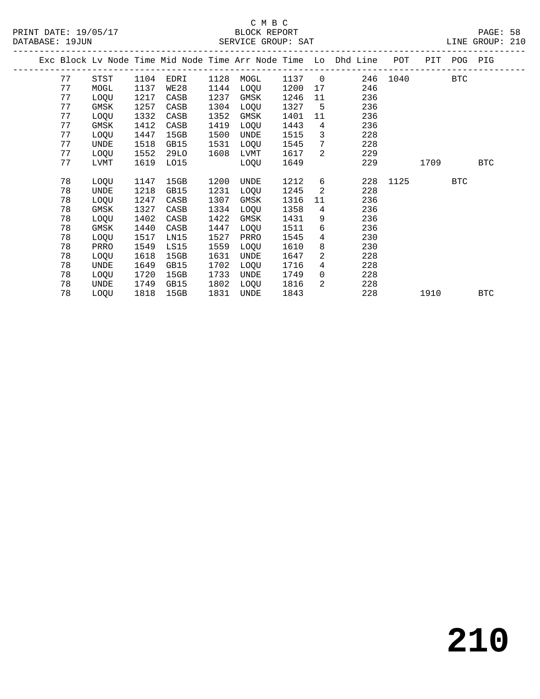|  |    |             |      |      |      |             |      |                | Exc Block Lv Node Time Mid Node Time Arr Node Time Lo Dhd Line | POT  | PIT  | POG PIG    |            |
|--|----|-------------|------|------|------|-------------|------|----------------|----------------------------------------------------------------|------|------|------------|------------|
|  | 77 | STST        | 1104 | EDRI | 1128 | MOGL        | 1137 | $\overline{0}$ | 246                                                            | 1040 |      | <b>BTC</b> |            |
|  | 77 | MOGL        | 1137 | WE28 | 1144 | LOQU        | 1200 | 17             | 246                                                            |      |      |            |            |
|  | 77 | LOQU        | 1217 | CASB | 1237 | GMSK        | 1246 | 11             | 236                                                            |      |      |            |            |
|  | 77 | <b>GMSK</b> | 1257 | CASB | 1304 | LOQU        | 1327 | 5              | 236                                                            |      |      |            |            |
|  | 77 | LOQU        | 1332 | CASB | 1352 | GMSK        | 1401 | 11             | 236                                                            |      |      |            |            |
|  | 77 | GMSK        | 1412 | CASB | 1419 | LOQU        | 1443 | 4              | 236                                                            |      |      |            |            |
|  | 77 | LOQU        | 1447 | 15GB | 1500 | UNDE        | 1515 | 3              | 228                                                            |      |      |            |            |
|  | 77 | UNDE        | 1518 | GB15 | 1531 | LOQU        | 1545 | 7              | 228                                                            |      |      |            |            |
|  | 77 | LOQU        | 1552 | 29LO | 1608 | LVMT        | 1617 | $\mathcal{L}$  | 229                                                            |      |      |            |            |
|  | 77 | LVMT        | 1619 | L015 |      | LOQU        | 1649 |                | 229                                                            |      | 1709 |            | <b>BTC</b> |
|  |    |             |      |      |      |             |      |                |                                                                |      |      |            |            |
|  | 78 | LOQU        | 1147 | 15GB | 1200 | UNDE        | 1212 | 6              | 228                                                            | 1125 |      | <b>BTC</b> |            |
|  | 78 | UNDE        | 1218 | GB15 | 1231 | LOQU        | 1245 | 2              | 228                                                            |      |      |            |            |
|  | 78 | LOQU        | 1247 | CASB | 1307 | GMSK        | 1316 | 11             | 236                                                            |      |      |            |            |
|  | 78 | <b>GMSK</b> | 1327 | CASB | 1334 | <b>LOOU</b> | 1358 | 4              | 236                                                            |      |      |            |            |
|  | 78 | LOQU        | 1402 | CASB | 1422 | GMSK        | 1431 | 9              | 236                                                            |      |      |            |            |
|  | 78 | <b>GMSK</b> | 1440 | CASB | 1447 | LOQU        | 1511 | 6              | 236                                                            |      |      |            |            |
|  | 78 | LOQU        | 1517 | LN15 | 1527 | PRRO        | 1545 | 4              | 230                                                            |      |      |            |            |
|  | 78 | PRRO        | 1549 | LS15 | 1559 | LOQU        | 1610 | 8              | 230                                                            |      |      |            |            |
|  | 78 | LOQU        | 1618 | 15GB | 1631 | UNDE        | 1647 | 2              | 228                                                            |      |      |            |            |
|  | 78 | UNDE        | 1649 | GB15 | 1702 | LOQU        | 1716 | 4              | 228                                                            |      |      |            |            |
|  | 78 | LOQU        | 1720 | 15GB | 1733 | UNDE        | 1749 | $\mathbf 0$    | 228                                                            |      |      |            |            |
|  | 78 | UNDE        | 1749 | GB15 | 1802 | LOQU        | 1816 | 2              | 228                                                            |      |      |            |            |
|  | 78 | LOQU        | 1818 | 15GB | 1831 | <b>UNDE</b> | 1843 |                | 228                                                            |      | 1910 |            | <b>BTC</b> |
|  |    |             |      |      |      |             |      |                |                                                                |      |      |            |            |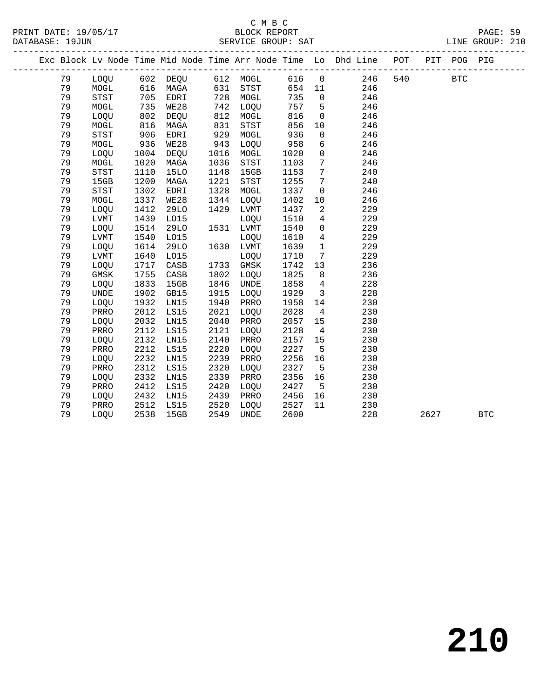#### C M B C <br>C M B C <br>BLOCK REPOR PAGE: 59<br>BLOCK REPORT PAGE: 59<br>SERVICE GROUP: SAT LINE GROUP: 210

| DATABASE: 19JUN |    |                                       |      |                                  |      |           |      |                         | LINE GROUP: 210<br>LINE GROUP: 210                                             |     |            |              |  |
|-----------------|----|---------------------------------------|------|----------------------------------|------|-----------|------|-------------------------|--------------------------------------------------------------------------------|-----|------------|--------------|--|
|                 |    |                                       |      |                                  |      |           |      |                         | Exc Block Lv Node Time Mid Node Time Arr Node Time Lo Dhd Line POT PIT POG PIG |     |            |              |  |
|                 | 79 |                                       |      | LOQU 602 DEQU 612 MOGL           |      |           |      |                         | 616 0 246                                                                      | 540 | <b>BTC</b> |              |  |
|                 | 79 | MOGL                                  |      | 616 MAGA                         |      | 631 STST  |      |                         | 654 11<br>246                                                                  |     |            |              |  |
|                 | 79 | STST                                  |      | 705 EDRI<br>735 WE28<br>802 DEQU |      | 728 MOGL  | 735  | $\overline{0}$          | 246                                                                            |     |            |              |  |
|                 | 79 | MOGL                                  |      |                                  |      | 742 LOQU  | 757  | 5 <sup>5</sup>          | 246                                                                            |     |            |              |  |
|                 | 79 | LOQU                                  |      | 802 DEQU                         | 812  | MOGL      | 816  | $\overline{0}$          | 246                                                                            |     |            |              |  |
|                 | 79 | MOGL                                  | 816  | MAGA                             | 831  | STST      | 856  | 10                      | 246                                                                            |     |            |              |  |
|                 | 79 | <b>STST</b>                           | 906  | EDRI                             | 929  | MOGL      | 936  | $\mathsf{O}$            | 246                                                                            |     |            |              |  |
|                 | 79 | MOGL                                  | 936  | WE28                             | 943  | LOQU      | 958  | 6                       | 246                                                                            |     |            |              |  |
|                 | 79 | LOQU                                  | 1004 | DEQU                             | 1016 | MOGL      | 1020 | $\overline{0}$          | 246                                                                            |     |            |              |  |
|                 | 79 | MOGL                                  | 1020 | MAGA                             | 1036 | STST      | 1103 | $7\phantom{.0}$         | 246                                                                            |     |            |              |  |
|                 | 79 | <b>STST</b>                           | 1110 | <b>15LO</b>                      | 1148 | 15GB      | 1153 | $7\overline{ }$         | 240                                                                            |     |            |              |  |
|                 | 79 | 15GB                                  | 1200 | MAGA                             | 1221 | STST      | 1255 | $7\phantom{.0}$         | 240                                                                            |     |            |              |  |
|                 | 79 | $_{\footnotesize{\textnormal{STST}}}$ | 1302 | EDRI                             | 1328 | MOGL      | 1337 | $\overline{0}$          | 246                                                                            |     |            |              |  |
|                 | 79 | $\tt MOGL$                            | 1337 | WE28                             | 1344 | LOQU      | 1402 | 10                      | 246                                                                            |     |            |              |  |
|                 | 79 | LOQU                                  | 1412 | 29LO                             | 1429 | LVMT      | 1437 | $\overline{a}$          | 229                                                                            |     |            |              |  |
|                 | 79 | LVMT                                  | 1439 | L015                             |      | LOQU      | 1510 | $\overline{4}$          | 229                                                                            |     |            |              |  |
|                 | 79 | LOQU                                  | 1514 | <b>29LO</b>                      |      | 1531 LVMT | 1540 | $\overline{0}$          | 229                                                                            |     |            |              |  |
|                 | 79 | LVMT                                  | 1540 | L015                             |      | LOQU      | 1610 | $\overline{4}$          | 229                                                                            |     |            |              |  |
|                 | 79 | LOQU                                  | 1614 | 29LO                             |      | 1630 LVMT | 1639 | $\mathbf{1}$            | 229                                                                            |     |            |              |  |
|                 | 79 | LVMT                                  | 1640 | L015                             |      | LOQU      | 1710 | $7\phantom{.0}$         | 229                                                                            |     |            |              |  |
|                 | 79 | LOQU                                  | 1717 | CASB                             |      | 1733 GMSK | 1742 | 13                      | 236                                                                            |     |            |              |  |
|                 | 79 | GMSK                                  | 1755 | CASB                             | 1802 | LOQU      | 1825 | 8                       | 236                                                                            |     |            |              |  |
|                 | 79 | LOQU                                  | 1833 | 15GB                             | 1846 | UNDE      | 1858 | $4\overline{4}$         | 228                                                                            |     |            |              |  |
|                 | 79 | <b>UNDE</b>                           | 1902 | GB15                             | 1915 | LOQU      | 1929 | $\overline{\mathbf{3}}$ | 228                                                                            |     |            |              |  |
|                 | 79 | LOQU                                  | 1932 | LN15                             | 1940 | PRRO      | 1958 | 14                      | 230                                                                            |     |            |              |  |
|                 | 79 | PRRO                                  | 2012 | LS15                             | 2021 | LOQU      | 2028 | $\overline{4}$          | 230                                                                            |     |            |              |  |
|                 | 79 | LOQU                                  | 2032 | LN15                             | 2040 | PRRO      | 2057 | 15                      | 230                                                                            |     |            |              |  |
|                 | 79 | PRRO                                  | 2112 | LS15                             | 2121 | LOQU      | 2128 | $4\overline{4}$         | 230                                                                            |     |            |              |  |
|                 | 79 | LOQU                                  | 2132 | LN15                             | 2140 | PRRO      | 2157 | 15                      | 230                                                                            |     |            |              |  |
|                 | 79 | PRRO                                  | 2212 | LS15                             | 2220 | LOQU      | 2227 | 5                       | 230                                                                            |     |            |              |  |
|                 | 79 | LOOU                                  | 2232 | LN15                             | 2239 | PRRO      | 2256 | 16                      | 230                                                                            |     |            |              |  |
|                 | 79 | PRRO                                  | 2312 | LS15                             | 2320 | LOQU      | 2327 | $5^{\circ}$             | 230                                                                            |     |            |              |  |
|                 | 79 | LOQU                                  | 2332 | LN15                             | 2339 | PRRO      | 2356 | 16                      | 230                                                                            |     |            |              |  |
|                 | 79 | PRRO                                  | 2412 | LS15                             | 2420 | LOQU      | 2427 | $5^{\circ}$             | 230                                                                            |     |            |              |  |
|                 | 79 | LOQU                                  | 2432 | LN15                             | 2439 | PRRO      | 2456 | 16                      | 230                                                                            |     |            |              |  |
|                 | 79 | PRRO                                  | 2512 | LS15                             | 2520 | LOOU      | 2527 | 11                      | 230                                                                            |     |            |              |  |
|                 | 79 | LOQU                                  | 2538 | 15GB                             | 2549 | UNDE      | 2600 |                         | 228                                                                            |     | 2627       | $_{\rm BTC}$ |  |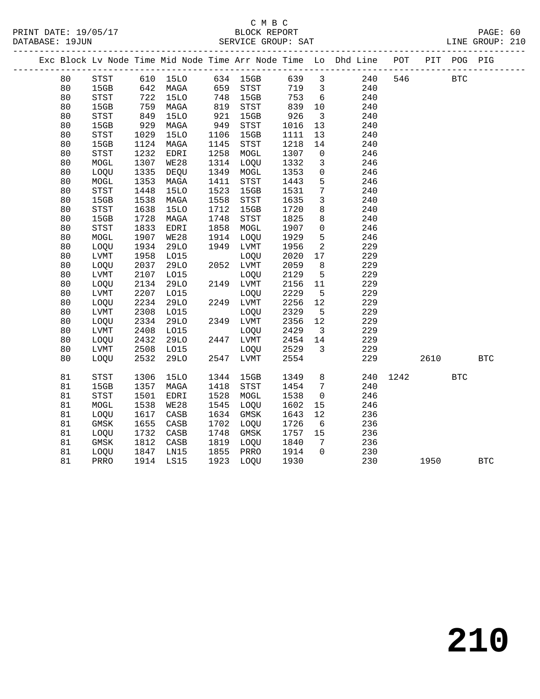#### C M B C DATABASE: 19JUN SERVICE GROUP: SAT LINE GROUP: 210

|  |    |             |      |             |      |           |      |                | Exc Block Lv Node Time Mid Node Time Arr Node Time Lo Dhd Line | POT |      | PIT POG PIG |            |
|--|----|-------------|------|-------------|------|-----------|------|----------------|----------------------------------------------------------------|-----|------|-------------|------------|
|  | 80 | STST        |      | 610 15LO    |      | 634 15GB  | 639  | 3              | 240                                                            | 546 |      | <b>BTC</b>  |            |
|  | 80 | 15GB        | 642  | MAGA        | 659  | STST      | 719  | $\mathbf{3}$   | 240                                                            |     |      |             |            |
|  | 80 | STST        | 722  | <b>15LO</b> | 748  | 15GB      | 753  | 6              | 240                                                            |     |      |             |            |
|  | 80 | 15GB        | 759  | MAGA        | 819  | STST      | 839  | 10             | 240                                                            |     |      |             |            |
|  | 80 | STST        | 849  | <b>15LO</b> | 921  | 15GB      | 926  | $\overline{3}$ | 240                                                            |     |      |             |            |
|  | 80 | 15GB        | 929  | MAGA        | 949  | STST      | 1016 | 13             | 240                                                            |     |      |             |            |
|  | 80 | STST        | 1029 | 15LO        | 1106 | 15GB      | 1111 | 13             | 240                                                            |     |      |             |            |
|  | 80 | 15GB        | 1124 | MAGA        | 1145 | STST      | 1218 | 14             | 240                                                            |     |      |             |            |
|  | 80 | <b>STST</b> | 1232 | EDRI        | 1258 | MOGL      | 1307 | $\mathbf 0$    | 246                                                            |     |      |             |            |
|  | 80 | MOGL        | 1307 | <b>WE28</b> | 1314 | LOOU      | 1332 | 3              | 246                                                            |     |      |             |            |
|  | 80 | LOQU        | 1335 | DEQU        | 1349 | MOGL      | 1353 | $\mathsf{O}$   | 246                                                            |     |      |             |            |
|  | 80 | MOGL        | 1353 | MAGA        | 1411 | STST      | 1443 | 5              | 246                                                            |     |      |             |            |
|  | 80 | STST        | 1448 | 15LO        | 1523 | 15GB      | 1531 | 7              | 240                                                            |     |      |             |            |
|  | 80 | 15GB        | 1538 | MAGA        | 1558 | STST      | 1635 | $\mathbf{3}$   | 240                                                            |     |      |             |            |
|  | 80 | STST        | 1638 | 15LO        | 1712 | 15GB      | 1720 | 8              | 240                                                            |     |      |             |            |
|  | 80 | 15GB        | 1728 | MAGA        | 1748 | STST      | 1825 | 8              | 240                                                            |     |      |             |            |
|  | 80 | STST        | 1833 | EDRI        | 1858 | MOGL      | 1907 | $\mathsf{O}$   | 246                                                            |     |      |             |            |
|  | 80 | MOGL        | 1907 | <b>WE28</b> | 1914 | LOQU      | 1929 | 5              | 246                                                            |     |      |             |            |
|  | 80 | LOQU        | 1934 | 29LO        | 1949 | LVMT      | 1956 | 2              | 229                                                            |     |      |             |            |
|  | 80 | LVMT        | 1958 | L015        |      | LOQU      | 2020 | 17             | 229                                                            |     |      |             |            |
|  | 80 | LOQU        | 2037 | 29LO        | 2052 | LVMT      | 2059 | 8              | 229                                                            |     |      |             |            |
|  | 80 | LVMT        | 2107 | L015        |      | LOQU      | 2129 | 5              | 229                                                            |     |      |             |            |
|  | 80 | LOOU        | 2134 | 29LO        | 2149 | LVMT      | 2156 | 11             | 229                                                            |     |      |             |            |
|  | 80 | LVMT        | 2207 | L015        |      | LOOU      | 2229 | 5              | 229                                                            |     |      |             |            |
|  | 80 | LOQU        | 2234 | <b>29LO</b> | 2249 | LVMT      | 2256 | 12             | 229                                                            |     |      |             |            |
|  | 80 | LVMT        | 2308 | L015        |      | LOQU      | 2329 | 5              | 229                                                            |     |      |             |            |
|  | 80 | LOQU        | 2334 | <b>29LO</b> | 2349 | LVMT      | 2356 | 12             | 229                                                            |     |      |             |            |
|  | 80 | LVMT        | 2408 | L015        |      | LOQU      | 2429 | $\mathbf{3}$   | 229                                                            |     |      |             |            |
|  | 80 | LOQU        | 2432 | <b>29LO</b> | 2447 | LVMT      | 2454 | 14             | 229                                                            |     |      |             |            |
|  | 80 | LVMT        | 2508 | L015        |      | LOOU      | 2529 | $\mathbf{3}$   | 229                                                            |     |      |             |            |
|  | 80 | LOOU        | 2532 | 29LO        |      | 2547 LVMT | 2554 |                | 229                                                            |     | 2610 |             | <b>BTC</b> |

81 STST 1306 15LO 1344 15GB 1349 8 240 1242 BTC<br>81 15GB 1357 MAGA 1418 STST 1454 7 240<br>81 STST 1501 EDRI 1528 MOGL 1538 0 246<br>81 MOGL 1538 WE28 1545 LOQU 1602 15 246

 81 15GB 1357 MAGA 1418 STST 1454 7 240 81 STST 1501 EDRI 1528 MOGL 1538 0 246 81 MOGL 1538 WE28 1545 LOQU 1602 15 246 81 LOQU 1617 CASB 1634 GMSK 1643 12 236

| 81 | GMSK | 1655 | CASB | 1702 | LOQU | 1726 | 6              | 236 |      |            |
|----|------|------|------|------|------|------|----------------|-----|------|------------|
| 81 | LOQU | 1732 | CASB | 1748 | GMSK | 1757 | 15             | 236 |      |            |
| 81 | GMSK | 1812 | CASB | 1819 | LOQU | 1840 | 7              | 236 |      |            |
| 81 | LOQU | 1847 | LN15 | 1855 | PRRO | 1914 | $\overline{0}$ | 230 |      |            |
| 81 | PRRO | 1914 | LS15 | 1923 | LOQU | 1930 |                | 230 | 1950 | <b>BTC</b> |
|    |      |      |      |      |      |      |                |     |      |            |
|    |      |      |      |      |      |      |                |     |      |            |
|    |      |      |      |      |      |      |                |     |      |            |
|    |      |      |      |      |      |      |                |     |      |            |
|    |      |      |      |      |      |      |                |     |      |            |
|    |      |      |      |      |      |      |                |     |      |            |
|    |      |      |      |      |      |      |                |     |      |            |

**210**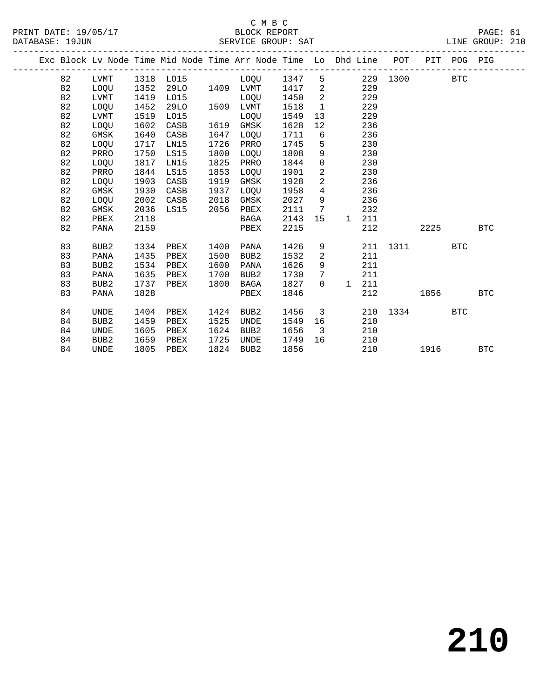## C M B C<br>BLOCK REPORT

PAGE: 61<br>LINE GROUP: 210

|  |    |                  |      | Exc Block Lv Node Time Mid Node Time Arr Node Time Lo Dhd Line POT |      |                     |      |                            |                         |     |              |      | PIT POG PIG |            |
|--|----|------------------|------|--------------------------------------------------------------------|------|---------------------|------|----------------------------|-------------------------|-----|--------------|------|-------------|------------|
|  | 82 | LVMT             |      | 1318 LO15 LOQU 1347                                                |      |                     |      | 5                          |                         |     | 229 1300     |      | <b>BTC</b>  |            |
|  | 82 | LOQU             | 1352 |                                                                    |      | 29LO 1409 LVMT 1417 |      | $\overline{\phantom{0}}^2$ |                         | 229 |              |      |             |            |
|  | 82 | LVMT             | 1419 | L015                                                               |      | LOOU                | 1450 | $\overline{2}$             |                         | 229 |              |      |             |            |
|  | 82 | LOQU             | 1452 | 29LO                                                               |      | 1509 LVMT           | 1518 | $\overline{1}$             |                         | 229 |              |      |             |            |
|  | 82 | LVMT             | 1519 | L015                                                               |      | LOOU                | 1549 | 13                         |                         | 229 |              |      |             |            |
|  | 82 | LOQU             | 1602 | CASB                                                               |      | 1619 GMSK           | 1628 | 12                         |                         | 236 |              |      |             |            |
|  | 82 | GMSK             | 1640 | CASB                                                               | 1647 | LOOU                | 1711 | 6                          |                         | 236 |              |      |             |            |
|  | 82 | LOQU             | 1717 | LN15                                                               | 1726 | PRRO                | 1745 | $5^{\circ}$                |                         | 230 |              |      |             |            |
|  | 82 | PRRO             | 1750 | LS15                                                               | 1800 | LOOU                | 1808 | 9                          |                         | 230 |              |      |             |            |
|  | 82 | LOOU             | 1817 | LN15                                                               | 1825 | PRRO                | 1844 | $\overline{0}$             |                         | 230 |              |      |             |            |
|  | 82 | PRRO             | 1844 | LS15                                                               | 1853 | LOQU                | 1901 | $\overline{a}$             |                         | 230 |              |      |             |            |
|  | 82 | LOQU             | 1903 | CASB                                                               | 1919 | GMSK                | 1928 | $\overline{a}$             |                         | 236 |              |      |             |            |
|  | 82 | GMSK             | 1930 | CASB                                                               | 1937 | LOQU                | 1958 | $4\overline{ }$            |                         | 236 |              |      |             |            |
|  | 82 | LOQU             | 2002 | CASB                                                               | 2018 | GMSK                | 2027 | 9                          |                         | 236 |              |      |             |            |
|  | 82 | GMSK             | 2036 | LS15 2056                                                          |      | PBEX                | 2111 | $\overline{7}$             |                         | 232 |              |      |             |            |
|  | 82 | PBEX             | 2118 |                                                                    |      | BAGA                | 2143 | 15                         | $\mathbf{1}$            | 211 |              |      |             |            |
|  | 82 | PANA             | 2159 |                                                                    |      | PBEX                | 2215 |                            |                         | 212 |              | 2225 |             | <b>BTC</b> |
|  |    |                  |      |                                                                    |      |                     |      |                            |                         |     |              |      |             |            |
|  | 83 | BUB <sub>2</sub> | 1334 | PBEX                                                               | 1400 | PANA                | 1426 | 9                          |                         |     | 211 1311 BTC |      |             |            |
|  | 83 | PANA             | 1435 | PBEX                                                               | 1500 | BUB2                | 1532 | 2                          |                         | 211 |              |      |             |            |
|  | 83 | BUB <sub>2</sub> | 1534 | PBEX                                                               | 1600 | PANA                | 1626 | 9                          |                         | 211 |              |      |             |            |
|  | 83 | PANA             | 1635 | PBEX                                                               | 1700 | BUB2                | 1730 | $7\overline{ }$            |                         | 211 |              |      |             |            |
|  | 83 | BUB <sub>2</sub> | 1737 | PBEX                                                               | 1800 | BAGA                | 1827 | $\Omega$                   | $\mathbf{1}$            | 211 |              |      |             |            |
|  | 83 | PANA             | 1828 |                                                                    |      | PBEX                | 1846 |                            |                         | 212 |              | 1856 |             | <b>BTC</b> |
|  |    |                  |      |                                                                    |      |                     |      |                            |                         |     |              |      |             |            |
|  | 84 | UNDE             | 1404 | PBEX                                                               | 1424 | BUB2                | 1456 |                            | $\overline{\mathbf{3}}$ |     | 210 1334     |      | <b>BTC</b>  |            |
|  | 84 | BUB <sub>2</sub> | 1459 | PBEX                                                               | 1525 | UNDE                | 1549 | 16                         |                         | 210 |              |      |             |            |
|  | 84 | UNDE             | 1605 | PBEX                                                               | 1624 | BUB2                | 1656 | $\overline{\mathbf{3}}$    |                         | 210 |              |      |             |            |
|  | 84 | BUB <sub>2</sub> | 1659 | PBEX                                                               | 1725 | UNDE                | 1749 | 16                         |                         | 210 |              |      |             |            |
|  | 84 | <b>UNDE</b>      | 1805 | PBEX                                                               |      | 1824 BUB2           | 1856 |                            |                         | 210 |              | 1916 |             | <b>BTC</b> |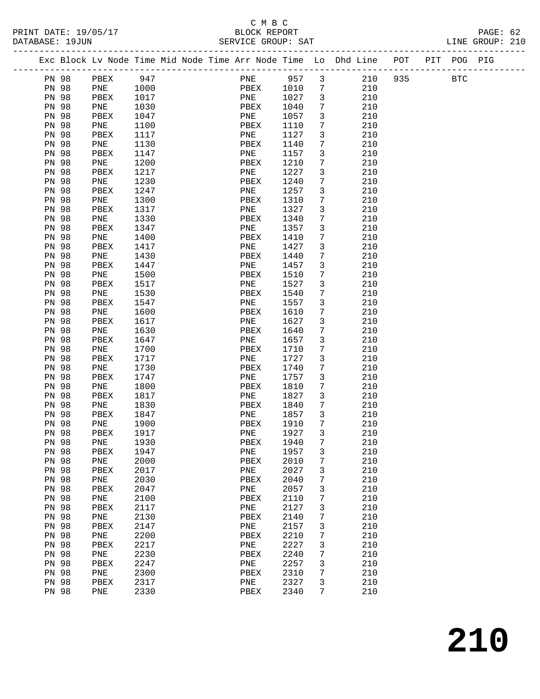### C M B C<br>BLOCK REPORT<br>TELLES CROUD: SAT

| PRINT DATE: 19/05/17<br>DATABASE: 19JUN |                       |             |              |  |             |              |                                 | 5/17<br>BLOCK REPORT<br>SERVICE GROUP: SAT                         |     |             | PAGE: 62<br>LINE GROUP: 210 |  |
|-----------------------------------------|-----------------------|-------------|--------------|--|-------------|--------------|---------------------------------|--------------------------------------------------------------------|-----|-------------|-----------------------------|--|
|                                         |                       |             |              |  |             |              |                                 | Exc Block Lv Node Time Mid Node Time Arr Node Time Lo Dhd Line POT |     | PIT POG PIG |                             |  |
|                                         | PN 98                 | PBEX        | 947          |  | PNE 957 3   |              |                                 | 210                                                                | 935 | <b>BTC</b>  |                             |  |
|                                         | PN 98                 | PNE         | 1000         |  | PBEX        | 1010         | $\overline{7}$                  | 210                                                                |     |             |                             |  |
| PN 98                                   |                       | PBEX        | 1017         |  | PNE         | 1027         | $\overline{\mathbf{3}}$         | 210                                                                |     |             |                             |  |
| PN 98                                   |                       | PNE         | 1030         |  | PBEX        | 1040         | 7                               | 210                                                                |     |             |                             |  |
| <b>PN 98</b>                            |                       | PBEX        | 1047         |  | PNE         | 1057         | $\mathbf{3}$                    | 210                                                                |     |             |                             |  |
| PN 98                                   |                       | PNE         | 1100         |  | PBEX        | 1110         | 7                               | 210                                                                |     |             |                             |  |
| PN 98                                   |                       | PBEX        | 1117         |  | PNE         | 1127         | 3                               | 210                                                                |     |             |                             |  |
| PN 98                                   |                       | PNE         | 1130         |  | PBEX        | 1140         | $7\phantom{.0}$                 | 210                                                                |     |             |                             |  |
| <b>PN 98</b>                            |                       | PBEX        | 1147         |  | PNE         | 1157         | $\mathbf{3}$                    | 210                                                                |     |             |                             |  |
|                                         | PN 98                 | PNE         | 1200         |  | PBEX        | 1210         | $7\phantom{.0}$                 | 210                                                                |     |             |                             |  |
| <b>PN 98</b>                            |                       | PBEX        | 1217         |  | PNE         | 1227         | 3                               | 210                                                                |     |             |                             |  |
|                                         | PN 98                 | PNE         | 1230         |  | PBEX        | 1240         | $7\phantom{.0}$                 | 210                                                                |     |             |                             |  |
| <b>PN 98</b>                            |                       | PBEX        | 1247         |  | PNE         | 1257         | $\mathfrak{Z}$                  | 210                                                                |     |             |                             |  |
|                                         | PN 98                 | PNE         | 1300         |  | PBEX        | 1310         | $7\phantom{.0}$                 | 210                                                                |     |             |                             |  |
| <b>PN 98</b>                            |                       | PBEX        | 1317         |  | PNE         | 1327         | 3                               | 210                                                                |     |             |                             |  |
| <b>PN 98</b>                            |                       | PNE         | 1330         |  | PBEX        | 1340         | 7                               | 210                                                                |     |             |                             |  |
|                                         | PN 98                 | PBEX        | 1347         |  | PNE         | 1357         | $\mathbf{3}$                    | 210                                                                |     |             |                             |  |
|                                         | PN 98                 | PNE         | 1400         |  | PBEX        | 1410         | $7\phantom{.0}$                 | 210                                                                |     |             |                             |  |
|                                         | PN 98                 | PBEX        | 1417         |  | PNE         | 1427         | 3                               | 210                                                                |     |             |                             |  |
|                                         | PN 98                 | PNE         | 1430         |  | PBEX        | 1440         | 7                               | 210                                                                |     |             |                             |  |
|                                         | PN 98<br><b>PN 98</b> | PBEX        | 1447         |  | PNE         | 1457         | $\mathbf{3}$<br>$7\phantom{.0}$ | 210                                                                |     |             |                             |  |
| PN 98                                   |                       | PNE<br>PBEX | 1500<br>1517 |  | PBEX<br>PNE | 1510<br>1527 | 3                               | 210<br>210                                                         |     |             |                             |  |
| <b>PN 98</b>                            |                       | PNE         | 1530         |  | PBEX        | 1540         | 7                               | 210                                                                |     |             |                             |  |
|                                         | PN 98                 | PBEX        | 1547         |  | PNE         | 1557         | 3                               | 210                                                                |     |             |                             |  |
|                                         | PN 98                 | PNE         | 1600         |  | PBEX        | 1610         | $7\phantom{.}$                  | 210                                                                |     |             |                             |  |
| <b>PN 98</b>                            |                       | PBEX        | 1617         |  | PNE         | 1627         | $\mathbf{3}$                    | 210                                                                |     |             |                             |  |
| <b>PN 98</b>                            |                       | PNE         | 1630         |  | PBEX        | 1640         | 7                               | 210                                                                |     |             |                             |  |
| PN 98                                   |                       | PBEX        | 1647         |  | PNE         | 1657         | 3                               | 210                                                                |     |             |                             |  |
| <b>PN 98</b>                            |                       | PNE         | 1700         |  | PBEX        | 1710         | $7\phantom{.0}$                 | 210                                                                |     |             |                             |  |
| PN 98                                   |                       | PBEX        | 1717         |  | PNE         | 1727         | $\mathbf{3}$                    | 210                                                                |     |             |                             |  |
| <b>PN 98</b>                            |                       | PNE         | 1730         |  | PBEX        | 1740         | 7                               | 210                                                                |     |             |                             |  |
| PN 98                                   |                       | PBEX        | 1747         |  | PNE         | 1757         | 3                               | 210                                                                |     |             |                             |  |
| <b>PN 98</b>                            |                       | PNE         | 1800         |  | PBEX        | 1810         | $7\phantom{.0}$                 | 210                                                                |     |             |                             |  |
|                                         | PN 98                 | PBEX        | 1817         |  | PNE         | 1827         | $\overline{\mathbf{3}}$         | 210                                                                |     |             |                             |  |
|                                         | PN 98                 | PNE         | 1830         |  | PBEX        | 1840         | $7\overline{ }$                 | 210                                                                |     |             |                             |  |
|                                         | PN 98                 | PBEX        | 1847         |  | PNE         | 1857         | $\overline{3}$                  | 210                                                                |     |             |                             |  |
|                                         | PN 98                 | PNE 1900    |              |  | PBEX 1910 7 |              |                                 | 210                                                                |     |             |                             |  |
| PN 98                                   |                       | PBEX        | 1917         |  | PNE         | 1927         | 3                               | 210                                                                |     |             |                             |  |
| PN 98                                   |                       | PNE         | 1930         |  | PBEX        | 1940         | 7                               | 210                                                                |     |             |                             |  |
| PN 98                                   |                       | PBEX        | 1947         |  | PNE         | 1957         | 3                               | 210                                                                |     |             |                             |  |
| PN 98                                   |                       | PNE         | 2000         |  | PBEX        | 2010         | 7                               | 210                                                                |     |             |                             |  |
| PN 98                                   |                       | PBEX        | 2017         |  | PNE         | 2027         | 3                               | 210                                                                |     |             |                             |  |
| PN 98                                   |                       | PNE         | 2030         |  | PBEX        | 2040         | 7                               | 210                                                                |     |             |                             |  |
| PN 98                                   |                       | PBEX        | 2047         |  | PNE         | 2057         | 3                               | 210                                                                |     |             |                             |  |
| <b>PN 98</b>                            |                       | PNE         | 2100         |  | PBEX        | 2110         | 7                               | 210                                                                |     |             |                             |  |
| PN 98                                   |                       | PBEX        | 2117         |  | PNE         | 2127         | 3                               | 210                                                                |     |             |                             |  |
| PN 98                                   |                       | PNE         | 2130         |  | PBEX        | 2140         | 7                               | 210                                                                |     |             |                             |  |
| PN 98                                   |                       | PBEX        | 2147         |  | PNE         | 2157         | 3                               | 210                                                                |     |             |                             |  |
| PN 98<br>PN 98                          |                       | PNE         | 2200<br>2217 |  | PBEX        | 2210<br>2227 | 7                               | 210<br>210                                                         |     |             |                             |  |
|                                         |                       | PBEX        |              |  | PNE         |              | 3                               |                                                                    |     |             |                             |  |
| PN 98                                   |                       | PNE         | 2230         |  | PBEX        | 2240         | 7                               | 210                                                                |     |             |                             |  |
| PN 98                                   |                       | PBEX        | 2247         |  | PNE         | 2257         | 3                               | 210<br>210                                                         |     |             |                             |  |
| PN 98<br><b>PN 98</b>                   |                       | PNE         | 2300<br>2317 |  | PBEX        | 2310<br>2327 | 7                               | 210                                                                |     |             |                             |  |
| <b>PN 98</b>                            |                       | PBEX<br>PNE | 2330         |  | PNE<br>PBEX | 2340         | 3<br>7                          | 210                                                                |     |             |                             |  |
|                                         |                       |             |              |  |             |              |                                 |                                                                    |     |             |                             |  |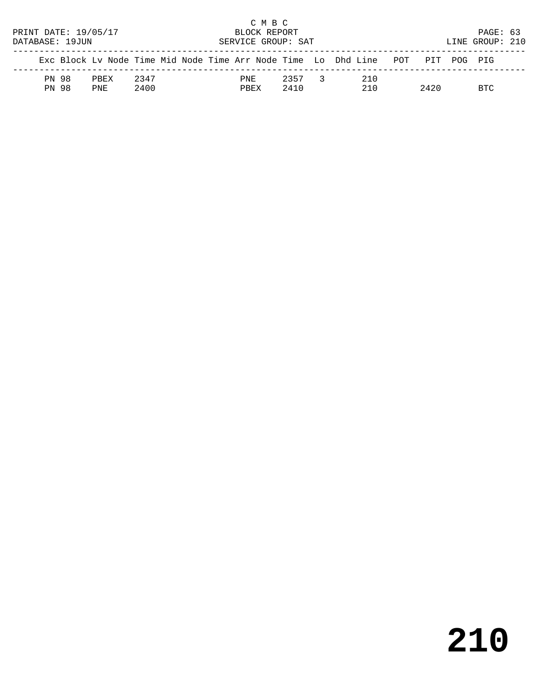|                      |                 |      |      |  |  |  |      | C M B C      |                    |                                                                                |      |                 |  |
|----------------------|-----------------|------|------|--|--|--|------|--------------|--------------------|--------------------------------------------------------------------------------|------|-----------------|--|
| PRINT DATE: 19/05/17 |                 |      |      |  |  |  |      | BLOCK REPORT |                    |                                                                                |      | PAGE: 63        |  |
|                      | DATABASE: 19JUN |      |      |  |  |  |      |              | SERVICE GROUP: SAT |                                                                                |      | LINE GROUP: 210 |  |
|                      |                 |      |      |  |  |  |      |              |                    | Exc Block Ly Node Time Mid Node Time Arr Node Time Lo Dhd Line POT PIT POG PIG |      |                 |  |
|                      | PN 98           | PREX | 2347 |  |  |  | PNE  |              | 2357 3             | 210                                                                            |      |                 |  |
|                      | PN 98           | PNF. | 2400 |  |  |  | PBEX |              | 2410               | 210                                                                            | 2420 | RTC             |  |

# **210**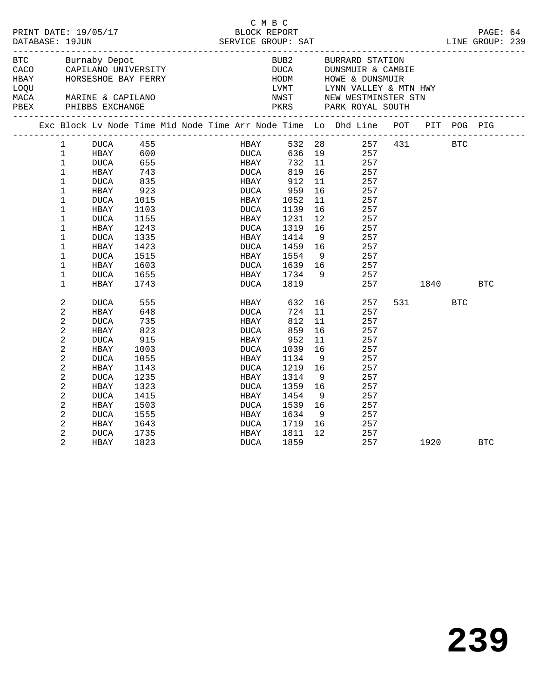|      | DATABASE: 19JUN | PRINT DATE: 19/05/17                           |            |                                                      | C M B C<br>BLOCK REPORT |         |     |                                                                                 |       |            | PAGE: 64   |  |
|------|-----------------|------------------------------------------------|------------|------------------------------------------------------|-------------------------|---------|-----|---------------------------------------------------------------------------------|-------|------------|------------|--|
|      |                 | BTC Burnaby Depot                              |            | CACO CAPILANO UNIVERSITY<br>HBAY HORSESHOE BAY FERRY |                         |         |     | BUB2 BURRARD STATION<br>DUCA DUNSMUIR & CAMBIE<br>HODM HOWE & DUNSMUIR          |       |            |            |  |
| LOQU |                 |                                                |            |                                                      |                         |         |     |                                                                                 |       |            |            |  |
|      |                 | MACA MARINE & CAPILANO<br>PBEX PHIBBS EXCHANGE |            |                                                      |                         |         |     | LVMT LYNN VALLEY & MTN HWY<br>NWST NEW WESTMINSTER STN<br>PKRS PARK ROYAL SOUTH |       |            |            |  |
|      |                 |                                                |            |                                                      |                         |         |     | Exc Block Lv Node Time Mid Node Time Arr Node Time Lo Dhd Line POT PIT POG PIG  |       |            |            |  |
|      | $1 \quad \Box$  |                                                |            |                                                      |                         |         |     | HBAY 532 28 257 431 BTC<br>DUCA 636 19 257                                      |       |            |            |  |
|      | 1               |                                                |            |                                                      |                         |         |     |                                                                                 |       |            |            |  |
|      | $\mathbf{1}$    | DUCA                                           | 655        |                                                      | <b>HBAY</b>             | 732     |     | 11 257                                                                          |       |            |            |  |
|      | $\mathbf{1}$    | HBAY                                           | 743<br>835 |                                                      | DUCA                    | 819     | 16  | 257                                                                             |       |            |            |  |
|      | $\mathbf{1}$    | DUCA                                           |            |                                                      | HBAY                    | 912     | 11  | 257                                                                             |       |            |            |  |
|      | $\mathbf 1$     | HBAY                                           | 923        |                                                      | DUCA                    | 959     | 16  | 257                                                                             |       |            |            |  |
|      | $\mathbf 1$     | DUCA                                           | 1015       |                                                      | HBAY                    | 1052    | 11  | 257                                                                             |       |            |            |  |
|      | 1               | HBAY                                           | 1103       |                                                      | DUCA                    | 1139    | 16  | 257                                                                             |       |            |            |  |
|      | 1               | DUCA                                           | 1155       |                                                      | HBAY                    | 1231    | 12  | 257                                                                             |       |            |            |  |
|      | $\mathbf 1$     | HBAY                                           | 1243       |                                                      | DUCA                    | 1319    | 16  | 257                                                                             |       |            |            |  |
|      | $\mathbf 1$     | <b>DUCA</b>                                    | 1335       |                                                      | HBAY                    | 1414    | - 9 | 257                                                                             |       |            |            |  |
|      | $\mathbf 1$     | HBAY                                           | 1423       |                                                      | DUCA                    | 1459    | 16  | 257                                                                             |       |            |            |  |
|      | 1               | DUCA                                           | 1515       |                                                      | HBAY                    | 1554    | 9   | 257                                                                             |       |            |            |  |
|      | 1               | HBAY                                           | 1603       |                                                      | DUCA                    | 1639 16 |     | 257                                                                             |       |            |            |  |
|      | $\mathbf 1$     | <b>DUCA</b>                                    | 1655       |                                                      | HBAY                    | 1734 9  |     | 257                                                                             |       |            |            |  |
|      | $\mathbf 1$     | HBAY                                           | 1743       |                                                      | DUCA                    | 1819    |     | 257                                                                             | 1840  |            | <b>BTC</b> |  |
|      | 2               | <b>DUCA</b>                                    | 555        |                                                      | HBAY                    |         |     | 632 16<br>257                                                                   | 531 7 | <b>BTC</b> |            |  |
|      | 2               | HBAY                                           | 648        |                                                      | DUCA                    | 724     | 11  | 257                                                                             |       |            |            |  |
|      | $\overline{a}$  | <b>DUCA</b>                                    | 735        |                                                      | HBAY                    | 812     | 11  | 257                                                                             |       |            |            |  |
|      | 2               | HBAY                                           | 823        |                                                      | DUCA                    | 859     | 16  | 257                                                                             |       |            |            |  |
|      | 2               | <b>DUCA</b>                                    | 915        |                                                      | HBAY                    | 952     | 11  | 257                                                                             |       |            |            |  |
|      | 2               | HBAY                                           | 1003       |                                                      | DUCA                    | 1039    | 16  | 257                                                                             |       |            |            |  |
|      | 2               | DUCA                                           | 1055       |                                                      | HBAY                    | 1134    | - 9 | 257                                                                             |       |            |            |  |
|      | $\overline{c}$  | HBAY                                           | 1143       |                                                      | DUCA                    | 1219    | 16  | 257                                                                             |       |            |            |  |
|      | 2               | DUCA                                           | 1235       |                                                      | HBAY                    | 1314    | 9   | 257                                                                             |       |            |            |  |
|      | 2               | HBAY                                           | 1323       |                                                      | DUCA                    | 1359    | 16  | 257                                                                             |       |            |            |  |
|      | $\overline{a}$  | DUCA                                           | 1415       |                                                      | HBAY                    | 1454    | - 9 | 257                                                                             |       |            |            |  |
|      | 2               | HBAY                                           | 1503       |                                                      | DUCA                    | 1539    | 16  | 257                                                                             |       |            |            |  |
|      | 2               | DUCA                                           | 1555       |                                                      | HBAY                    | 1634    | - 9 | 257                                                                             |       |            |            |  |
|      | 2               | HBAY                                           | 1643       |                                                      | DUCA                    | 1719    | 16  | 257                                                                             |       |            |            |  |
|      | 2               | DUCA                                           | 1735       |                                                      | HBAY                    | 1811    | 12  | 257                                                                             |       |            |            |  |
|      | 2               | HBAY                                           | 1823       |                                                      | DUCA                    | 1859    |     | 257                                                                             | 1920  |            | <b>BTC</b> |  |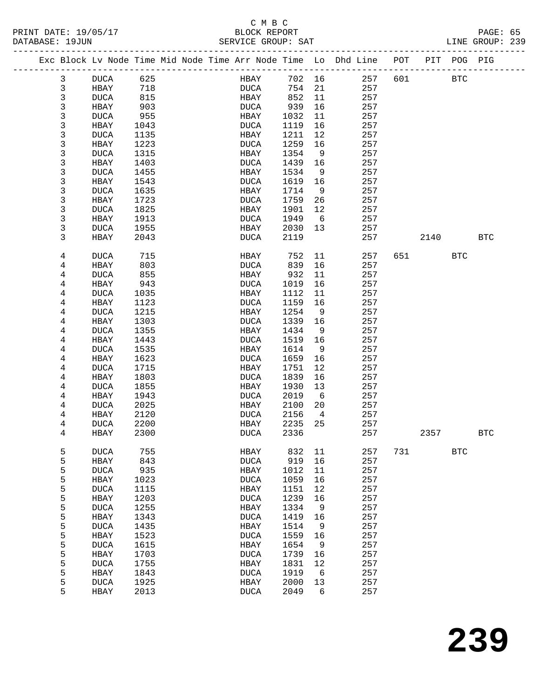#### C M B C<br>BLOCK REPORT SERVICE GROUP: SAT

| Exc Block Lv Node Time Mid Node Time Arr Node Time Lo Dhd Line POT | ______________________ |      |  |             |        |                |     |     |      | PIT POG PIG  |            |
|--------------------------------------------------------------------|------------------------|------|--|-------------|--------|----------------|-----|-----|------|--------------|------------|
| 3                                                                  | DUCA                   | 625  |  | HBAY        | 702 16 |                | 257 | 601 |      | <b>BTC</b>   |            |
| 3                                                                  | HBAY                   | 718  |  | DUCA        | 754 21 |                | 257 |     |      |              |            |
| 3                                                                  | DUCA                   | 815  |  | HBAY        | 852    | 11             | 257 |     |      |              |            |
| 3                                                                  | HBAY                   | 903  |  | DUCA        | 939    | 16             | 257 |     |      |              |            |
| 3                                                                  | DUCA                   | 955  |  | HBAY        | 1032   | 11             | 257 |     |      |              |            |
| 3                                                                  | HBAY                   | 1043 |  | <b>DUCA</b> | 1119   | 16             | 257 |     |      |              |            |
| 3                                                                  | DUCA                   | 1135 |  | HBAY        | 1211   | 12             | 257 |     |      |              |            |
| 3                                                                  | HBAY                   | 1223 |  | <b>DUCA</b> | 1259   | 16             | 257 |     |      |              |            |
| 3                                                                  | DUCA                   | 1315 |  | HBAY        | 1354   | 9              | 257 |     |      |              |            |
| 3                                                                  | HBAY                   | 1403 |  | <b>DUCA</b> | 1439   | 16             | 257 |     |      |              |            |
| 3                                                                  | DUCA                   | 1455 |  | HBAY        | 1534   | 9              | 257 |     |      |              |            |
| 3                                                                  | HBAY                   | 1543 |  | <b>DUCA</b> | 1619   | 16             | 257 |     |      |              |            |
| 3                                                                  | DUCA                   | 1635 |  | HBAY        | 1714   | 9              | 257 |     |      |              |            |
| 3                                                                  | HBAY                   | 1723 |  | <b>DUCA</b> | 1759   | 26             | 257 |     |      |              |            |
| 3                                                                  | <b>DUCA</b>            | 1825 |  | HBAY        | 1901   | 12             | 257 |     |      |              |            |
| 3                                                                  | HBAY                   | 1913 |  | <b>DUCA</b> | 1949   | 6              | 257 |     |      |              |            |
| 3                                                                  | DUCA                   | 1955 |  | HBAY        | 2030   | 13             | 257 |     |      |              |            |
| 3                                                                  | HBAY                   | 2043 |  | DUCA        | 2119   |                | 257 |     | 2140 |              | <b>BTC</b> |
| 4                                                                  | DUCA                   | 715  |  | HBAY        | 752    | 11             | 257 | 651 |      | <b>BTC</b>   |            |
| 4                                                                  | HBAY                   | 803  |  | <b>DUCA</b> | 839    | 16             | 257 |     |      |              |            |
| 4                                                                  | DUCA                   | 855  |  | HBAY        | 932    | 11             | 257 |     |      |              |            |
| 4                                                                  | HBAY                   | 943  |  | DUCA        | 1019   | 16             | 257 |     |      |              |            |
| 4                                                                  | DUCA                   | 1035 |  | HBAY        | 1112   | 11             | 257 |     |      |              |            |
| 4                                                                  | HBAY                   | 1123 |  | DUCA        | 1159   | 16             | 257 |     |      |              |            |
| 4                                                                  | DUCA                   | 1215 |  | HBAY        | 1254   | 9              | 257 |     |      |              |            |
| 4                                                                  | HBAY                   | 1303 |  | <b>DUCA</b> | 1339   | 16             | 257 |     |      |              |            |
| 4                                                                  | DUCA                   | 1355 |  | HBAY        | 1434   | 9              | 257 |     |      |              |            |
| 4                                                                  | HBAY                   | 1443 |  | <b>DUCA</b> | 1519   | 16             | 257 |     |      |              |            |
| 4                                                                  | <b>DUCA</b>            | 1535 |  | HBAY        | 1614   | 9              | 257 |     |      |              |            |
| 4                                                                  | HBAY                   | 1623 |  | <b>DUCA</b> | 1659   | 16             | 257 |     |      |              |            |
| 4                                                                  | <b>DUCA</b>            | 1715 |  | HBAY        | 1751   | 12             | 257 |     |      |              |            |
| 4                                                                  | HBAY                   | 1803 |  | <b>DUCA</b> | 1839   | 16             | 257 |     |      |              |            |
| 4                                                                  | <b>DUCA</b>            | 1855 |  | HBAY        | 1930   | 13             | 257 |     |      |              |            |
| 4                                                                  | HBAY                   | 1943 |  | <b>DUCA</b> | 2019   | 6              | 257 |     |      |              |            |
| 4                                                                  | DUCA                   | 2025 |  | HBAY        | 2100   | 20             | 257 |     |      |              |            |
| 4                                                                  | HBAY                   | 2120 |  | DUCA        | 2156   | $\overline{4}$ | 257 |     |      |              |            |
| 4                                                                  | DUCA                   | 2200 |  | HBAY        | 2235   | 25             | 257 |     |      |              |            |
| 4                                                                  | HBAY                   | 2300 |  | DUCA        | 2336   |                | 257 |     | 2357 |              | <b>BTC</b> |
| 5                                                                  | <b>DUCA</b>            | 755  |  | HBAY        | 832    | 11             | 257 | 731 |      | $_{\rm BTC}$ |            |
| 5                                                                  | HBAY                   | 843  |  | <b>DUCA</b> | 919    | 16             | 257 |     |      |              |            |
| 5                                                                  | <b>DUCA</b>            | 935  |  | HBAY        | 1012   | 11             | 257 |     |      |              |            |
| 5                                                                  | HBAY                   | 1023 |  | <b>DUCA</b> | 1059   | 16             | 257 |     |      |              |            |
| 5                                                                  | <b>DUCA</b>            | 1115 |  | HBAY        | 1151   | 12             | 257 |     |      |              |            |
| 5                                                                  | HBAY                   | 1203 |  | <b>DUCA</b> | 1239   | 16             | 257 |     |      |              |            |
| 5                                                                  | DUCA                   | 1255 |  | HBAY        | 1334   | 9              | 257 |     |      |              |            |
| 5                                                                  | HBAY                   | 1343 |  | <b>DUCA</b> | 1419   | 16             | 257 |     |      |              |            |
|                                                                    |                        |      |  |             |        |                |     |     |      |              |            |

2049 6

 5 DUCA 1435 HBAY 1514 9 257 5 HBAY 1523 DUCA 1559 16 257 5 DUCA 1615 HBAY 1654 9 257 5 HBAY 1703 DUCA 1739 16 257 5 DUCA 1755 HBAY 1831 12 257 5 HBAY 1843 DUCA 1919 6 257

5 DUCA 1925 HBAY 2000 13 257<br>5 HBAY 2013 DUCA 2049 6 257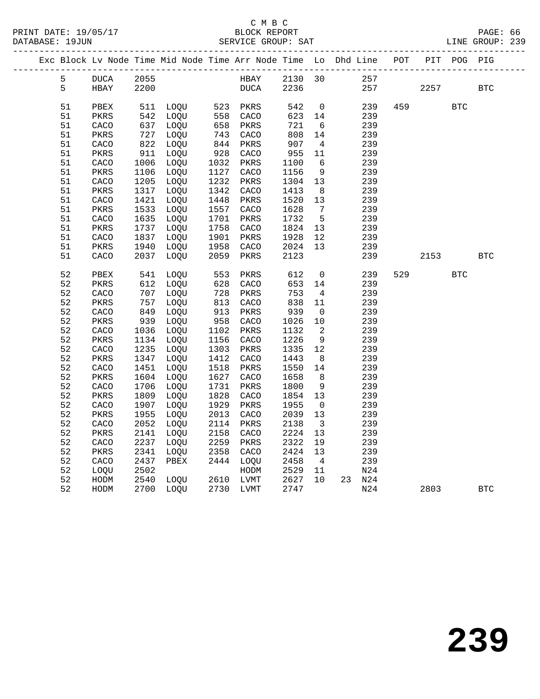|  |          |                       |              | Exc Block Lv Node Time Mid Node Time Arr Node Time Lo Dhd Line POT |                                |              |              |                         |            |     |      | PIT POG PIG |              |
|--|----------|-----------------------|--------------|--------------------------------------------------------------------|--------------------------------|--------------|--------------|-------------------------|------------|-----|------|-------------|--------------|
|  | 5        | DUCA                  | 2055         |                                                                    |                                | HBAY         | 2130 30      |                         | 257        |     |      |             |              |
|  | 5        | HBAY                  | 2200         |                                                                    |                                | DUCA         | 2236         |                         | 257        |     | 2257 |             | <b>BTC</b>   |
|  |          |                       |              |                                                                    |                                |              |              |                         |            |     |      |             |              |
|  | 51       | PBEX                  |              | 511 LOQU 523<br>542 LOQU 558                                       |                                | 523 PKRS     | 542          | $\overline{0}$          | 239        | 459 |      | <b>BTC</b>  |              |
|  | 51       | PKRS                  |              |                                                                    |                                | CACO         | 623          | 14                      | 239        |     |      |             |              |
|  | 51       | CACO                  | 637          | LOQU                                                               | 658<br>$\frac{0}{743}$<br>- 44 | PKRS         | 721          | 6                       | 239        |     |      |             |              |
|  | 51       | PKRS                  | 727          | LOQU                                                               |                                | CACO         | 808          | 14                      | 239        |     |      |             |              |
|  | 51       | CACO                  | 822          | LOQU                                                               | 844                            | PKRS         | 907          | $\overline{4}$          | 239        |     |      |             |              |
|  | 51       | PKRS                  | 911          | LOOU                                                               | $\frac{6}{928}$                | CACO         | 955          | 11                      | 239        |     |      |             |              |
|  | 51       | CACO                  | 1006         | LOQU                                                               | 1032                           | PKRS         | 1100         | - 6                     | 239        |     |      |             |              |
|  | 51<br>51 | $\mbox{PKRS}$         | 1106<br>1205 | LOQU<br>LOQU                                                       | 1127<br>1232                   | CACO<br>PKRS | 1156<br>1304 | 9<br>13                 | 239<br>239 |     |      |             |              |
|  | 51       | CACO<br>$\mbox{PKRS}$ | 1317         | LOQU                                                               | 1342                           | CACO         | 1413         | 8 <sup>8</sup>          | 239        |     |      |             |              |
|  | 51       | CACO                  | 1421         | LOQU                                                               | 1448                           | PKRS         | 1520         | 13                      | 239        |     |      |             |              |
|  | 51       | PKRS                  | 1533         | LOQU                                                               | 1557                           | CACO         | 1628         | $\overline{7}$          | 239        |     |      |             |              |
|  | 51       | CACO                  | 1635         | LOQU                                                               | 1701                           | PKRS         | 1732         | $5^{\circ}$             | 239        |     |      |             |              |
|  | 51       | PKRS                  | 1737         | LOQU                                                               | 1758                           | CACO         | 1824         | 13                      | 239        |     |      |             |              |
|  | 51       | CACO                  | 1837         | LOQU                                                               | 1901                           | PKRS         | 1928         | 12                      | 239        |     |      |             |              |
|  | 51       | PKRS                  | 1940         | LOQU                                                               | 1958                           | CACO         | 2024         | 13                      | 239        |     |      |             |              |
|  | 51       | CACO                  | 2037         | LOQU                                                               | 2059                           | PKRS         | 2123         |                         | 239        |     | 2153 |             | $_{\rm BTC}$ |
|  |          |                       |              |                                                                    |                                |              |              |                         |            |     |      |             |              |
|  | 52       | PBEX                  | 541          | LOQU                                                               | 553                            | PKRS         | 612          | $\overline{0}$          | 239        | 529 |      | BTC         |              |
|  | 52       | PKRS                  | 612          | LOQU                                                               | 628<br>728                     | CACO         | 653          | 14                      | 239        |     |      |             |              |
|  | 52       | CACO                  | 707          | LOQU                                                               |                                | PKRS         | 753          | $4\overline{4}$         | 239        |     |      |             |              |
|  | 52       | PKRS                  | 757          | LOQU                                                               |                                | CACO         | 838          | 11                      | 239        |     |      |             |              |
|  | 52       | ${\tt CACO}$          | 849          | LOQU                                                               | $0 + 913$                      | PKRS         | 939          | $\overline{0}$          | 239        |     |      |             |              |
|  | 52       | PKRS                  | 939          | LOQU                                                               | 958                            | CACO         | 1026         | 10                      | 239        |     |      |             |              |
|  | 52       | CACO                  | 1036         | LOQU                                                               | 1102                           | PKRS         | 1132         | 2                       | 239        |     |      |             |              |
|  | 52<br>52 | PKRS<br>CACO          | 1134<br>1235 | LOQU<br>LOQU                                                       | 1156<br>1303                   | CACO<br>PKRS | 1226<br>1335 | 9<br>12                 | 239<br>239 |     |      |             |              |
|  | 52       | PKRS                  | 1347         | LOQU                                                               | 1412                           | CACO         | 1443         | 8                       | 239        |     |      |             |              |
|  | 52       | CACO                  | 1451         | LOQU                                                               | 1518                           | PKRS         | 1550         | 14                      | 239        |     |      |             |              |
|  | 52       | $\mbox{PKRS}$         | 1604         | LOQU                                                               | 1627                           | CACO         | 1658         | 8                       | 239        |     |      |             |              |
|  | 52       | CACO                  | 1706         | LOQU                                                               | 1731                           | PKRS         | 1800         | 9                       | 239        |     |      |             |              |
|  | 52       | PKRS                  | 1809         | LOQU                                                               | 1828                           | CACO         | 1854         | 13                      | 239        |     |      |             |              |
|  | 52       | CACO                  | 1907         | LOQU                                                               | 1929                           | PKRS         | 1955         | $\overline{0}$          | 239        |     |      |             |              |
|  | 52       | PKRS                  | 1955         | LOQU                                                               | 2013                           | CACO         | 2039         | 13                      | 239        |     |      |             |              |
|  | 52       | CACO                  | 2052         | LOQU                                                               | 2114                           | PKRS         | 2138         | $\overline{\mathbf{3}}$ | 239        |     |      |             |              |
|  | 52       | PKRS                  | 2141         | LOQU                                                               | 2158                           | CACO         | 2224         | 13                      | 239        |     |      |             |              |
|  | 52       | CACO                  | 2237         | LOOU                                                               | 2259                           | PKRS         | 2322         | 19                      | 239        |     |      |             |              |
|  | 52       | PKRS                  | 2341         | LOQU                                                               | 2358                           | CACO         | 2424         | 13                      | 239        |     |      |             |              |
|  | 52       | CACO                  | 2437         | PBEX                                                               |                                | 2444 LOQU    | 2458         | $\overline{4}$          | 239        |     |      |             |              |
|  | 52       | LOQU                  | 2502         |                                                                    |                                | HODM         | 2529         | 11                      | N24        |     |      |             |              |
|  | 52       | HODM                  | 2540         | LOOU                                                               |                                | 2610 LVMT    | 2627         | 10                      | 23 N24     |     |      |             |              |
|  | 52       | HODM                  |              | 2700 LOQU                                                          |                                | 2730 LVMT    | 2747         |                         | N24        |     | 2803 |             | <b>BTC</b>   |
|  |          |                       |              |                                                                    |                                |              |              |                         |            |     |      |             |              |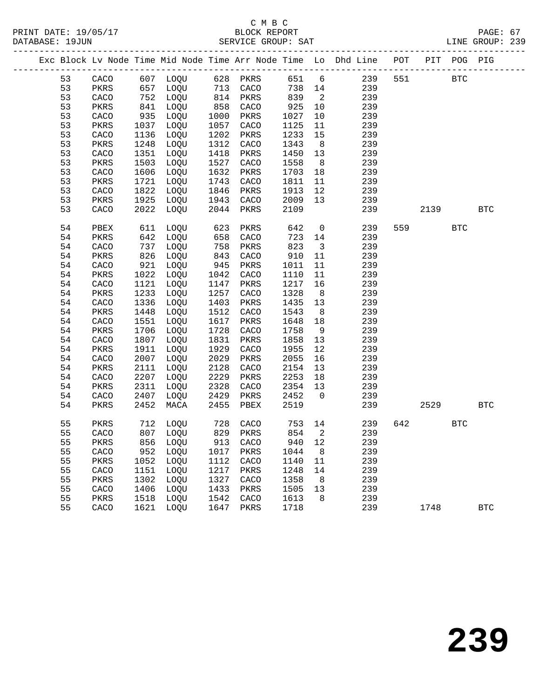|  |    |      |      |                                                  |            |                      |        |                            | Exc Block Lv Node Time Mid Node Time Arr Node Time Lo Dhd Line POT PIT POG PIG |         |            |              |
|--|----|------|------|--------------------------------------------------|------------|----------------------|--------|----------------------------|--------------------------------------------------------------------------------|---------|------------|--------------|
|  | 53 |      |      | CACO 607 LOQU 628 PKRS<br>PKRS 657 LOQU 713 CACO |            |                      |        |                            | 651 6 239                                                                      | 551 BTC |            |              |
|  | 53 |      |      |                                                  |            |                      | 738 14 |                            | 239                                                                            |         |            |              |
|  | 53 | CACO |      | 752 LOQU                                         |            | 814 PKRS             | 839    | $\overline{\phantom{a}}$   | 239                                                                            |         |            |              |
|  | 53 | PKRS | 841  | LOQU                                             | 858        | CACO                 | 925    | 10                         | 239                                                                            |         |            |              |
|  | 53 | CACO | 935  | LOQU                                             | 1000       | PKRS                 | 1027   | 10                         | 239                                                                            |         |            |              |
|  | 53 | PKRS | 1037 | LOQU                                             | 1057       | CACO                 | 1125   | 11                         | 239                                                                            |         |            |              |
|  | 53 | CACO | 1136 | LOQU                                             | 1202       | PKRS                 | 1233   | 15                         | 239                                                                            |         |            |              |
|  | 53 | PKRS | 1248 | LOQU                                             | 1312       | CACO                 | 1343   | 8 <sup>8</sup>             | 239                                                                            |         |            |              |
|  | 53 | CACO | 1351 | LOQU                                             | 1418       | PKRS                 | 1450   | 13                         | 239                                                                            |         |            |              |
|  | 53 | PKRS | 1503 | LOQU                                             | 1527       | CACO                 | 1558   | 8 <sup>8</sup>             | 239                                                                            |         |            |              |
|  | 53 | CACO | 1606 | LOQU                                             | 1632       | PKRS                 | 1703   | 18                         | 239                                                                            |         |            |              |
|  | 53 | PKRS | 1721 | LOQU                                             | 1743       | CACO                 | 1811   | 11                         | 239                                                                            |         |            |              |
|  | 53 | CACO | 1822 | LOQU                                             | 1846       | PKRS                 | 1913   | 12                         | 239                                                                            |         |            |              |
|  | 53 | PKRS | 1925 | LOQU                                             | 1943       | CACO                 | 2009   | 13                         | 239                                                                            |         |            |              |
|  | 53 | CACO | 2022 | LOQU                                             | 2044       | PKRS                 | 2109   |                            | 239                                                                            | 2139    |            | $_{\rm BTC}$ |
|  |    |      |      |                                                  |            |                      |        |                            |                                                                                |         |            |              |
|  | 54 | PBEX | 611  | LOQU                                             | 623<br>658 | PKRS                 | 642    | $\overline{0}$             | 239                                                                            | 559 30  | <b>BTC</b> |              |
|  | 54 | PKRS |      | 642 LOQU                                         | 658        | CACO                 | 723 14 |                            | 239                                                                            |         |            |              |
|  | 54 | CACO | 737  | LOQU                                             | 758        | PKRS                 | 823    | $\overline{\mathbf{3}}$    | 239                                                                            |         |            |              |
|  | 54 | PKRS | 826  | LOQU                                             | 843        | CACO                 | 910    | 11                         | 239                                                                            |         |            |              |
|  | 54 | CACO | 921  | LOQU                                             | 945        | PKRS                 | 1011   | 11                         | 239                                                                            |         |            |              |
|  | 54 | PKRS | 1022 | LOQU                                             | 1042       | CACO                 | 1110   | 11                         | 239                                                                            |         |            |              |
|  | 54 | CACO | 1121 | LOQU                                             | 1147       | PKRS                 | 1217   | 16                         | 239                                                                            |         |            |              |
|  | 54 | PKRS | 1233 | LOQU                                             | 1257       | CACO                 | 1328   | 8 <sup>8</sup>             | 239                                                                            |         |            |              |
|  | 54 | CACO | 1336 | LOQU                                             | 1403       | PKRS                 | 1435   | 13                         | 239                                                                            |         |            |              |
|  | 54 | PKRS | 1448 | LOQU                                             | 1512       | CACO                 | 1543   | 8 <sup>8</sup>             | 239                                                                            |         |            |              |
|  | 54 | CACO | 1551 | LOQU                                             | 1617       | PKRS                 | 1648   | 18                         | 239                                                                            |         |            |              |
|  | 54 | PKRS | 1706 | LOQU                                             | 1728       | CACO                 | 1758   | 9                          | 239                                                                            |         |            |              |
|  | 54 | CACO | 1807 | LOQU                                             | 1831       | PKRS                 | 1858   | 13                         | 239                                                                            |         |            |              |
|  | 54 | PKRS | 1911 | LOQU                                             | 1929       | CACO                 | 1955   | 12                         | 239                                                                            |         |            |              |
|  | 54 | CACO | 2007 | LOQU                                             | 2029       | PKRS                 | 2055   | 16                         | 239                                                                            |         |            |              |
|  | 54 | PKRS | 2111 | LOQU                                             | 2128       | CACO                 | 2154   | 13                         | 239                                                                            |         |            |              |
|  | 54 | CACO | 2207 | LOQU                                             | 2229       | PKRS                 | 2253   | 18                         | 239                                                                            |         |            |              |
|  | 54 | PKRS | 2311 | LOQU                                             | 2328       | CACO                 | 2354   | 13                         | 239                                                                            |         |            |              |
|  | 54 | CACO | 2407 | LOQU                                             | 2429       | PKRS                 | 2452   | $\overline{0}$             | 239                                                                            |         |            |              |
|  | 54 | PKRS | 2452 | MACA                                             | 2455       | PBEX                 | 2519   |                            | 239                                                                            | 2529    |            | $_{\rm BTC}$ |
|  |    |      |      |                                                  |            |                      |        |                            |                                                                                |         |            |              |
|  | 55 | PKRS |      | 712 LOQU                                         |            | 728 CACO<br>829 PKRS | 753 14 |                            | 239                                                                            | 642     | <b>BTC</b> |              |
|  | 55 | CACO |      | 807 LOQU                                         |            |                      | 854    | $\overline{\phantom{a}}^2$ | 239                                                                            |         |            |              |
|  | 55 | PKRS |      | 856 LOQU 913 CACO 940 12                         |            |                      |        |                            | 239                                                                            |         |            |              |
|  | 55 | CACO | 952  | LOQU                                             | 1017       | PKRS                 | 1044   | 8                          | 239                                                                            |         |            |              |
|  | 55 | PKRS | 1052 | LOQU                                             | 1112       | CACO                 | 1140   | 11                         | 239                                                                            |         |            |              |
|  | 55 | CACO | 1151 | LOQU                                             | 1217       | PKRS                 | 1248   | 14                         | 239                                                                            |         |            |              |
|  | 55 | PKRS | 1302 | LOQU                                             | 1327       | CACO                 | 1358   | 8                          | 239                                                                            |         |            |              |
|  | 55 | CACO | 1406 | LOQU                                             | 1433       | PKRS                 | 1505   | 13                         | 239                                                                            |         |            |              |
|  | 55 | PKRS | 1518 | LOQU                                             | 1542       | CACO                 | 1613   | 8                          | 239                                                                            |         |            |              |
|  | 55 | CACO | 1621 | LOQU                                             | 1647       | PKRS                 | 1718   |                            | 239                                                                            | 1748    |            | <b>BTC</b>   |
|  |    |      |      |                                                  |            |                      |        |                            |                                                                                |         |            |              |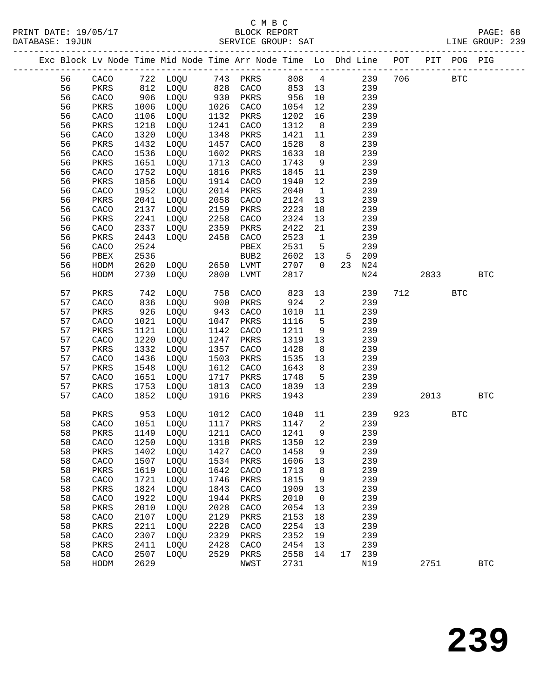|  |    |              |      | Exc Block Lv Node Time Mid Node Time Arr Node Time Lo Dhd Line POT PIT POG PIG |            |      |       |                            |    |     |     |      |            |              |
|--|----|--------------|------|--------------------------------------------------------------------------------|------------|------|-------|----------------------------|----|-----|-----|------|------------|--------------|
|  | 56 | CACO         |      | 722 LOQU 743 PKRS                                                              |            |      | 808 4 |                            |    | 239 | 706 |      | <b>BTC</b> |              |
|  | 56 | PKRS         |      | 812 LOQU                                                                       |            | CACO | 853   | 13                         |    | 239 |     |      |            |              |
|  | 56 | CACO         | 906  | LOQU                                                                           | 828<br>930 | PKRS | 956   | 10                         |    | 239 |     |      |            |              |
|  | 56 | PKRS         | 1006 | LOQU                                                                           | 1026       | CACO | 1054  | 12                         |    | 239 |     |      |            |              |
|  | 56 | CACO         | 1106 | LOQU                                                                           | 1132       | PKRS | 1202  | 16                         |    | 239 |     |      |            |              |
|  | 56 | PKRS         | 1218 | LOQU                                                                           | 1241       | CACO | 1312  | 8 <sup>8</sup>             |    | 239 |     |      |            |              |
|  | 56 | CACO         | 1320 | LOQU                                                                           | 1348       | PKRS | 1421  | 11                         |    | 239 |     |      |            |              |
|  | 56 | PKRS         | 1432 | LOQU                                                                           | 1457       | CACO | 1528  | 8 <sup>8</sup>             |    | 239 |     |      |            |              |
|  | 56 | CACO         | 1536 | LOQU                                                                           | 1602       | PKRS | 1633  |                            |    | 239 |     |      |            |              |
|  | 56 |              |      |                                                                                | 1713       |      | 1743  | 18<br>9                    |    | 239 |     |      |            |              |
|  |    | PKRS         | 1651 | LOQU                                                                           |            | CACO |       |                            |    |     |     |      |            |              |
|  | 56 | CACO         | 1752 | LOQU                                                                           | 1816       | PKRS | 1845  | 11                         |    | 239 |     |      |            |              |
|  | 56 | PKRS         | 1856 | LOQU                                                                           | 1914       | CACO | 1940  | 12                         |    | 239 |     |      |            |              |
|  | 56 | CACO         | 1952 | LOQU                                                                           | 2014       | PKRS | 2040  | $\mathbf{1}$               |    | 239 |     |      |            |              |
|  | 56 | PKRS         | 2041 | LOQU                                                                           | 2058       | CACO | 2124  | 13                         |    | 239 |     |      |            |              |
|  | 56 | CACO         | 2137 | LOQU                                                                           | 2159       | PKRS | 2223  | 18                         |    | 239 |     |      |            |              |
|  | 56 | PKRS         | 2241 | LOQU                                                                           | 2258       | CACO | 2324  | 13                         |    | 239 |     |      |            |              |
|  | 56 | CACO         | 2337 | LOQU                                                                           | 2359       | PKRS | 2422  | 21                         |    | 239 |     |      |            |              |
|  | 56 | PKRS         | 2443 | LOQU                                                                           | 2458       | CACO | 2523  | $\mathbf{1}$               |    | 239 |     |      |            |              |
|  | 56 | CACO         | 2524 |                                                                                |            | PBEX | 2531  | $5^{\circ}$                |    | 239 |     |      |            |              |
|  | 56 | ${\tt PBEX}$ | 2536 |                                                                                |            | BUB2 | 2602  | 13                         | 5  | 209 |     |      |            |              |
|  | 56 | HODM         | 2620 | LOQU 2650                                                                      |            | LVMT | 2707  | $\overline{0}$             | 23 | N24 |     |      |            |              |
|  | 56 | HODM         | 2730 | LOQU                                                                           | 2800       | LVMT | 2817  |                            |    | N24 |     | 2833 |            | <b>BTC</b>   |
|  | 57 | PKRS         | 742  | LOQU                                                                           | 758        | CACO | 823   | 13                         |    | 239 | 712 |      | <b>BTC</b> |              |
|  | 57 | CACO         | 836  | LOQU                                                                           | 900        | PKRS | 924   | $\overline{2}$             |    | 239 |     |      |            |              |
|  | 57 | PKRS         | 926  | LOQU                                                                           | 943        | CACO | 1010  | 11                         |    | 239 |     |      |            |              |
|  | 57 | CACO         | 1021 | LOQU                                                                           | 1047       | PKRS | 1116  | 5                          |    | 239 |     |      |            |              |
|  | 57 | PKRS         | 1121 | LOQU                                                                           | 1142       | CACO | 1211  | 9                          |    | 239 |     |      |            |              |
|  | 57 | CACO         | 1220 | LOQU                                                                           | 1247       | PKRS | 1319  | 13                         |    | 239 |     |      |            |              |
|  | 57 | PKRS         | 1332 | LOQU                                                                           | 1357       | CACO | 1428  | 8                          |    | 239 |     |      |            |              |
|  | 57 | CACO         | 1436 | LOQU                                                                           | 1503       | PKRS | 1535  | 13                         |    | 239 |     |      |            |              |
|  | 57 | PKRS         | 1548 | LOQU                                                                           | 1612       | CACO | 1643  | 8                          |    | 239 |     |      |            |              |
|  | 57 | CACO         | 1651 | LOQU                                                                           | 1717       | PKRS | 1748  | 5                          |    | 239 |     |      |            |              |
|  | 57 | PKRS         | 1753 | LOQU                                                                           | 1813       | CACO | 1839  | 13                         |    | 239 |     |      |            |              |
|  | 57 | CACO         | 1852 | LOQU                                                                           | 1916       | PKRS | 1943  |                            |    | 239 |     | 2013 |            | <b>BTC</b>   |
|  |    |              |      |                                                                                |            |      |       |                            |    |     |     |      |            |              |
|  | 58 | PKRS         | 953  | LOQU                                                                           | 1012       | CACO | 1040  | 11                         |    | 239 | 923 |      | <b>BTC</b> |              |
|  | 58 | CACO         | 1051 | LOQU                                                                           | 1117       | PKRS | 1147  | $\overline{\phantom{a}}^2$ |    | 239 |     |      |            |              |
|  | 58 | PKRS         |      | 1149 LOQU                                                                      | 1211       | CACO | 1241  | 9                          |    | 239 |     |      |            |              |
|  | 58 |              |      | CACO 1250 LOQU 1318 PKRS 1350 12                                               |            |      |       |                            |    | 239 |     |      |            |              |
|  | 58 | PKRS         | 1402 | LOQU                                                                           | 1427       | CACO | 1458  | 9                          |    | 239 |     |      |            |              |
|  | 58 | CACO         | 1507 | LOQU                                                                           | 1534       | PKRS | 1606  | 13                         |    | 239 |     |      |            |              |
|  | 58 | PKRS         | 1619 | LOQU                                                                           | 1642       | CACO | 1713  | 8                          |    | 239 |     |      |            |              |
|  | 58 | CACO         | 1721 | LOQU                                                                           | 1746       | PKRS | 1815  | 9                          |    | 239 |     |      |            |              |
|  | 58 | PKRS         | 1824 | LOQU                                                                           | 1843       | CACO | 1909  | 13                         |    | 239 |     |      |            |              |
|  | 58 | CACO         | 1922 | LOQU                                                                           | 1944       | PKRS | 2010  | 0                          |    | 239 |     |      |            |              |
|  | 58 | PKRS         | 2010 | LOQU                                                                           | 2028       | CACO | 2054  | 13                         |    | 239 |     |      |            |              |
|  | 58 | CACO         | 2107 | LOQU                                                                           | 2129       | PKRS | 2153  | 18                         |    | 239 |     |      |            |              |
|  | 58 | PKRS         | 2211 | LOQU                                                                           | 2228       | CACO | 2254  | 13                         |    | 239 |     |      |            |              |
|  | 58 | CACO         | 2307 | LOQU                                                                           | 2329       | PKRS | 2352  | 19                         |    | 239 |     |      |            |              |
|  | 58 | PKRS         | 2411 | LOQU                                                                           | 2428       | CACO | 2454  | 13                         |    | 239 |     |      |            |              |
|  | 58 | CACO         | 2507 | LOQU                                                                           | 2529       | PKRS | 2558  | 14                         | 17 | 239 |     |      |            |              |
|  | 58 | HODM         | 2629 |                                                                                |            | NWST | 2731  |                            |    | N19 |     | 2751 |            | $_{\rm BTC}$ |